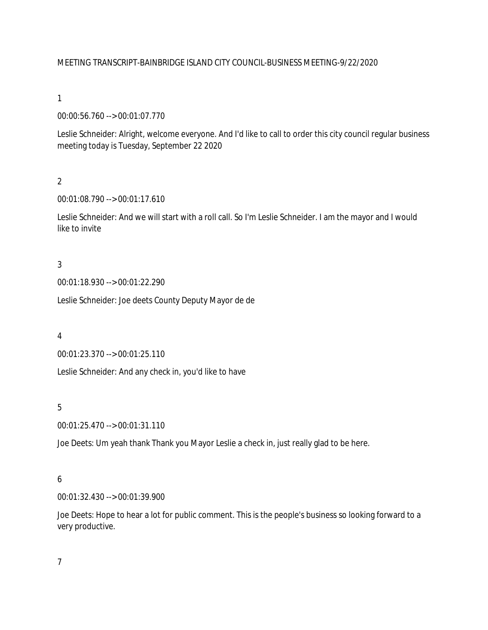#### MEETING TRANSCRIPT-BAINBRIDGE ISLAND CITY COUNCIL-BUSINESS MEETING-9/22/2020

#### 1

00:00:56.760 --> 00:01:07.770

Leslie Schneider: Alright, welcome everyone. And I'd like to call to order this city council regular business meeting today is Tuesday, September 22 2020

# $\overline{2}$

00:01:08.790 --> 00:01:17.610

Leslie Schneider: And we will start with a roll call. So I'm Leslie Schneider. I am the mayor and I would like to invite

#### 3

00:01:18.930 --> 00:01:22.290

Leslie Schneider: Joe deets County Deputy Mayor de de

#### 4

00:01:23.370 --> 00:01:25.110

Leslie Schneider: And any check in, you'd like to have

#### 5

00:01:25.470 --> 00:01:31.110

Joe Deets: Um yeah thank Thank you Mayor Leslie a check in, just really glad to be here.

#### 6

00:01:32.430 --> 00:01:39.900

Joe Deets: Hope to hear a lot for public comment. This is the people's business so looking forward to a very productive.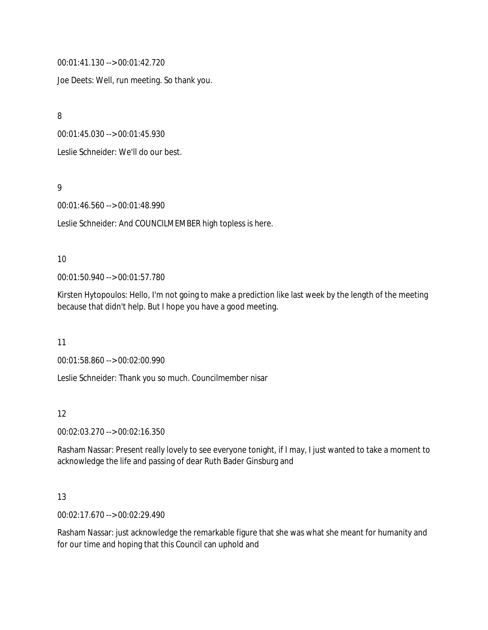00:01:41.130 --> 00:01:42.720

Joe Deets: Well, run meeting. So thank you.

8

00:01:45.030 --> 00:01:45.930

Leslie Schneider: We'll do our best.

9

00:01:46.560 --> 00:01:48.990

Leslie Schneider: And COUNCILMEMBER high topless is here.

#### 10

00:01:50.940 --> 00:01:57.780

Kirsten Hytopoulos: Hello, I'm not going to make a prediction like last week by the length of the meeting because that didn't help. But I hope you have a good meeting.

11

00:01:58.860 --> 00:02:00.990

Leslie Schneider: Thank you so much. Councilmember nisar

#### 12

00:02:03.270 --> 00:02:16.350

Rasham Nassar: Present really lovely to see everyone tonight, if I may, I just wanted to take a moment to acknowledge the life and passing of dear Ruth Bader Ginsburg and

# 13

00:02:17.670 --> 00:02:29.490

Rasham Nassar: just acknowledge the remarkable figure that she was what she meant for humanity and for our time and hoping that this Council can uphold and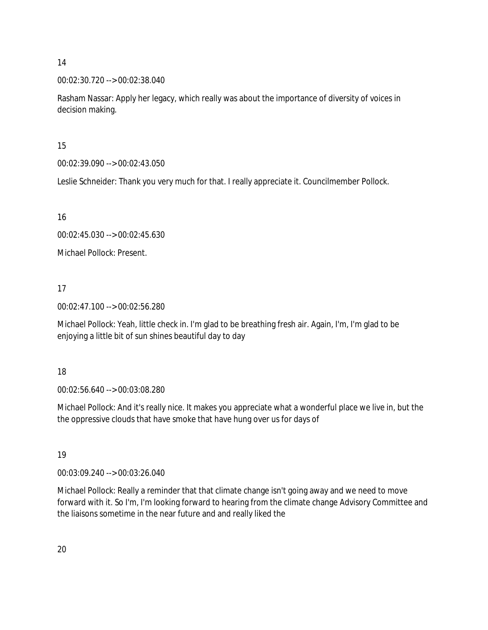# 00:02:30.720 --> 00:02:38.040

Rasham Nassar: Apply her legacy, which really was about the importance of diversity of voices in decision making.

15

00:02:39.090 --> 00:02:43.050

Leslie Schneider: Thank you very much for that. I really appreciate it. Councilmember Pollock.

16

00:02:45.030 --> 00:02:45.630

Michael Pollock: Present.

17

00:02:47.100 --> 00:02:56.280

Michael Pollock: Yeah, little check in. I'm glad to be breathing fresh air. Again, I'm, I'm glad to be enjoying a little bit of sun shines beautiful day to day

18

00:02:56.640 --> 00:03:08.280

Michael Pollock: And it's really nice. It makes you appreciate what a wonderful place we live in, but the the oppressive clouds that have smoke that have hung over us for days of

19

00:03:09.240 --> 00:03:26.040

Michael Pollock: Really a reminder that that climate change isn't going away and we need to move forward with it. So I'm, I'm looking forward to hearing from the climate change Advisory Committee and the liaisons sometime in the near future and and really liked the

20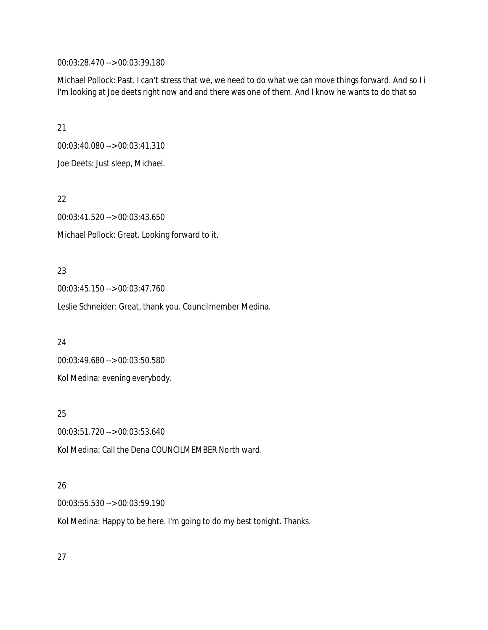00:03:28.470 --> 00:03:39.180

Michael Pollock: Past. I can't stress that we, we need to do what we can move things forward. And so I i I'm looking at Joe deets right now and and there was one of them. And I know he wants to do that so

21 00:03:40.080 --> 00:03:41.310 Joe Deets: Just sleep, Michael.

22

00:03:41.520 --> 00:03:43.650 Michael Pollock: Great. Looking forward to it.

#### 23

00:03:45.150 --> 00:03:47.760

Leslie Schneider: Great, thank you. Councilmember Medina.

24

00:03:49.680 --> 00:03:50.580 Kol Medina: evening everybody.

25

00:03:51.720 --> 00:03:53.640

Kol Medina: Call the Dena COUNCILMEMBER North ward.

# 26

00:03:55.530 --> 00:03:59.190

Kol Medina: Happy to be here. I'm going to do my best tonight. Thanks.

27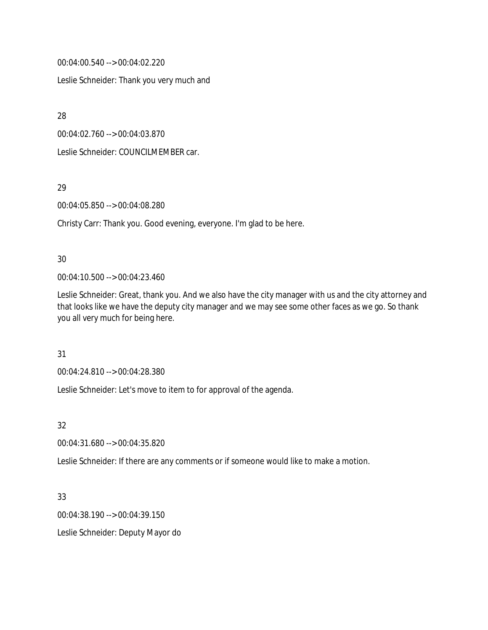00:04:00.540 --> 00:04:02.220

Leslie Schneider: Thank you very much and

28

00:04:02.760 --> 00:04:03.870

Leslie Schneider: COUNCILMEMBER car.

29

00:04:05.850 --> 00:04:08.280

Christy Carr: Thank you. Good evening, everyone. I'm glad to be here.

#### 30

00:04:10.500 --> 00:04:23.460

Leslie Schneider: Great, thank you. And we also have the city manager with us and the city attorney and that looks like we have the deputy city manager and we may see some other faces as we go. So thank you all very much for being here.

31

00:04:24.810 --> 00:04:28.380

Leslie Schneider: Let's move to item to for approval of the agenda.

32

00:04:31.680 --> 00:04:35.820

Leslie Schneider: If there are any comments or if someone would like to make a motion.

33

00:04:38.190 --> 00:04:39.150

Leslie Schneider: Deputy Mayor do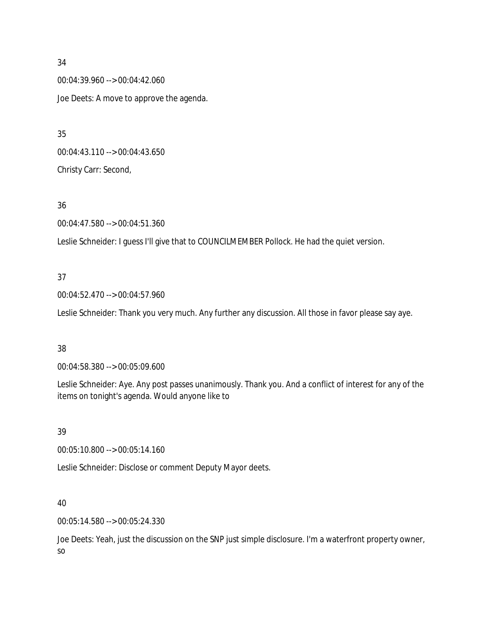00:04:39.960 --> 00:04:42.060 Joe Deets: A move to approve the agenda.

00:04:43.110 --> 00:04:43.650 Christy Carr: Second,

#### 36

00:04:47.580 --> 00:04:51.360

Leslie Schneider: I guess I'll give that to COUNCILMEMBER Pollock. He had the quiet version.

#### 37

00:04:52.470 --> 00:04:57.960

Leslie Schneider: Thank you very much. Any further any discussion. All those in favor please say aye.

#### 38

00:04:58.380 --> 00:05:09.600

Leslie Schneider: Aye. Any post passes unanimously. Thank you. And a conflict of interest for any of the items on tonight's agenda. Would anyone like to

#### 39

00:05:10.800 --> 00:05:14.160

Leslie Schneider: Disclose or comment Deputy Mayor deets.

#### 40

00:05:14.580 --> 00:05:24.330

Joe Deets: Yeah, just the discussion on the SNP just simple disclosure. I'm a waterfront property owner, so

#### 34

35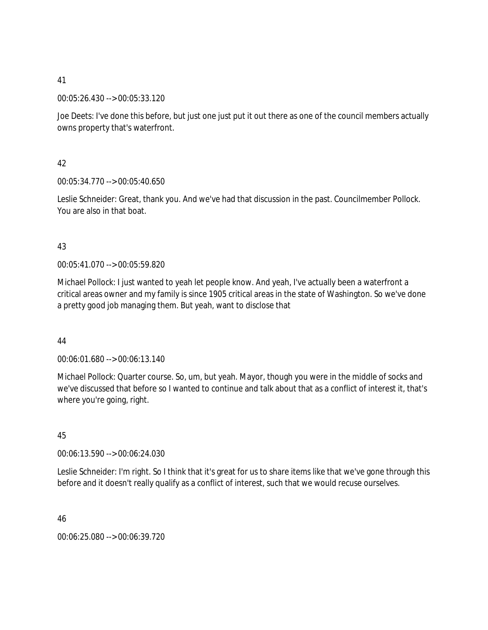00:05:26.430 --> 00:05:33.120

Joe Deets: I've done this before, but just one just put it out there as one of the council members actually owns property that's waterfront.

42

00:05:34.770 --> 00:05:40.650

Leslie Schneider: Great, thank you. And we've had that discussion in the past. Councilmember Pollock. You are also in that boat.

# 43

00:05:41.070 --> 00:05:59.820

Michael Pollock: I just wanted to yeah let people know. And yeah, I've actually been a waterfront a critical areas owner and my family is since 1905 critical areas in the state of Washington. So we've done a pretty good job managing them. But yeah, want to disclose that

44

00:06:01.680 --> 00:06:13.140

Michael Pollock: Quarter course. So, um, but yeah. Mayor, though you were in the middle of socks and we've discussed that before so I wanted to continue and talk about that as a conflict of interest it, that's where you're going, right.

45

00:06:13.590 --> 00:06:24.030

Leslie Schneider: I'm right. So I think that it's great for us to share items like that we've gone through this before and it doesn't really qualify as a conflict of interest, such that we would recuse ourselves.

46

00:06:25.080 --> 00:06:39.720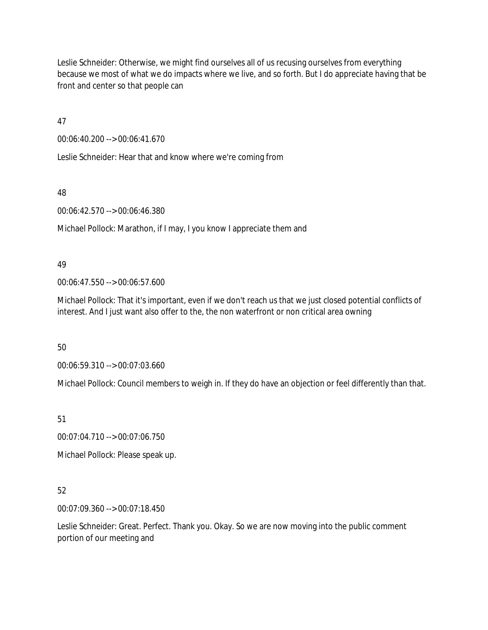Leslie Schneider: Otherwise, we might find ourselves all of us recusing ourselves from everything because we most of what we do impacts where we live, and so forth. But I do appreciate having that be front and center so that people can

47

00:06:40.200 --> 00:06:41.670

Leslie Schneider: Hear that and know where we're coming from

48

00:06:42.570 --> 00:06:46.380

Michael Pollock: Marathon, if I may, I you know I appreciate them and

# 49

00:06:47.550 --> 00:06:57.600

Michael Pollock: That it's important, even if we don't reach us that we just closed potential conflicts of interest. And I just want also offer to the, the non waterfront or non critical area owning

50

00:06:59.310 --> 00:07:03.660

Michael Pollock: Council members to weigh in. If they do have an objection or feel differently than that.

51

00:07:04.710 --> 00:07:06.750

Michael Pollock: Please speak up.

# 52

00:07:09.360 --> 00:07:18.450

Leslie Schneider: Great. Perfect. Thank you. Okay. So we are now moving into the public comment portion of our meeting and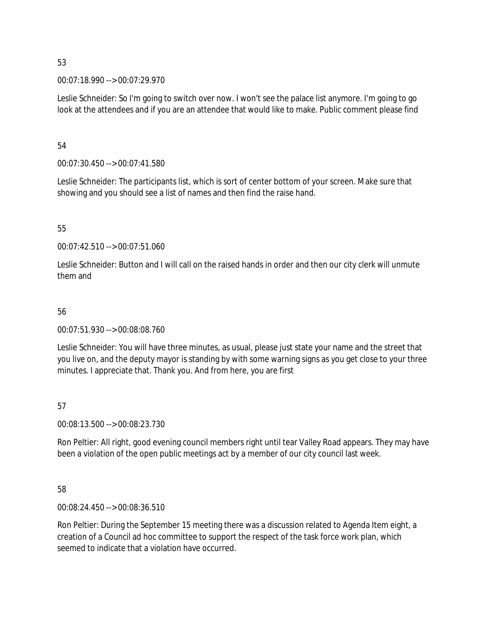00:07:18.990 --> 00:07:29.970

Leslie Schneider: So I'm going to switch over now. I won't see the palace list anymore. I'm going to go look at the attendees and if you are an attendee that would like to make. Public comment please find

54

00:07:30.450 --> 00:07:41.580

Leslie Schneider: The participants list, which is sort of center bottom of your screen. Make sure that showing and you should see a list of names and then find the raise hand.

55

00:07:42.510 --> 00:07:51.060

Leslie Schneider: Button and I will call on the raised hands in order and then our city clerk will unmute them and

# 56

00:07:51.930 --> 00:08:08.760

Leslie Schneider: You will have three minutes, as usual, please just state your name and the street that you live on, and the deputy mayor is standing by with some warning signs as you get close to your three minutes. I appreciate that. Thank you. And from here, you are first

# 57

00:08:13.500 --> 00:08:23.730

Ron Peltier: All right, good evening council members right until tear Valley Road appears. They may have been a violation of the open public meetings act by a member of our city council last week.

58

00:08:24.450 --> 00:08:36.510

Ron Peltier: During the September 15 meeting there was a discussion related to Agenda Item eight, a creation of a Council ad hoc committee to support the respect of the task force work plan, which seemed to indicate that a violation have occurred.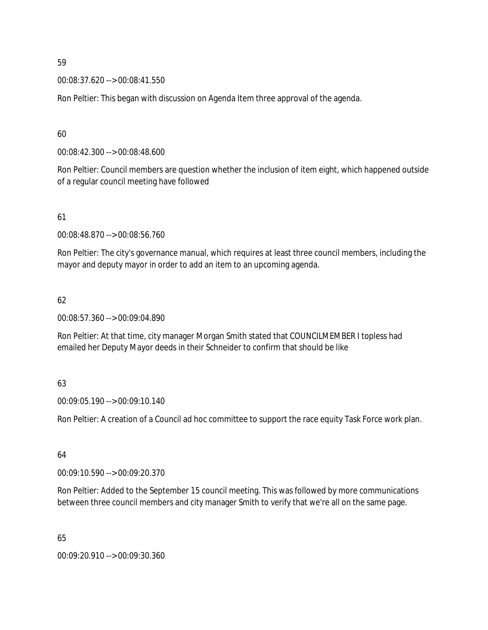00:08:37.620 --> 00:08:41.550

Ron Peltier: This began with discussion on Agenda Item three approval of the agenda.

60

00:08:42.300 --> 00:08:48.600

Ron Peltier: Council members are question whether the inclusion of item eight, which happened outside of a regular council meeting have followed

61

00:08:48.870 --> 00:08:56.760

Ron Peltier: The city's governance manual, which requires at least three council members, including the mayor and deputy mayor in order to add an item to an upcoming agenda.

# 62

00:08:57.360 --> 00:09:04.890

Ron Peltier: At that time, city manager Morgan Smith stated that COUNCILMEMBER I topless had emailed her Deputy Mayor deeds in their Schneider to confirm that should be like

# 63

00:09:05.190 --> 00:09:10.140

Ron Peltier: A creation of a Council ad hoc committee to support the race equity Task Force work plan.

#### 64

00:09:10.590 --> 00:09:20.370

Ron Peltier: Added to the September 15 council meeting. This was followed by more communications between three council members and city manager Smith to verify that we're all on the same page.

65

00:09:20.910 --> 00:09:30.360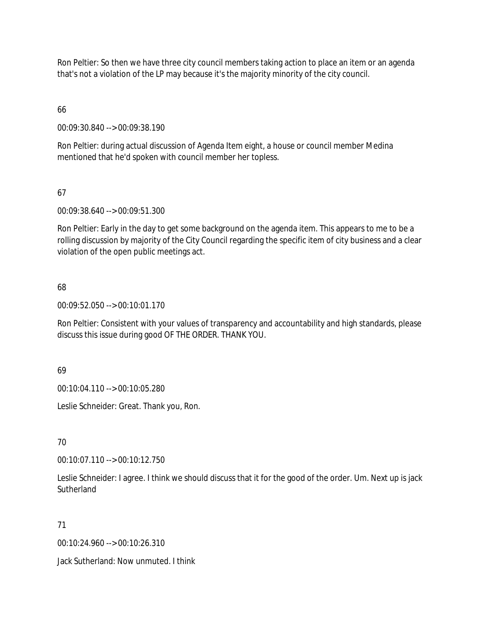Ron Peltier: So then we have three city council members taking action to place an item or an agenda that's not a violation of the LP may because it's the majority minority of the city council.

# 66

00:09:30.840 --> 00:09:38.190

Ron Peltier: during actual discussion of Agenda Item eight, a house or council member Medina mentioned that he'd spoken with council member her topless.

# 67

00:09:38.640 --> 00:09:51.300

Ron Peltier: Early in the day to get some background on the agenda item. This appears to me to be a rolling discussion by majority of the City Council regarding the specific item of city business and a clear violation of the open public meetings act.

# 68

00:09:52.050 --> 00:10:01.170

Ron Peltier: Consistent with your values of transparency and accountability and high standards, please discuss this issue during good OF THE ORDER. THANK YOU.

# 69

00:10:04.110 --> 00:10:05.280

Leslie Schneider: Great. Thank you, Ron.

# 70

00:10:07.110 --> 00:10:12.750

Leslie Schneider: I agree. I think we should discuss that it for the good of the order. Um. Next up is jack **Sutherland** 

# 71

00:10:24.960 --> 00:10:26.310

Jack Sutherland: Now unmuted. I think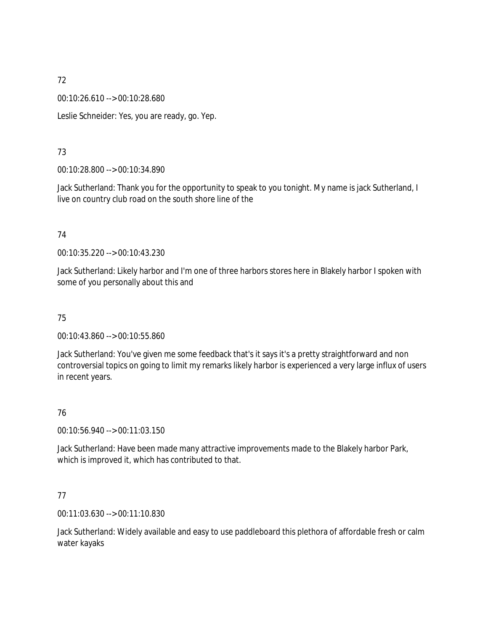00:10:26.610 --> 00:10:28.680

Leslie Schneider: Yes, you are ready, go. Yep.

# 73

00:10:28.800 --> 00:10:34.890

Jack Sutherland: Thank you for the opportunity to speak to you tonight. My name is jack Sutherland, I live on country club road on the south shore line of the

# 74

00:10:35.220 --> 00:10:43.230

Jack Sutherland: Likely harbor and I'm one of three harbors stores here in Blakely harbor I spoken with some of you personally about this and

# 75

00:10:43.860 --> 00:10:55.860

Jack Sutherland: You've given me some feedback that's it says it's a pretty straightforward and non controversial topics on going to limit my remarks likely harbor is experienced a very large influx of users in recent years.

# 76

00:10:56.940 --> 00:11:03.150

Jack Sutherland: Have been made many attractive improvements made to the Blakely harbor Park, which is improved it, which has contributed to that.

# 77

00:11:03.630 --> 00:11:10.830

Jack Sutherland: Widely available and easy to use paddleboard this plethora of affordable fresh or calm water kayaks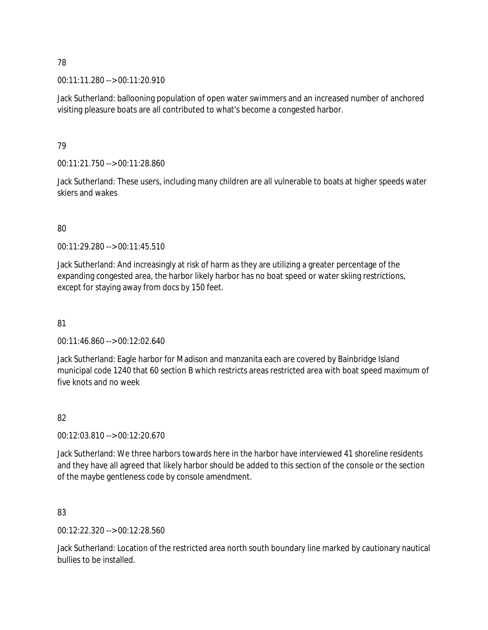00:11:11.280 --> 00:11:20.910

Jack Sutherland: ballooning population of open water swimmers and an increased number of anchored visiting pleasure boats are all contributed to what's become a congested harbor.

# 79

00:11:21.750 --> 00:11:28.860

Jack Sutherland: These users, including many children are all vulnerable to boats at higher speeds water skiers and wakes

# 80

00:11:29.280 --> 00:11:45.510

Jack Sutherland: And increasingly at risk of harm as they are utilizing a greater percentage of the expanding congested area, the harbor likely harbor has no boat speed or water skiing restrictions, except for staying away from docs by 150 feet.

# 81

00:11:46.860 --> 00:12:02.640

Jack Sutherland: Eagle harbor for Madison and manzanita each are covered by Bainbridge Island municipal code 1240 that 60 section B which restricts areas restricted area with boat speed maximum of five knots and no week

# 82

00:12:03.810 --> 00:12:20.670

Jack Sutherland: We three harbors towards here in the harbor have interviewed 41 shoreline residents and they have all agreed that likely harbor should be added to this section of the console or the section of the maybe gentleness code by console amendment.

# 83

00:12:22.320 --> 00:12:28.560

Jack Sutherland: Location of the restricted area north south boundary line marked by cautionary nautical bullies to be installed.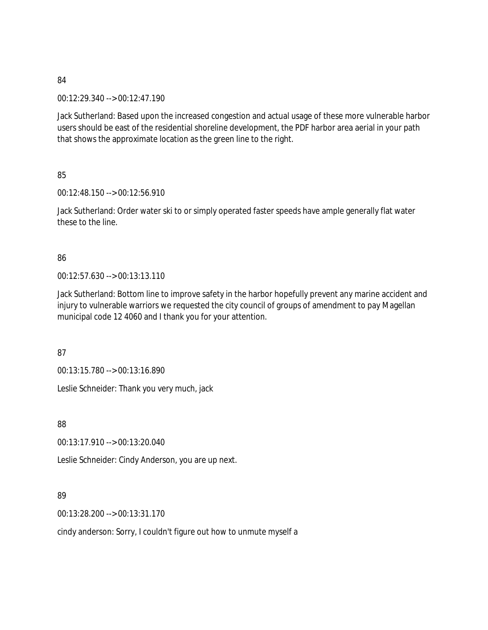00:12:29.340 --> 00:12:47.190

Jack Sutherland: Based upon the increased congestion and actual usage of these more vulnerable harbor users should be east of the residential shoreline development, the PDF harbor area aerial in your path that shows the approximate location as the green line to the right.

85

00:12:48.150 --> 00:12:56.910

Jack Sutherland: Order water ski to or simply operated faster speeds have ample generally flat water these to the line.

#### 86

00:12:57.630 --> 00:13:13.110

Jack Sutherland: Bottom line to improve safety in the harbor hopefully prevent any marine accident and injury to vulnerable warriors we requested the city council of groups of amendment to pay Magellan municipal code 12 4060 and I thank you for your attention.

87

00:13:15.780 --> 00:13:16.890

Leslie Schneider: Thank you very much, jack

88

00:13:17.910 --> 00:13:20.040

Leslie Schneider: Cindy Anderson, you are up next.

# 89

00:13:28.200 --> 00:13:31.170

cindy anderson: Sorry, I couldn't figure out how to unmute myself a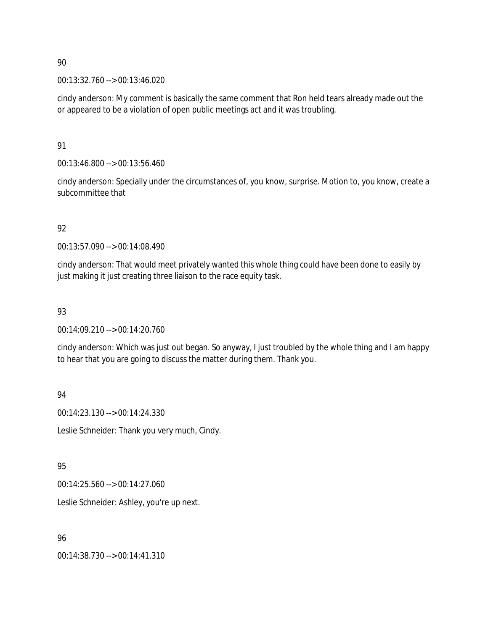00:13:32.760 --> 00:13:46.020

cindy anderson: My comment is basically the same comment that Ron held tears already made out the or appeared to be a violation of open public meetings act and it was troubling.

91

00:13:46.800 --> 00:13:56.460

cindy anderson: Specially under the circumstances of, you know, surprise. Motion to, you know, create a subcommittee that

# 92

00:13:57.090 --> 00:14:08.490

cindy anderson: That would meet privately wanted this whole thing could have been done to easily by just making it just creating three liaison to the race equity task.

# 93

00:14:09.210 --> 00:14:20.760

cindy anderson: Which was just out began. So anyway, I just troubled by the whole thing and I am happy to hear that you are going to discuss the matter during them. Thank you.

# 94

00:14:23.130 --> 00:14:24.330

Leslie Schneider: Thank you very much, Cindy.

# 95

00:14:25.560 --> 00:14:27.060

Leslie Schneider: Ashley, you're up next.

# 96

00:14:38.730 --> 00:14:41.310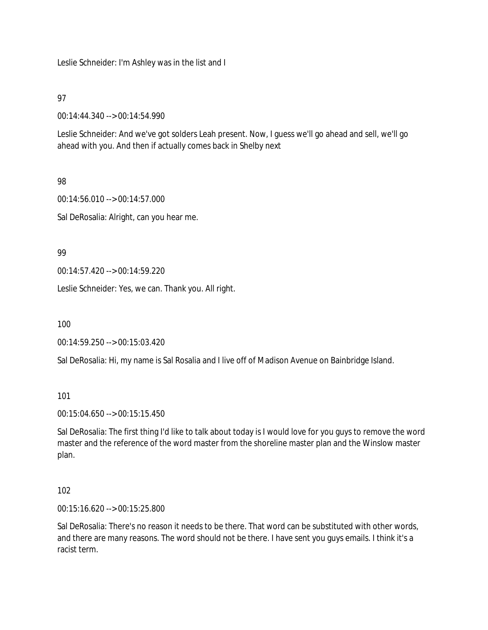Leslie Schneider: I'm Ashley was in the list and I

97

00:14:44.340 --> 00:14:54.990

Leslie Schneider: And we've got solders Leah present. Now, I guess we'll go ahead and sell, we'll go ahead with you. And then if actually comes back in Shelby next

# 98

00:14:56.010 --> 00:14:57.000 Sal DeRosalia: Alright, can you hear me.

99

00:14:57.420 --> 00:14:59.220

Leslie Schneider: Yes, we can. Thank you. All right.

100

00:14:59.250 --> 00:15:03.420

Sal DeRosalia: Hi, my name is Sal Rosalia and I live off of Madison Avenue on Bainbridge Island.

101

00:15:04.650 --> 00:15:15.450

Sal DeRosalia: The first thing I'd like to talk about today is I would love for you guys to remove the word master and the reference of the word master from the shoreline master plan and the Winslow master plan.

#### 102

00:15:16.620 --> 00:15:25.800

Sal DeRosalia: There's no reason it needs to be there. That word can be substituted with other words, and there are many reasons. The word should not be there. I have sent you guys emails. I think it's a racist term.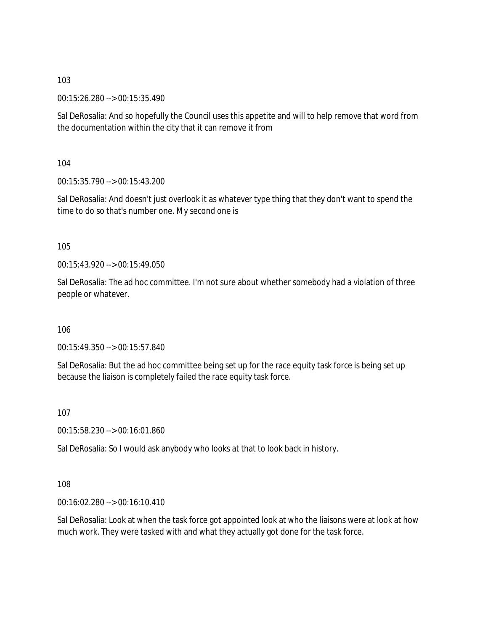00:15:26.280 --> 00:15:35.490

Sal DeRosalia: And so hopefully the Council uses this appetite and will to help remove that word from the documentation within the city that it can remove it from

104

00:15:35.790 --> 00:15:43.200

Sal DeRosalia: And doesn't just overlook it as whatever type thing that they don't want to spend the time to do so that's number one. My second one is

105

00:15:43.920 --> 00:15:49.050

Sal DeRosalia: The ad hoc committee. I'm not sure about whether somebody had a violation of three people or whatever.

106

00:15:49.350 --> 00:15:57.840

Sal DeRosalia: But the ad hoc committee being set up for the race equity task force is being set up because the liaison is completely failed the race equity task force.

107

00:15:58.230 --> 00:16:01.860

Sal DeRosalia: So I would ask anybody who looks at that to look back in history.

108

00:16:02.280 --> 00:16:10.410

Sal DeRosalia: Look at when the task force got appointed look at who the liaisons were at look at how much work. They were tasked with and what they actually got done for the task force.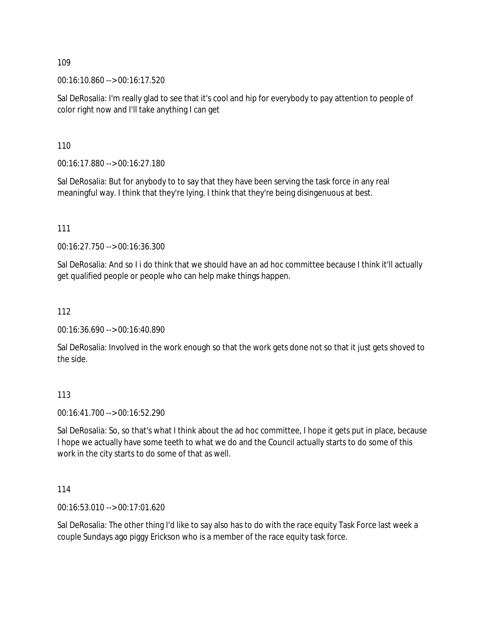00:16:10.860 --> 00:16:17.520

Sal DeRosalia: I'm really glad to see that it's cool and hip for everybody to pay attention to people of color right now and I'll take anything I can get

110

00:16:17.880 --> 00:16:27.180

Sal DeRosalia: But for anybody to to say that they have been serving the task force in any real meaningful way. I think that they're lying. I think that they're being disingenuous at best.

111

00:16:27.750 --> 00:16:36.300

Sal DeRosalia: And so I i do think that we should have an ad hoc committee because I think it'll actually get qualified people or people who can help make things happen.

112

00:16:36.690 --> 00:16:40.890

Sal DeRosalia: Involved in the work enough so that the work gets done not so that it just gets shoved to the side.

113

00:16:41.700 --> 00:16:52.290

Sal DeRosalia: So, so that's what I think about the ad hoc committee, I hope it gets put in place, because I hope we actually have some teeth to what we do and the Council actually starts to do some of this work in the city starts to do some of that as well.

114

00:16:53.010 --> 00:17:01.620

Sal DeRosalia: The other thing I'd like to say also has to do with the race equity Task Force last week a couple Sundays ago piggy Erickson who is a member of the race equity task force.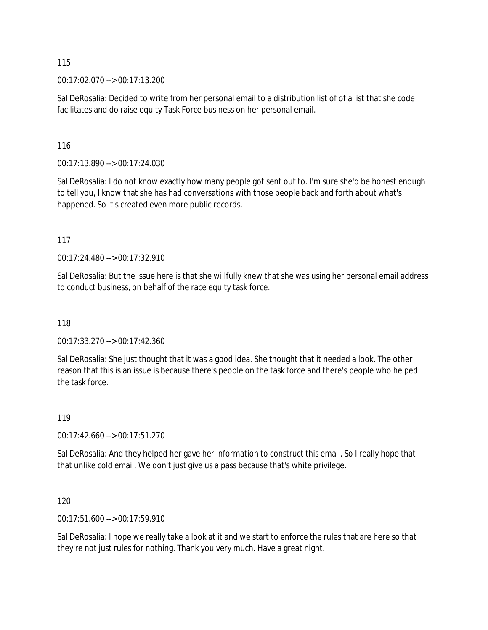00:17:02.070 --> 00:17:13.200

Sal DeRosalia: Decided to write from her personal email to a distribution list of of a list that she code facilitates and do raise equity Task Force business on her personal email.

116

00:17:13.890 --> 00:17:24.030

Sal DeRosalia: I do not know exactly how many people got sent out to. I'm sure she'd be honest enough to tell you, I know that she has had conversations with those people back and forth about what's happened. So it's created even more public records.

117

00:17:24.480 --> 00:17:32.910

Sal DeRosalia: But the issue here is that she willfully knew that she was using her personal email address to conduct business, on behalf of the race equity task force.

118

00:17:33.270 --> 00:17:42.360

Sal DeRosalia: She just thought that it was a good idea. She thought that it needed a look. The other reason that this is an issue is because there's people on the task force and there's people who helped the task force.

119

00:17:42.660 --> 00:17:51.270

Sal DeRosalia: And they helped her gave her information to construct this email. So I really hope that that unlike cold email. We don't just give us a pass because that's white privilege.

120

00:17:51.600 --> 00:17:59.910

Sal DeRosalia: I hope we really take a look at it and we start to enforce the rules that are here so that they're not just rules for nothing. Thank you very much. Have a great night.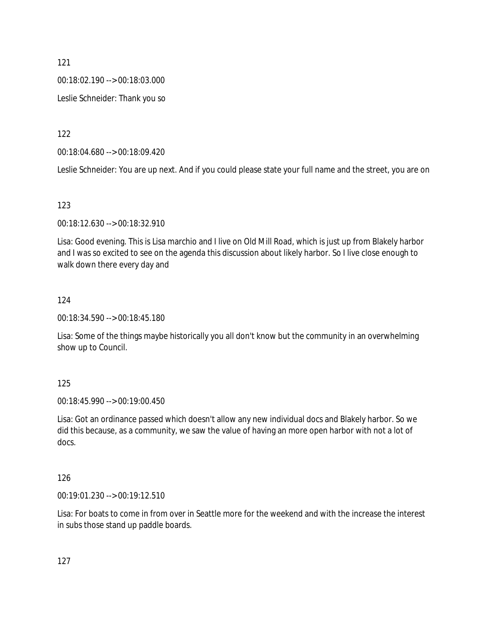00:18:02.190 --> 00:18:03.000

Leslie Schneider: Thank you so

122

00:18:04.680 --> 00:18:09.420

Leslie Schneider: You are up next. And if you could please state your full name and the street, you are on

123

00:18:12.630 --> 00:18:32.910

Lisa: Good evening. This is Lisa marchio and I live on Old Mill Road, which is just up from Blakely harbor and I was so excited to see on the agenda this discussion about likely harbor. So I live close enough to walk down there every day and

#### 124

00:18:34.590 --> 00:18:45.180

Lisa: Some of the things maybe historically you all don't know but the community in an overwhelming show up to Council.

125

00:18:45.990 --> 00:19:00.450

Lisa: Got an ordinance passed which doesn't allow any new individual docs and Blakely harbor. So we did this because, as a community, we saw the value of having an more open harbor with not a lot of docs.

#### 126

00:19:01.230 --> 00:19:12.510

Lisa: For boats to come in from over in Seattle more for the weekend and with the increase the interest in subs those stand up paddle boards.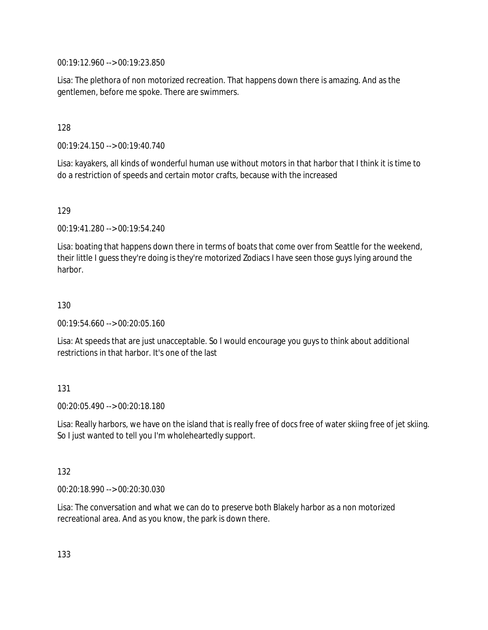00:19:12.960 --> 00:19:23.850

Lisa: The plethora of non motorized recreation. That happens down there is amazing. And as the gentlemen, before me spoke. There are swimmers.

128

00:19:24.150 --> 00:19:40.740

Lisa: kayakers, all kinds of wonderful human use without motors in that harbor that I think it is time to do a restriction of speeds and certain motor crafts, because with the increased

129

00:19:41.280 --> 00:19:54.240

Lisa: boating that happens down there in terms of boats that come over from Seattle for the weekend, their little I guess they're doing is they're motorized Zodiacs I have seen those guys lying around the harbor.

130

00:19:54.660 --> 00:20:05.160

Lisa: At speeds that are just unacceptable. So I would encourage you guys to think about additional restrictions in that harbor. It's one of the last

131

00:20:05.490 --> 00:20:18.180

Lisa: Really harbors, we have on the island that is really free of docs free of water skiing free of jet skiing. So I just wanted to tell you I'm wholeheartedly support.

132

00:20:18.990 --> 00:20:30.030

Lisa: The conversation and what we can do to preserve both Blakely harbor as a non motorized recreational area. And as you know, the park is down there.

133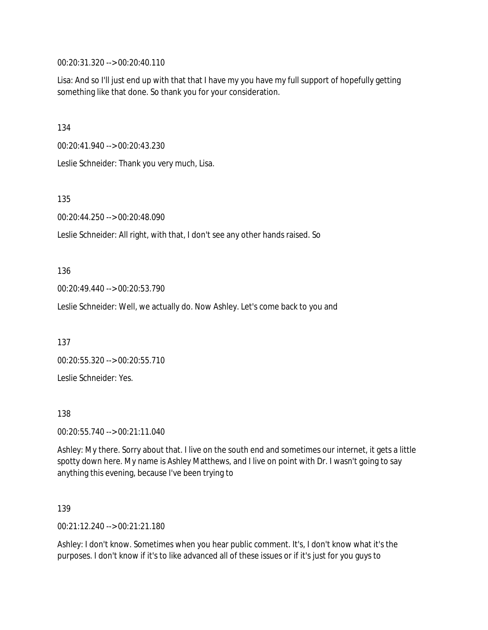00:20:31.320 --> 00:20:40.110

Lisa: And so I'll just end up with that that I have my you have my full support of hopefully getting something like that done. So thank you for your consideration.

134

00:20:41.940 --> 00:20:43.230

Leslie Schneider: Thank you very much, Lisa.

135

00:20:44.250 --> 00:20:48.090

Leslie Schneider: All right, with that, I don't see any other hands raised. So

136

00:20:49.440 --> 00:20:53.790

Leslie Schneider: Well, we actually do. Now Ashley. Let's come back to you and

137

00:20:55.320 --> 00:20:55.710

Leslie Schneider: Yes.

138

00:20:55.740 --> 00:21:11.040

Ashley: My there. Sorry about that. I live on the south end and sometimes our internet, it gets a little spotty down here. My name is Ashley Matthews, and I live on point with Dr. I wasn't going to say anything this evening, because I've been trying to

139

00:21:12.240 --> 00:21:21.180

Ashley: I don't know. Sometimes when you hear public comment. It's, I don't know what it's the purposes. I don't know if it's to like advanced all of these issues or if it's just for you guys to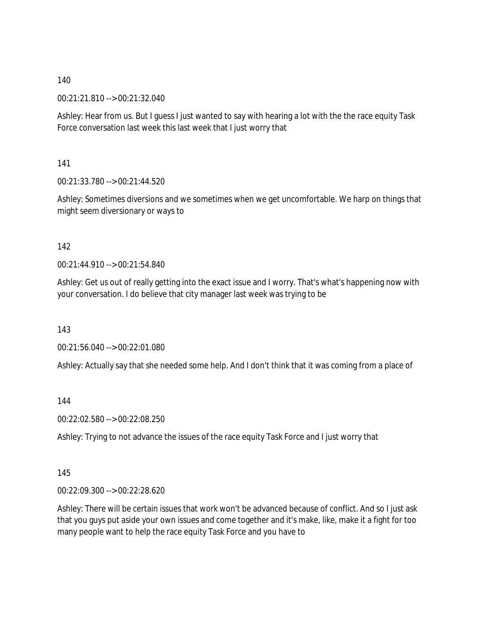00:21:21.810 --> 00:21:32.040

Ashley: Hear from us. But I guess I just wanted to say with hearing a lot with the the race equity Task Force conversation last week this last week that I just worry that

141

00:21:33.780 --> 00:21:44.520

Ashley: Sometimes diversions and we sometimes when we get uncomfortable. We harp on things that might seem diversionary or ways to

#### 142

00:21:44.910 --> 00:21:54.840

Ashley: Get us out of really getting into the exact issue and I worry. That's what's happening now with your conversation. I do believe that city manager last week was trying to be

143

00:21:56.040 --> 00:22:01.080

Ashley: Actually say that she needed some help. And I don't think that it was coming from a place of

144

00:22:02.580 --> 00:22:08.250

Ashley: Trying to not advance the issues of the race equity Task Force and I just worry that

145

00:22:09.300 --> 00:22:28.620

Ashley: There will be certain issues that work won't be advanced because of conflict. And so I just ask that you guys put aside your own issues and come together and it's make, like, make it a fight for too many people want to help the race equity Task Force and you have to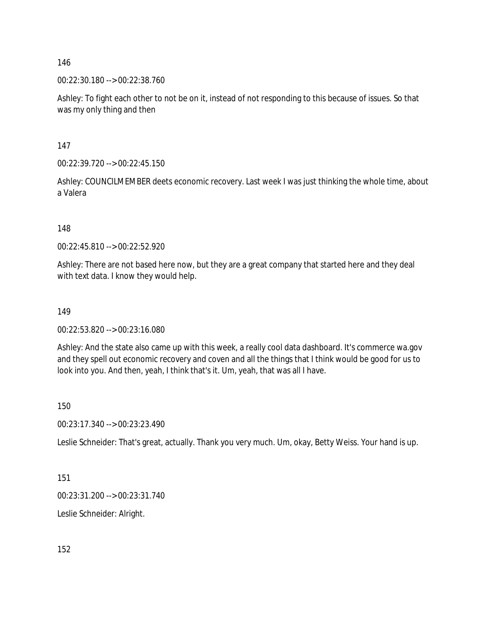00:22:30.180 --> 00:22:38.760

Ashley: To fight each other to not be on it, instead of not responding to this because of issues. So that was my only thing and then

147

00:22:39.720 --> 00:22:45.150

Ashley: COUNCILMEMBER deets economic recovery. Last week I was just thinking the whole time, about a Valera

148

00:22:45.810 --> 00:22:52.920

Ashley: There are not based here now, but they are a great company that started here and they deal with text data. I know they would help.

#### 149

00:22:53.820 --> 00:23:16.080

Ashley: And the state also came up with this week, a really cool data dashboard. It's commerce wa.gov and they spell out economic recovery and coven and all the things that I think would be good for us to look into you. And then, yeah, I think that's it. Um, yeah, that was all I have.

150

00:23:17.340 --> 00:23:23.490

Leslie Schneider: That's great, actually. Thank you very much. Um, okay, Betty Weiss. Your hand is up.

151

00:23:31.200 --> 00:23:31.740

Leslie Schneider: Alright.

152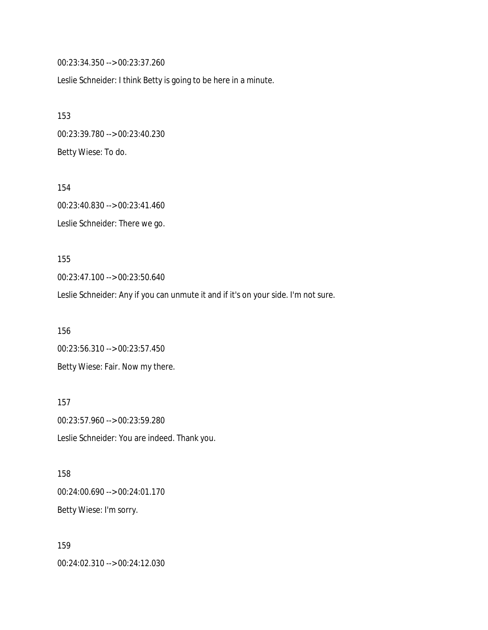00:23:34.350 --> 00:23:37.260

Leslie Schneider: I think Betty is going to be here in a minute.

153 00:23:39.780 --> 00:23:40.230 Betty Wiese: To do.

154 00:23:40.830 --> 00:23:41.460 Leslie Schneider: There we go.

155 00:23:47.100 --> 00:23:50.640

Leslie Schneider: Any if you can unmute it and if it's on your side. I'm not sure.

156 00:23:56.310 --> 00:23:57.450 Betty Wiese: Fair. Now my there.

157 00:23:57.960 --> 00:23:59.280 Leslie Schneider: You are indeed. Thank you.

158 00:24:00.690 --> 00:24:01.170 Betty Wiese: I'm sorry.

159 00:24:02.310 --> 00:24:12.030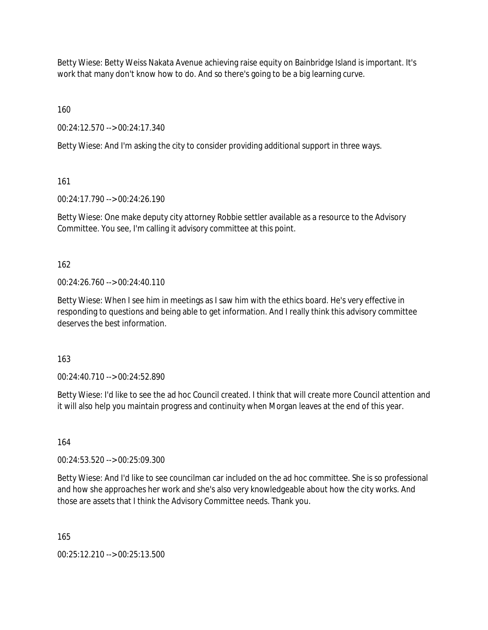Betty Wiese: Betty Weiss Nakata Avenue achieving raise equity on Bainbridge Island is important. It's work that many don't know how to do. And so there's going to be a big learning curve.

160

00:24:12.570 --> 00:24:17.340

Betty Wiese: And I'm asking the city to consider providing additional support in three ways.

161

00:24:17.790 --> 00:24:26.190

Betty Wiese: One make deputy city attorney Robbie settler available as a resource to the Advisory Committee. You see, I'm calling it advisory committee at this point.

162

 $00.24.26$  760 -->  $00.24.40$  110

Betty Wiese: When I see him in meetings as I saw him with the ethics board. He's very effective in responding to questions and being able to get information. And I really think this advisory committee deserves the best information.

163

00:24:40.710 --> 00:24:52.890

Betty Wiese: I'd like to see the ad hoc Council created. I think that will create more Council attention and it will also help you maintain progress and continuity when Morgan leaves at the end of this year.

164

00:24:53.520 --> 00:25:09.300

Betty Wiese: And I'd like to see councilman car included on the ad hoc committee. She is so professional and how she approaches her work and she's also very knowledgeable about how the city works. And those are assets that I think the Advisory Committee needs. Thank you.

165

00:25:12.210 --> 00:25:13.500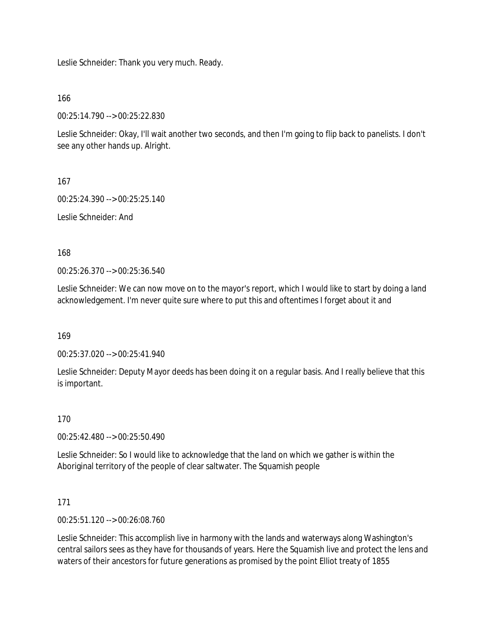Leslie Schneider: Thank you very much. Ready.

166

00:25:14.790 --> 00:25:22.830

Leslie Schneider: Okay, I'll wait another two seconds, and then I'm going to flip back to panelists. I don't see any other hands up. Alright.

167

00:25:24.390 --> 00:25:25.140

Leslie Schneider: And

168

00:25:26.370 --> 00:25:36.540

Leslie Schneider: We can now move on to the mayor's report, which I would like to start by doing a land acknowledgement. I'm never quite sure where to put this and oftentimes I forget about it and

169

00:25:37.020 --> 00:25:41.940

Leslie Schneider: Deputy Mayor deeds has been doing it on a regular basis. And I really believe that this is important.

170

00:25:42.480 --> 00:25:50.490

Leslie Schneider: So I would like to acknowledge that the land on which we gather is within the Aboriginal territory of the people of clear saltwater. The Squamish people

171

00:25:51.120 --> 00:26:08.760

Leslie Schneider: This accomplish live in harmony with the lands and waterways along Washington's central sailors sees as they have for thousands of years. Here the Squamish live and protect the lens and waters of their ancestors for future generations as promised by the point Elliot treaty of 1855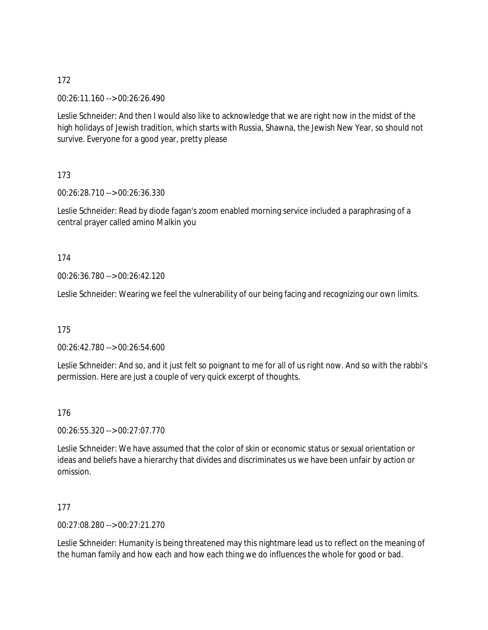00:26:11.160 --> 00:26:26.490

Leslie Schneider: And then I would also like to acknowledge that we are right now in the midst of the high holidays of Jewish tradition, which starts with Russia, Shawna, the Jewish New Year, so should not survive. Everyone for a good year, pretty please

# 173

00:26:28.710 --> 00:26:36.330

Leslie Schneider: Read by diode fagan's zoom enabled morning service included a paraphrasing of a central prayer called amino Malkin you

# 174

00:26:36.780 --> 00:26:42.120

Leslie Schneider: Wearing we feel the vulnerability of our being facing and recognizing our own limits.

# 175

00:26:42.780 --> 00:26:54.600

Leslie Schneider: And so, and it just felt so poignant to me for all of us right now. And so with the rabbi's permission. Here are just a couple of very quick excerpt of thoughts.

# 176

00:26:55.320 --> 00:27:07.770

Leslie Schneider: We have assumed that the color of skin or economic status or sexual orientation or ideas and beliefs have a hierarchy that divides and discriminates us we have been unfair by action or omission.

# 177

00:27:08.280 --> 00:27:21.270

Leslie Schneider: Humanity is being threatened may this nightmare lead us to reflect on the meaning of the human family and how each and how each thing we do influences the whole for good or bad.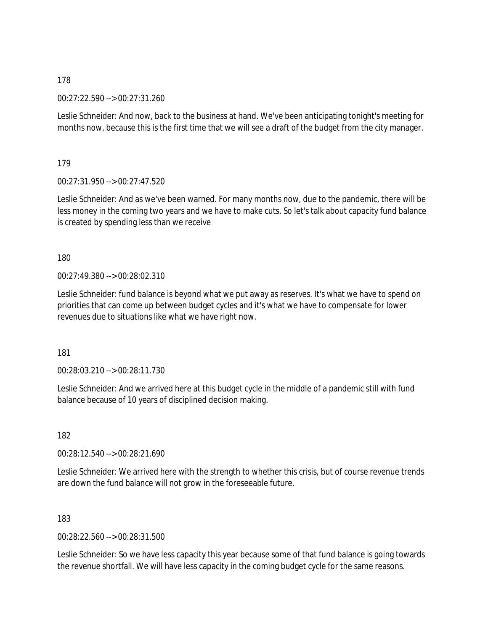00:27:22.590 --> 00:27:31.260

Leslie Schneider: And now, back to the business at hand. We've been anticipating tonight's meeting for months now, because this is the first time that we will see a draft of the budget from the city manager.

179

00:27:31.950 --> 00:27:47.520

Leslie Schneider: And as we've been warned. For many months now, due to the pandemic, there will be less money in the coming two years and we have to make cuts. So let's talk about capacity fund balance is created by spending less than we receive

180

00:27:49.380 --> 00:28:02.310

Leslie Schneider: fund balance is beyond what we put away as reserves. It's what we have to spend on priorities that can come up between budget cycles and it's what we have to compensate for lower revenues due to situations like what we have right now.

181

00:28:03.210 --> 00:28:11.730

Leslie Schneider: And we arrived here at this budget cycle in the middle of a pandemic still with fund balance because of 10 years of disciplined decision making.

182

00:28:12.540 --> 00:28:21.690

Leslie Schneider: We arrived here with the strength to whether this crisis, but of course revenue trends are down the fund balance will not grow in the foreseeable future.

183

00:28:22.560 --> 00:28:31.500

Leslie Schneider: So we have less capacity this year because some of that fund balance is going towards the revenue shortfall. We will have less capacity in the coming budget cycle for the same reasons.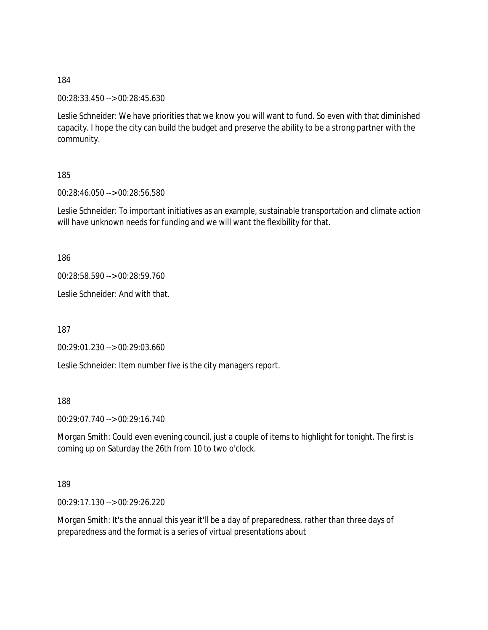00:28:33.450 --> 00:28:45.630

Leslie Schneider: We have priorities that we know you will want to fund. So even with that diminished capacity. I hope the city can build the budget and preserve the ability to be a strong partner with the community.

185

00:28:46.050 --> 00:28:56.580

Leslie Schneider: To important initiatives as an example, sustainable transportation and climate action will have unknown needs for funding and we will want the flexibility for that.

186

00:28:58.590 --> 00:28:59.760

Leslie Schneider: And with that.

187

00:29:01.230 --> 00:29:03.660

Leslie Schneider: Item number five is the city managers report.

188

00:29:07.740 --> 00:29:16.740

Morgan Smith: Could even evening council, just a couple of items to highlight for tonight. The first is coming up on Saturday the 26th from 10 to two o'clock.

189

00:29:17.130 --> 00:29:26.220

Morgan Smith: It's the annual this year it'll be a day of preparedness, rather than three days of preparedness and the format is a series of virtual presentations about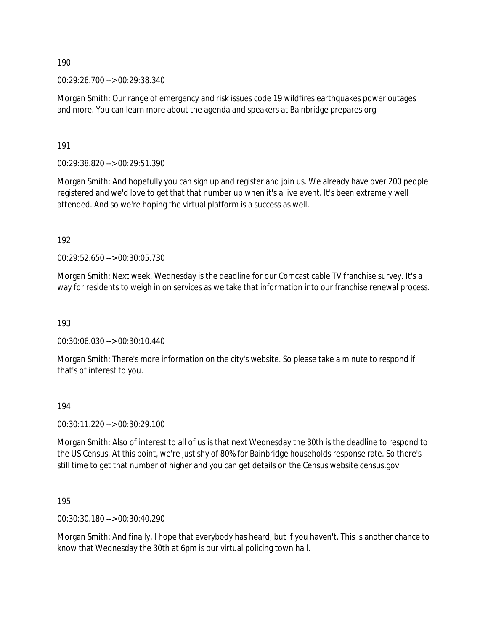00:29:26.700 --> 00:29:38.340

Morgan Smith: Our range of emergency and risk issues code 19 wildfires earthquakes power outages and more. You can learn more about the agenda and speakers at Bainbridge prepares.org

191

00:29:38.820 --> 00:29:51.390

Morgan Smith: And hopefully you can sign up and register and join us. We already have over 200 people registered and we'd love to get that that number up when it's a live event. It's been extremely well attended. And so we're hoping the virtual platform is a success as well.

192

00:29:52.650 --> 00:30:05.730

Morgan Smith: Next week, Wednesday is the deadline for our Comcast cable TV franchise survey. It's a way for residents to weigh in on services as we take that information into our franchise renewal process.

193

00:30:06.030 --> 00:30:10.440

Morgan Smith: There's more information on the city's website. So please take a minute to respond if that's of interest to you.

#### 194

00:30:11.220 --> 00:30:29.100

Morgan Smith: Also of interest to all of us is that next Wednesday the 30th is the deadline to respond to the US Census. At this point, we're just shy of 80% for Bainbridge households response rate. So there's still time to get that number of higher and you can get details on the Census website census.gov

195

00:30:30.180 --> 00:30:40.290

Morgan Smith: And finally, I hope that everybody has heard, but if you haven't. This is another chance to know that Wednesday the 30th at 6pm is our virtual policing town hall.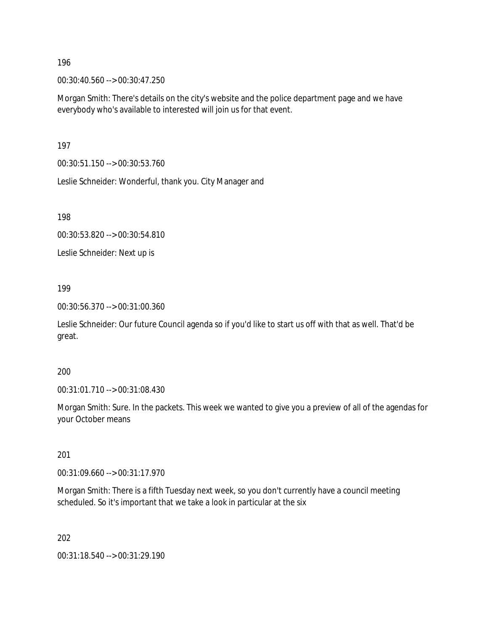00:30:40.560 --> 00:30:47.250

Morgan Smith: There's details on the city's website and the police department page and we have everybody who's available to interested will join us for that event.

197

00:30:51.150 --> 00:30:53.760

Leslie Schneider: Wonderful, thank you. City Manager and

198

00:30:53.820 --> 00:30:54.810

Leslie Schneider: Next up is

199

00:30:56.370 --> 00:31:00.360

Leslie Schneider: Our future Council agenda so if you'd like to start us off with that as well. That'd be great.

200

00:31:01.710 --> 00:31:08.430

Morgan Smith: Sure. In the packets. This week we wanted to give you a preview of all of the agendas for your October means

201

00:31:09.660 --> 00:31:17.970

Morgan Smith: There is a fifth Tuesday next week, so you don't currently have a council meeting scheduled. So it's important that we take a look in particular at the six

202

00:31:18.540 --> 00:31:29.190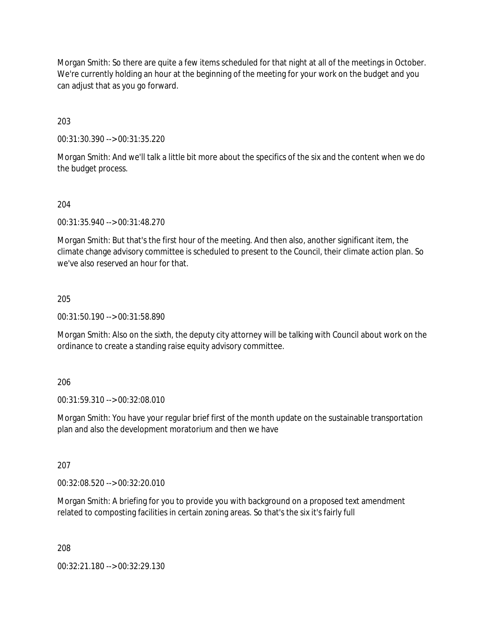Morgan Smith: So there are quite a few items scheduled for that night at all of the meetings in October. We're currently holding an hour at the beginning of the meeting for your work on the budget and you can adjust that as you go forward.

203

00:31:30.390 --> 00:31:35.220

Morgan Smith: And we'll talk a little bit more about the specifics of the six and the content when we do the budget process.

204

00:31:35.940 --> 00:31:48.270

Morgan Smith: But that's the first hour of the meeting. And then also, another significant item, the climate change advisory committee is scheduled to present to the Council, their climate action plan. So we've also reserved an hour for that.

205

00:31:50.190 --> 00:31:58.890

Morgan Smith: Also on the sixth, the deputy city attorney will be talking with Council about work on the ordinance to create a standing raise equity advisory committee.

206

00:31:59.310 --> 00:32:08.010

Morgan Smith: You have your regular brief first of the month update on the sustainable transportation plan and also the development moratorium and then we have

207

00:32:08.520 --> 00:32:20.010

Morgan Smith: A briefing for you to provide you with background on a proposed text amendment related to composting facilities in certain zoning areas. So that's the six it's fairly full

208

00:32:21.180 --> 00:32:29.130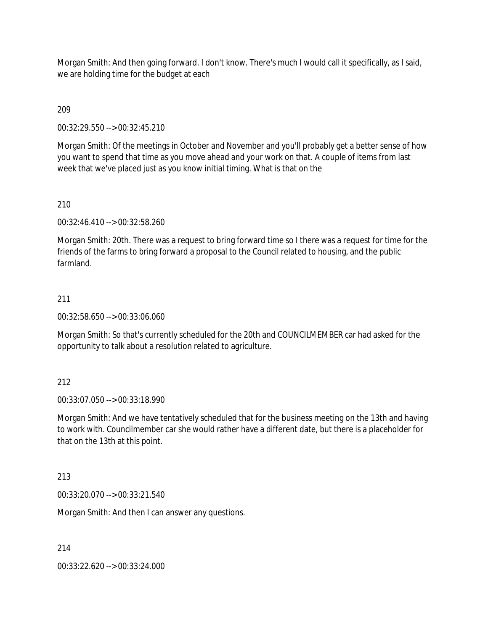Morgan Smith: And then going forward. I don't know. There's much I would call it specifically, as I said, we are holding time for the budget at each

209

00:32:29.550 --> 00:32:45.210

Morgan Smith: Of the meetings in October and November and you'll probably get a better sense of how you want to spend that time as you move ahead and your work on that. A couple of items from last week that we've placed just as you know initial timing. What is that on the

210

00:32:46.410 --> 00:32:58.260

Morgan Smith: 20th. There was a request to bring forward time so I there was a request for time for the friends of the farms to bring forward a proposal to the Council related to housing, and the public farmland.

#### 211

00:32:58.650 --> 00:33:06.060

Morgan Smith: So that's currently scheduled for the 20th and COUNCILMEMBER car had asked for the opportunity to talk about a resolution related to agriculture.

#### 212

00:33:07.050 --> 00:33:18.990

Morgan Smith: And we have tentatively scheduled that for the business meeting on the 13th and having to work with. Councilmember car she would rather have a different date, but there is a placeholder for that on the 13th at this point.

#### 213

00:33:20.070 --> 00:33:21.540

Morgan Smith: And then I can answer any questions.

214

00:33:22.620 --> 00:33:24.000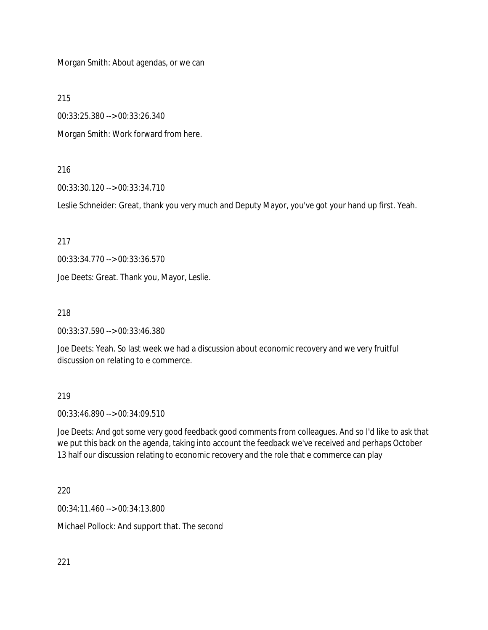Morgan Smith: About agendas, or we can

215

00:33:25.380 --> 00:33:26.340

Morgan Smith: Work forward from here.

#### 216

00:33:30.120 --> 00:33:34.710

Leslie Schneider: Great, thank you very much and Deputy Mayor, you've got your hand up first. Yeah.

217

00:33:34.770 --> 00:33:36.570

Joe Deets: Great. Thank you, Mayor, Leslie.

218

00:33:37.590 --> 00:33:46.380

Joe Deets: Yeah. So last week we had a discussion about economic recovery and we very fruitful discussion on relating to e commerce.

#### 219

00:33:46.890 --> 00:34:09.510

Joe Deets: And got some very good feedback good comments from colleagues. And so I'd like to ask that we put this back on the agenda, taking into account the feedback we've received and perhaps October 13 half our discussion relating to economic recovery and the role that e commerce can play

220

00:34:11.460 --> 00:34:13.800

Michael Pollock: And support that. The second

221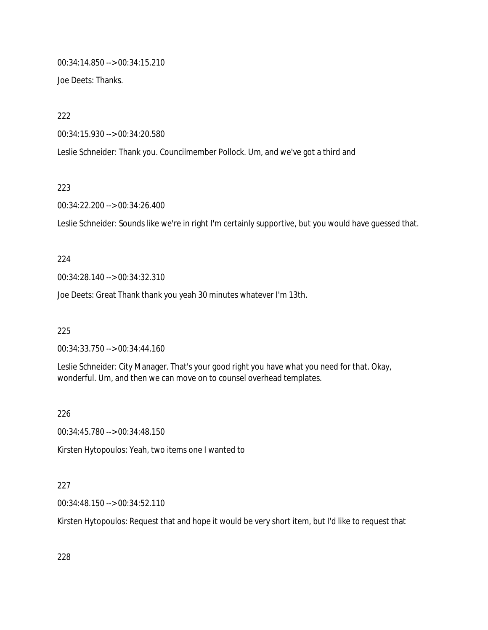00:34:14.850 --> 00:34:15.210

Joe Deets: Thanks.

222

00:34:15.930 --> 00:34:20.580

Leslie Schneider: Thank you. Councilmember Pollock. Um, and we've got a third and

223

00:34:22.200 --> 00:34:26.400

Leslie Schneider: Sounds like we're in right I'm certainly supportive, but you would have guessed that.

#### 224

00:34:28.140 --> 00:34:32.310

Joe Deets: Great Thank thank you yeah 30 minutes whatever I'm 13th.

225

00:34:33.750 --> 00:34:44.160

Leslie Schneider: City Manager. That's your good right you have what you need for that. Okay, wonderful. Um, and then we can move on to counsel overhead templates.

226

00:34:45.780 --> 00:34:48.150

Kirsten Hytopoulos: Yeah, two items one I wanted to

#### 227

00:34:48.150 --> 00:34:52.110

Kirsten Hytopoulos: Request that and hope it would be very short item, but I'd like to request that

228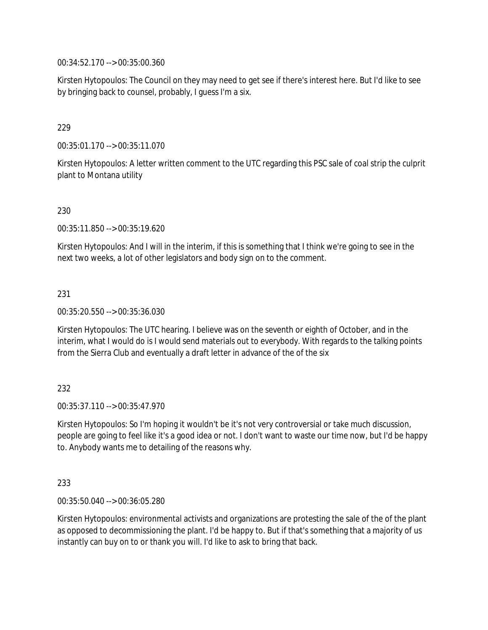00:34:52.170 --> 00:35:00.360

Kirsten Hytopoulos: The Council on they may need to get see if there's interest here. But I'd like to see by bringing back to counsel, probably, I guess I'm a six.

## 229

00:35:01.170 --> 00:35:11.070

Kirsten Hytopoulos: A letter written comment to the UTC regarding this PSC sale of coal strip the culprit plant to Montana utility

## 230

00:35:11.850 --> 00:35:19.620

Kirsten Hytopoulos: And I will in the interim, if this is something that I think we're going to see in the next two weeks, a lot of other legislators and body sign on to the comment.

## 231

00:35:20.550 --> 00:35:36.030

Kirsten Hytopoulos: The UTC hearing. I believe was on the seventh or eighth of October, and in the interim, what I would do is I would send materials out to everybody. With regards to the talking points from the Sierra Club and eventually a draft letter in advance of the of the six

## 232

 $00:35:37.110 \rightarrow 00:35:47.970$ 

Kirsten Hytopoulos: So I'm hoping it wouldn't be it's not very controversial or take much discussion, people are going to feel like it's a good idea or not. I don't want to waste our time now, but I'd be happy to. Anybody wants me to detailing of the reasons why.

## 233

00:35:50.040 --> 00:36:05.280

Kirsten Hytopoulos: environmental activists and organizations are protesting the sale of the of the plant as opposed to decommissioning the plant. I'd be happy to. But if that's something that a majority of us instantly can buy on to or thank you will. I'd like to ask to bring that back.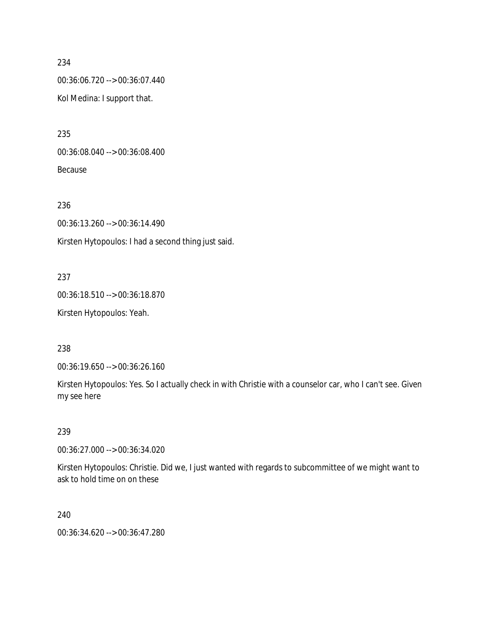00:36:06.720 --> 00:36:07.440 Kol Medina: I support that.

235 00:36:08.040 --> 00:36:08.400

Because

236 00:36:13.260 --> 00:36:14.490 Kirsten Hytopoulos: I had a second thing just said.

## 237

00:36:18.510 --> 00:36:18.870 Kirsten Hytopoulos: Yeah.

238

00:36:19.650 --> 00:36:26.160

Kirsten Hytopoulos: Yes. So I actually check in with Christie with a counselor car, who I can't see. Given my see here

## 239

00:36:27.000 --> 00:36:34.020

Kirsten Hytopoulos: Christie. Did we, I just wanted with regards to subcommittee of we might want to ask to hold time on on these

#### 240

00:36:34.620 --> 00:36:47.280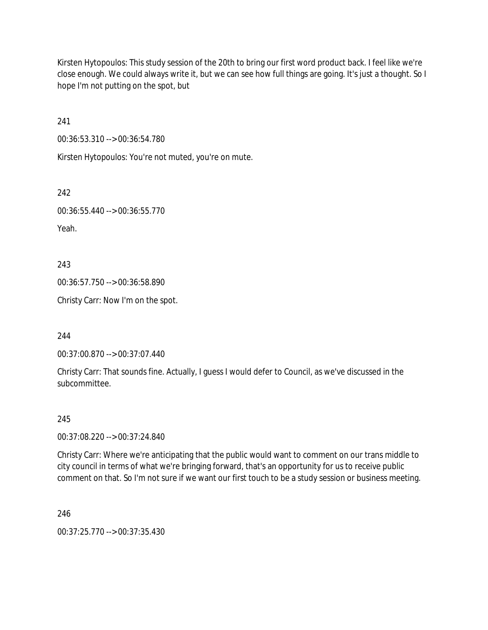Kirsten Hytopoulos: This study session of the 20th to bring our first word product back. I feel like we're close enough. We could always write it, but we can see how full things are going. It's just a thought. So I hope I'm not putting on the spot, but

241

00:36:53.310 --> 00:36:54.780

Kirsten Hytopoulos: You're not muted, you're on mute.

242

00:36:55.440 --> 00:36:55.770 Yeah.

243

00:36:57.750 --> 00:36:58.890

Christy Carr: Now I'm on the spot.

244

00:37:00.870 --> 00:37:07.440

Christy Carr: That sounds fine. Actually, I guess I would defer to Council, as we've discussed in the subcommittee.

245

00:37:08.220 --> 00:37:24.840

Christy Carr: Where we're anticipating that the public would want to comment on our trans middle to city council in terms of what we're bringing forward, that's an opportunity for us to receive public comment on that. So I'm not sure if we want our first touch to be a study session or business meeting.

246

00:37:25.770 --> 00:37:35.430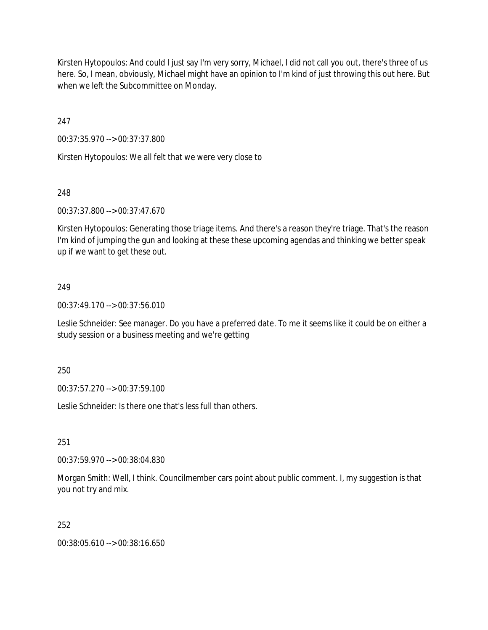Kirsten Hytopoulos: And could I just say I'm very sorry, Michael, I did not call you out, there's three of us here. So, I mean, obviously, Michael might have an opinion to I'm kind of just throwing this out here. But when we left the Subcommittee on Monday.

247

00:37:35.970 --> 00:37:37.800

Kirsten Hytopoulos: We all felt that we were very close to

## 248

00:37:37.800 --> 00:37:47.670

Kirsten Hytopoulos: Generating those triage items. And there's a reason they're triage. That's the reason I'm kind of jumping the gun and looking at these these upcoming agendas and thinking we better speak up if we want to get these out.

## 249

00:37:49.170 --> 00:37:56.010

Leslie Schneider: See manager. Do you have a preferred date. To me it seems like it could be on either a study session or a business meeting and we're getting

250

00:37:57.270 --> 00:37:59.100

Leslie Schneider: Is there one that's less full than others.

251

00:37:59.970 --> 00:38:04.830

Morgan Smith: Well, I think. Councilmember cars point about public comment. I, my suggestion is that you not try and mix.

252

00:38:05.610 --> 00:38:16.650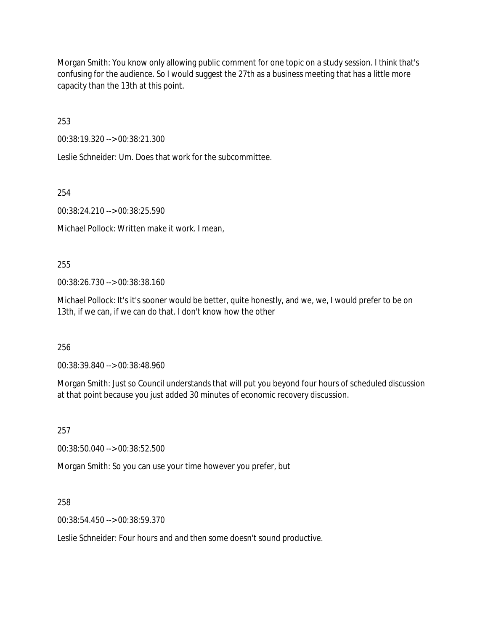Morgan Smith: You know only allowing public comment for one topic on a study session. I think that's confusing for the audience. So I would suggest the 27th as a business meeting that has a little more capacity than the 13th at this point.

253

00:38:19.320 --> 00:38:21.300

Leslie Schneider: Um. Does that work for the subcommittee.

254

00:38:24.210 --> 00:38:25.590

Michael Pollock: Written make it work. I mean,

255

00:38:26.730 --> 00:38:38.160

Michael Pollock: It's it's sooner would be better, quite honestly, and we, we, I would prefer to be on 13th, if we can, if we can do that. I don't know how the other

256

00:38:39.840 --> 00:38:48.960

Morgan Smith: Just so Council understands that will put you beyond four hours of scheduled discussion at that point because you just added 30 minutes of economic recovery discussion.

257

00:38:50.040 --> 00:38:52.500

Morgan Smith: So you can use your time however you prefer, but

258

00:38:54.450 --> 00:38:59.370

Leslie Schneider: Four hours and and then some doesn't sound productive.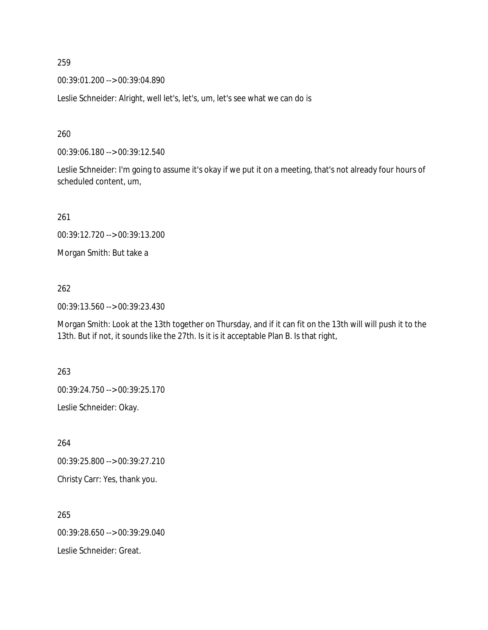00:39:01.200 --> 00:39:04.890

Leslie Schneider: Alright, well let's, let's, um, let's see what we can do is

260

00:39:06.180 --> 00:39:12.540

Leslie Schneider: I'm going to assume it's okay if we put it on a meeting, that's not already four hours of scheduled content, um,

261

00:39:12.720 --> 00:39:13.200

Morgan Smith: But take a

262

00:39:13.560 --> 00:39:23.430

Morgan Smith: Look at the 13th together on Thursday, and if it can fit on the 13th will will push it to the 13th. But if not, it sounds like the 27th. Is it is it acceptable Plan B. Is that right,

263

00:39:24.750 --> 00:39:25.170

Leslie Schneider: Okay.

264

00:39:25.800 --> 00:39:27.210

Christy Carr: Yes, thank you.

265 00:39:28.650 --> 00:39:29.040 Leslie Schneider: Great.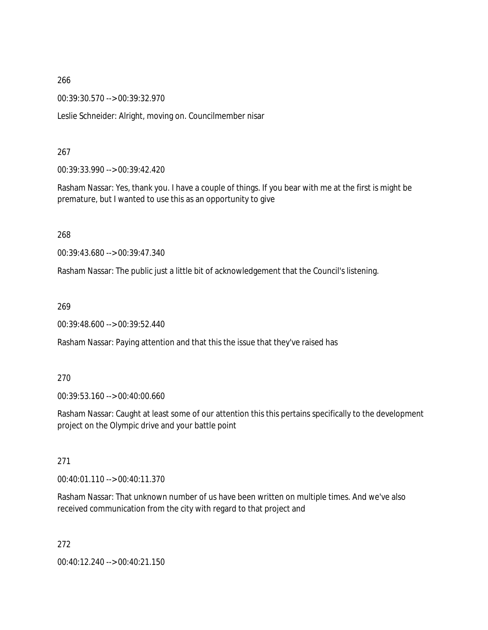00:39:30.570 --> 00:39:32.970

Leslie Schneider: Alright, moving on. Councilmember nisar

## 267

00:39:33.990 --> 00:39:42.420

Rasham Nassar: Yes, thank you. I have a couple of things. If you bear with me at the first is might be premature, but I wanted to use this as an opportunity to give

268

00:39:43.680 --> 00:39:47.340

Rasham Nassar: The public just a little bit of acknowledgement that the Council's listening.

269

00:39:48.600 --> 00:39:52.440

Rasham Nassar: Paying attention and that this the issue that they've raised has

## 270

00:39:53.160 --> 00:40:00.660

Rasham Nassar: Caught at least some of our attention this this pertains specifically to the development project on the Olympic drive and your battle point

## 271

 $0.0140 \cdot 01.110 - 0.00140 \cdot 11.370$ 

Rasham Nassar: That unknown number of us have been written on multiple times. And we've also received communication from the city with regard to that project and

272

00:40:12.240 --> 00:40:21.150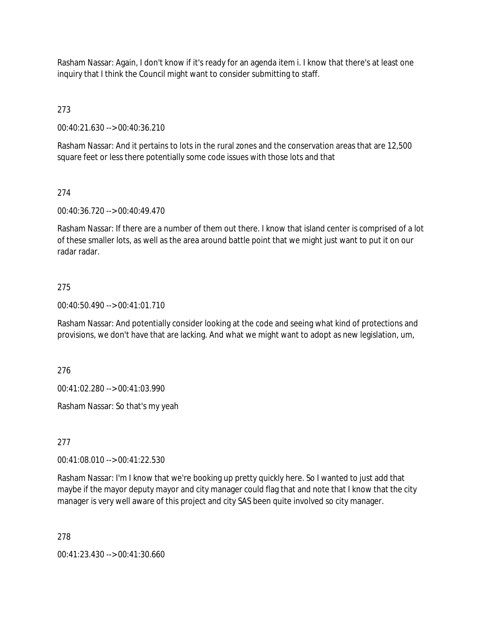Rasham Nassar: Again, I don't know if it's ready for an agenda item i. I know that there's at least one inquiry that I think the Council might want to consider submitting to staff.

273

00:40:21.630 --> 00:40:36.210

Rasham Nassar: And it pertains to lots in the rural zones and the conservation areas that are 12,500 square feet or less there potentially some code issues with those lots and that

## 274

00:40:36.720 --> 00:40:49.470

Rasham Nassar: If there are a number of them out there. I know that island center is comprised of a lot of these smaller lots, as well as the area around battle point that we might just want to put it on our radar radar.

#### 275

00:40:50.490 --> 00:41:01.710

Rasham Nassar: And potentially consider looking at the code and seeing what kind of protections and provisions, we don't have that are lacking. And what we might want to adopt as new legislation, um,

276

00:41:02.280 --> 00:41:03.990

Rasham Nassar: So that's my yeah

277

00:41:08.010 --> 00:41:22.530

Rasham Nassar: I'm I know that we're booking up pretty quickly here. So I wanted to just add that maybe if the mayor deputy mayor and city manager could flag that and note that I know that the city manager is very well aware of this project and city SAS been quite involved so city manager.

278

00:41:23.430 --> 00:41:30.660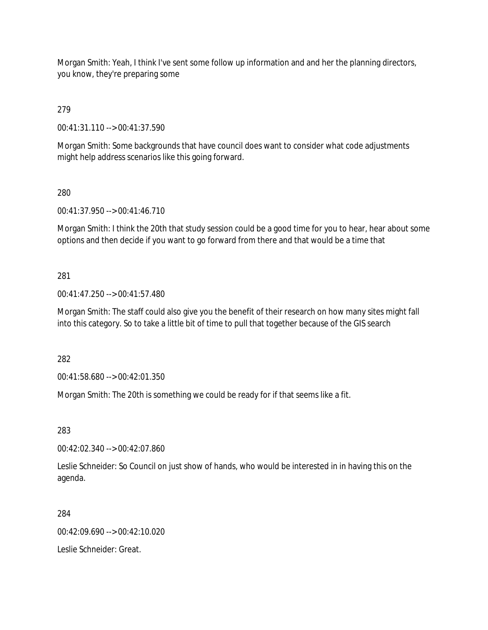Morgan Smith: Yeah, I think I've sent some follow up information and and her the planning directors, you know, they're preparing some

279

00:41:31.110 --> 00:41:37.590

Morgan Smith: Some backgrounds that have council does want to consider what code adjustments might help address scenarios like this going forward.

280

00:41:37.950 --> 00:41:46.710

Morgan Smith: I think the 20th that study session could be a good time for you to hear, hear about some options and then decide if you want to go forward from there and that would be a time that

281

00:41:47.250 --> 00:41:57.480

Morgan Smith: The staff could also give you the benefit of their research on how many sites might fall into this category. So to take a little bit of time to pull that together because of the GIS search

282

00:41:58.680 --> 00:42:01.350

Morgan Smith: The 20th is something we could be ready for if that seems like a fit.

283

00:42:02.340 --> 00:42:07.860

Leslie Schneider: So Council on just show of hands, who would be interested in in having this on the agenda.

284

00:42:09.690 --> 00:42:10.020

Leslie Schneider: Great.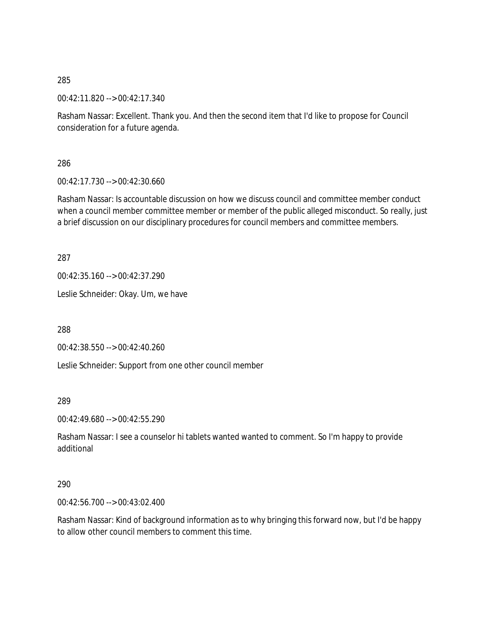00:42:11.820 --> 00:42:17.340

Rasham Nassar: Excellent. Thank you. And then the second item that I'd like to propose for Council consideration for a future agenda.

286

00:42:17.730 --> 00:42:30.660

Rasham Nassar: Is accountable discussion on how we discuss council and committee member conduct when a council member committee member or member of the public alleged misconduct. So really, just a brief discussion on our disciplinary procedures for council members and committee members.

287

00:42:35.160 --> 00:42:37.290

Leslie Schneider: Okay. Um, we have

288

00:42:38.550 --> 00:42:40.260

Leslie Schneider: Support from one other council member

289

00:42:49.680 --> 00:42:55.290

Rasham Nassar: I see a counselor hi tablets wanted wanted to comment. So I'm happy to provide additional

## 290

00:42:56.700 --> 00:43:02.400

Rasham Nassar: Kind of background information as to why bringing this forward now, but I'd be happy to allow other council members to comment this time.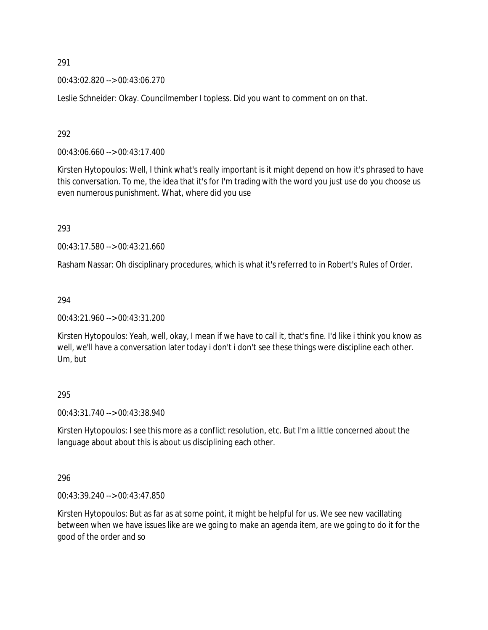00:43:02.820 --> 00:43:06.270

Leslie Schneider: Okay. Councilmember I topless. Did you want to comment on on that.

292

00:43:06.660 --> 00:43:17.400

Kirsten Hytopoulos: Well, I think what's really important is it might depend on how it's phrased to have this conversation. To me, the idea that it's for I'm trading with the word you just use do you choose us even numerous punishment. What, where did you use

293

00:43:17.580 --> 00:43:21.660

Rasham Nassar: Oh disciplinary procedures, which is what it's referred to in Robert's Rules of Order.

294

00:43:21.960 --> 00:43:31.200

Kirsten Hytopoulos: Yeah, well, okay, I mean if we have to call it, that's fine. I'd like i think you know as well, we'll have a conversation later today i don't i don't see these things were discipline each other. Um, but

295

00:43:31.740 --> 00:43:38.940

Kirsten Hytopoulos: I see this more as a conflict resolution, etc. But I'm a little concerned about the language about about this is about us disciplining each other.

296

00:43:39.240 --> 00:43:47.850

Kirsten Hytopoulos: But as far as at some point, it might be helpful for us. We see new vacillating between when we have issues like are we going to make an agenda item, are we going to do it for the good of the order and so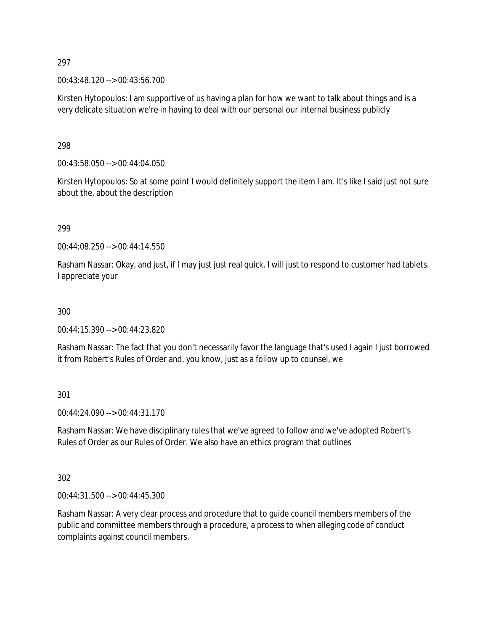00:43:48.120 --> 00:43:56.700

Kirsten Hytopoulos: I am supportive of us having a plan for how we want to talk about things and is a very delicate situation we're in having to deal with our personal our internal business publicly

298

00:43:58.050 --> 00:44:04.050

Kirsten Hytopoulos: So at some point I would definitely support the item I am. It's like I said just not sure about the, about the description

299

00:44:08.250 --> 00:44:14.550

Rasham Nassar: Okay, and just, if I may just just real quick. I will just to respond to customer had tablets. I appreciate your

300

00:44:15.390 --> 00:44:23.820

Rasham Nassar: The fact that you don't necessarily favor the language that's used I again I just borrowed it from Robert's Rules of Order and, you know, just as a follow up to counsel, we

301

00:44:24.090 --> 00:44:31.170

Rasham Nassar: We have disciplinary rules that we've agreed to follow and we've adopted Robert's Rules of Order as our Rules of Order. We also have an ethics program that outlines

302

00:44:31.500 --> 00:44:45.300

Rasham Nassar: A very clear process and procedure that to guide council members members of the public and committee members through a procedure, a process to when alleging code of conduct complaints against council members.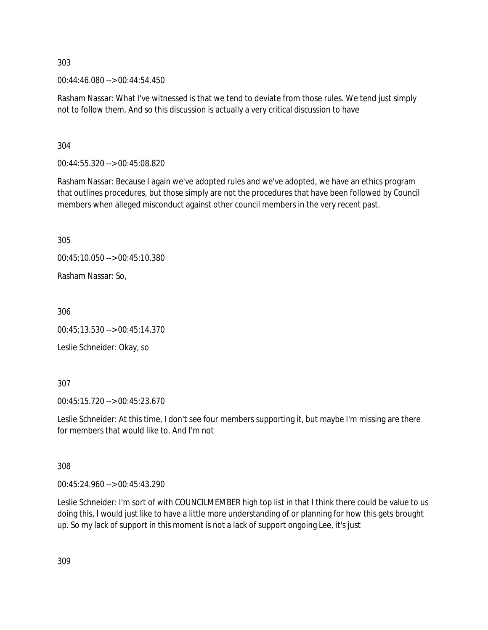00:44:46.080 --> 00:44:54.450

Rasham Nassar: What I've witnessed is that we tend to deviate from those rules. We tend just simply not to follow them. And so this discussion is actually a very critical discussion to have

304

00:44:55.320 --> 00:45:08.820

Rasham Nassar: Because I again we've adopted rules and we've adopted, we have an ethics program that outlines procedures, but those simply are not the procedures that have been followed by Council members when alleged misconduct against other council members in the very recent past.

305

00:45:10.050 --> 00:45:10.380

Rasham Nassar: So,

306

00:45:13.530 --> 00:45:14.370

Leslie Schneider: Okay, so

307

00:45:15.720 --> 00:45:23.670

Leslie Schneider: At this time, I don't see four members supporting it, but maybe I'm missing are there for members that would like to. And I'm not

308

00:45:24.960 --> 00:45:43.290

Leslie Schneider: I'm sort of with COUNCILMEMBER high top list in that I think there could be value to us doing this, I would just like to have a little more understanding of or planning for how this gets brought up. So my lack of support in this moment is not a lack of support ongoing Lee, it's just

309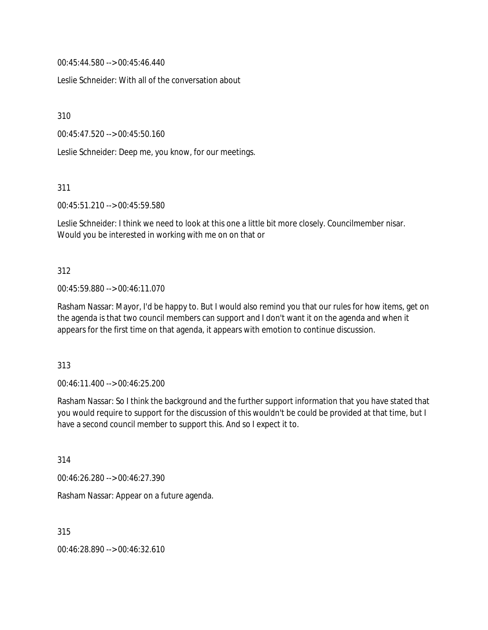00:45:44.580 --> 00:45:46.440

Leslie Schneider: With all of the conversation about

310

00:45:47.520 --> 00:45:50.160

Leslie Schneider: Deep me, you know, for our meetings.

311

00:45:51.210 --> 00:45:59.580

Leslie Schneider: I think we need to look at this one a little bit more closely. Councilmember nisar. Would you be interested in working with me on on that or

#### 312

00:45:59.880 --> 00:46:11.070

Rasham Nassar: Mayor, I'd be happy to. But I would also remind you that our rules for how items, get on the agenda is that two council members can support and I don't want it on the agenda and when it appears for the first time on that agenda, it appears with emotion to continue discussion.

313

00:46:11.400 --> 00:46:25.200

Rasham Nassar: So I think the background and the further support information that you have stated that you would require to support for the discussion of this wouldn't be could be provided at that time, but I have a second council member to support this. And so I expect it to.

314

00:46:26.280 --> 00:46:27.390

Rasham Nassar: Appear on a future agenda.

315

00:46:28.890 --> 00:46:32.610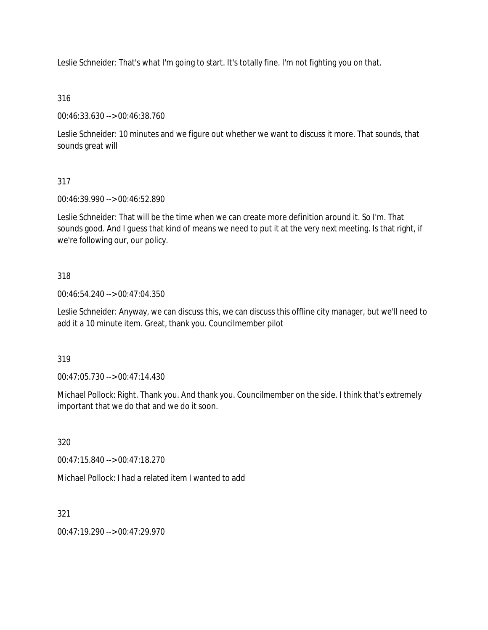Leslie Schneider: That's what I'm going to start. It's totally fine. I'm not fighting you on that.

316

00:46:33.630 --> 00:46:38.760

Leslie Schneider: 10 minutes and we figure out whether we want to discuss it more. That sounds, that sounds great will

317

00:46:39.990 --> 00:46:52.890

Leslie Schneider: That will be the time when we can create more definition around it. So I'm. That sounds good. And I guess that kind of means we need to put it at the very next meeting. Is that right, if we're following our, our policy.

318

00:46:54.240 --> 00:47:04.350

Leslie Schneider: Anyway, we can discuss this, we can discuss this offline city manager, but we'll need to add it a 10 minute item. Great, thank you. Councilmember pilot

319

00:47:05.730 --> 00:47:14.430

Michael Pollock: Right. Thank you. And thank you. Councilmember on the side. I think that's extremely important that we do that and we do it soon.

320

00:47:15.840 --> 00:47:18.270

Michael Pollock: I had a related item I wanted to add

321

00:47:19.290 --> 00:47:29.970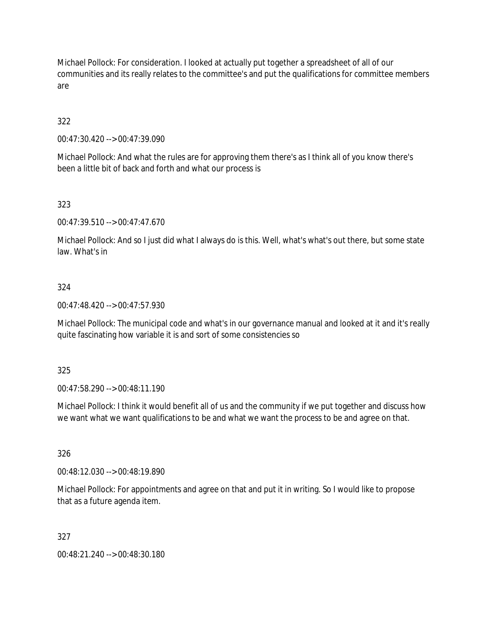Michael Pollock: For consideration. I looked at actually put together a spreadsheet of all of our communities and its really relates to the committee's and put the qualifications for committee members are

# 322

00:47:30.420 --> 00:47:39.090

Michael Pollock: And what the rules are for approving them there's as I think all of you know there's been a little bit of back and forth and what our process is

# 323

00:47:39.510 --> 00:47:47.670

Michael Pollock: And so I just did what I always do is this. Well, what's what's out there, but some state law. What's in

## 324

00:47:48.420 --> 00:47:57.930

Michael Pollock: The municipal code and what's in our governance manual and looked at it and it's really quite fascinating how variable it is and sort of some consistencies so

## 325

00:47:58.290 --> 00:48:11.190

Michael Pollock: I think it would benefit all of us and the community if we put together and discuss how we want what we want qualifications to be and what we want the process to be and agree on that.

## 326

00:48:12.030 --> 00:48:19.890

Michael Pollock: For appointments and agree on that and put it in writing. So I would like to propose that as a future agenda item.

## 327

00:48:21.240 --> 00:48:30.180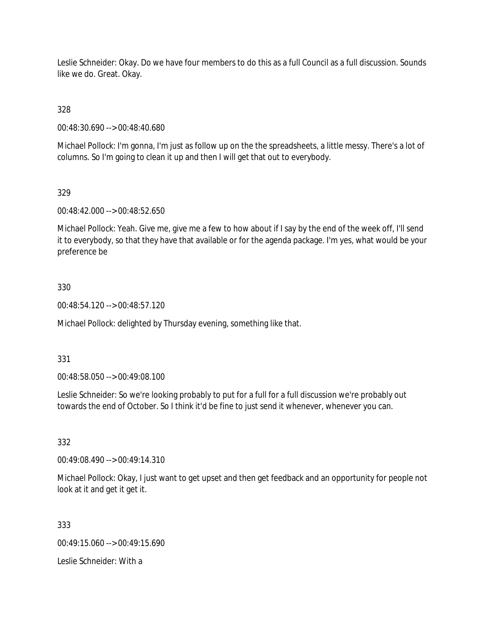Leslie Schneider: Okay. Do we have four members to do this as a full Council as a full discussion. Sounds like we do. Great. Okay.

328

00:48:30.690 --> 00:48:40.680

Michael Pollock: I'm gonna, I'm just as follow up on the the spreadsheets, a little messy. There's a lot of columns. So I'm going to clean it up and then I will get that out to everybody.

## 329

00:48:42.000 --> 00:48:52.650

Michael Pollock: Yeah. Give me, give me a few to how about if I say by the end of the week off, I'll send it to everybody, so that they have that available or for the agenda package. I'm yes, what would be your preference be

## 330

00:48:54.120 --> 00:48:57.120

Michael Pollock: delighted by Thursday evening, something like that.

## 331

00:48:58.050 --> 00:49:08.100

Leslie Schneider: So we're looking probably to put for a full for a full discussion we're probably out towards the end of October. So I think it'd be fine to just send it whenever, whenever you can.

## 332

00:49:08.490 --> 00:49:14.310

Michael Pollock: Okay, I just want to get upset and then get feedback and an opportunity for people not look at it and get it get it.

333

00:49:15.060 --> 00:49:15.690

Leslie Schneider: With a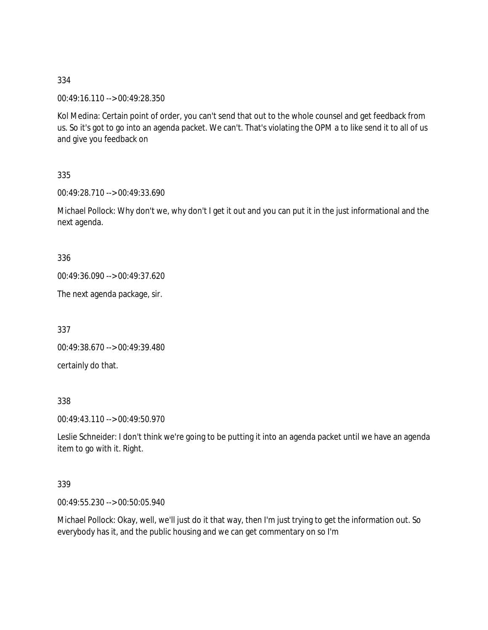00:49:16.110 --> 00:49:28.350

Kol Medina: Certain point of order, you can't send that out to the whole counsel and get feedback from us. So it's got to go into an agenda packet. We can't. That's violating the OPM a to like send it to all of us and give you feedback on

335

00:49:28.710 --> 00:49:33.690

Michael Pollock: Why don't we, why don't I get it out and you can put it in the just informational and the next agenda.

336

00:49:36.090 --> 00:49:37.620

The next agenda package, sir.

337

00:49:38.670 --> 00:49:39.480

certainly do that.

338

00:49:43.110 --> 00:49:50.970

Leslie Schneider: I don't think we're going to be putting it into an agenda packet until we have an agenda item to go with it. Right.

339

00:49:55.230 --> 00:50:05.940

Michael Pollock: Okay, well, we'll just do it that way, then I'm just trying to get the information out. So everybody has it, and the public housing and we can get commentary on so I'm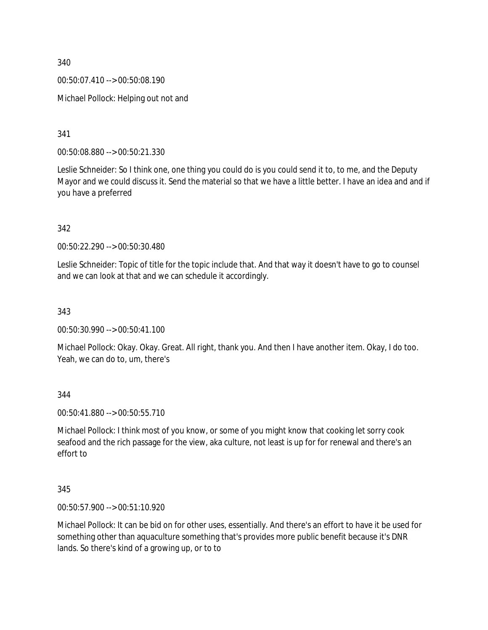00:50:07.410 --> 00:50:08.190

Michael Pollock: Helping out not and

341

00:50:08.880 --> 00:50:21.330

Leslie Schneider: So I think one, one thing you could do is you could send it to, to me, and the Deputy Mayor and we could discuss it. Send the material so that we have a little better. I have an idea and and if you have a preferred

342

00:50:22.290 --> 00:50:30.480

Leslie Schneider: Topic of title for the topic include that. And that way it doesn't have to go to counsel and we can look at that and we can schedule it accordingly.

343

00:50:30.990 --> 00:50:41.100

Michael Pollock: Okay. Okay. Great. All right, thank you. And then I have another item. Okay, I do too. Yeah, we can do to, um, there's

344

00:50:41.880 --> 00:50:55.710

Michael Pollock: I think most of you know, or some of you might know that cooking let sorry cook seafood and the rich passage for the view, aka culture, not least is up for for renewal and there's an effort to

345

00:50:57.900 --> 00:51:10.920

Michael Pollock: It can be bid on for other uses, essentially. And there's an effort to have it be used for something other than aquaculture something that's provides more public benefit because it's DNR lands. So there's kind of a growing up, or to to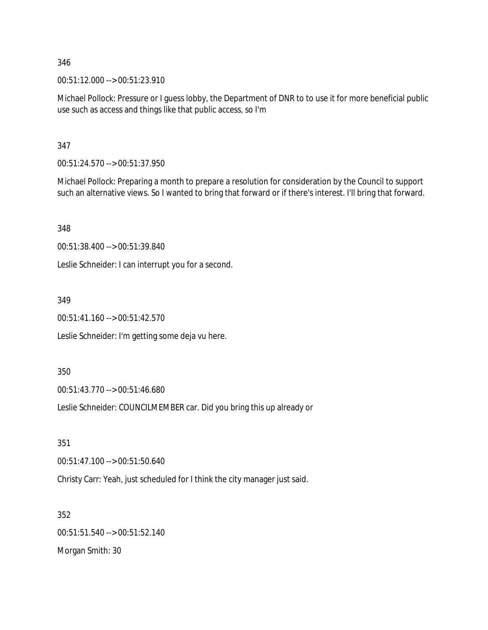00:51:12.000 --> 00:51:23.910

Michael Pollock: Pressure or I guess lobby, the Department of DNR to to use it for more beneficial public use such as access and things like that public access, so I'm

347

00:51:24.570 --> 00:51:37.950

Michael Pollock: Preparing a month to prepare a resolution for consideration by the Council to support such an alternative views. So I wanted to bring that forward or if there's interest. I'll bring that forward.

348

00:51:38.400 --> 00:51:39.840

Leslie Schneider: I can interrupt you for a second.

349

00:51:41.160 --> 00:51:42.570

Leslie Schneider: I'm getting some deja vu here.

350

00:51:43.770 --> 00:51:46.680

Leslie Schneider: COUNCILMEMBER car. Did you bring this up already or

351

00:51:47.100 --> 00:51:50.640

Christy Carr: Yeah, just scheduled for I think the city manager just said.

352

00:51:51.540 --> 00:51:52.140 Morgan Smith: 30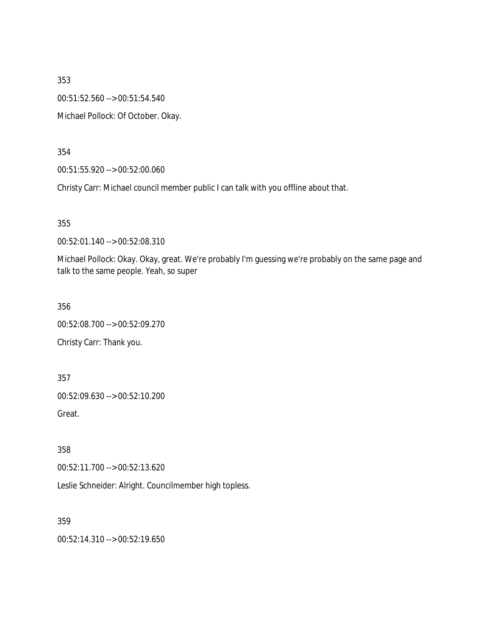353 00:51:52.560 --> 00:51:54.540 Michael Pollock: Of October. Okay.

354

00:51:55.920 --> 00:52:00.060

Christy Carr: Michael council member public I can talk with you offline about that.

355

00:52:01.140 --> 00:52:08.310

Michael Pollock: Okay. Okay, great. We're probably I'm guessing we're probably on the same page and talk to the same people. Yeah, so super

356

00:52:08.700 --> 00:52:09.270 Christy Carr: Thank you.

357

00:52:09.630 --> 00:52:10.200

Great.

358

00:52:11.700 --> 00:52:13.620

Leslie Schneider: Alright. Councilmember high topless.

359

00:52:14.310 --> 00:52:19.650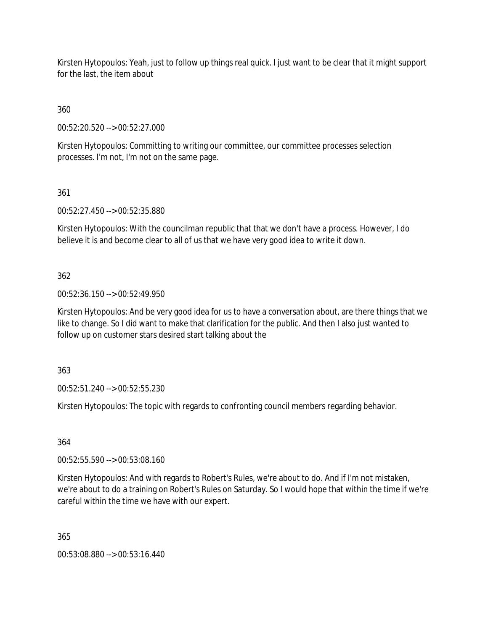Kirsten Hytopoulos: Yeah, just to follow up things real quick. I just want to be clear that it might support for the last, the item about

360

00:52:20.520 --> 00:52:27.000

Kirsten Hytopoulos: Committing to writing our committee, our committee processes selection processes. I'm not, I'm not on the same page.

361

00:52:27.450 --> 00:52:35.880

Kirsten Hytopoulos: With the councilman republic that that we don't have a process. However, I do believe it is and become clear to all of us that we have very good idea to write it down.

362

00:52:36.150 --> 00:52:49.950

Kirsten Hytopoulos: And be very good idea for us to have a conversation about, are there things that we like to change. So I did want to make that clarification for the public. And then I also just wanted to follow up on customer stars desired start talking about the

363

00:52:51.240 --> 00:52:55.230

Kirsten Hytopoulos: The topic with regards to confronting council members regarding behavior.

364

00:52:55.590 --> 00:53:08.160

Kirsten Hytopoulos: And with regards to Robert's Rules, we're about to do. And if I'm not mistaken, we're about to do a training on Robert's Rules on Saturday. So I would hope that within the time if we're careful within the time we have with our expert.

365

00:53:08.880 --> 00:53:16.440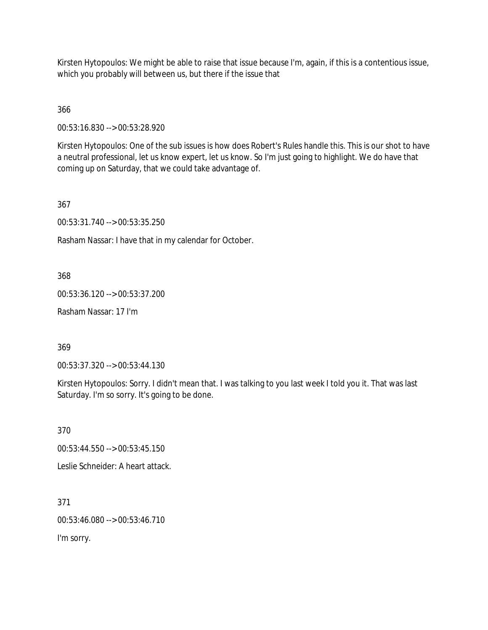Kirsten Hytopoulos: We might be able to raise that issue because I'm, again, if this is a contentious issue, which you probably will between us, but there if the issue that

366

00:53:16.830 --> 00:53:28.920

Kirsten Hytopoulos: One of the sub issues is how does Robert's Rules handle this. This is our shot to have a neutral professional, let us know expert, let us know. So I'm just going to highlight. We do have that coming up on Saturday, that we could take advantage of.

367

00:53:31.740 --> 00:53:35.250

Rasham Nassar: I have that in my calendar for October.

368

00:53:36.120 --> 00:53:37.200

Rasham Nassar: 17 I'm

369

00:53:37.320 --> 00:53:44.130

Kirsten Hytopoulos: Sorry. I didn't mean that. I was talking to you last week I told you it. That was last Saturday. I'm so sorry. It's going to be done.

370

00:53:44.550 --> 00:53:45.150

Leslie Schneider: A heart attack.

371

00:53:46.080 --> 00:53:46.710

I'm sorry.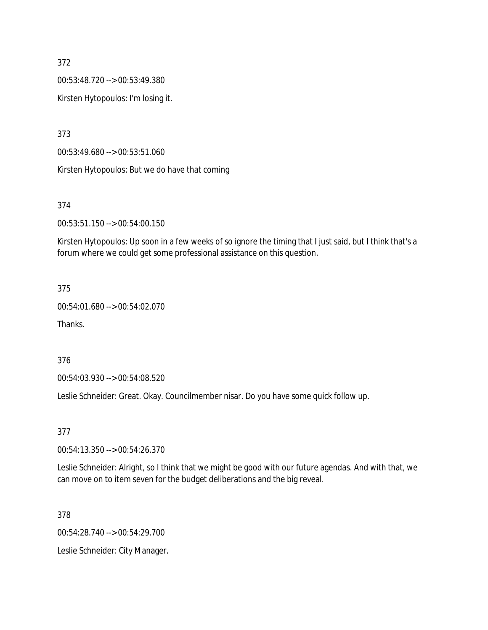00:53:48.720 --> 00:53:49.380

Kirsten Hytopoulos: I'm losing it.

373

00:53:49.680 --> 00:53:51.060

Kirsten Hytopoulos: But we do have that coming

### 374

00:53:51.150 --> 00:54:00.150

Kirsten Hytopoulos: Up soon in a few weeks of so ignore the timing that I just said, but I think that's a forum where we could get some professional assistance on this question.

#### 375

00:54:01.680 --> 00:54:02.070

Thanks.

### 376

00:54:03.930 --> 00:54:08.520

Leslie Schneider: Great. Okay. Councilmember nisar. Do you have some quick follow up.

#### 377

00:54:13.350 --> 00:54:26.370

Leslie Schneider: Alright, so I think that we might be good with our future agendas. And with that, we can move on to item seven for the budget deliberations and the big reveal.

#### 378

00:54:28.740 --> 00:54:29.700

Leslie Schneider: City Manager.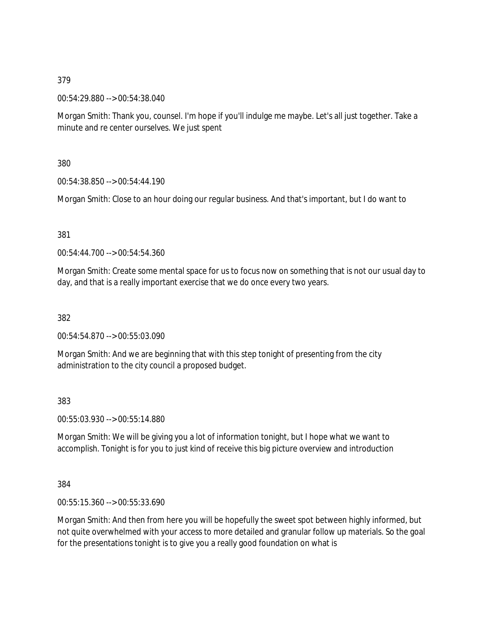00:54:29.880 --> 00:54:38.040

Morgan Smith: Thank you, counsel. I'm hope if you'll indulge me maybe. Let's all just together. Take a minute and re center ourselves. We just spent

380

00:54:38.850 --> 00:54:44.190

Morgan Smith: Close to an hour doing our regular business. And that's important, but I do want to

381

00:54:44.700 --> 00:54:54.360

Morgan Smith: Create some mental space for us to focus now on something that is not our usual day to day, and that is a really important exercise that we do once every two years.

382

00:54:54.870 --> 00:55:03.090

Morgan Smith: And we are beginning that with this step tonight of presenting from the city administration to the city council a proposed budget.

383

00:55:03.930 --> 00:55:14.880

Morgan Smith: We will be giving you a lot of information tonight, but I hope what we want to accomplish. Tonight is for you to just kind of receive this big picture overview and introduction

384

00:55:15.360 --> 00:55:33.690

Morgan Smith: And then from here you will be hopefully the sweet spot between highly informed, but not quite overwhelmed with your access to more detailed and granular follow up materials. So the goal for the presentations tonight is to give you a really good foundation on what is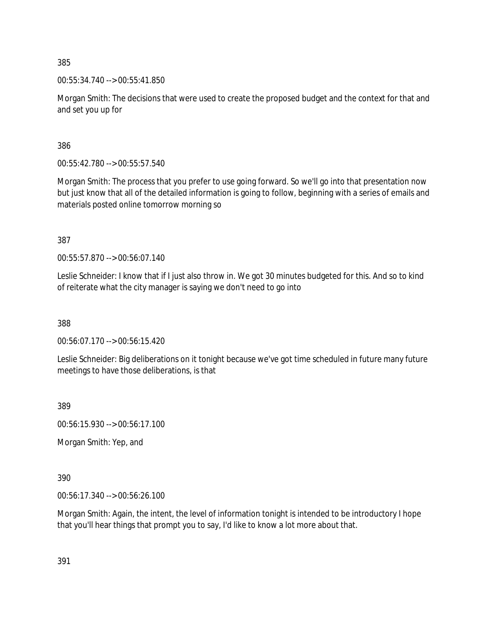00:55:34.740 --> 00:55:41.850

Morgan Smith: The decisions that were used to create the proposed budget and the context for that and and set you up for

386

00:55:42.780 --> 00:55:57.540

Morgan Smith: The process that you prefer to use going forward. So we'll go into that presentation now but just know that all of the detailed information is going to follow, beginning with a series of emails and materials posted online tomorrow morning so

387

00:55:57.870 --> 00:56:07.140

Leslie Schneider: I know that if I just also throw in. We got 30 minutes budgeted for this. And so to kind of reiterate what the city manager is saying we don't need to go into

388

00:56:07.170 --> 00:56:15.420

Leslie Schneider: Big deliberations on it tonight because we've got time scheduled in future many future meetings to have those deliberations, is that

389

00:56:15.930 --> 00:56:17.100

Morgan Smith: Yep, and

390

00:56:17.340 --> 00:56:26.100

Morgan Smith: Again, the intent, the level of information tonight is intended to be introductory I hope that you'll hear things that prompt you to say, I'd like to know a lot more about that.

391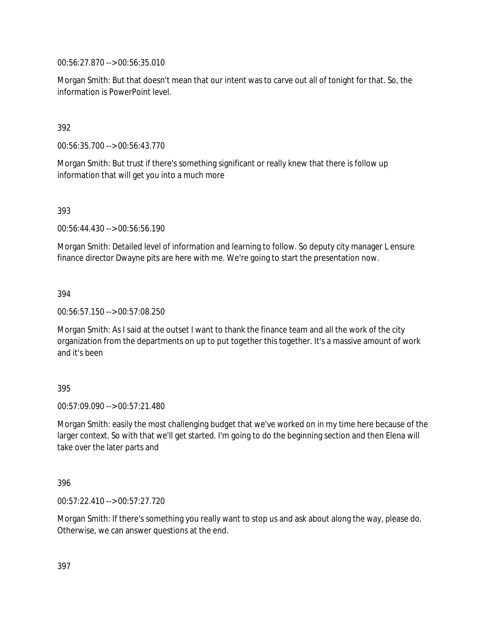00:56:27.870 --> 00:56:35.010

Morgan Smith: But that doesn't mean that our intent was to carve out all of tonight for that. So, the information is PowerPoint level.

## 392

00:56:35.700 --> 00:56:43.770

Morgan Smith: But trust if there's something significant or really knew that there is follow up information that will get you into a much more

393

00:56:44.430 --> 00:56:56.190

Morgan Smith: Detailed level of information and learning to follow. So deputy city manager L ensure finance director Dwayne pits are here with me. We're going to start the presentation now.

394

00:56:57.150 --> 00:57:08.250

Morgan Smith: As I said at the outset I want to thank the finance team and all the work of the city organization from the departments on up to put together this together. It's a massive amount of work and it's been

## 395

00:57:09.090 --> 00:57:21.480

Morgan Smith: easily the most challenging budget that we've worked on in my time here because of the larger context. So with that we'll get started. I'm going to do the beginning section and then Elena will take over the later parts and

396

00:57:22.410 --> 00:57:27.720

Morgan Smith: If there's something you really want to stop us and ask about along the way, please do. Otherwise, we can answer questions at the end.

397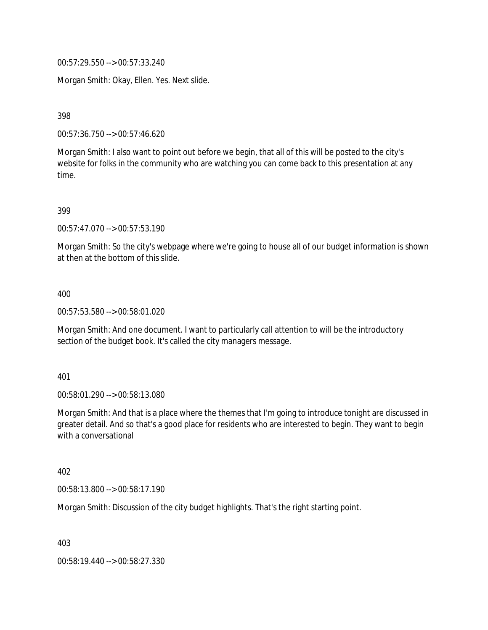00:57:29.550 --> 00:57:33.240

Morgan Smith: Okay, Ellen. Yes. Next slide.

398

00:57:36.750 --> 00:57:46.620

Morgan Smith: I also want to point out before we begin, that all of this will be posted to the city's website for folks in the community who are watching you can come back to this presentation at any time.

399

00:57:47.070 --> 00:57:53.190

Morgan Smith: So the city's webpage where we're going to house all of our budget information is shown at then at the bottom of this slide.

400

00:57:53.580 --> 00:58:01.020

Morgan Smith: And one document. I want to particularly call attention to will be the introductory section of the budget book. It's called the city managers message.

401

00:58:01.290 --> 00:58:13.080

Morgan Smith: And that is a place where the themes that I'm going to introduce tonight are discussed in greater detail. And so that's a good place for residents who are interested to begin. They want to begin with a conversational

402

00:58:13.800 --> 00:58:17.190

Morgan Smith: Discussion of the city budget highlights. That's the right starting point.

403

00:58:19.440 --> 00:58:27.330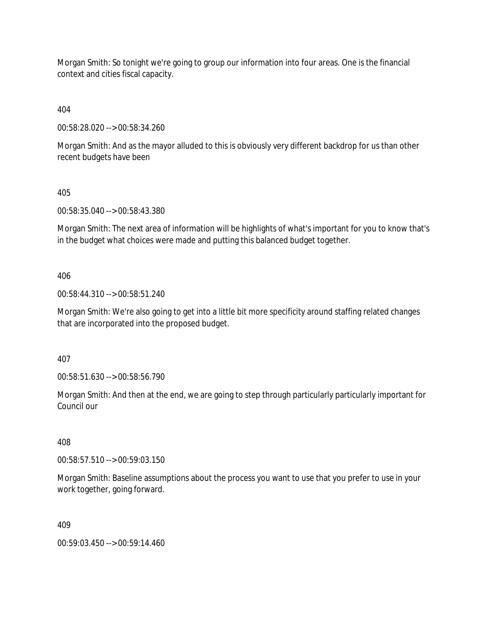Morgan Smith: So tonight we're going to group our information into four areas. One is the financial context and cities fiscal capacity.

404

00:58:28.020 --> 00:58:34.260

Morgan Smith: And as the mayor alluded to this is obviously very different backdrop for us than other recent budgets have been

405

00:58:35.040 --> 00:58:43.380

Morgan Smith: The next area of information will be highlights of what's important for you to know that's in the budget what choices were made and putting this balanced budget together.

406

00:58:44.310 --> 00:58:51.240

Morgan Smith: We're also going to get into a little bit more specificity around staffing related changes that are incorporated into the proposed budget.

407

00:58:51.630 --> 00:58:56.790

Morgan Smith: And then at the end, we are going to step through particularly particularly important for Council our

408

00:58:57.510 --> 00:59:03.150

Morgan Smith: Baseline assumptions about the process you want to use that you prefer to use in your work together, going forward.

409

00:59:03.450 --> 00:59:14.460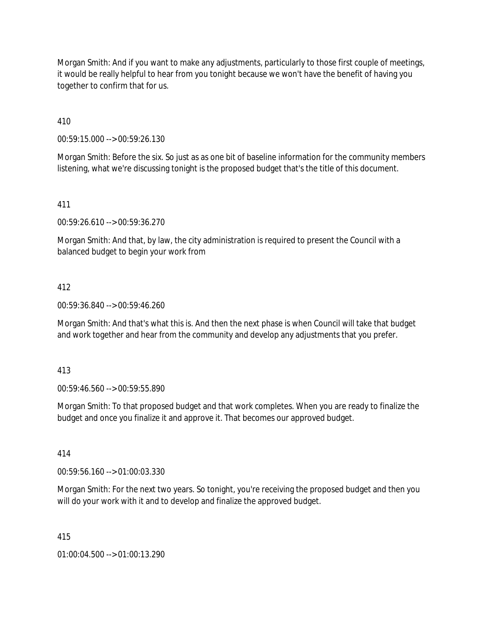Morgan Smith: And if you want to make any adjustments, particularly to those first couple of meetings, it would be really helpful to hear from you tonight because we won't have the benefit of having you together to confirm that for us.

410

00:59:15.000 --> 00:59:26.130

Morgan Smith: Before the six. So just as as one bit of baseline information for the community members listening, what we're discussing tonight is the proposed budget that's the title of this document.

## 411

00:59:26.610 --> 00:59:36.270

Morgan Smith: And that, by law, the city administration is required to present the Council with a balanced budget to begin your work from

## 412

00:59:36.840 --> 00:59:46.260

Morgan Smith: And that's what this is. And then the next phase is when Council will take that budget and work together and hear from the community and develop any adjustments that you prefer.

413

00:59:46.560 --> 00:59:55.890

Morgan Smith: To that proposed budget and that work completes. When you are ready to finalize the budget and once you finalize it and approve it. That becomes our approved budget.

414

00:59:56.160 --> 01:00:03.330

Morgan Smith: For the next two years. So tonight, you're receiving the proposed budget and then you will do your work with it and to develop and finalize the approved budget.

415

01:00:04.500 --> 01:00:13.290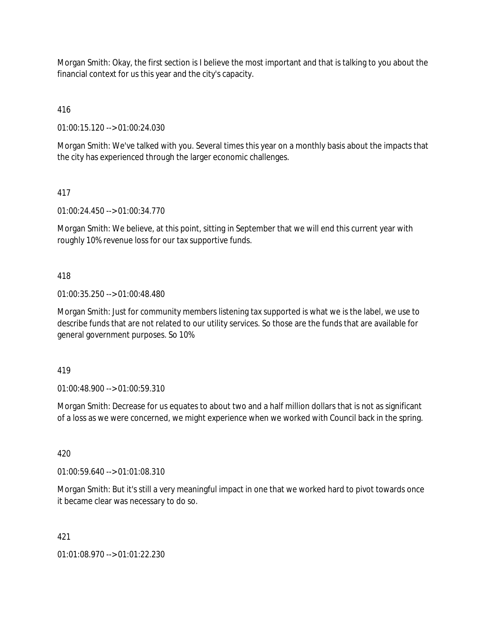Morgan Smith: Okay, the first section is I believe the most important and that is talking to you about the financial context for us this year and the city's capacity.

416

01:00:15.120 --> 01:00:24.030

Morgan Smith: We've talked with you. Several times this year on a monthly basis about the impacts that the city has experienced through the larger economic challenges.

# 417

01:00:24.450 --> 01:00:34.770

Morgan Smith: We believe, at this point, sitting in September that we will end this current year with roughly 10% revenue loss for our tax supportive funds.

## 418

01:00:35.250 --> 01:00:48.480

Morgan Smith: Just for community members listening tax supported is what we is the label, we use to describe funds that are not related to our utility services. So those are the funds that are available for general government purposes. So 10%

## 419

01:00:48.900 --> 01:00:59.310

Morgan Smith: Decrease for us equates to about two and a half million dollars that is not as significant of a loss as we were concerned, we might experience when we worked with Council back in the spring.

## 420

01:00:59.640 --> 01:01:08.310

Morgan Smith: But it's still a very meaningful impact in one that we worked hard to pivot towards once it became clear was necessary to do so.

## 421

01:01:08.970 --> 01:01:22.230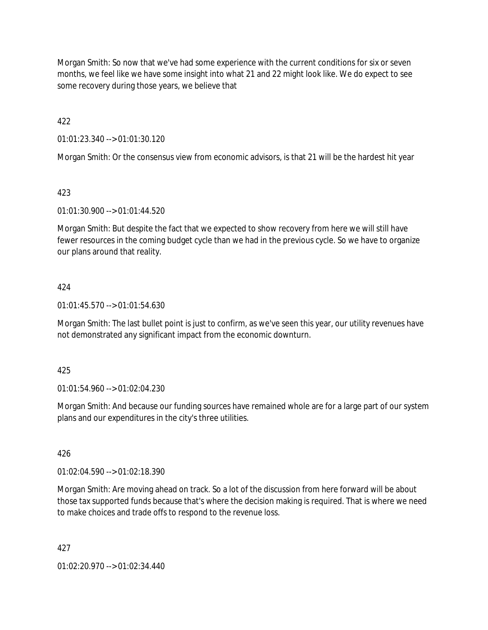Morgan Smith: So now that we've had some experience with the current conditions for six or seven months, we feel like we have some insight into what 21 and 22 might look like. We do expect to see some recovery during those years, we believe that

422

01:01:23.340 --> 01:01:30.120

Morgan Smith: Or the consensus view from economic advisors, is that 21 will be the hardest hit year

## 423

01:01:30.900 --> 01:01:44.520

Morgan Smith: But despite the fact that we expected to show recovery from here we will still have fewer resources in the coming budget cycle than we had in the previous cycle. So we have to organize our plans around that reality.

## 424

01:01:45.570 --> 01:01:54.630

Morgan Smith: The last bullet point is just to confirm, as we've seen this year, our utility revenues have not demonstrated any significant impact from the economic downturn.

## 425

01:01:54.960 --> 01:02:04.230

Morgan Smith: And because our funding sources have remained whole are for a large part of our system plans and our expenditures in the city's three utilities.

## 426

01:02:04.590 --> 01:02:18.390

Morgan Smith: Are moving ahead on track. So a lot of the discussion from here forward will be about those tax supported funds because that's where the decision making is required. That is where we need to make choices and trade offs to respond to the revenue loss.

427

01:02:20.970 --> 01:02:34.440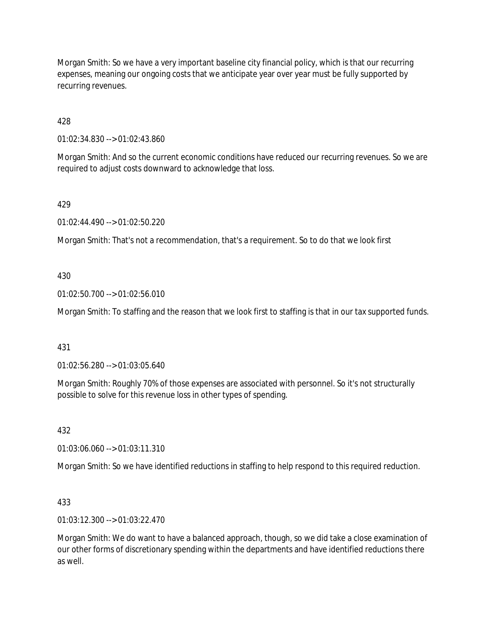Morgan Smith: So we have a very important baseline city financial policy, which is that our recurring expenses, meaning our ongoing costs that we anticipate year over year must be fully supported by recurring revenues.

428

01:02:34.830 --> 01:02:43.860

Morgan Smith: And so the current economic conditions have reduced our recurring revenues. So we are required to adjust costs downward to acknowledge that loss.

429

01:02:44.490 --> 01:02:50.220

Morgan Smith: That's not a recommendation, that's a requirement. So to do that we look first

## 430

01:02:50.700 --> 01:02:56.010

Morgan Smith: To staffing and the reason that we look first to staffing is that in our tax supported funds.

## 431

01:02:56.280 --> 01:03:05.640

Morgan Smith: Roughly 70% of those expenses are associated with personnel. So it's not structurally possible to solve for this revenue loss in other types of spending.

432

01:03:06.060 --> 01:03:11.310

Morgan Smith: So we have identified reductions in staffing to help respond to this required reduction.

## 433

01:03:12.300 --> 01:03:22.470

Morgan Smith: We do want to have a balanced approach, though, so we did take a close examination of our other forms of discretionary spending within the departments and have identified reductions there as well.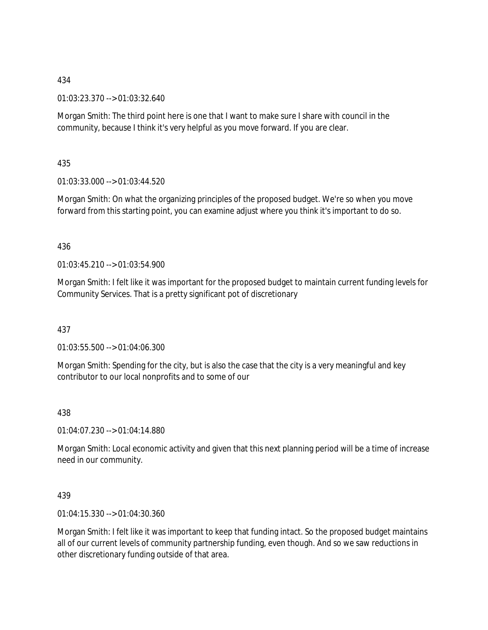01:03:23.370 --> 01:03:32.640

Morgan Smith: The third point here is one that I want to make sure I share with council in the community, because I think it's very helpful as you move forward. If you are clear.

435

01:03:33.000 --> 01:03:44.520

Morgan Smith: On what the organizing principles of the proposed budget. We're so when you move forward from this starting point, you can examine adjust where you think it's important to do so.

## 436

01:03:45.210 --> 01:03:54.900

Morgan Smith: I felt like it was important for the proposed budget to maintain current funding levels for Community Services. That is a pretty significant pot of discretionary

437

01:03:55.500 --> 01:04:06.300

Morgan Smith: Spending for the city, but is also the case that the city is a very meaningful and key contributor to our local nonprofits and to some of our

438

01:04:07.230 --> 01:04:14.880

Morgan Smith: Local economic activity and given that this next planning period will be a time of increase need in our community.

439

01:04:15.330 --> 01:04:30.360

Morgan Smith: I felt like it was important to keep that funding intact. So the proposed budget maintains all of our current levels of community partnership funding, even though. And so we saw reductions in other discretionary funding outside of that area.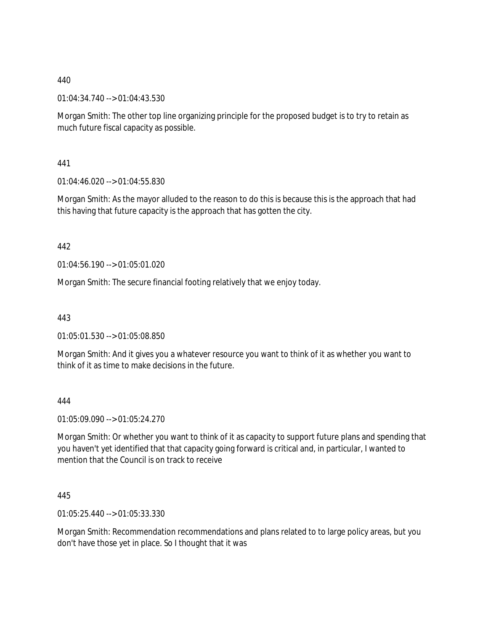01:04:34.740 --> 01:04:43.530

Morgan Smith: The other top line organizing principle for the proposed budget is to try to retain as much future fiscal capacity as possible.

441

01:04:46.020 --> 01:04:55.830

Morgan Smith: As the mayor alluded to the reason to do this is because this is the approach that had this having that future capacity is the approach that has gotten the city.

442

01:04:56.190 --> 01:05:01.020

Morgan Smith: The secure financial footing relatively that we enjoy today.

443

01:05:01.530 --> 01:05:08.850

Morgan Smith: And it gives you a whatever resource you want to think of it as whether you want to think of it as time to make decisions in the future.

444

01:05:09.090 --> 01:05:24.270

Morgan Smith: Or whether you want to think of it as capacity to support future plans and spending that you haven't yet identified that that capacity going forward is critical and, in particular, I wanted to mention that the Council is on track to receive

445

01:05:25.440 --> 01:05:33.330

Morgan Smith: Recommendation recommendations and plans related to to large policy areas, but you don't have those yet in place. So I thought that it was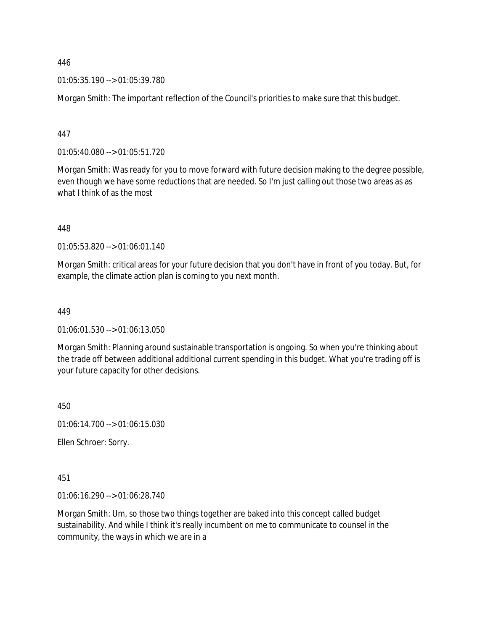01:05:35.190 --> 01:05:39.780

Morgan Smith: The important reflection of the Council's priorities to make sure that this budget.

447

01:05:40.080 --> 01:05:51.720

Morgan Smith: Was ready for you to move forward with future decision making to the degree possible, even though we have some reductions that are needed. So I'm just calling out those two areas as as what I think of as the most

448

01:05:53.820 --> 01:06:01.140

Morgan Smith: critical areas for your future decision that you don't have in front of you today. But, for example, the climate action plan is coming to you next month.

449

01:06:01.530 --> 01:06:13.050

Morgan Smith: Planning around sustainable transportation is ongoing. So when you're thinking about the trade off between additional additional current spending in this budget. What you're trading off is your future capacity for other decisions.

450

01:06:14.700 --> 01:06:15.030

Ellen Schroer: Sorry.

451

01:06:16.290 --> 01:06:28.740

Morgan Smith: Um, so those two things together are baked into this concept called budget sustainability. And while I think it's really incumbent on me to communicate to counsel in the community, the ways in which we are in a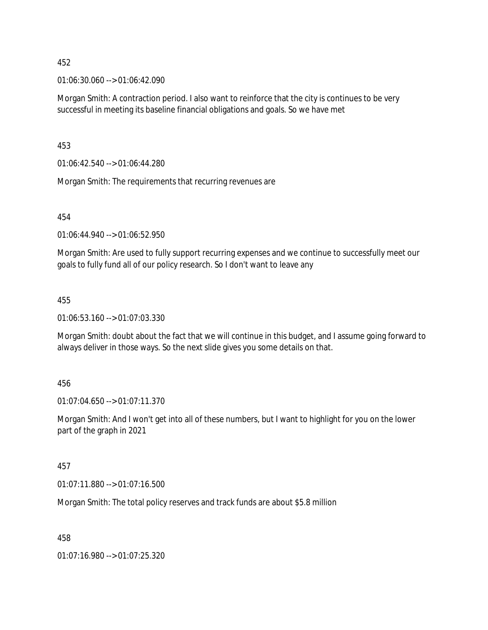01:06:30.060 --> 01:06:42.090

Morgan Smith: A contraction period. I also want to reinforce that the city is continues to be very successful in meeting its baseline financial obligations and goals. So we have met

453

01:06:42.540 --> 01:06:44.280

Morgan Smith: The requirements that recurring revenues are

454

01:06:44.940 --> 01:06:52.950

Morgan Smith: Are used to fully support recurring expenses and we continue to successfully meet our goals to fully fund all of our policy research. So I don't want to leave any

#### 455

01:06:53.160 --> 01:07:03.330

Morgan Smith: doubt about the fact that we will continue in this budget, and I assume going forward to always deliver in those ways. So the next slide gives you some details on that.

#### 456

01:07:04.650 --> 01:07:11.370

Morgan Smith: And I won't get into all of these numbers, but I want to highlight for you on the lower part of the graph in 2021

#### 457

01:07:11.880 --> 01:07:16.500

Morgan Smith: The total policy reserves and track funds are about \$5.8 million

458

01:07:16.980 --> 01:07:25.320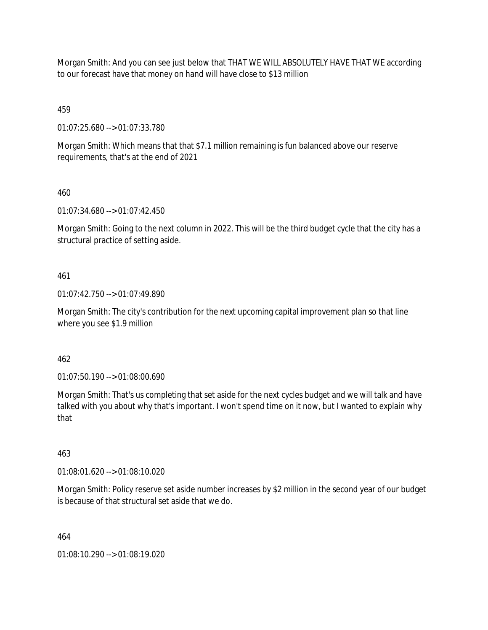Morgan Smith: And you can see just below that THAT WE WILL ABSOLUTELY HAVE THAT WE according to our forecast have that money on hand will have close to \$13 million

459

01:07:25.680 --> 01:07:33.780

Morgan Smith: Which means that that \$7.1 million remaining is fun balanced above our reserve requirements, that's at the end of 2021

460

01:07:34.680 --> 01:07:42.450

Morgan Smith: Going to the next column in 2022. This will be the third budget cycle that the city has a structural practice of setting aside.

461

01:07:42.750 --> 01:07:49.890

Morgan Smith: The city's contribution for the next upcoming capital improvement plan so that line where you see \$1.9 million

462

01:07:50.190 --> 01:08:00.690

Morgan Smith: That's us completing that set aside for the next cycles budget and we will talk and have talked with you about why that's important. I won't spend time on it now, but I wanted to explain why that

463

01:08:01.620 --> 01:08:10.020

Morgan Smith: Policy reserve set aside number increases by \$2 million in the second year of our budget is because of that structural set aside that we do.

464

01:08:10.290 --> 01:08:19.020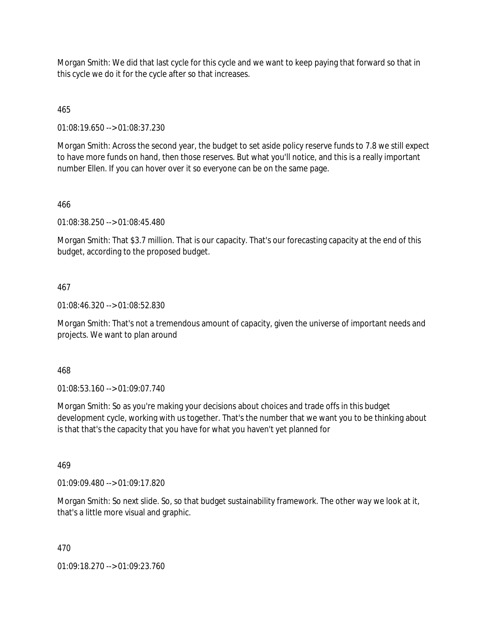Morgan Smith: We did that last cycle for this cycle and we want to keep paying that forward so that in this cycle we do it for the cycle after so that increases.

465

01:08:19.650 --> 01:08:37.230

Morgan Smith: Across the second year, the budget to set aside policy reserve funds to 7.8 we still expect to have more funds on hand, then those reserves. But what you'll notice, and this is a really important number Ellen. If you can hover over it so everyone can be on the same page.

## 466

01:08:38.250 --> 01:08:45.480

Morgan Smith: That \$3.7 million. That is our capacity. That's our forecasting capacity at the end of this budget, according to the proposed budget.

## 467

01:08:46.320 --> 01:08:52.830

Morgan Smith: That's not a tremendous amount of capacity, given the universe of important needs and projects. We want to plan around

468

01:08:53.160 --> 01:09:07.740

Morgan Smith: So as you're making your decisions about choices and trade offs in this budget development cycle, working with us together. That's the number that we want you to be thinking about is that that's the capacity that you have for what you haven't yet planned for

#### 469

01:09:09.480 --> 01:09:17.820

Morgan Smith: So next slide. So, so that budget sustainability framework. The other way we look at it, that's a little more visual and graphic.

#### 470

01:09:18.270 --> 01:09:23.760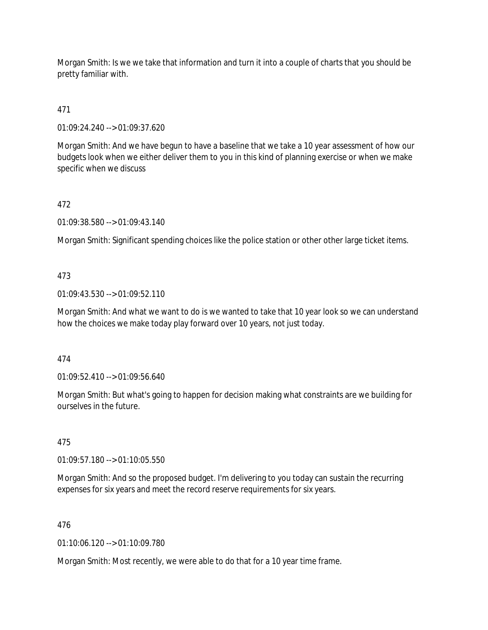Morgan Smith: Is we we take that information and turn it into a couple of charts that you should be pretty familiar with.

471

01:09:24.240 --> 01:09:37.620

Morgan Smith: And we have begun to have a baseline that we take a 10 year assessment of how our budgets look when we either deliver them to you in this kind of planning exercise or when we make specific when we discuss

# 472

01:09:38.580 --> 01:09:43.140

Morgan Smith: Significant spending choices like the police station or other other large ticket items.

## 473

01:09:43.530 --> 01:09:52.110

Morgan Smith: And what we want to do is we wanted to take that 10 year look so we can understand how the choices we make today play forward over 10 years, not just today.

#### 474

01:09:52.410 --> 01:09:56.640

Morgan Smith: But what's going to happen for decision making what constraints are we building for ourselves in the future.

# 475

01:09:57.180 --> 01:10:05.550

Morgan Smith: And so the proposed budget. I'm delivering to you today can sustain the recurring expenses for six years and meet the record reserve requirements for six years.

#### 476

01:10:06.120 --> 01:10:09.780

Morgan Smith: Most recently, we were able to do that for a 10 year time frame.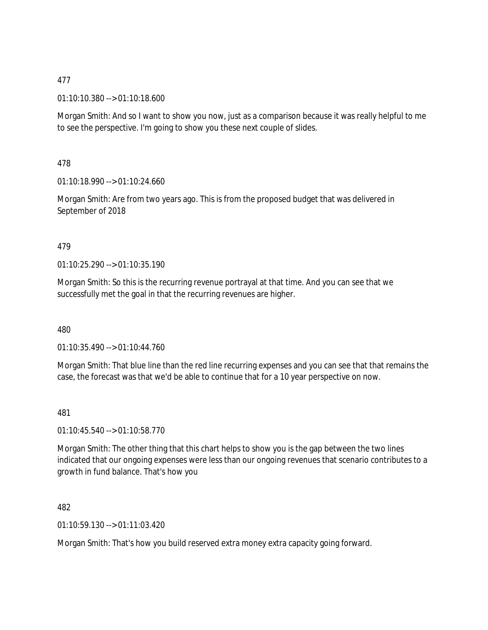01:10:10.380 --> 01:10:18.600

Morgan Smith: And so I want to show you now, just as a comparison because it was really helpful to me to see the perspective. I'm going to show you these next couple of slides.

478

01:10:18.990 --> 01:10:24.660

Morgan Smith: Are from two years ago. This is from the proposed budget that was delivered in September of 2018

#### 479

01:10:25.290 --> 01:10:35.190

Morgan Smith: So this is the recurring revenue portrayal at that time. And you can see that we successfully met the goal in that the recurring revenues are higher.

480

01:10:35.490 --> 01:10:44.760

Morgan Smith: That blue line than the red line recurring expenses and you can see that that remains the case, the forecast was that we'd be able to continue that for a 10 year perspective on now.

481

01:10:45.540 --> 01:10:58.770

Morgan Smith: The other thing that this chart helps to show you is the gap between the two lines indicated that our ongoing expenses were less than our ongoing revenues that scenario contributes to a growth in fund balance. That's how you

482

01:10:59.130 --> 01:11:03.420

Morgan Smith: That's how you build reserved extra money extra capacity going forward.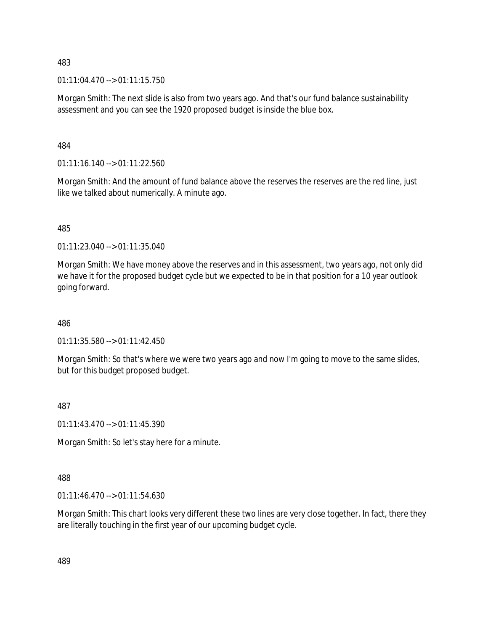01:11:04.470 --> 01:11:15.750

Morgan Smith: The next slide is also from two years ago. And that's our fund balance sustainability assessment and you can see the 1920 proposed budget is inside the blue box.

484

 $01:11:16.140 \rightarrow 01:11:22.560$ 

Morgan Smith: And the amount of fund balance above the reserves the reserves are the red line, just like we talked about numerically. A minute ago.

485

01:11:23.040 --> 01:11:35.040

Morgan Smith: We have money above the reserves and in this assessment, two years ago, not only did we have it for the proposed budget cycle but we expected to be in that position for a 10 year outlook going forward.

486

01:11:35.580 --> 01:11:42.450

Morgan Smith: So that's where we were two years ago and now I'm going to move to the same slides, but for this budget proposed budget.

487

01:11:43.470 --> 01:11:45.390

Morgan Smith: So let's stay here for a minute.

488

01:11:46.470 --> 01:11:54.630

Morgan Smith: This chart looks very different these two lines are very close together. In fact, there they are literally touching in the first year of our upcoming budget cycle.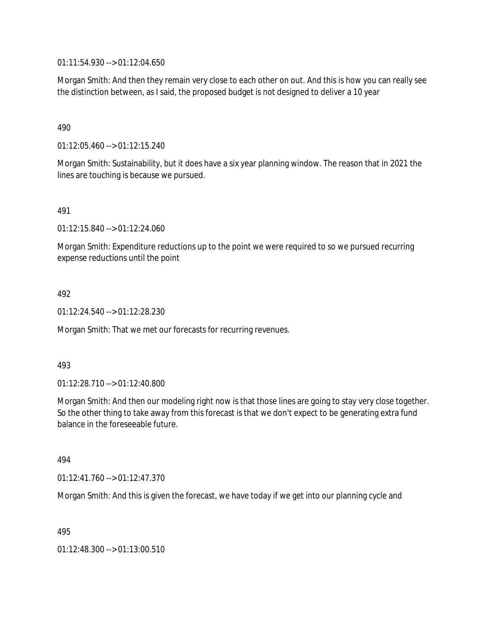01:11:54.930 --> 01:12:04.650

Morgan Smith: And then they remain very close to each other on out. And this is how you can really see the distinction between, as I said, the proposed budget is not designed to deliver a 10 year

490

01:12:05.460 --> 01:12:15.240

Morgan Smith: Sustainability, but it does have a six year planning window. The reason that in 2021 the lines are touching is because we pursued.

491

01:12:15.840 --> 01:12:24.060

Morgan Smith: Expenditure reductions up to the point we were required to so we pursued recurring expense reductions until the point

492

01:12:24.540 --> 01:12:28.230

Morgan Smith: That we met our forecasts for recurring revenues.

493

01:12:28.710 --> 01:12:40.800

Morgan Smith: And then our modeling right now is that those lines are going to stay very close together. So the other thing to take away from this forecast is that we don't expect to be generating extra fund balance in the foreseeable future.

494

01:12:41.760 --> 01:12:47.370

Morgan Smith: And this is given the forecast, we have today if we get into our planning cycle and

495

01:12:48.300 --> 01:13:00.510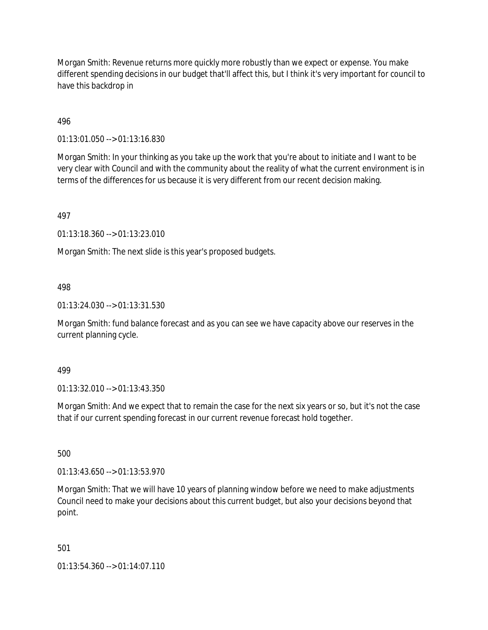Morgan Smith: Revenue returns more quickly more robustly than we expect or expense. You make different spending decisions in our budget that'll affect this, but I think it's very important for council to have this backdrop in

496

01:13:01.050 --> 01:13:16.830

Morgan Smith: In your thinking as you take up the work that you're about to initiate and I want to be very clear with Council and with the community about the reality of what the current environment is in terms of the differences for us because it is very different from our recent decision making.

497

01:13:18.360 --> 01:13:23.010

Morgan Smith: The next slide is this year's proposed budgets.

498

01:13:24.030 --> 01:13:31.530

Morgan Smith: fund balance forecast and as you can see we have capacity above our reserves in the current planning cycle.

499

01:13:32.010 --> 01:13:43.350

Morgan Smith: And we expect that to remain the case for the next six years or so, but it's not the case that if our current spending forecast in our current revenue forecast hold together.

500

01:13:43.650 --> 01:13:53.970

Morgan Smith: That we will have 10 years of planning window before we need to make adjustments Council need to make your decisions about this current budget, but also your decisions beyond that point.

501

01:13:54.360 --> 01:14:07.110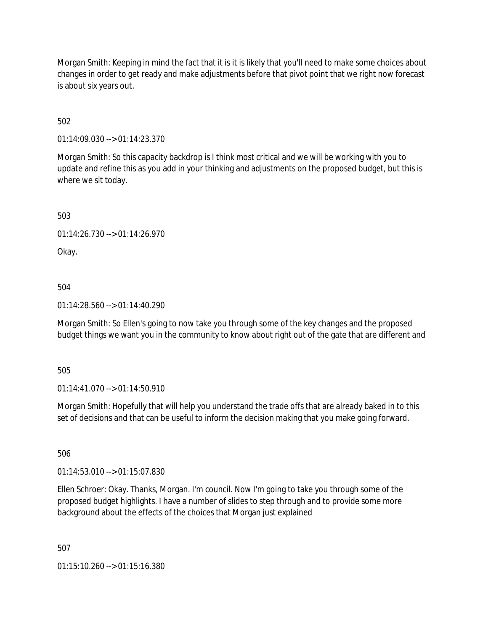Morgan Smith: Keeping in mind the fact that it is it is likely that you'll need to make some choices about changes in order to get ready and make adjustments before that pivot point that we right now forecast is about six years out.

502

01:14:09.030 --> 01:14:23.370

Morgan Smith: So this capacity backdrop is I think most critical and we will be working with you to update and refine this as you add in your thinking and adjustments on the proposed budget, but this is where we sit today.

503

01:14:26.730 --> 01:14:26.970

Okay.

504

01:14:28.560 --> 01:14:40.290

Morgan Smith: So Ellen's going to now take you through some of the key changes and the proposed budget things we want you in the community to know about right out of the gate that are different and

505

01:14:41.070 --> 01:14:50.910

Morgan Smith: Hopefully that will help you understand the trade offs that are already baked in to this set of decisions and that can be useful to inform the decision making that you make going forward.

506

01:14:53.010 --> 01:15:07.830

Ellen Schroer: Okay. Thanks, Morgan. I'm council. Now I'm going to take you through some of the proposed budget highlights. I have a number of slides to step through and to provide some more background about the effects of the choices that Morgan just explained

507

01:15:10.260 --> 01:15:16.380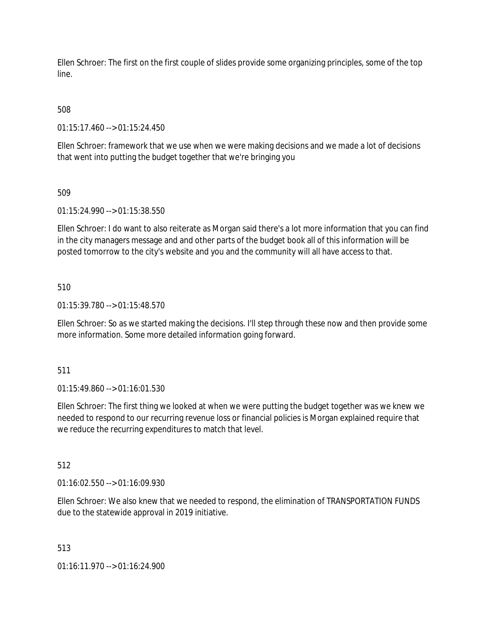Ellen Schroer: The first on the first couple of slides provide some organizing principles, some of the top line.

# 508

01:15:17.460 --> 01:15:24.450

Ellen Schroer: framework that we use when we were making decisions and we made a lot of decisions that went into putting the budget together that we're bringing you

## 509

01:15:24.990 --> 01:15:38.550

Ellen Schroer: I do want to also reiterate as Morgan said there's a lot more information that you can find in the city managers message and and other parts of the budget book all of this information will be posted tomorrow to the city's website and you and the community will all have access to that.

## 510

01:15:39.780 --> 01:15:48.570

Ellen Schroer: So as we started making the decisions. I'll step through these now and then provide some more information. Some more detailed information going forward.

#### 511

01:15:49.860 --> 01:16:01.530

Ellen Schroer: The first thing we looked at when we were putting the budget together was we knew we needed to respond to our recurring revenue loss or financial policies is Morgan explained require that we reduce the recurring expenditures to match that level.

#### 512

01:16:02.550 --> 01:16:09.930

Ellen Schroer: We also knew that we needed to respond, the elimination of TRANSPORTATION FUNDS due to the statewide approval in 2019 initiative.

#### 513

01:16:11.970 --> 01:16:24.900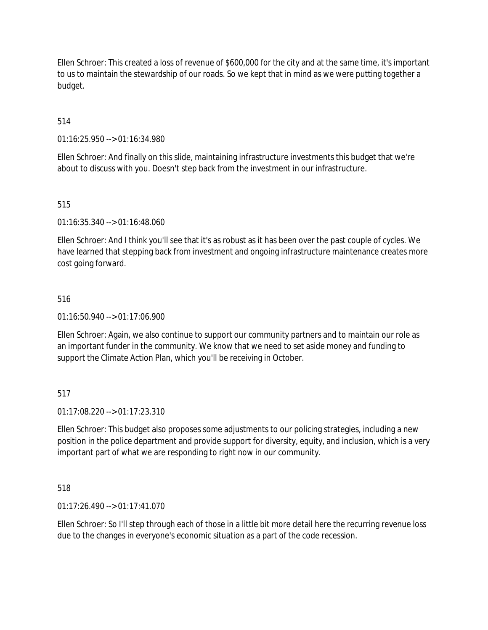Ellen Schroer: This created a loss of revenue of \$600,000 for the city and at the same time, it's important to us to maintain the stewardship of our roads. So we kept that in mind as we were putting together a budget.

514

01:16:25.950 --> 01:16:34.980

Ellen Schroer: And finally on this slide, maintaining infrastructure investments this budget that we're about to discuss with you. Doesn't step back from the investment in our infrastructure.

515

01:16:35.340 --> 01:16:48.060

Ellen Schroer: And I think you'll see that it's as robust as it has been over the past couple of cycles. We have learned that stepping back from investment and ongoing infrastructure maintenance creates more cost going forward.

## 516

01:16:50.940 --> 01:17:06.900

Ellen Schroer: Again, we also continue to support our community partners and to maintain our role as an important funder in the community. We know that we need to set aside money and funding to support the Climate Action Plan, which you'll be receiving in October.

#### 517

01:17:08.220 --> 01:17:23.310

Ellen Schroer: This budget also proposes some adjustments to our policing strategies, including a new position in the police department and provide support for diversity, equity, and inclusion, which is a very important part of what we are responding to right now in our community.

518

01:17:26.490 --> 01:17:41.070

Ellen Schroer: So I'll step through each of those in a little bit more detail here the recurring revenue loss due to the changes in everyone's economic situation as a part of the code recession.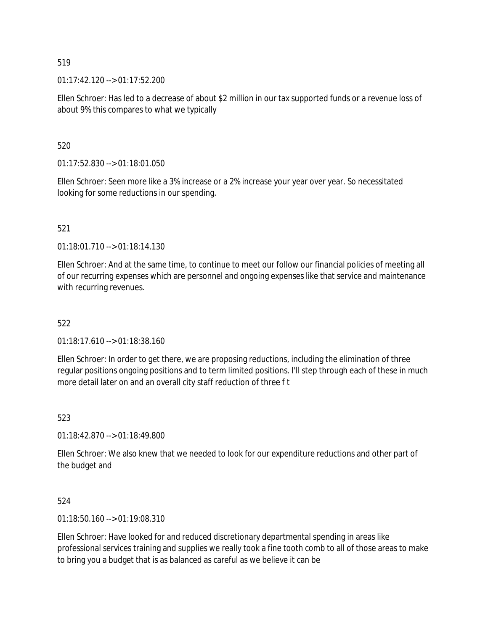01:17:42.120 --> 01:17:52.200

Ellen Schroer: Has led to a decrease of about \$2 million in our tax supported funds or a revenue loss of about 9% this compares to what we typically

520

01:17:52.830 --> 01:18:01.050

Ellen Schroer: Seen more like a 3% increase or a 2% increase your year over year. So necessitated looking for some reductions in our spending.

521

 $01.18:01.710 \rightarrow 01:18:14.130$ 

Ellen Schroer: And at the same time, to continue to meet our follow our financial policies of meeting all of our recurring expenses which are personnel and ongoing expenses like that service and maintenance with recurring revenues.

522

01:18:17.610 --> 01:18:38.160

Ellen Schroer: In order to get there, we are proposing reductions, including the elimination of three regular positions ongoing positions and to term limited positions. I'll step through each of these in much more detail later on and an overall city staff reduction of three f t

523

01:18:42.870 --> 01:18:49.800

Ellen Schroer: We also knew that we needed to look for our expenditure reductions and other part of the budget and

524

 $01:18:50.160 \rightarrow 01:19:08.310$ 

Ellen Schroer: Have looked for and reduced discretionary departmental spending in areas like professional services training and supplies we really took a fine tooth comb to all of those areas to make to bring you a budget that is as balanced as careful as we believe it can be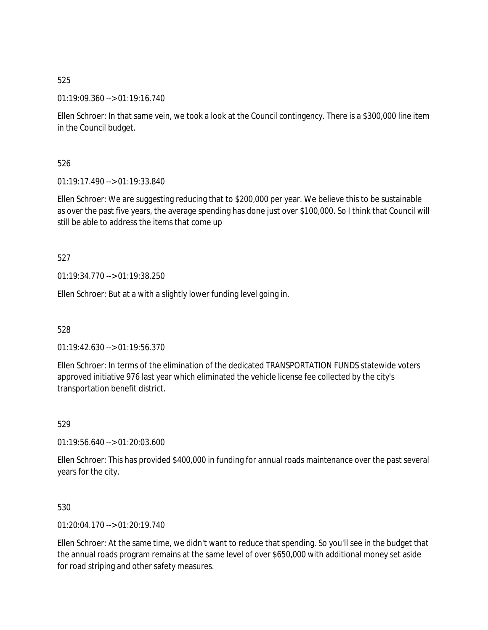01:19:09.360 --> 01:19:16.740

Ellen Schroer: In that same vein, we took a look at the Council contingency. There is a \$300,000 line item in the Council budget.

526

01:19:17.490 --> 01:19:33.840

Ellen Schroer: We are suggesting reducing that to \$200,000 per year. We believe this to be sustainable as over the past five years, the average spending has done just over \$100,000. So I think that Council will still be able to address the items that come up

527

01:19:34.770 --> 01:19:38.250

Ellen Schroer: But at a with a slightly lower funding level going in.

528

01:19:42.630 --> 01:19:56.370

Ellen Schroer: In terms of the elimination of the dedicated TRANSPORTATION FUNDS statewide voters approved initiative 976 last year which eliminated the vehicle license fee collected by the city's transportation benefit district.

529

01:19:56.640 --> 01:20:03.600

Ellen Schroer: This has provided \$400,000 in funding for annual roads maintenance over the past several years for the city.

530

01:20:04.170 --> 01:20:19.740

Ellen Schroer: At the same time, we didn't want to reduce that spending. So you'll see in the budget that the annual roads program remains at the same level of over \$650,000 with additional money set aside for road striping and other safety measures.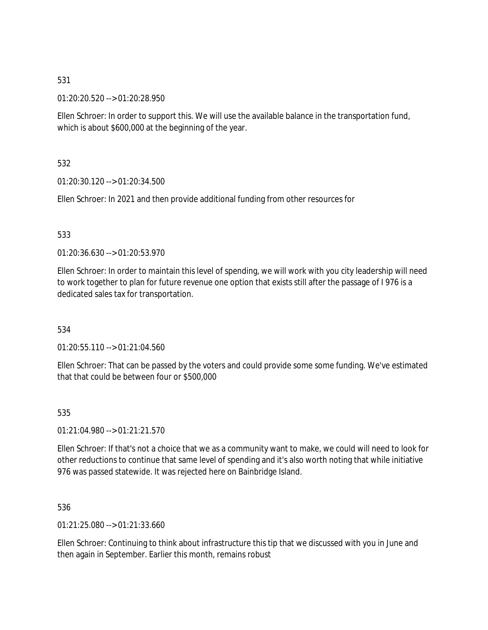01:20:20.520 --> 01:20:28.950

Ellen Schroer: In order to support this. We will use the available balance in the transportation fund, which is about \$600,000 at the beginning of the year.

532

01:20:30.120 --> 01:20:34.500

Ellen Schroer: In 2021 and then provide additional funding from other resources for

## 533

01:20:36.630 --> 01:20:53.970

Ellen Schroer: In order to maintain this level of spending, we will work with you city leadership will need to work together to plan for future revenue one option that exists still after the passage of I 976 is a dedicated sales tax for transportation.

#### 534

01:20:55.110 --> 01:21:04.560

Ellen Schroer: That can be passed by the voters and could provide some some funding. We've estimated that that could be between four or \$500,000

#### 535

01:21:04.980 --> 01:21:21.570

Ellen Schroer: If that's not a choice that we as a community want to make, we could will need to look for other reductions to continue that same level of spending and it's also worth noting that while initiative 976 was passed statewide. It was rejected here on Bainbridge Island.

536

01:21:25.080 --> 01:21:33.660

Ellen Schroer: Continuing to think about infrastructure this tip that we discussed with you in June and then again in September. Earlier this month, remains robust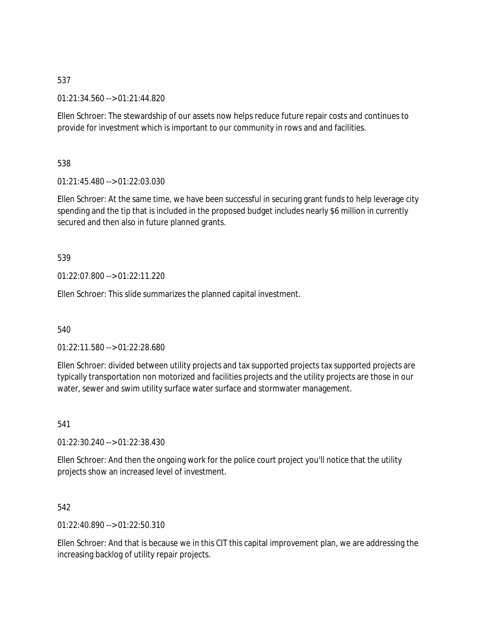01:21:34.560 --> 01:21:44.820

Ellen Schroer: The stewardship of our assets now helps reduce future repair costs and continues to provide for investment which is important to our community in rows and and facilities.

538

01:21:45.480 --> 01:22:03.030

Ellen Schroer: At the same time, we have been successful in securing grant funds to help leverage city spending and the tip that is included in the proposed budget includes nearly \$6 million in currently secured and then also in future planned grants.

# 539

01:22:07.800 --> 01:22:11.220

Ellen Schroer: This slide summarizes the planned capital investment.

540

01:22:11.580 --> 01:22:28.680

Ellen Schroer: divided between utility projects and tax supported projects tax supported projects are typically transportation non motorized and facilities projects and the utility projects are those in our water, sewer and swim utility surface water surface and stormwater management.

541

01:22:30.240 --> 01:22:38.430

Ellen Schroer: And then the ongoing work for the police court project you'll notice that the utility projects show an increased level of investment.

542

01:22:40.890 --> 01:22:50.310

Ellen Schroer: And that is because we in this CIT this capital improvement plan, we are addressing the increasing backlog of utility repair projects.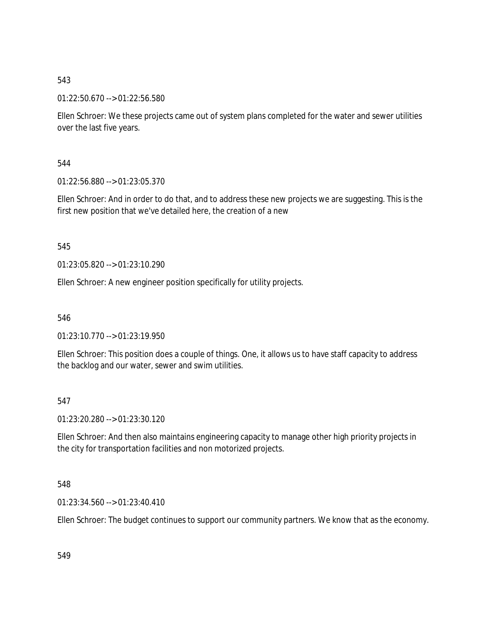01:22:50.670 --> 01:22:56.580

Ellen Schroer: We these projects came out of system plans completed for the water and sewer utilities over the last five years.

544

01:22:56.880 --> 01:23:05.370

Ellen Schroer: And in order to do that, and to address these new projects we are suggesting. This is the first new position that we've detailed here, the creation of a new

545

01:23:05.820 --> 01:23:10.290

Ellen Schroer: A new engineer position specifically for utility projects.

546

01:23:10.770 --> 01:23:19.950

Ellen Schroer: This position does a couple of things. One, it allows us to have staff capacity to address the backlog and our water, sewer and swim utilities.

547

01:23:20.280 --> 01:23:30.120

Ellen Schroer: And then also maintains engineering capacity to manage other high priority projects in the city for transportation facilities and non motorized projects.

548

01:23:34.560 --> 01:23:40.410

Ellen Schroer: The budget continues to support our community partners. We know that as the economy.

549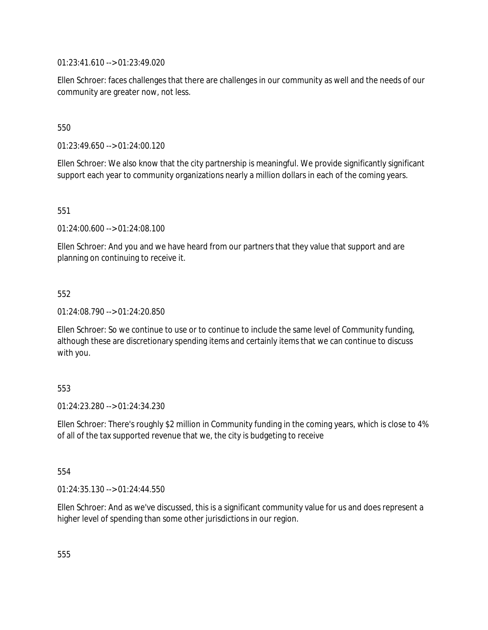01:23:41.610 --> 01:23:49.020

Ellen Schroer: faces challenges that there are challenges in our community as well and the needs of our community are greater now, not less.

550

01:23:49.650 --> 01:24:00.120

Ellen Schroer: We also know that the city partnership is meaningful. We provide significantly significant support each year to community organizations nearly a million dollars in each of the coming years.

551

01:24:00.600 --> 01:24:08.100

Ellen Schroer: And you and we have heard from our partners that they value that support and are planning on continuing to receive it.

552

01:24:08.790 --> 01:24:20.850

Ellen Schroer: So we continue to use or to continue to include the same level of Community funding, although these are discretionary spending items and certainly items that we can continue to discuss with you.

553

01:24:23.280 --> 01:24:34.230

Ellen Schroer: There's roughly \$2 million in Community funding in the coming years, which is close to 4% of all of the tax supported revenue that we, the city is budgeting to receive

554

01:24:35.130 --> 01:24:44.550

Ellen Schroer: And as we've discussed, this is a significant community value for us and does represent a higher level of spending than some other jurisdictions in our region.

555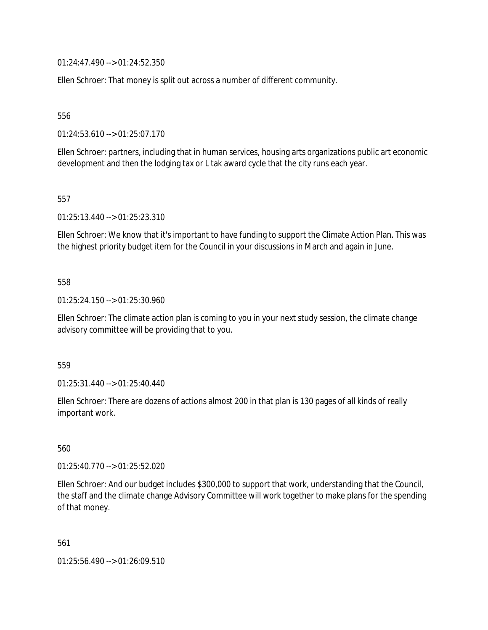01:24:47.490 --> 01:24:52.350

Ellen Schroer: That money is split out across a number of different community.

556

01:24:53.610 --> 01:25:07.170

Ellen Schroer: partners, including that in human services, housing arts organizations public art economic development and then the lodging tax or L tak award cycle that the city runs each year.

557

01:25:13.440 --> 01:25:23.310

Ellen Schroer: We know that it's important to have funding to support the Climate Action Plan. This was the highest priority budget item for the Council in your discussions in March and again in June.

#### 558

01:25:24.150 --> 01:25:30.960

Ellen Schroer: The climate action plan is coming to you in your next study session, the climate change advisory committee will be providing that to you.

559

01:25:31.440 --> 01:25:40.440

Ellen Schroer: There are dozens of actions almost 200 in that plan is 130 pages of all kinds of really important work.

560

01:25:40.770 --> 01:25:52.020

Ellen Schroer: And our budget includes \$300,000 to support that work, understanding that the Council, the staff and the climate change Advisory Committee will work together to make plans for the spending of that money.

561

01:25:56.490 --> 01:26:09.510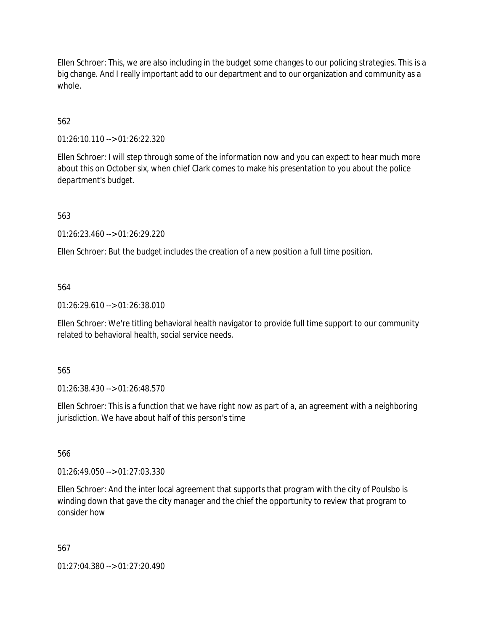Ellen Schroer: This, we are also including in the budget some changes to our policing strategies. This is a big change. And I really important add to our department and to our organization and community as a whole.

# 562

01:26:10.110 --> 01:26:22.320

Ellen Schroer: I will step through some of the information now and you can expect to hear much more about this on October six, when chief Clark comes to make his presentation to you about the police department's budget.

563

01:26:23.460 --> 01:26:29.220

Ellen Schroer: But the budget includes the creation of a new position a full time position.

#### 564

01:26:29.610 --> 01:26:38.010

Ellen Schroer: We're titling behavioral health navigator to provide full time support to our community related to behavioral health, social service needs.

#### 565

01:26:38.430 --> 01:26:48.570

Ellen Schroer: This is a function that we have right now as part of a, an agreement with a neighboring jurisdiction. We have about half of this person's time

566

01:26:49.050 --> 01:27:03.330

Ellen Schroer: And the inter local agreement that supports that program with the city of Poulsbo is winding down that gave the city manager and the chief the opportunity to review that program to consider how

#### 567

01:27:04.380 --> 01:27:20.490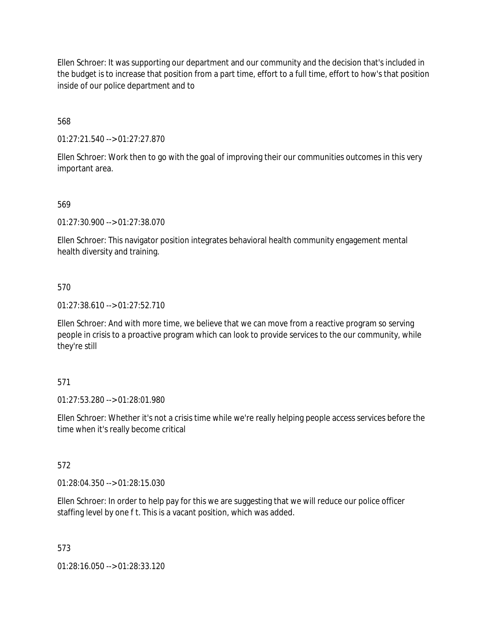Ellen Schroer: It was supporting our department and our community and the decision that's included in the budget is to increase that position from a part time, effort to a full time, effort to how's that position inside of our police department and to

568

01:27:21.540 --> 01:27:27.870

Ellen Schroer: Work then to go with the goal of improving their our communities outcomes in this very important area.

#### 569

01:27:30.900 --> 01:27:38.070

Ellen Schroer: This navigator position integrates behavioral health community engagement mental health diversity and training.

#### 570

01:27:38.610 --> 01:27:52.710

Ellen Schroer: And with more time, we believe that we can move from a reactive program so serving people in crisis to a proactive program which can look to provide services to the our community, while they're still

#### 571

01:27:53.280 --> 01:28:01.980

Ellen Schroer: Whether it's not a crisis time while we're really helping people access services before the time when it's really become critical

#### 572

01:28:04.350 --> 01:28:15.030

Ellen Schroer: In order to help pay for this we are suggesting that we will reduce our police officer staffing level by one f t. This is a vacant position, which was added.

#### 573

01:28:16.050 --> 01:28:33.120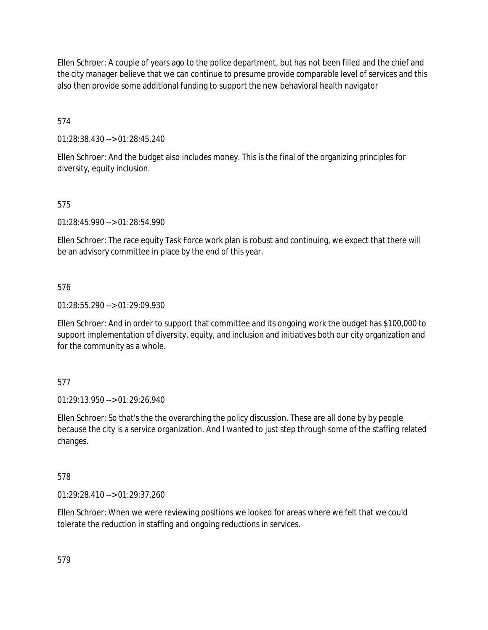Ellen Schroer: A couple of years ago to the police department, but has not been filled and the chief and the city manager believe that we can continue to presume provide comparable level of services and this also then provide some additional funding to support the new behavioral health navigator

574

01:28:38.430 --> 01:28:45.240

Ellen Schroer: And the budget also includes money. This is the final of the organizing principles for diversity, equity inclusion.

## 575

01:28:45.990 --> 01:28:54.990

Ellen Schroer: The race equity Task Force work plan is robust and continuing, we expect that there will be an advisory committee in place by the end of this year.

#### 576

01:28:55.290 --> 01:29:09.930

Ellen Schroer: And in order to support that committee and its ongoing work the budget has \$100,000 to support implementation of diversity, equity, and inclusion and initiatives both our city organization and for the community as a whole.

#### 577

01:29:13.950 --> 01:29:26.940

Ellen Schroer: So that's the the overarching the policy discussion. These are all done by by people because the city is a service organization. And I wanted to just step through some of the staffing related changes.

#### 578

01:29:28.410 --> 01:29:37.260

Ellen Schroer: When we were reviewing positions we looked for areas where we felt that we could tolerate the reduction in staffing and ongoing reductions in services.

579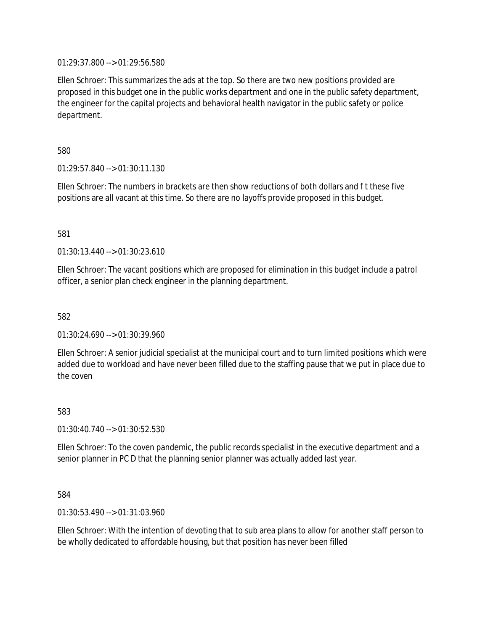01:29:37.800 --> 01:29:56.580

Ellen Schroer: This summarizes the ads at the top. So there are two new positions provided are proposed in this budget one in the public works department and one in the public safety department, the engineer for the capital projects and behavioral health navigator in the public safety or police department.

580

01:29:57.840 --> 01:30:11.130

Ellen Schroer: The numbers in brackets are then show reductions of both dollars and f t these five positions are all vacant at this time. So there are no layoffs provide proposed in this budget.

#### 581

01:30:13.440 --> 01:30:23.610

Ellen Schroer: The vacant positions which are proposed for elimination in this budget include a patrol officer, a senior plan check engineer in the planning department.

582

01:30:24.690 --> 01:30:39.960

Ellen Schroer: A senior judicial specialist at the municipal court and to turn limited positions which were added due to workload and have never been filled due to the staffing pause that we put in place due to the coven

583

01:30:40.740 --> 01:30:52.530

Ellen Schroer: To the coven pandemic, the public records specialist in the executive department and a senior planner in PC D that the planning senior planner was actually added last year.

584

01:30:53.490 --> 01:31:03.960

Ellen Schroer: With the intention of devoting that to sub area plans to allow for another staff person to be wholly dedicated to affordable housing, but that position has never been filled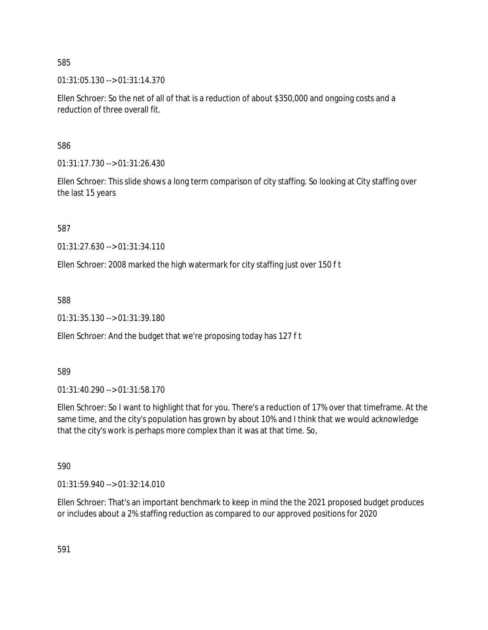01:31:05.130 --> 01:31:14.370

Ellen Schroer: So the net of all of that is a reduction of about \$350,000 and ongoing costs and a reduction of three overall fit.

586

01:31:17.730 --> 01:31:26.430

Ellen Schroer: This slide shows a long term comparison of city staffing. So looking at City staffing over the last 15 years

587

01:31:27.630 --> 01:31:34.110

Ellen Schroer: 2008 marked the high watermark for city staffing just over 150 f t

588

01:31:35.130 --> 01:31:39.180

Ellen Schroer: And the budget that we're proposing today has 127 f t

589

01:31:40.290 --> 01:31:58.170

Ellen Schroer: So I want to highlight that for you. There's a reduction of 17% over that timeframe. At the same time, and the city's population has grown by about 10% and I think that we would acknowledge that the city's work is perhaps more complex than it was at that time. So,

590

01:31:59.940 --> 01:32:14.010

Ellen Schroer: That's an important benchmark to keep in mind the the 2021 proposed budget produces or includes about a 2% staffing reduction as compared to our approved positions for 2020

591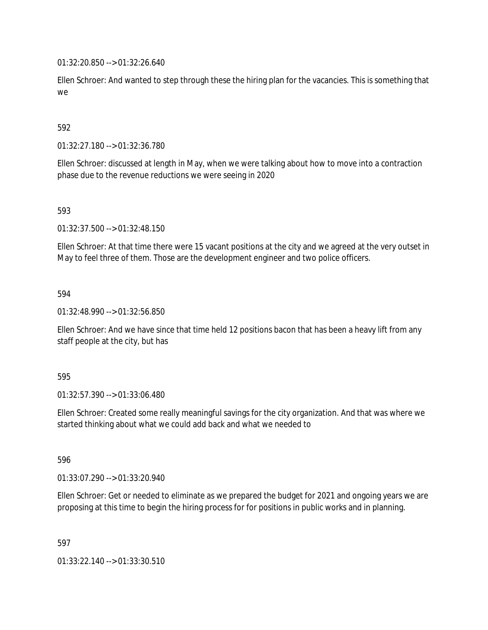01:32:20.850 --> 01:32:26.640

Ellen Schroer: And wanted to step through these the hiring plan for the vacancies. This is something that we

### 592

01:32:27.180 --> 01:32:36.780

Ellen Schroer: discussed at length in May, when we were talking about how to move into a contraction phase due to the revenue reductions we were seeing in 2020

#### 593

01:32:37.500 --> 01:32:48.150

Ellen Schroer: At that time there were 15 vacant positions at the city and we agreed at the very outset in May to feel three of them. Those are the development engineer and two police officers.

#### 594

01:32:48.990 --> 01:32:56.850

Ellen Schroer: And we have since that time held 12 positions bacon that has been a heavy lift from any staff people at the city, but has

#### 595

01:32:57.390 --> 01:33:06.480

Ellen Schroer: Created some really meaningful savings for the city organization. And that was where we started thinking about what we could add back and what we needed to

596

01:33:07.290 --> 01:33:20.940

Ellen Schroer: Get or needed to eliminate as we prepared the budget for 2021 and ongoing years we are proposing at this time to begin the hiring process for for positions in public works and in planning.

597

01:33:22.140 --> 01:33:30.510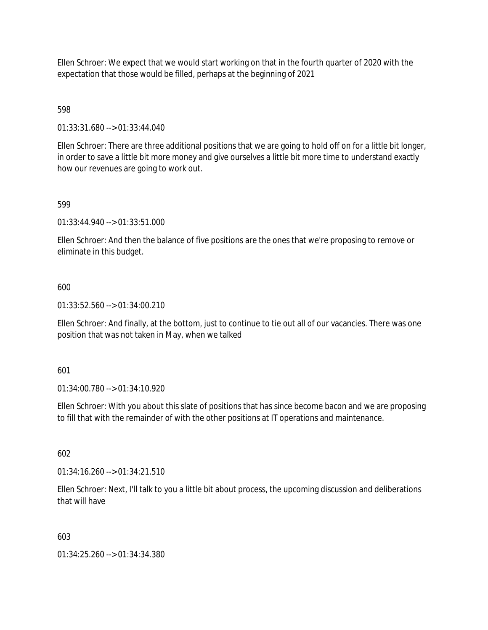Ellen Schroer: We expect that we would start working on that in the fourth quarter of 2020 with the expectation that those would be filled, perhaps at the beginning of 2021

# 598

01:33:31.680 --> 01:33:44.040

Ellen Schroer: There are three additional positions that we are going to hold off on for a little bit longer, in order to save a little bit more money and give ourselves a little bit more time to understand exactly how our revenues are going to work out.

## 599

01:33:44.940 --> 01:33:51.000

Ellen Schroer: And then the balance of five positions are the ones that we're proposing to remove or eliminate in this budget.

## 600

01:33:52.560 --> 01:34:00.210

Ellen Schroer: And finally, at the bottom, just to continue to tie out all of our vacancies. There was one position that was not taken in May, when we talked

#### 601

01:34:00.780 --> 01:34:10.920

Ellen Schroer: With you about this slate of positions that has since become bacon and we are proposing to fill that with the remainder of with the other positions at IT operations and maintenance.

#### 602

01:34:16.260 --> 01:34:21.510

Ellen Schroer: Next, I'll talk to you a little bit about process, the upcoming discussion and deliberations that will have

#### 603

01:34:25.260 --> 01:34:34.380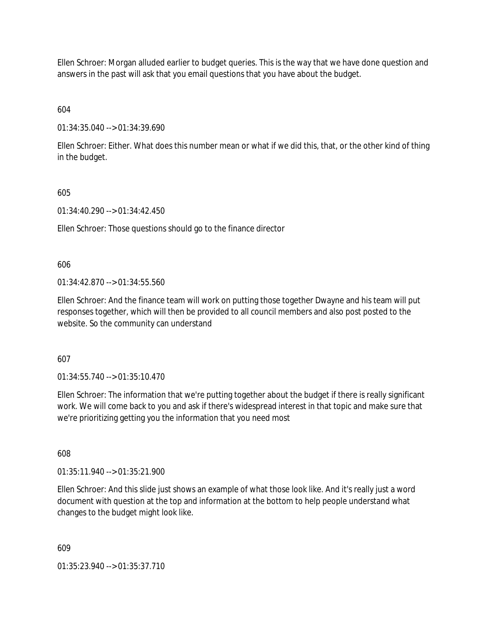Ellen Schroer: Morgan alluded earlier to budget queries. This is the way that we have done question and answers in the past will ask that you email questions that you have about the budget.

604

01:34:35.040 --> 01:34:39.690

Ellen Schroer: Either. What does this number mean or what if we did this, that, or the other kind of thing in the budget.

605

01:34:40.290 --> 01:34:42.450

Ellen Schroer: Those questions should go to the finance director

606

 $01:34:42.870 \rightarrow 01:34:55.560$ 

Ellen Schroer: And the finance team will work on putting those together Dwayne and his team will put responses together, which will then be provided to all council members and also post posted to the website. So the community can understand

607

01:34:55.740 --> 01:35:10.470

Ellen Schroer: The information that we're putting together about the budget if there is really significant work. We will come back to you and ask if there's widespread interest in that topic and make sure that we're prioritizing getting you the information that you need most

608

01:35:11.940 --> 01:35:21.900

Ellen Schroer: And this slide just shows an example of what those look like. And it's really just a word document with question at the top and information at the bottom to help people understand what changes to the budget might look like.

609

01:35:23.940 --> 01:35:37.710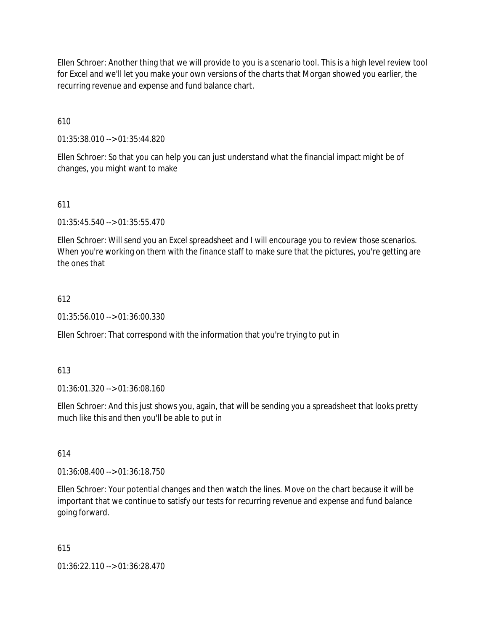Ellen Schroer: Another thing that we will provide to you is a scenario tool. This is a high level review tool for Excel and we'll let you make your own versions of the charts that Morgan showed you earlier, the recurring revenue and expense and fund balance chart.

610

01:35:38.010 --> 01:35:44.820

Ellen Schroer: So that you can help you can just understand what the financial impact might be of changes, you might want to make

611

01:35:45.540 --> 01:35:55.470

Ellen Schroer: Will send you an Excel spreadsheet and I will encourage you to review those scenarios. When you're working on them with the finance staff to make sure that the pictures, you're getting are the ones that

#### 612

01:35:56.010 --> 01:36:00.330

Ellen Schroer: That correspond with the information that you're trying to put in

#### 613

01:36:01.320 --> 01:36:08.160

Ellen Schroer: And this just shows you, again, that will be sending you a spreadsheet that looks pretty much like this and then you'll be able to put in

614

01:36:08.400 --> 01:36:18.750

Ellen Schroer: Your potential changes and then watch the lines. Move on the chart because it will be important that we continue to satisfy our tests for recurring revenue and expense and fund balance going forward.

615

01:36:22.110 --> 01:36:28.470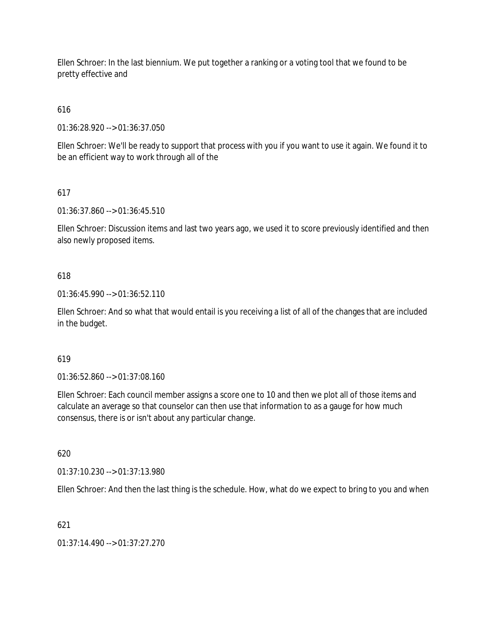Ellen Schroer: In the last biennium. We put together a ranking or a voting tool that we found to be pretty effective and

# 616

01:36:28.920 --> 01:36:37.050

Ellen Schroer: We'll be ready to support that process with you if you want to use it again. We found it to be an efficient way to work through all of the

# 617

01:36:37.860 --> 01:36:45.510

Ellen Schroer: Discussion items and last two years ago, we used it to score previously identified and then also newly proposed items.

## 618

01:36:45.990 --> 01:36:52.110

Ellen Schroer: And so what that would entail is you receiving a list of all of the changes that are included in the budget.

#### 619

01:36:52.860 --> 01:37:08.160

Ellen Schroer: Each council member assigns a score one to 10 and then we plot all of those items and calculate an average so that counselor can then use that information to as a gauge for how much consensus, there is or isn't about any particular change.

620

01:37:10.230 --> 01:37:13.980

Ellen Schroer: And then the last thing is the schedule. How, what do we expect to bring to you and when

# 621

01:37:14.490 --> 01:37:27.270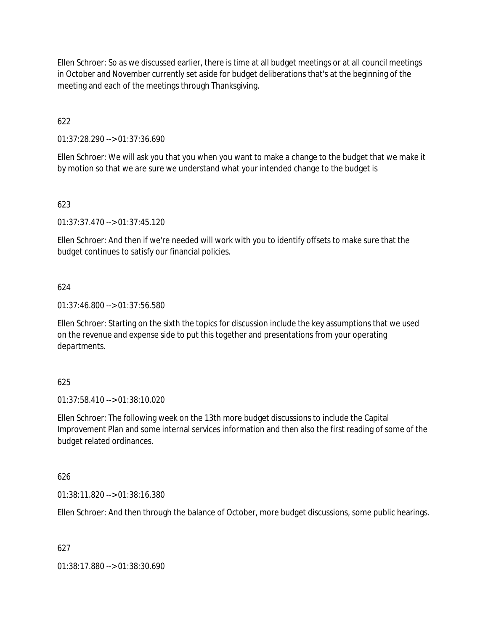Ellen Schroer: So as we discussed earlier, there is time at all budget meetings or at all council meetings in October and November currently set aside for budget deliberations that's at the beginning of the meeting and each of the meetings through Thanksgiving.

622

01:37:28.290 --> 01:37:36.690

Ellen Schroer: We will ask you that you when you want to make a change to the budget that we make it by motion so that we are sure we understand what your intended change to the budget is

## 623

01:37:37.470 --> 01:37:45.120

Ellen Schroer: And then if we're needed will work with you to identify offsets to make sure that the budget continues to satisfy our financial policies.

#### 624

01:37:46.800 --> 01:37:56.580

Ellen Schroer: Starting on the sixth the topics for discussion include the key assumptions that we used on the revenue and expense side to put this together and presentations from your operating departments.

#### 625

01:37:58.410 --> 01:38:10.020

Ellen Schroer: The following week on the 13th more budget discussions to include the Capital Improvement Plan and some internal services information and then also the first reading of some of the budget related ordinances.

#### 626

01:38:11.820 --> 01:38:16.380

Ellen Schroer: And then through the balance of October, more budget discussions, some public hearings.

627

01:38:17.880 --> 01:38:30.690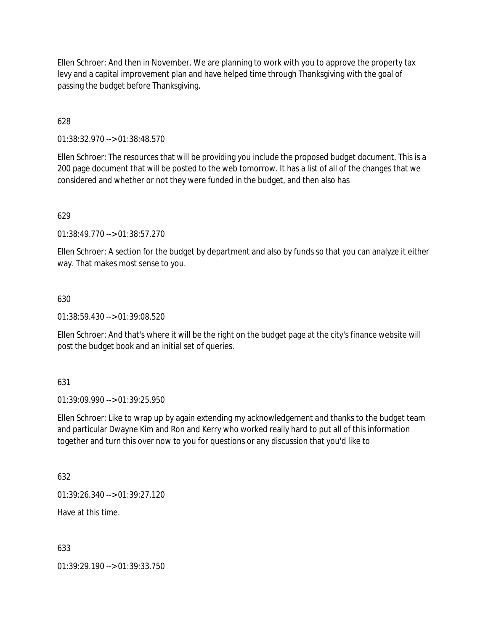Ellen Schroer: And then in November. We are planning to work with you to approve the property tax levy and a capital improvement plan and have helped time through Thanksgiving with the goal of passing the budget before Thanksgiving.

628

01:38:32.970 --> 01:38:48.570

Ellen Schroer: The resources that will be providing you include the proposed budget document. This is a 200 page document that will be posted to the web tomorrow. It has a list of all of the changes that we considered and whether or not they were funded in the budget, and then also has

629

01:38:49.770 --> 01:38:57.270

Ellen Schroer: A section for the budget by department and also by funds so that you can analyze it either way. That makes most sense to you.

#### 630

01:38:59.430 --> 01:39:08.520

Ellen Schroer: And that's where it will be the right on the budget page at the city's finance website will post the budget book and an initial set of queries.

631

01:39:09.990 --> 01:39:25.950

Ellen Schroer: Like to wrap up by again extending my acknowledgement and thanks to the budget team and particular Dwayne Kim and Ron and Kerry who worked really hard to put all of this information together and turn this over now to you for questions or any discussion that you'd like to

632

01:39:26.340 --> 01:39:27.120

Have at this time.

633

01:39:29.190 --> 01:39:33.750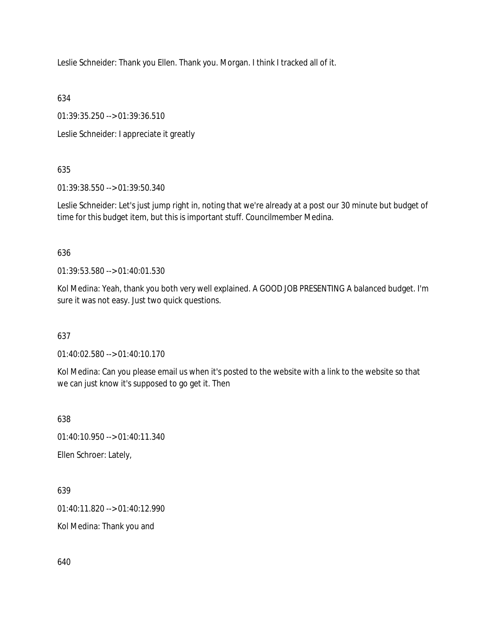Leslie Schneider: Thank you Ellen. Thank you. Morgan. I think I tracked all of it.

634

01:39:35.250 --> 01:39:36.510

Leslie Schneider: I appreciate it greatly

635

01:39:38.550 --> 01:39:50.340

Leslie Schneider: Let's just jump right in, noting that we're already at a post our 30 minute but budget of time for this budget item, but this is important stuff. Councilmember Medina.

636

01:39:53.580 --> 01:40:01.530

Kol Medina: Yeah, thank you both very well explained. A GOOD JOB PRESENTING A balanced budget. I'm sure it was not easy. Just two quick questions.

637

01:40:02.580 --> 01:40:10.170

Kol Medina: Can you please email us when it's posted to the website with a link to the website so that we can just know it's supposed to go get it. Then

638

01:40:10.950 --> 01:40:11.340

Ellen Schroer: Lately,

639

01:40:11.820 --> 01:40:12.990

Kol Medina: Thank you and

640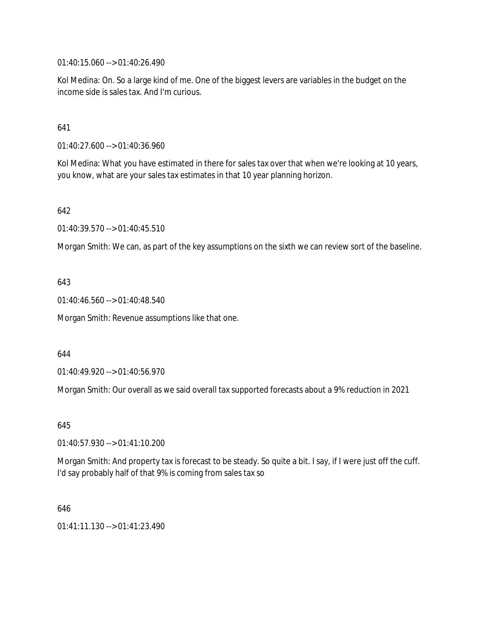01:40:15.060 --> 01:40:26.490

Kol Medina: On. So a large kind of me. One of the biggest levers are variables in the budget on the income side is sales tax. And I'm curious.

641

01:40:27.600 --> 01:40:36.960

Kol Medina: What you have estimated in there for sales tax over that when we're looking at 10 years, you know, what are your sales tax estimates in that 10 year planning horizon.

642

01:40:39.570 --> 01:40:45.510

Morgan Smith: We can, as part of the key assumptions on the sixth we can review sort of the baseline.

643

01:40:46.560 --> 01:40:48.540

Morgan Smith: Revenue assumptions like that one.

644

01:40:49.920 --> 01:40:56.970

Morgan Smith: Our overall as we said overall tax supported forecasts about a 9% reduction in 2021

645

01:40:57.930 --> 01:41:10.200

Morgan Smith: And property tax is forecast to be steady. So quite a bit. I say, if I were just off the cuff. I'd say probably half of that 9% is coming from sales tax so

646

01:41:11.130 --> 01:41:23.490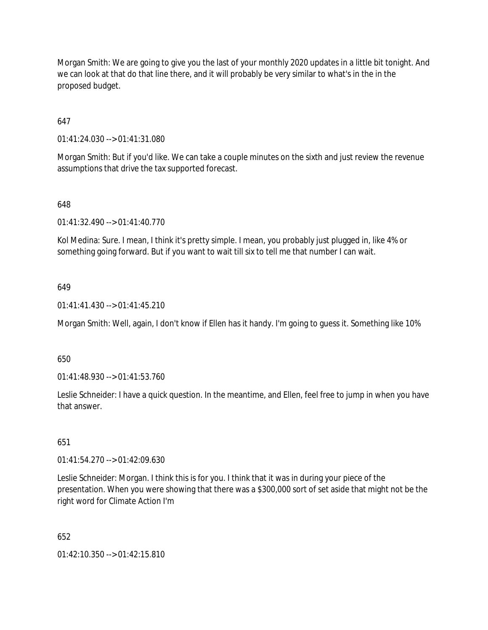Morgan Smith: We are going to give you the last of your monthly 2020 updates in a little bit tonight. And we can look at that do that line there, and it will probably be very similar to what's in the in the proposed budget.

647

01:41:24.030 --> 01:41:31.080

Morgan Smith: But if you'd like. We can take a couple minutes on the sixth and just review the revenue assumptions that drive the tax supported forecast.

648

01:41:32.490 --> 01:41:40.770

Kol Medina: Sure. I mean, I think it's pretty simple. I mean, you probably just plugged in, like 4% or something going forward. But if you want to wait till six to tell me that number I can wait.

#### 649

01:41:41.430 --> 01:41:45.210

Morgan Smith: Well, again, I don't know if Ellen has it handy. I'm going to guess it. Something like 10%

650

01:41:48.930 --> 01:41:53.760

Leslie Schneider: I have a quick question. In the meantime, and Ellen, feel free to jump in when you have that answer.

651

01:41:54.270 --> 01:42:09.630

Leslie Schneider: Morgan. I think this is for you. I think that it was in during your piece of the presentation. When you were showing that there was a \$300,000 sort of set aside that might not be the right word for Climate Action I'm

652

01:42:10.350 --> 01:42:15.810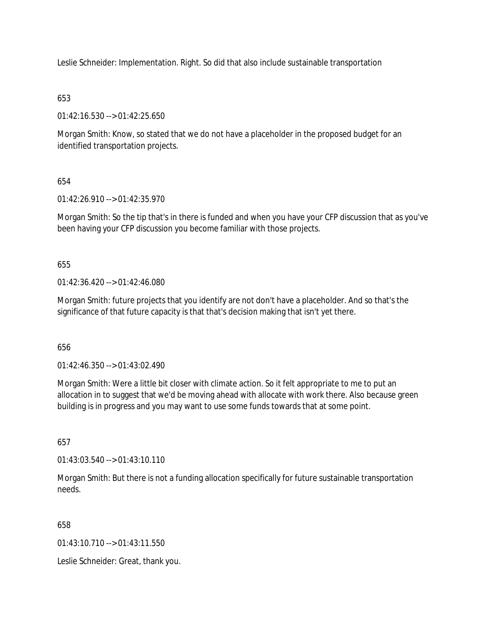Leslie Schneider: Implementation. Right. So did that also include sustainable transportation

# 653

01:42:16.530 --> 01:42:25.650

Morgan Smith: Know, so stated that we do not have a placeholder in the proposed budget for an identified transportation projects.

# 654

01:42:26.910 --> 01:42:35.970

Morgan Smith: So the tip that's in there is funded and when you have your CFP discussion that as you've been having your CFP discussion you become familiar with those projects.

655

01:42:36.420 --> 01:42:46.080

Morgan Smith: future projects that you identify are not don't have a placeholder. And so that's the significance of that future capacity is that that's decision making that isn't yet there.

656

01:42:46.350 --> 01:43:02.490

Morgan Smith: Were a little bit closer with climate action. So it felt appropriate to me to put an allocation in to suggest that we'd be moving ahead with allocate with work there. Also because green building is in progress and you may want to use some funds towards that at some point.

657

01:43:03.540 --> 01:43:10.110

Morgan Smith: But there is not a funding allocation specifically for future sustainable transportation needs.

658

01:43:10.710 --> 01:43:11.550

Leslie Schneider: Great, thank you.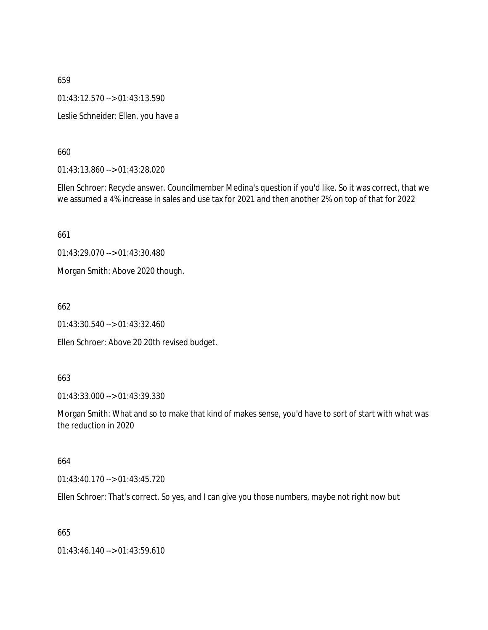01:43:12.570 --> 01:43:13.590

Leslie Schneider: Ellen, you have a

660

01:43:13.860 --> 01:43:28.020

Ellen Schroer: Recycle answer. Councilmember Medina's question if you'd like. So it was correct, that we we assumed a 4% increase in sales and use tax for 2021 and then another 2% on top of that for 2022

661

01:43:29.070 --> 01:43:30.480

Morgan Smith: Above 2020 though.

662

01:43:30.540 --> 01:43:32.460

Ellen Schroer: Above 20 20th revised budget.

663

01:43:33.000 --> 01:43:39.330

Morgan Smith: What and so to make that kind of makes sense, you'd have to sort of start with what was the reduction in 2020

664

01:43:40.170 --> 01:43:45.720

Ellen Schroer: That's correct. So yes, and I can give you those numbers, maybe not right now but

665

01:43:46.140 --> 01:43:59.610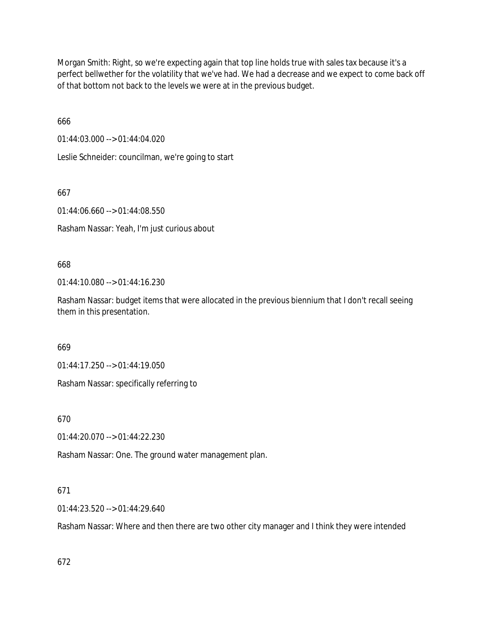Morgan Smith: Right, so we're expecting again that top line holds true with sales tax because it's a perfect bellwether for the volatility that we've had. We had a decrease and we expect to come back off of that bottom not back to the levels we were at in the previous budget.

666

01:44:03.000 --> 01:44:04.020

Leslie Schneider: councilman, we're going to start

667

01:44:06.660 --> 01:44:08.550 Rasham Nassar: Yeah, I'm just curious about

668

01:44:10.080 --> 01:44:16.230

Rasham Nassar: budget items that were allocated in the previous biennium that I don't recall seeing them in this presentation.

669

01:44:17.250 --> 01:44:19.050

Rasham Nassar: specifically referring to

670

01:44:20.070 --> 01:44:22.230

Rasham Nassar: One. The ground water management plan.

#### 671

01:44:23.520 --> 01:44:29.640

Rasham Nassar: Where and then there are two other city manager and I think they were intended

672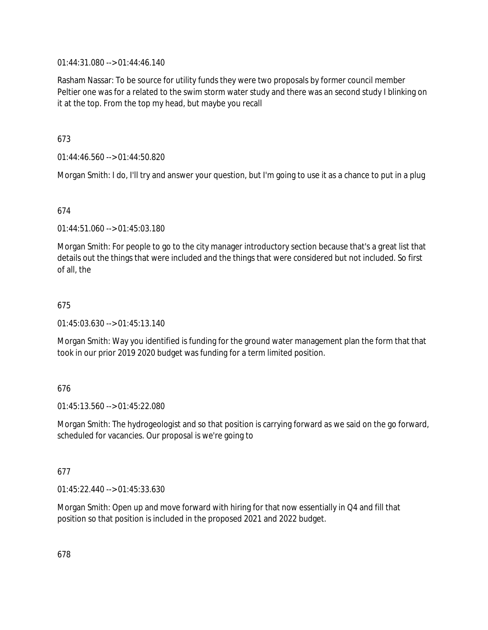01:44:31.080 --> 01:44:46.140

Rasham Nassar: To be source for utility funds they were two proposals by former council member Peltier one was for a related to the swim storm water study and there was an second study I blinking on it at the top. From the top my head, but maybe you recall

## 673

01:44:46.560 --> 01:44:50.820

Morgan Smith: I do, I'll try and answer your question, but I'm going to use it as a chance to put in a plug

## 674

01:44:51.060 --> 01:45:03.180

Morgan Smith: For people to go to the city manager introductory section because that's a great list that details out the things that were included and the things that were considered but not included. So first of all, the

## 675

01:45:03.630 --> 01:45:13.140

Morgan Smith: Way you identified is funding for the ground water management plan the form that that took in our prior 2019 2020 budget was funding for a term limited position.

## 676

01:45:13.560 --> 01:45:22.080

Morgan Smith: The hydrogeologist and so that position is carrying forward as we said on the go forward, scheduled for vacancies. Our proposal is we're going to

#### 677

01:45:22.440 --> 01:45:33.630

Morgan Smith: Open up and move forward with hiring for that now essentially in Q4 and fill that position so that position is included in the proposed 2021 and 2022 budget.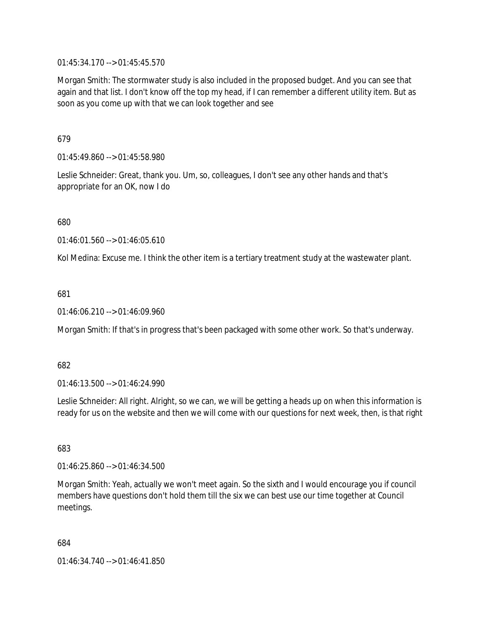01:45:34.170 --> 01:45:45.570

Morgan Smith: The stormwater study is also included in the proposed budget. And you can see that again and that list. I don't know off the top my head, if I can remember a different utility item. But as soon as you come up with that we can look together and see

679

01:45:49.860 --> 01:45:58.980

Leslie Schneider: Great, thank you. Um, so, colleagues, I don't see any other hands and that's appropriate for an OK, now I do

680

01:46:01.560 --> 01:46:05.610

Kol Medina: Excuse me. I think the other item is a tertiary treatment study at the wastewater plant.

681

01:46:06.210 --> 01:46:09.960

Morgan Smith: If that's in progress that's been packaged with some other work. So that's underway.

682

01:46:13.500 --> 01:46:24.990

Leslie Schneider: All right. Alright, so we can, we will be getting a heads up on when this information is ready for us on the website and then we will come with our questions for next week, then, is that right

683

01:46:25.860 --> 01:46:34.500

Morgan Smith: Yeah, actually we won't meet again. So the sixth and I would encourage you if council members have questions don't hold them till the six we can best use our time together at Council meetings.

684

01:46:34.740 --> 01:46:41.850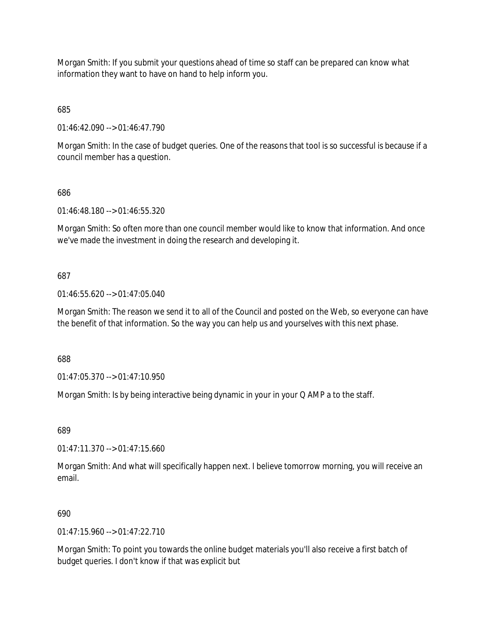Morgan Smith: If you submit your questions ahead of time so staff can be prepared can know what information they want to have on hand to help inform you.

685

01:46:42.090 --> 01:46:47.790

Morgan Smith: In the case of budget queries. One of the reasons that tool is so successful is because if a council member has a question.

686

01:46:48.180 --> 01:46:55.320

Morgan Smith: So often more than one council member would like to know that information. And once we've made the investment in doing the research and developing it.

687

01:46:55.620 --> 01:47:05.040

Morgan Smith: The reason we send it to all of the Council and posted on the Web, so everyone can have the benefit of that information. So the way you can help us and yourselves with this next phase.

688

01:47:05.370 --> 01:47:10.950

Morgan Smith: Is by being interactive being dynamic in your in your Q AMP a to the staff.

689

01:47:11.370 --> 01:47:15.660

Morgan Smith: And what will specifically happen next. I believe tomorrow morning, you will receive an email.

690

 $01:47:15.960 \rightarrow 01:47:22.710$ 

Morgan Smith: To point you towards the online budget materials you'll also receive a first batch of budget queries. I don't know if that was explicit but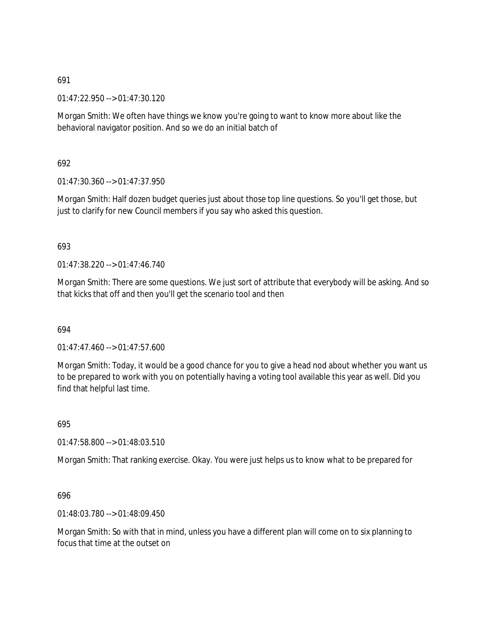01:47:22.950 --> 01:47:30.120

Morgan Smith: We often have things we know you're going to want to know more about like the behavioral navigator position. And so we do an initial batch of

692

 $01:47:30.360 \rightarrow 01:47:37.950$ 

Morgan Smith: Half dozen budget queries just about those top line questions. So you'll get those, but just to clarify for new Council members if you say who asked this question.

#### 693

01:47:38.220 --> 01:47:46.740

Morgan Smith: There are some questions. We just sort of attribute that everybody will be asking. And so that kicks that off and then you'll get the scenario tool and then

694

01:47:47.460 --> 01:47:57.600

Morgan Smith: Today, it would be a good chance for you to give a head nod about whether you want us to be prepared to work with you on potentially having a voting tool available this year as well. Did you find that helpful last time.

695

01:47:58.800 --> 01:48:03.510

Morgan Smith: That ranking exercise. Okay. You were just helps us to know what to be prepared for

696

01:48:03.780 --> 01:48:09.450

Morgan Smith: So with that in mind, unless you have a different plan will come on to six planning to focus that time at the outset on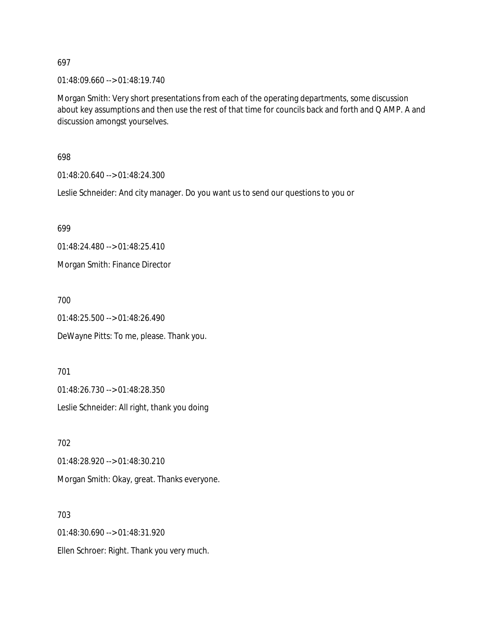01:48:09.660 --> 01:48:19.740

Morgan Smith: Very short presentations from each of the operating departments, some discussion about key assumptions and then use the rest of that time for councils back and forth and Q AMP. A and discussion amongst yourselves.

698

01:48:20.640 --> 01:48:24.300

Leslie Schneider: And city manager. Do you want us to send our questions to you or

699

01:48:24.480 --> 01:48:25.410 Morgan Smith: Finance Director

700

01:48:25.500 --> 01:48:26.490

DeWayne Pitts: To me, please. Thank you.

701 01:48:26.730 --> 01:48:28.350 Leslie Schneider: All right, thank you doing

702 01:48:28.920 --> 01:48:30.210 Morgan Smith: Okay, great. Thanks everyone.

703 01:48:30.690 --> 01:48:31.920 Ellen Schroer: Right. Thank you very much.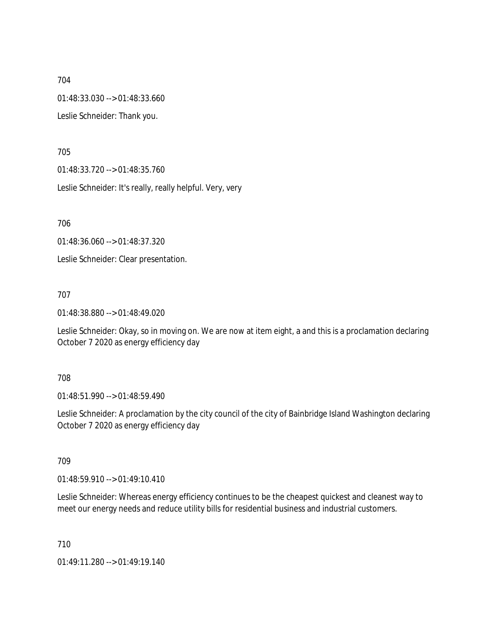704 01:48:33.030 --> 01:48:33.660 Leslie Schneider: Thank you.

705

01:48:33.720 --> 01:48:35.760

Leslie Schneider: It's really, really helpful. Very, very

706

01:48:36.060 --> 01:48:37.320

Leslie Schneider: Clear presentation.

707

01:48:38.880 --> 01:48:49.020

Leslie Schneider: Okay, so in moving on. We are now at item eight, a and this is a proclamation declaring October 7 2020 as energy efficiency day

708

01:48:51.990 --> 01:48:59.490

Leslie Schneider: A proclamation by the city council of the city of Bainbridge Island Washington declaring October 7 2020 as energy efficiency day

709

01:48:59.910 --> 01:49:10.410

Leslie Schneider: Whereas energy efficiency continues to be the cheapest quickest and cleanest way to meet our energy needs and reduce utility bills for residential business and industrial customers.

710

01:49:11.280 --> 01:49:19.140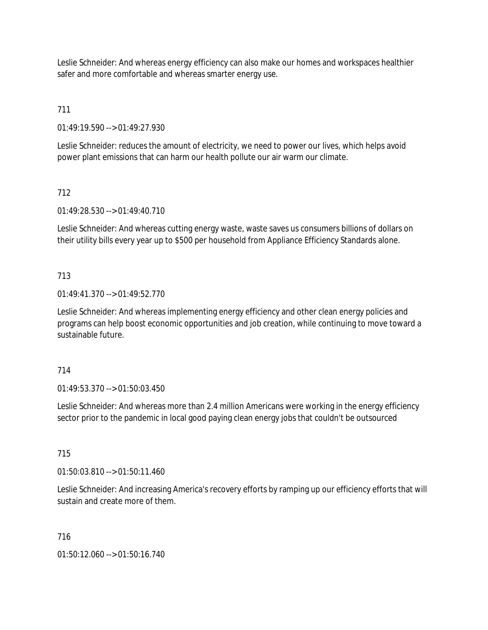Leslie Schneider: And whereas energy efficiency can also make our homes and workspaces healthier safer and more comfortable and whereas smarter energy use.

# 711

01:49:19.590 --> 01:49:27.930

Leslie Schneider: reduces the amount of electricity, we need to power our lives, which helps avoid power plant emissions that can harm our health pollute our air warm our climate.

# 712

01:49:28.530 --> 01:49:40.710

Leslie Schneider: And whereas cutting energy waste, waste saves us consumers billions of dollars on their utility bills every year up to \$500 per household from Appliance Efficiency Standards alone.

## 713

01:49:41.370 --> 01:49:52.770

Leslie Schneider: And whereas implementing energy efficiency and other clean energy policies and programs can help boost economic opportunities and job creation, while continuing to move toward a sustainable future.

## 714

01:49:53.370 --> 01:50:03.450

Leslie Schneider: And whereas more than 2.4 million Americans were working in the energy efficiency sector prior to the pandemic in local good paying clean energy jobs that couldn't be outsourced

## 715

01:50:03.810 --> 01:50:11.460

Leslie Schneider: And increasing America's recovery efforts by ramping up our efficiency efforts that will sustain and create more of them.

## 716

01:50:12.060 --> 01:50:16.740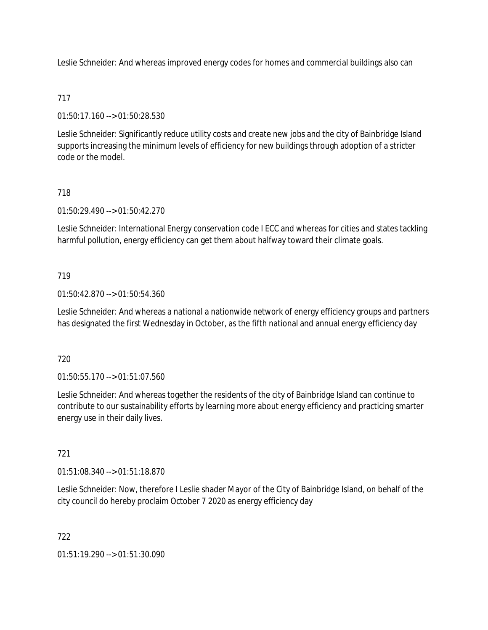Leslie Schneider: And whereas improved energy codes for homes and commercial buildings also can

## 717

01:50:17.160 --> 01:50:28.530

Leslie Schneider: Significantly reduce utility costs and create new jobs and the city of Bainbridge Island supports increasing the minimum levels of efficiency for new buildings through adoption of a stricter code or the model.

## 718

01:50:29.490 --> 01:50:42.270

Leslie Schneider: International Energy conservation code I ECC and whereas for cities and states tackling harmful pollution, energy efficiency can get them about halfway toward their climate goals.

## 719

01:50:42.870 --> 01:50:54.360

Leslie Schneider: And whereas a national a nationwide network of energy efficiency groups and partners has designated the first Wednesday in October, as the fifth national and annual energy efficiency day

#### 720

01:50:55.170 --> 01:51:07.560

Leslie Schneider: And whereas together the residents of the city of Bainbridge Island can continue to contribute to our sustainability efforts by learning more about energy efficiency and practicing smarter energy use in their daily lives.

#### 721

01:51:08.340 --> 01:51:18.870

Leslie Schneider: Now, therefore I Leslie shader Mayor of the City of Bainbridge Island, on behalf of the city council do hereby proclaim October 7 2020 as energy efficiency day

#### 722

01:51:19.290 --> 01:51:30.090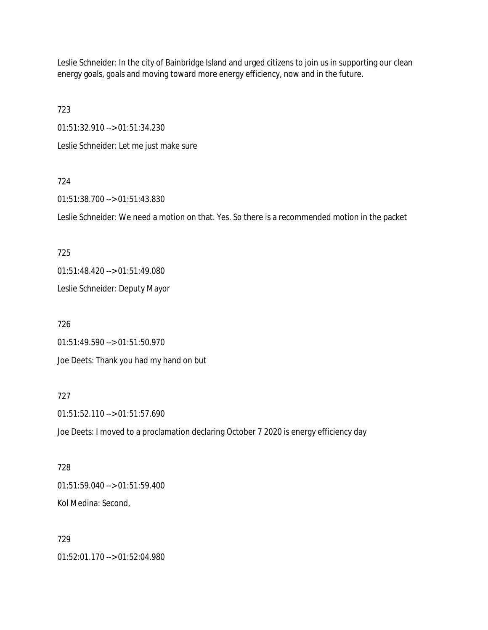Leslie Schneider: In the city of Bainbridge Island and urged citizens to join us in supporting our clean energy goals, goals and moving toward more energy efficiency, now and in the future.

723

01:51:32.910 --> 01:51:34.230

Leslie Schneider: Let me just make sure

## 724

01:51:38.700 --> 01:51:43.830

Leslie Schneider: We need a motion on that. Yes. So there is a recommended motion in the packet

## 725

01:51:48.420 --> 01:51:49.080

Leslie Schneider: Deputy Mayor

726 01:51:49.590 --> 01:51:50.970 Joe Deets: Thank you had my hand on but

## 727

01:51:52.110 --> 01:51:57.690

Joe Deets: I moved to a proclamation declaring October 7 2020 is energy efficiency day

# 728 01:51:59.040 --> 01:51:59.400 Kol Medina: Second,

729 01:52:01.170 --> 01:52:04.980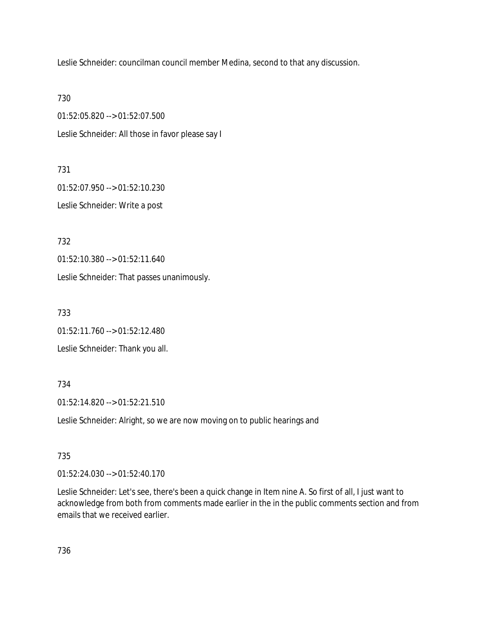Leslie Schneider: councilman council member Medina, second to that any discussion.

730

01:52:05.820 --> 01:52:07.500 Leslie Schneider: All those in favor please say I

731

01:52:07.950 --> 01:52:10.230 Leslie Schneider: Write a post

732

01:52:10.380 --> 01:52:11.640

Leslie Schneider: That passes unanimously.

733

01:52:11.760 --> 01:52:12.480

Leslie Schneider: Thank you all.

734

01:52:14.820 --> 01:52:21.510

Leslie Schneider: Alright, so we are now moving on to public hearings and

735

01:52:24.030 --> 01:52:40.170

Leslie Schneider: Let's see, there's been a quick change in Item nine A. So first of all, I just want to acknowledge from both from comments made earlier in the in the public comments section and from emails that we received earlier.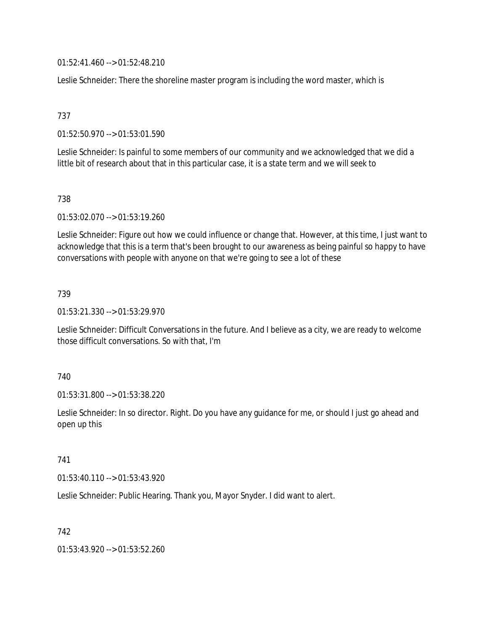01:52:41.460 --> 01:52:48.210

Leslie Schneider: There the shoreline master program is including the word master, which is

737

01:52:50.970 --> 01:53:01.590

Leslie Schneider: Is painful to some members of our community and we acknowledged that we did a little bit of research about that in this particular case, it is a state term and we will seek to

738

01:53:02.070 --> 01:53:19.260

Leslie Schneider: Figure out how we could influence or change that. However, at this time, I just want to acknowledge that this is a term that's been brought to our awareness as being painful so happy to have conversations with people with anyone on that we're going to see a lot of these

739

01:53:21.330 --> 01:53:29.970

Leslie Schneider: Difficult Conversations in the future. And I believe as a city, we are ready to welcome those difficult conversations. So with that, I'm

740

01:53:31.800 --> 01:53:38.220

Leslie Schneider: In so director. Right. Do you have any guidance for me, or should I just go ahead and open up this

741

01:53:40.110 --> 01:53:43.920

Leslie Schneider: Public Hearing. Thank you, Mayor Snyder. I did want to alert.

742

01:53:43.920 --> 01:53:52.260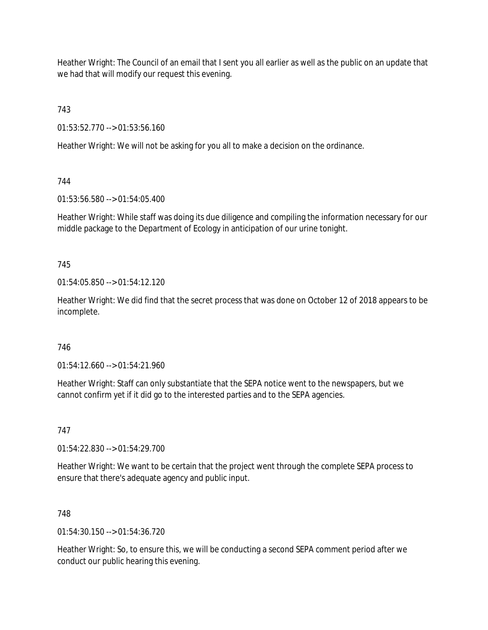Heather Wright: The Council of an email that I sent you all earlier as well as the public on an update that we had that will modify our request this evening.

743

01:53:52.770 --> 01:53:56.160

Heather Wright: We will not be asking for you all to make a decision on the ordinance.

## 744

01:53:56.580 --> 01:54:05.400

Heather Wright: While staff was doing its due diligence and compiling the information necessary for our middle package to the Department of Ecology in anticipation of our urine tonight.

## 745

 $01:54:05.850 \rightarrow 01:54:12.120$ 

Heather Wright: We did find that the secret process that was done on October 12 of 2018 appears to be incomplete.

## 746

01:54:12.660 --> 01:54:21.960

Heather Wright: Staff can only substantiate that the SEPA notice went to the newspapers, but we cannot confirm yet if it did go to the interested parties and to the SEPA agencies.

## 747

01:54:22.830 --> 01:54:29.700

Heather Wright: We want to be certain that the project went through the complete SEPA process to ensure that there's adequate agency and public input.

#### 748

 $01:54:30.150 \rightarrow 01:54:36.720$ 

Heather Wright: So, to ensure this, we will be conducting a second SEPA comment period after we conduct our public hearing this evening.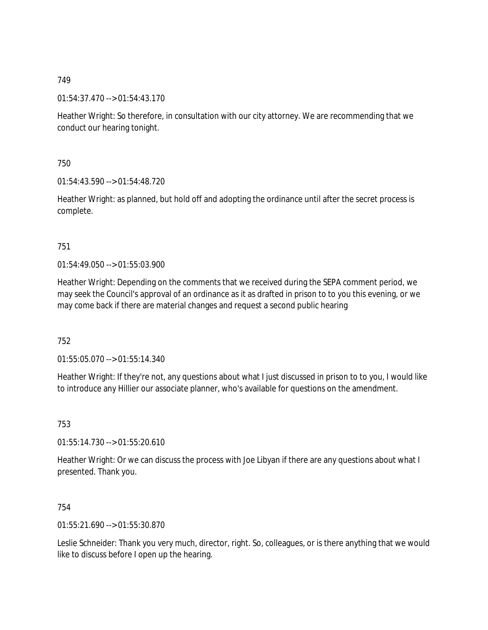01:54:37.470 --> 01:54:43.170

Heather Wright: So therefore, in consultation with our city attorney. We are recommending that we conduct our hearing tonight.

750

01:54:43.590 --> 01:54:48.720

Heather Wright: as planned, but hold off and adopting the ordinance until after the secret process is complete.

## 751

01:54:49.050 --> 01:55:03.900

Heather Wright: Depending on the comments that we received during the SEPA comment period, we may seek the Council's approval of an ordinance as it as drafted in prison to to you this evening, or we may come back if there are material changes and request a second public hearing

752

01:55:05.070 --> 01:55:14.340

Heather Wright: If they're not, any questions about what I just discussed in prison to to you, I would like to introduce any Hillier our associate planner, who's available for questions on the amendment.

753

01:55:14.730 --> 01:55:20.610

Heather Wright: Or we can discuss the process with Joe Libyan if there are any questions about what I presented. Thank you.

754

01:55:21.690 --> 01:55:30.870

Leslie Schneider: Thank you very much, director, right. So, colleagues, or is there anything that we would like to discuss before I open up the hearing.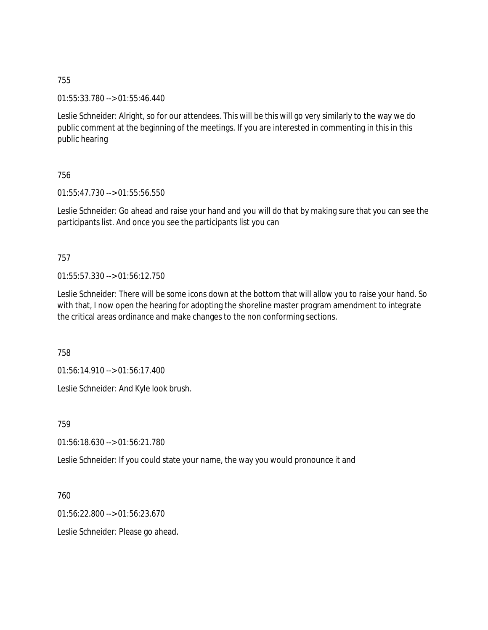01:55:33.780 --> 01:55:46.440

Leslie Schneider: Alright, so for our attendees. This will be this will go very similarly to the way we do public comment at the beginning of the meetings. If you are interested in commenting in this in this public hearing

#### 756

01:55:47.730 --> 01:55:56.550

Leslie Schneider: Go ahead and raise your hand and you will do that by making sure that you can see the participants list. And once you see the participants list you can

## 757

01:55:57.330 --> 01:56:12.750

Leslie Schneider: There will be some icons down at the bottom that will allow you to raise your hand. So with that, I now open the hearing for adopting the shoreline master program amendment to integrate the critical areas ordinance and make changes to the non conforming sections.

758

01:56:14.910 --> 01:56:17.400

Leslie Schneider: And Kyle look brush.

759

01:56:18.630 --> 01:56:21.780

Leslie Schneider: If you could state your name, the way you would pronounce it and

760

01:56:22.800 --> 01:56:23.670

Leslie Schneider: Please go ahead.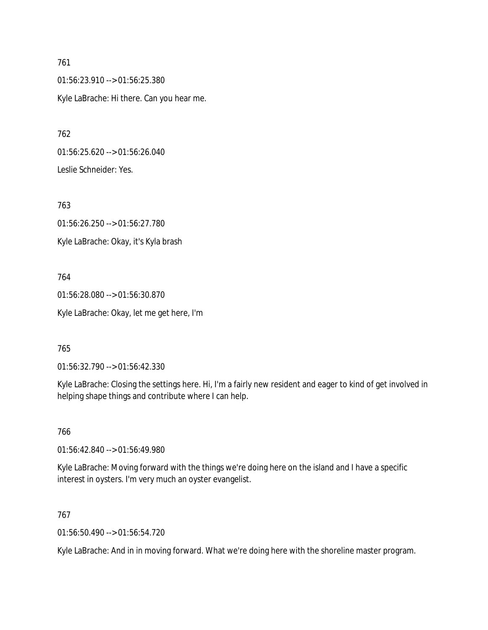762

01:56:23.910 --> 01:56:25.380 Kyle LaBrache: Hi there. Can you hear me.

01:56:25.620 --> 01:56:26.040 Leslie Schneider: Yes.

763 01:56:26.250 --> 01:56:27.780 Kyle LaBrache: Okay, it's Kyla brash

764 01:56:28.080 --> 01:56:30.870 Kyle LaBrache: Okay, let me get here, I'm

765

01:56:32.790 --> 01:56:42.330

Kyle LaBrache: Closing the settings here. Hi, I'm a fairly new resident and eager to kind of get involved in helping shape things and contribute where I can help.

766

01:56:42.840 --> 01:56:49.980

Kyle LaBrache: Moving forward with the things we're doing here on the island and I have a specific interest in oysters. I'm very much an oyster evangelist.

767

01:56:50.490 --> 01:56:54.720

Kyle LaBrache: And in in moving forward. What we're doing here with the shoreline master program.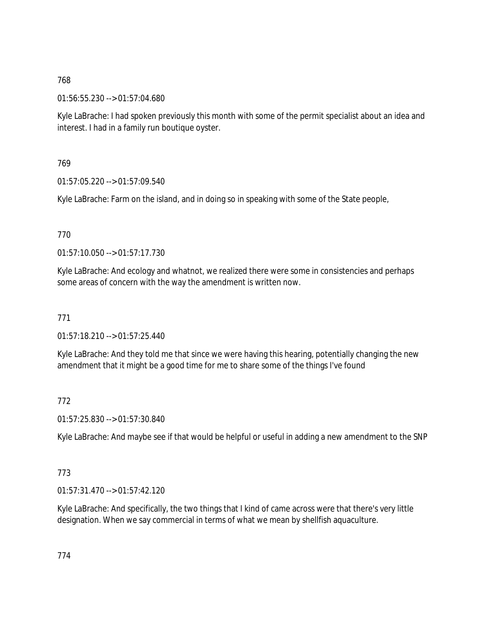01:56:55.230 --> 01:57:04.680

Kyle LaBrache: I had spoken previously this month with some of the permit specialist about an idea and interest. I had in a family run boutique oyster.

## 769

01:57:05.220 --> 01:57:09.540

Kyle LaBrache: Farm on the island, and in doing so in speaking with some of the State people,

# 770

01:57:10.050 --> 01:57:17.730

Kyle LaBrache: And ecology and whatnot, we realized there were some in consistencies and perhaps some areas of concern with the way the amendment is written now.

# 771

01:57:18.210 --> 01:57:25.440

Kyle LaBrache: And they told me that since we were having this hearing, potentially changing the new amendment that it might be a good time for me to share some of the things I've found

## 772

01:57:25.830 --> 01:57:30.840

Kyle LaBrache: And maybe see if that would be helpful or useful in adding a new amendment to the SNP

## 773

01:57:31.470 --> 01:57:42.120

Kyle LaBrache: And specifically, the two things that I kind of came across were that there's very little designation. When we say commercial in terms of what we mean by shellfish aquaculture.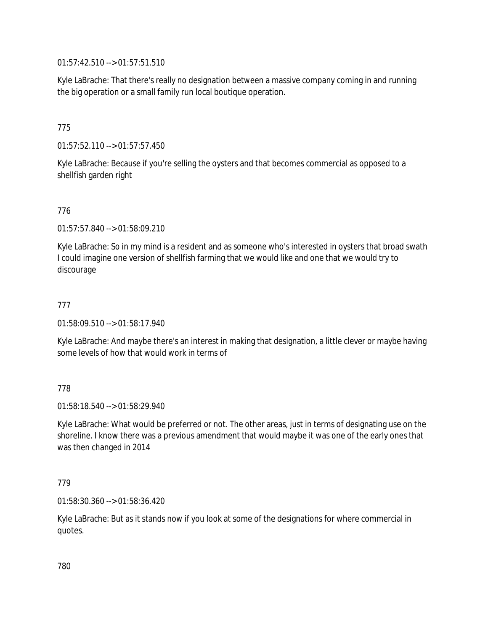01:57:42.510 --> 01:57:51.510

Kyle LaBrache: That there's really no designation between a massive company coming in and running the big operation or a small family run local boutique operation.

## 775

01:57:52.110 --> 01:57:57.450

Kyle LaBrache: Because if you're selling the oysters and that becomes commercial as opposed to a shellfish garden right

## 776

01:57:57.840 --> 01:58:09.210

Kyle LaBrache: So in my mind is a resident and as someone who's interested in oysters that broad swath I could imagine one version of shellfish farming that we would like and one that we would try to discourage

#### 777

01:58:09.510 --> 01:58:17.940

Kyle LaBrache: And maybe there's an interest in making that designation, a little clever or maybe having some levels of how that would work in terms of

#### 778

 $01:58:18.540 \rightarrow 01:58:29.940$ 

Kyle LaBrache: What would be preferred or not. The other areas, just in terms of designating use on the shoreline. I know there was a previous amendment that would maybe it was one of the early ones that was then changed in 2014

#### 779

01:58:30.360 --> 01:58:36.420

Kyle LaBrache: But as it stands now if you look at some of the designations for where commercial in quotes.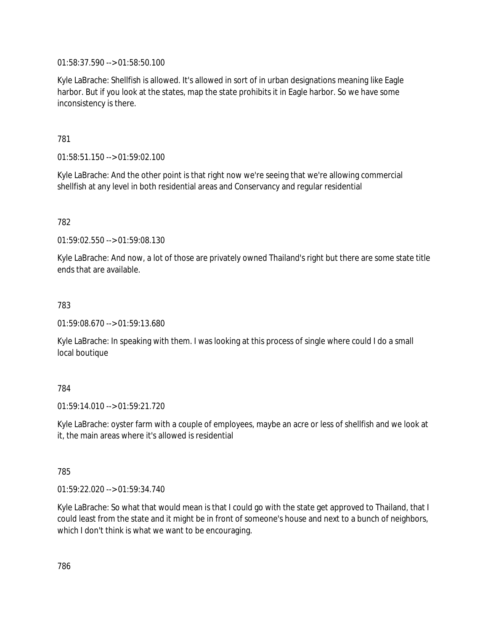01:58:37.590 --> 01:58:50.100

Kyle LaBrache: Shellfish is allowed. It's allowed in sort of in urban designations meaning like Eagle harbor. But if you look at the states, map the state prohibits it in Eagle harbor. So we have some inconsistency is there.

781

01:58:51.150 --> 01:59:02.100

Kyle LaBrache: And the other point is that right now we're seeing that we're allowing commercial shellfish at any level in both residential areas and Conservancy and regular residential

782

01:59:02.550 --> 01:59:08.130

Kyle LaBrache: And now, a lot of those are privately owned Thailand's right but there are some state title ends that are available.

783

01:59:08.670 --> 01:59:13.680

Kyle LaBrache: In speaking with them. I was looking at this process of single where could I do a small local boutique

784

01:59:14.010 --> 01:59:21.720

Kyle LaBrache: oyster farm with a couple of employees, maybe an acre or less of shellfish and we look at it, the main areas where it's allowed is residential

785

01:59:22.020 --> 01:59:34.740

Kyle LaBrache: So what that would mean is that I could go with the state get approved to Thailand, that I could least from the state and it might be in front of someone's house and next to a bunch of neighbors, which I don't think is what we want to be encouraging.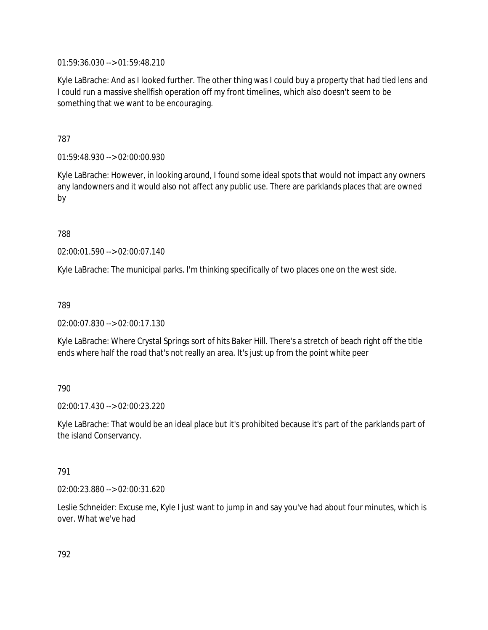01:59:36.030 --> 01:59:48.210

Kyle LaBrache: And as I looked further. The other thing was I could buy a property that had tied lens and I could run a massive shellfish operation off my front timelines, which also doesn't seem to be something that we want to be encouraging.

787

01:59:48.930 --> 02:00:00.930

Kyle LaBrache: However, in looking around, I found some ideal spots that would not impact any owners any landowners and it would also not affect any public use. There are parklands places that are owned by

788

02:00:01.590 --> 02:00:07.140

Kyle LaBrache: The municipal parks. I'm thinking specifically of two places one on the west side.

789

02:00:07.830 --> 02:00:17.130

Kyle LaBrache: Where Crystal Springs sort of hits Baker Hill. There's a stretch of beach right off the title ends where half the road that's not really an area. It's just up from the point white peer

790

02:00:17.430 --> 02:00:23.220

Kyle LaBrache: That would be an ideal place but it's prohibited because it's part of the parklands part of the island Conservancy.

791

02:00:23.880 --> 02:00:31.620

Leslie Schneider: Excuse me, Kyle I just want to jump in and say you've had about four minutes, which is over. What we've had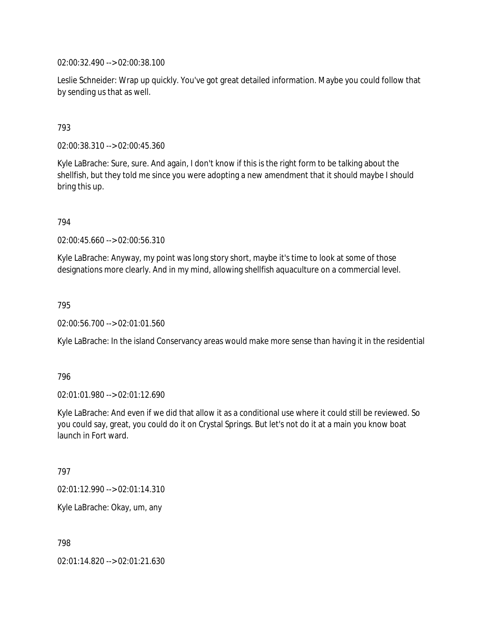02:00:32.490 --> 02:00:38.100

Leslie Schneider: Wrap up quickly. You've got great detailed information. Maybe you could follow that by sending us that as well.

#### 793

02:00:38.310 --> 02:00:45.360

Kyle LaBrache: Sure, sure. And again, I don't know if this is the right form to be talking about the shellfish, but they told me since you were adopting a new amendment that it should maybe I should bring this up.

794

02:00:45.660 --> 02:00:56.310

Kyle LaBrache: Anyway, my point was long story short, maybe it's time to look at some of those designations more clearly. And in my mind, allowing shellfish aquaculture on a commercial level.

795

02:00:56.700 --> 02:01:01.560

Kyle LaBrache: In the island Conservancy areas would make more sense than having it in the residential

796

02:01:01.980 --> 02:01:12.690

Kyle LaBrache: And even if we did that allow it as a conditional use where it could still be reviewed. So you could say, great, you could do it on Crystal Springs. But let's not do it at a main you know boat launch in Fort ward.

797

02:01:12.990 --> 02:01:14.310

Kyle LaBrache: Okay, um, any

798

02:01:14.820 --> 02:01:21.630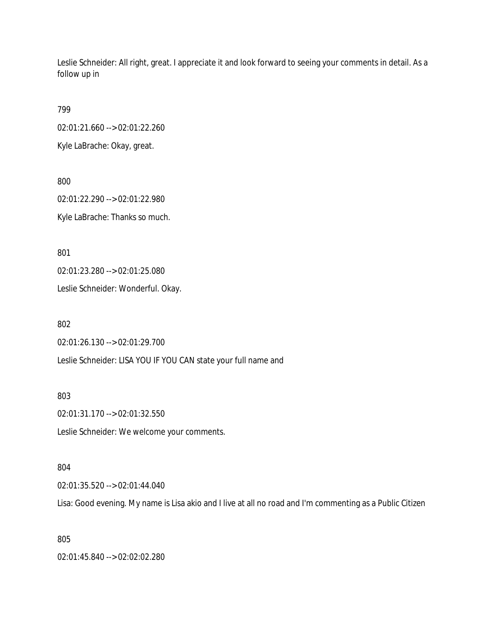Leslie Schneider: All right, great. I appreciate it and look forward to seeing your comments in detail. As a follow up in

799

02:01:21.660 --> 02:01:22.260

Kyle LaBrache: Okay, great.

800

02:01:22.290 --> 02:01:22.980 Kyle LaBrache: Thanks so much.

801

02:01:23.280 --> 02:01:25.080

Leslie Schneider: Wonderful. Okay.

802

02:01:26.130 --> 02:01:29.700

Leslie Schneider: LISA YOU IF YOU CAN state your full name and

803

02:01:31.170 --> 02:01:32.550

Leslie Schneider: We welcome your comments.

#### 804

02:01:35.520 --> 02:01:44.040

Lisa: Good evening. My name is Lisa akio and I live at all no road and I'm commenting as a Public Citizen

805

02:01:45.840 --> 02:02:02.280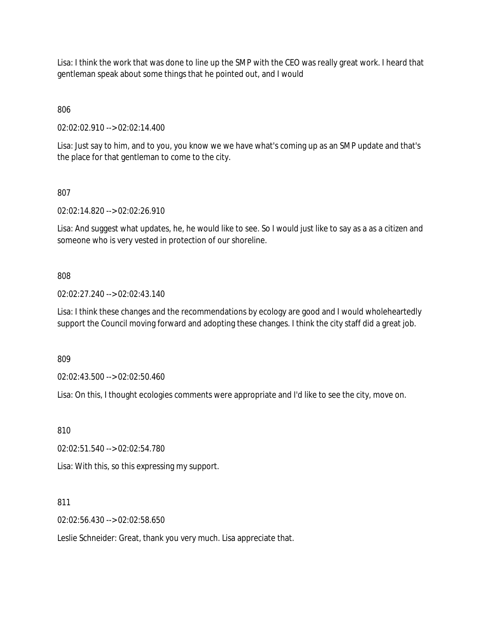Lisa: I think the work that was done to line up the SMP with the CEO was really great work. I heard that gentleman speak about some things that he pointed out, and I would

806

02:02:02.910 --> 02:02:14.400

Lisa: Just say to him, and to you, you know we we have what's coming up as an SMP update and that's the place for that gentleman to come to the city.

807

02:02:14.820 --> 02:02:26.910

Lisa: And suggest what updates, he, he would like to see. So I would just like to say as a as a citizen and someone who is very vested in protection of our shoreline.

808

02:02:27.240 --> 02:02:43.140

Lisa: I think these changes and the recommendations by ecology are good and I would wholeheartedly support the Council moving forward and adopting these changes. I think the city staff did a great job.

809

02:02:43.500 --> 02:02:50.460

Lisa: On this, I thought ecologies comments were appropriate and I'd like to see the city, move on.

810

02:02:51.540 --> 02:02:54.780

Lisa: With this, so this expressing my support.

811

02:02:56.430 --> 02:02:58.650

Leslie Schneider: Great, thank you very much. Lisa appreciate that.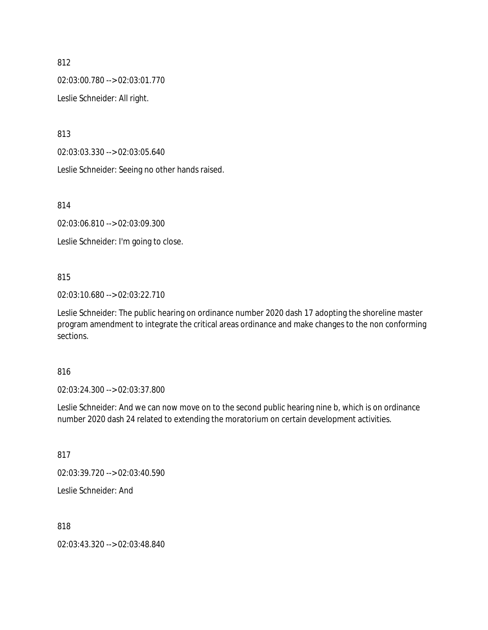02:03:00.780 --> 02:03:01.770

Leslie Schneider: All right.

813

02:03:03.330 --> 02:03:05.640

Leslie Schneider: Seeing no other hands raised.

814

02:03:06.810 --> 02:03:09.300

Leslie Schneider: I'm going to close.

#### 815

02:03:10.680 --> 02:03:22.710

Leslie Schneider: The public hearing on ordinance number 2020 dash 17 adopting the shoreline master program amendment to integrate the critical areas ordinance and make changes to the non conforming sections.

#### 816

02:03:24.300 --> 02:03:37.800

Leslie Schneider: And we can now move on to the second public hearing nine b, which is on ordinance number 2020 dash 24 related to extending the moratorium on certain development activities.

817

02:03:39.720 --> 02:03:40.590

Leslie Schneider: And

818

02:03:43.320 --> 02:03:48.840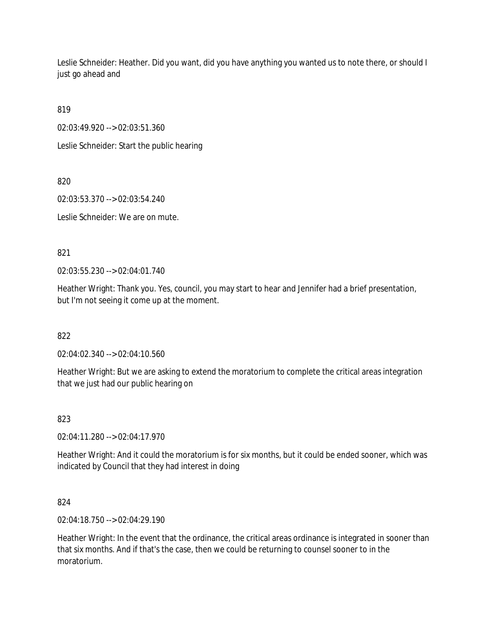Leslie Schneider: Heather. Did you want, did you have anything you wanted us to note there, or should I just go ahead and

819

02:03:49.920 --> 02:03:51.360

Leslie Schneider: Start the public hearing

820

02:03:53.370 --> 02:03:54.240

Leslie Schneider: We are on mute.

821

02:03:55.230 --> 02:04:01.740

Heather Wright: Thank you. Yes, council, you may start to hear and Jennifer had a brief presentation, but I'm not seeing it come up at the moment.

822

02:04:02.340 --> 02:04:10.560

Heather Wright: But we are asking to extend the moratorium to complete the critical areas integration that we just had our public hearing on

823

02:04:11.280 --> 02:04:17.970

Heather Wright: And it could the moratorium is for six months, but it could be ended sooner, which was indicated by Council that they had interest in doing

824

02:04:18.750 --> 02:04:29.190

Heather Wright: In the event that the ordinance, the critical areas ordinance is integrated in sooner than that six months. And if that's the case, then we could be returning to counsel sooner to in the moratorium.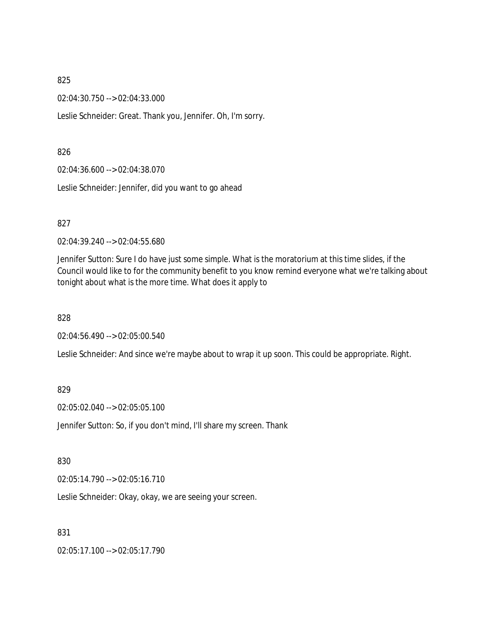02:04:30.750 --> 02:04:33.000

Leslie Schneider: Great. Thank you, Jennifer. Oh, I'm sorry.

#### 826

02:04:36.600 --> 02:04:38.070

Leslie Schneider: Jennifer, did you want to go ahead

#### 827

02:04:39.240 --> 02:04:55.680

Jennifer Sutton: Sure I do have just some simple. What is the moratorium at this time slides, if the Council would like to for the community benefit to you know remind everyone what we're talking about tonight about what is the more time. What does it apply to

828

02:04:56.490 --> 02:05:00.540

Leslie Schneider: And since we're maybe about to wrap it up soon. This could be appropriate. Right.

#### 829

02:05:02.040 --> 02:05:05.100

Jennifer Sutton: So, if you don't mind, I'll share my screen. Thank

#### 830

02:05:14.790 --> 02:05:16.710

Leslie Schneider: Okay, okay, we are seeing your screen.

831

02:05:17.100 --> 02:05:17.790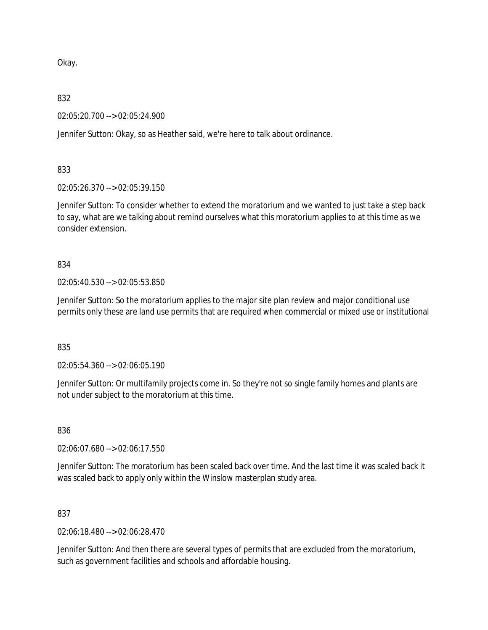Okay.

#### 832

02:05:20.700 --> 02:05:24.900

Jennifer Sutton: Okay, so as Heather said, we're here to talk about ordinance.

## 833

02:05:26.370 --> 02:05:39.150

Jennifer Sutton: To consider whether to extend the moratorium and we wanted to just take a step back to say, what are we talking about remind ourselves what this moratorium applies to at this time as we consider extension.

## 834

02:05:40.530 --> 02:05:53.850

Jennifer Sutton: So the moratorium applies to the major site plan review and major conditional use permits only these are land use permits that are required when commercial or mixed use or institutional

#### 835

02:05:54.360 --> 02:06:05.190

Jennifer Sutton: Or multifamily projects come in. So they're not so single family homes and plants are not under subject to the moratorium at this time.

## 836

02:06:07.680 --> 02:06:17.550

Jennifer Sutton: The moratorium has been scaled back over time. And the last time it was scaled back it was scaled back to apply only within the Winslow masterplan study area.

## 837

02:06:18.480 --> 02:06:28.470

Jennifer Sutton: And then there are several types of permits that are excluded from the moratorium, such as government facilities and schools and affordable housing.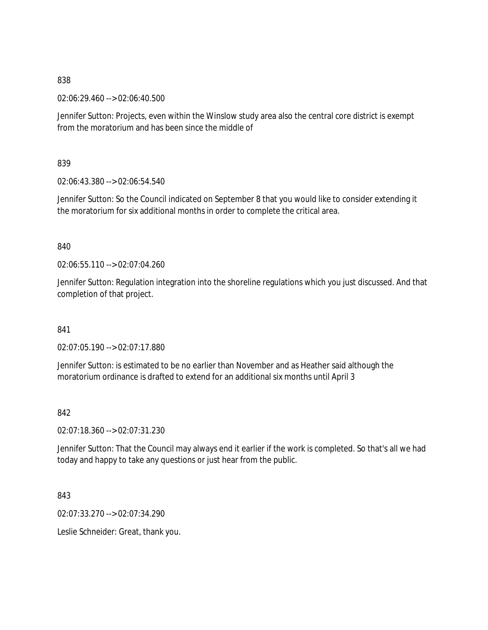02:06:29.460 --> 02:06:40.500

Jennifer Sutton: Projects, even within the Winslow study area also the central core district is exempt from the moratorium and has been since the middle of

839

02:06:43.380 --> 02:06:54.540

Jennifer Sutton: So the Council indicated on September 8 that you would like to consider extending it the moratorium for six additional months in order to complete the critical area.

840

02:06:55.110 --> 02:07:04.260

Jennifer Sutton: Regulation integration into the shoreline regulations which you just discussed. And that completion of that project.

841

02:07:05.190 --> 02:07:17.880

Jennifer Sutton: is estimated to be no earlier than November and as Heather said although the moratorium ordinance is drafted to extend for an additional six months until April 3

842

02:07:18.360 --> 02:07:31.230

Jennifer Sutton: That the Council may always end it earlier if the work is completed. So that's all we had today and happy to take any questions or just hear from the public.

843

02:07:33.270 --> 02:07:34.290

Leslie Schneider: Great, thank you.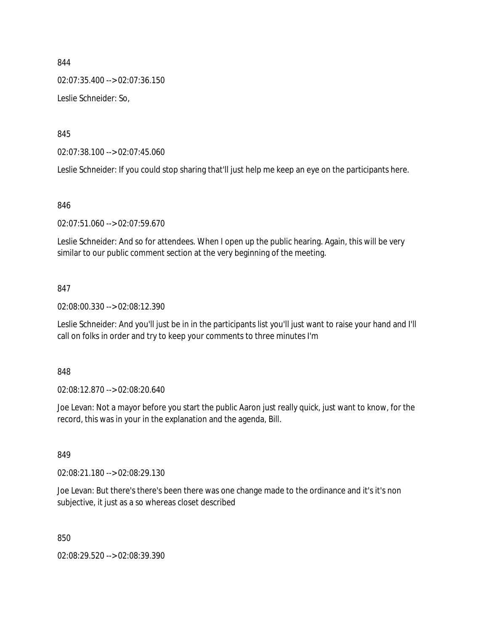02:07:35.400 --> 02:07:36.150

Leslie Schneider: So,

845

02:07:38.100 --> 02:07:45.060

Leslie Schneider: If you could stop sharing that'll just help me keep an eye on the participants here.

#### 846

02:07:51.060 --> 02:07:59.670

Leslie Schneider: And so for attendees. When I open up the public hearing. Again, this will be very similar to our public comment section at the very beginning of the meeting.

#### 847

02:08:00.330 --> 02:08:12.390

Leslie Schneider: And you'll just be in in the participants list you'll just want to raise your hand and I'll call on folks in order and try to keep your comments to three minutes I'm

#### 848

02:08:12.870 --> 02:08:20.640

Joe Levan: Not a mayor before you start the public Aaron just really quick, just want to know, for the record, this was in your in the explanation and the agenda, Bill.

## 849

02:08:21.180 --> 02:08:29.130

Joe Levan: But there's there's been there was one change made to the ordinance and it's it's non subjective, it just as a so whereas closet described

850

02:08:29.520 --> 02:08:39.390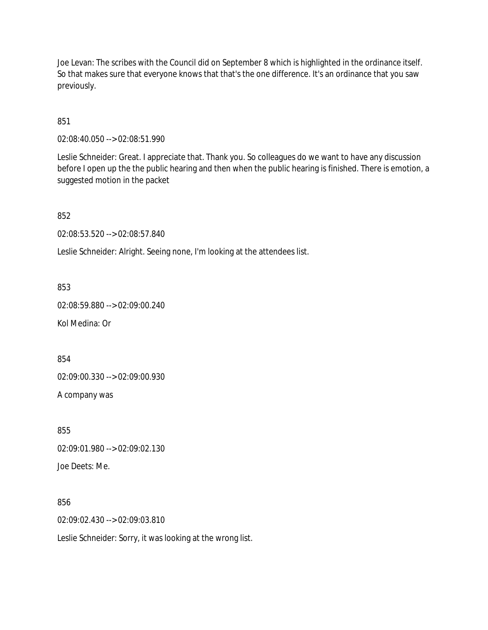Joe Levan: The scribes with the Council did on September 8 which is highlighted in the ordinance itself. So that makes sure that everyone knows that that's the one difference. It's an ordinance that you saw previously.

851

02:08:40.050 --> 02:08:51.990

Leslie Schneider: Great. I appreciate that. Thank you. So colleagues do we want to have any discussion before I open up the the public hearing and then when the public hearing is finished. There is emotion, a suggested motion in the packet

852

02:08:53.520 --> 02:08:57.840

Leslie Schneider: Alright. Seeing none, I'm looking at the attendees list.

853

02:08:59.880 --> 02:09:00.240

Kol Medina: Or

854

02:09:00.330 --> 02:09:00.930

A company was

855 02:09:01.980 --> 02:09:02.130 Joe Deets: Me.

856

02:09:02.430 --> 02:09:03.810

Leslie Schneider: Sorry, it was looking at the wrong list.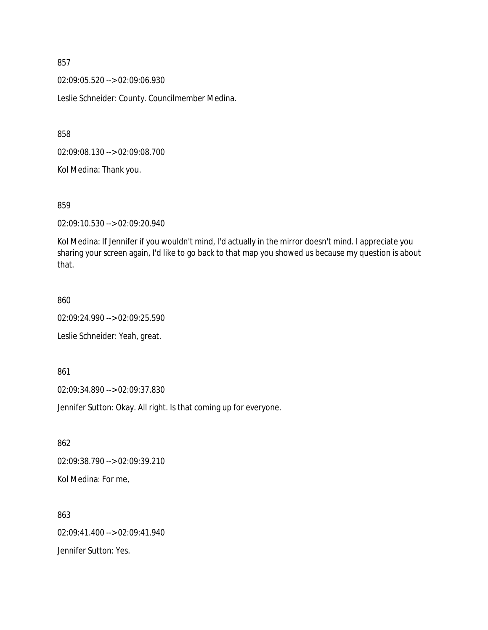02:09:05.520 --> 02:09:06.930

Leslie Schneider: County. Councilmember Medina.

858

02:09:08.130 --> 02:09:08.700

Kol Medina: Thank you.

859

02:09:10.530 --> 02:09:20.940

Kol Medina: If Jennifer if you wouldn't mind, I'd actually in the mirror doesn't mind. I appreciate you sharing your screen again, I'd like to go back to that map you showed us because my question is about that.

860

02:09:24.990 --> 02:09:25.590

Leslie Schneider: Yeah, great.

861

02:09:34.890 --> 02:09:37.830

Jennifer Sutton: Okay. All right. Is that coming up for everyone.

862 02:09:38.790 --> 02:09:39.210 Kol Medina: For me,

863 02:09:41.400 --> 02:09:41.940 Jennifer Sutton: Yes.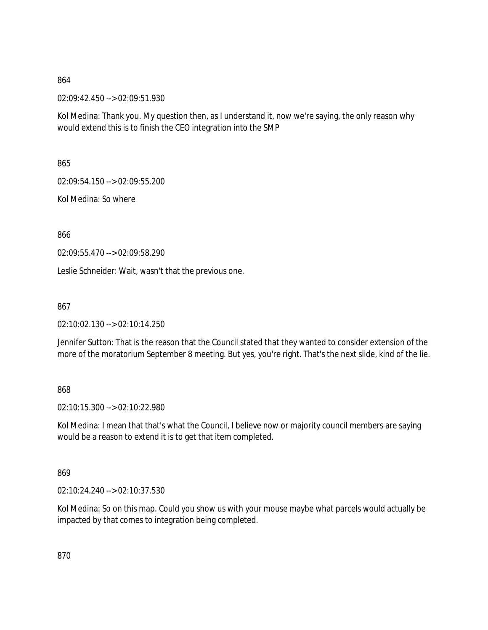02:09:42.450 --> 02:09:51.930

Kol Medina: Thank you. My question then, as I understand it, now we're saying, the only reason why would extend this is to finish the CEO integration into the SMP

865

02:09:54.150 --> 02:09:55.200

Kol Medina: So where

866

02:09:55.470 --> 02:09:58.290

Leslie Schneider: Wait, wasn't that the previous one.

867

02:10:02.130 --> 02:10:14.250

Jennifer Sutton: That is the reason that the Council stated that they wanted to consider extension of the more of the moratorium September 8 meeting. But yes, you're right. That's the next slide, kind of the lie.

868

02:10:15.300 --> 02:10:22.980

Kol Medina: I mean that that's what the Council, I believe now or majority council members are saying would be a reason to extend it is to get that item completed.

869

02:10:24.240 --> 02:10:37.530

Kol Medina: So on this map. Could you show us with your mouse maybe what parcels would actually be impacted by that comes to integration being completed.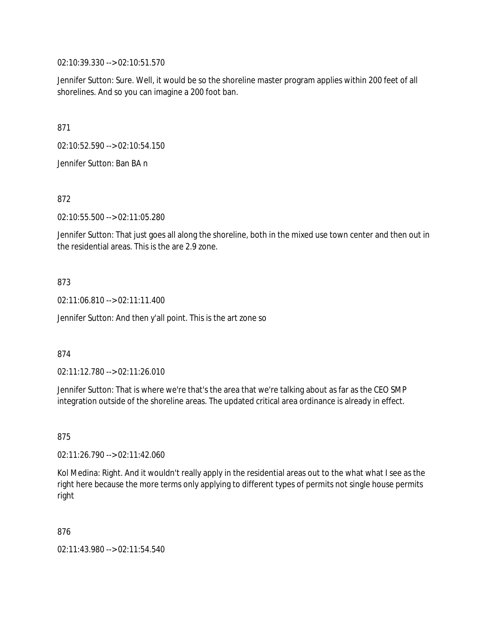02:10:39.330 --> 02:10:51.570

Jennifer Sutton: Sure. Well, it would be so the shoreline master program applies within 200 feet of all shorelines. And so you can imagine a 200 foot ban.

871

02:10:52.590 --> 02:10:54.150

Jennifer Sutton: Ban BA n

872

02:10:55.500 --> 02:11:05.280

Jennifer Sutton: That just goes all along the shoreline, both in the mixed use town center and then out in the residential areas. This is the are 2.9 zone.

## 873

02:11:06.810 --> 02:11:11.400

Jennifer Sutton: And then y'all point. This is the art zone so

#### 874

02:11:12.780 --> 02:11:26.010

Jennifer Sutton: That is where we're that's the area that we're talking about as far as the CEO SMP integration outside of the shoreline areas. The updated critical area ordinance is already in effect.

875

02:11:26.790 --> 02:11:42.060

Kol Medina: Right. And it wouldn't really apply in the residential areas out to the what what I see as the right here because the more terms only applying to different types of permits not single house permits right

876

02:11:43.980 --> 02:11:54.540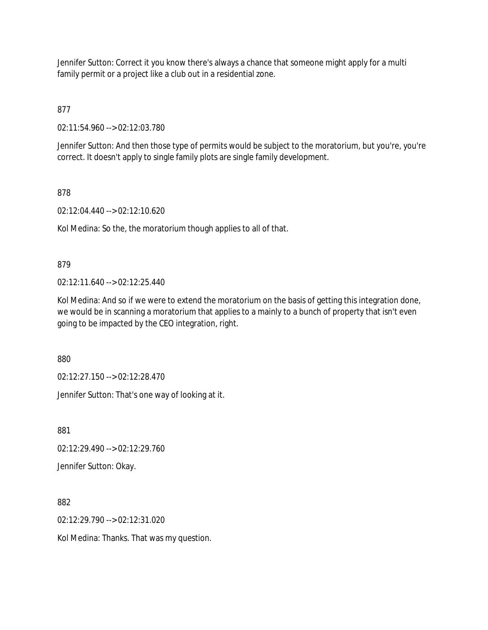Jennifer Sutton: Correct it you know there's always a chance that someone might apply for a multi family permit or a project like a club out in a residential zone.

877

02:11:54.960 --> 02:12:03.780

Jennifer Sutton: And then those type of permits would be subject to the moratorium, but you're, you're correct. It doesn't apply to single family plots are single family development.

## 878

02:12:04.440 --> 02:12:10.620

Kol Medina: So the, the moratorium though applies to all of that.

## 879

02:12:11.640 --> 02:12:25.440

Kol Medina: And so if we were to extend the moratorium on the basis of getting this integration done, we would be in scanning a moratorium that applies to a mainly to a bunch of property that isn't even going to be impacted by the CEO integration, right.

880

02:12:27.150 --> 02:12:28.470

Jennifer Sutton: That's one way of looking at it.

881

02:12:29.490 --> 02:12:29.760

Jennifer Sutton: Okay.

882

02:12:29.790 --> 02:12:31.020

Kol Medina: Thanks. That was my question.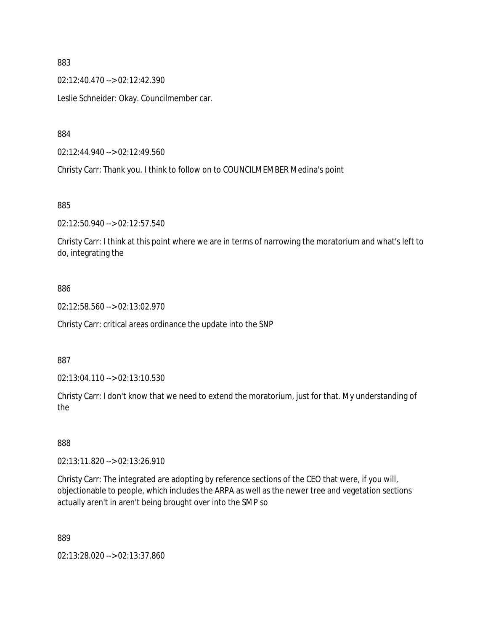02:12:40.470 --> 02:12:42.390

Leslie Schneider: Okay. Councilmember car.

884

02:12:44.940 --> 02:12:49.560

Christy Carr: Thank you. I think to follow on to COUNCILMEMBER Medina's point

885

02:12:50.940 --> 02:12:57.540

Christy Carr: I think at this point where we are in terms of narrowing the moratorium and what's left to do, integrating the

#### 886

02:12:58.560 --> 02:13:02.970

Christy Carr: critical areas ordinance the update into the SNP

887

02:13:04.110 --> 02:13:10.530

Christy Carr: I don't know that we need to extend the moratorium, just for that. My understanding of the

888

02:13:11.820 --> 02:13:26.910

Christy Carr: The integrated are adopting by reference sections of the CEO that were, if you will, objectionable to people, which includes the ARPA as well as the newer tree and vegetation sections actually aren't in aren't being brought over into the SMP so

889

02:13:28.020 --> 02:13:37.860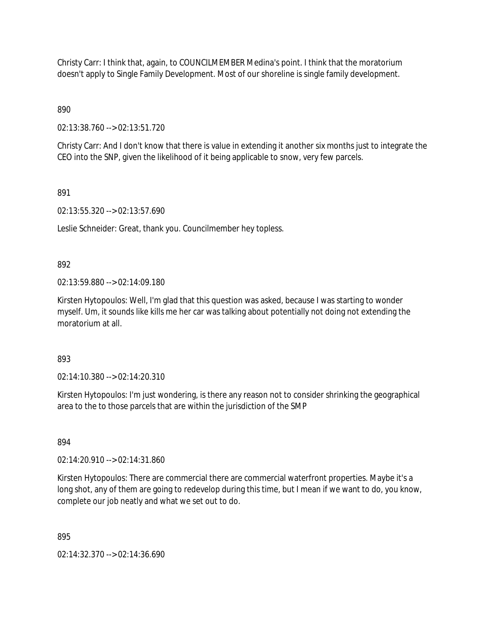Christy Carr: I think that, again, to COUNCILMEMBER Medina's point. I think that the moratorium doesn't apply to Single Family Development. Most of our shoreline is single family development.

890

02:13:38.760 --> 02:13:51.720

Christy Carr: And I don't know that there is value in extending it another six months just to integrate the CEO into the SNP, given the likelihood of it being applicable to snow, very few parcels.

891

02:13:55.320 --> 02:13:57.690

Leslie Schneider: Great, thank you. Councilmember hey topless.

892

02:13:59.880 --> 02:14:09.180

Kirsten Hytopoulos: Well, I'm glad that this question was asked, because I was starting to wonder myself. Um, it sounds like kills me her car was talking about potentially not doing not extending the moratorium at all.

893

02:14:10.380 --> 02:14:20.310

Kirsten Hytopoulos: I'm just wondering, is there any reason not to consider shrinking the geographical area to the to those parcels that are within the jurisdiction of the SMP

894

02:14:20.910 --> 02:14:31.860

Kirsten Hytopoulos: There are commercial there are commercial waterfront properties. Maybe it's a long shot, any of them are going to redevelop during this time, but I mean if we want to do, you know, complete our job neatly and what we set out to do.

895

02:14:32.370 --> 02:14:36.690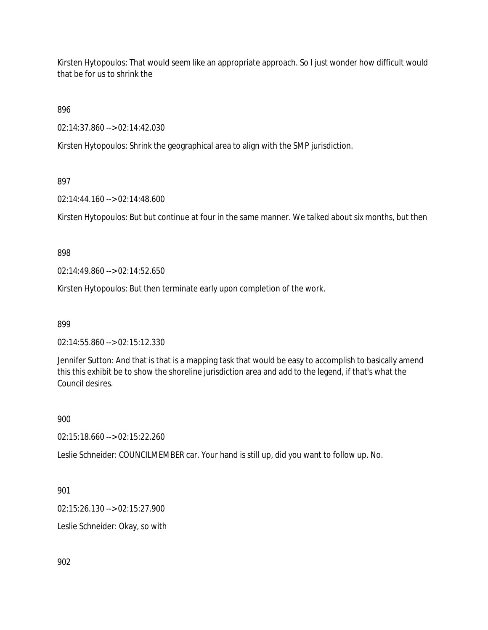Kirsten Hytopoulos: That would seem like an appropriate approach. So I just wonder how difficult would that be for us to shrink the

896

02:14:37.860 --> 02:14:42.030

Kirsten Hytopoulos: Shrink the geographical area to align with the SMP jurisdiction.

## 897

02:14:44.160 --> 02:14:48.600

Kirsten Hytopoulos: But but continue at four in the same manner. We talked about six months, but then

#### 898

02:14:49.860 --> 02:14:52.650

Kirsten Hytopoulos: But then terminate early upon completion of the work.

899

02:14:55.860 --> 02:15:12.330

Jennifer Sutton: And that is that is a mapping task that would be easy to accomplish to basically amend this this exhibit be to show the shoreline jurisdiction area and add to the legend, if that's what the Council desires.

#### 900

02:15:18.660 --> 02:15:22.260

Leslie Schneider: COUNCILMEMBER car. Your hand is still up, did you want to follow up. No.

#### 901

02:15:26.130 --> 02:15:27.900

Leslie Schneider: Okay, so with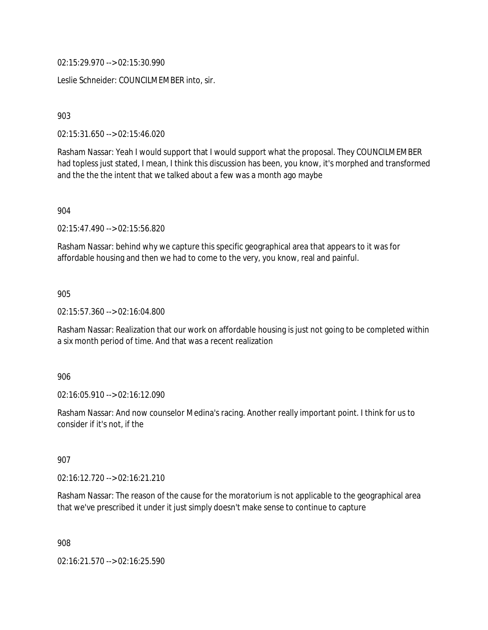02:15:29.970 --> 02:15:30.990

Leslie Schneider: COUNCILMEMBER into, sir.

903

02:15:31.650 --> 02:15:46.020

Rasham Nassar: Yeah I would support that I would support what the proposal. They COUNCILMEMBER had topless just stated, I mean, I think this discussion has been, you know, it's morphed and transformed and the the the intent that we talked about a few was a month ago maybe

904

02:15:47.490 --> 02:15:56.820

Rasham Nassar: behind why we capture this specific geographical area that appears to it was for affordable housing and then we had to come to the very, you know, real and painful.

905

02:15:57.360 --> 02:16:04.800

Rasham Nassar: Realization that our work on affordable housing is just not going to be completed within a six month period of time. And that was a recent realization

906

02:16:05.910 --> 02:16:12.090

Rasham Nassar: And now counselor Medina's racing. Another really important point. I think for us to consider if it's not, if the

907

02:16:12.720 --> 02:16:21.210

Rasham Nassar: The reason of the cause for the moratorium is not applicable to the geographical area that we've prescribed it under it just simply doesn't make sense to continue to capture

908

02:16:21.570 --> 02:16:25.590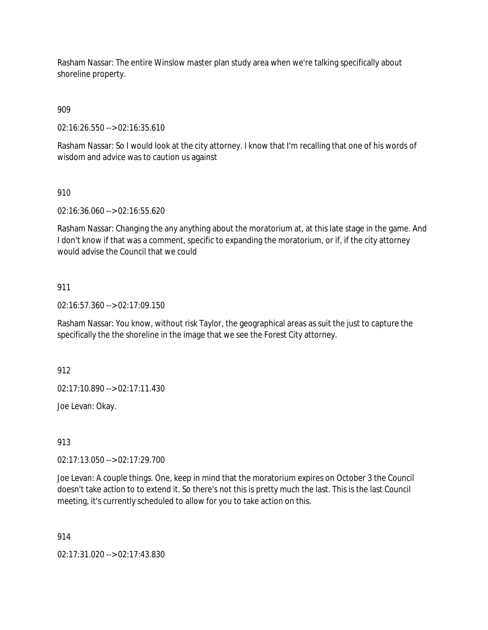Rasham Nassar: The entire Winslow master plan study area when we're talking specifically about shoreline property.

909

02:16:26.550 --> 02:16:35.610

Rasham Nassar: So I would look at the city attorney. I know that I'm recalling that one of his words of wisdom and advice was to caution us against

910

02:16:36.060 --> 02:16:55.620

Rasham Nassar: Changing the any anything about the moratorium at, at this late stage in the game. And I don't know if that was a comment, specific to expanding the moratorium, or if, if the city attorney would advise the Council that we could

## 911

02:16:57.360 --> 02:17:09.150

Rasham Nassar: You know, without risk Taylor, the geographical areas as suit the just to capture the specifically the the shoreline in the image that we see the Forest City attorney.

912

02:17:10.890 --> 02:17:11.430

Joe Levan: Okay.

913

02:17:13.050 --> 02:17:29.700

Joe Levan: A couple things. One, keep in mind that the moratorium expires on October 3 the Council doesn't take action to to extend it. So there's not this is pretty much the last. This is the last Council meeting, it's currently scheduled to allow for you to take action on this.

914

02:17:31.020 --> 02:17:43.830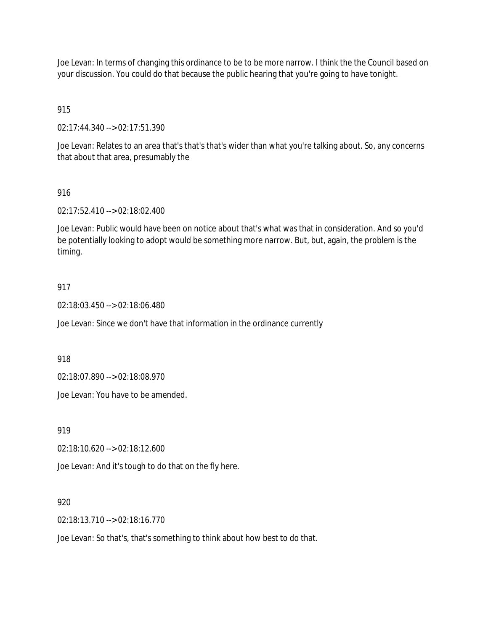Joe Levan: In terms of changing this ordinance to be to be more narrow. I think the the Council based on your discussion. You could do that because the public hearing that you're going to have tonight.

## 915

02:17:44.340 --> 02:17:51.390

Joe Levan: Relates to an area that's that's that's wider than what you're talking about. So, any concerns that about that area, presumably the

## 916

02:17:52.410 --> 02:18:02.400

Joe Levan: Public would have been on notice about that's what was that in consideration. And so you'd be potentially looking to adopt would be something more narrow. But, but, again, the problem is the timing.

## 917

02:18:03.450 --> 02:18:06.480

Joe Levan: Since we don't have that information in the ordinance currently

918

02:18:07.890 --> 02:18:08.970

Joe Levan: You have to be amended.

919

02:18:10.620 --> 02:18:12.600

Joe Levan: And it's tough to do that on the fly here.

## 920

02:18:13.710 --> 02:18:16.770

Joe Levan: So that's, that's something to think about how best to do that.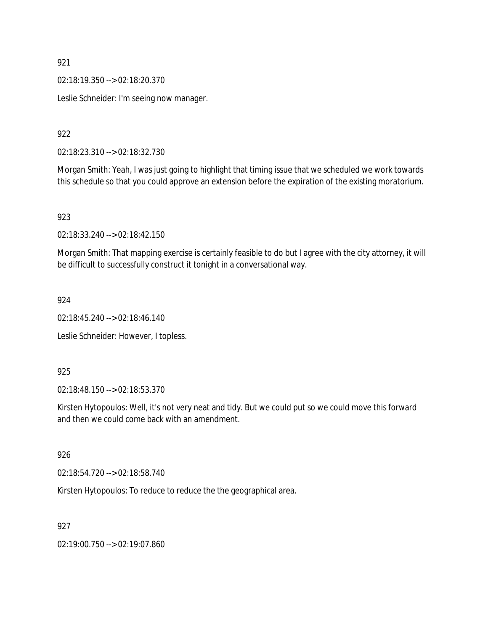02:18:19.350 --> 02:18:20.370

Leslie Schneider: I'm seeing now manager.

922

02:18:23.310 --> 02:18:32.730

Morgan Smith: Yeah, I was just going to highlight that timing issue that we scheduled we work towards this schedule so that you could approve an extension before the expiration of the existing moratorium.

#### 923

02:18:33.240 --> 02:18:42.150

Morgan Smith: That mapping exercise is certainly feasible to do but I agree with the city attorney, it will be difficult to successfully construct it tonight in a conversational way.

#### 924

02:18:45.240 --> 02:18:46.140

Leslie Schneider: However, I topless.

#### 925

02:18:48.150 --> 02:18:53.370

Kirsten Hytopoulos: Well, it's not very neat and tidy. But we could put so we could move this forward and then we could come back with an amendment.

#### 926

02:18:54.720 --> 02:18:58.740

Kirsten Hytopoulos: To reduce to reduce the the geographical area.

## 927

02:19:00.750 --> 02:19:07.860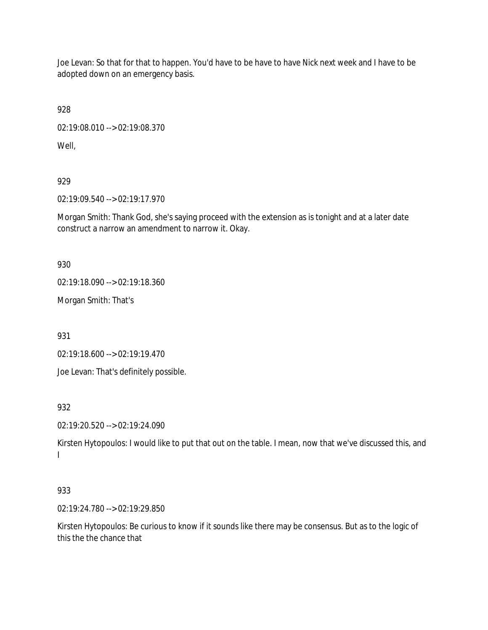Joe Levan: So that for that to happen. You'd have to be have to have Nick next week and I have to be adopted down on an emergency basis.

928

02:19:08.010 --> 02:19:08.370

Well,

929

02:19:09.540 --> 02:19:17.970

Morgan Smith: Thank God, she's saying proceed with the extension as is tonight and at a later date construct a narrow an amendment to narrow it. Okay.

930

02:19:18.090 --> 02:19:18.360

Morgan Smith: That's

931

02:19:18.600 --> 02:19:19.470

Joe Levan: That's definitely possible.

932

02:19:20.520 --> 02:19:24.090

Kirsten Hytopoulos: I would like to put that out on the table. I mean, now that we've discussed this, and I

# 933

02:19:24.780 --> 02:19:29.850

Kirsten Hytopoulos: Be curious to know if it sounds like there may be consensus. But as to the logic of this the the chance that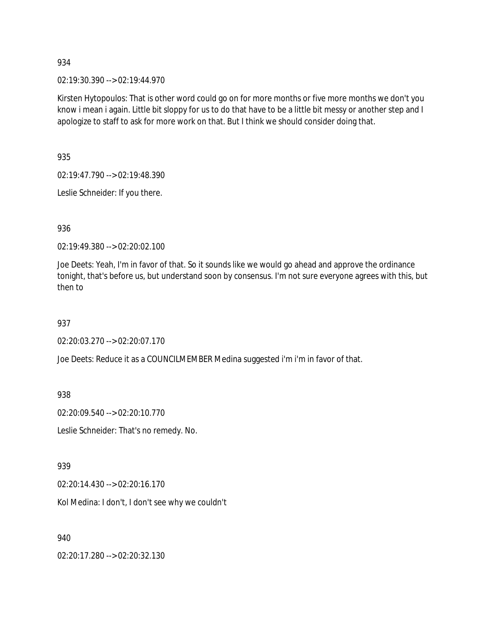02:19:30.390 --> 02:19:44.970

Kirsten Hytopoulos: That is other word could go on for more months or five more months we don't you know i mean i again. Little bit sloppy for us to do that have to be a little bit messy or another step and I apologize to staff to ask for more work on that. But I think we should consider doing that.

935

02:19:47.790 --> 02:19:48.390

Leslie Schneider: If you there.

936

02:19:49.380 --> 02:20:02.100

Joe Deets: Yeah, I'm in favor of that. So it sounds like we would go ahead and approve the ordinance tonight, that's before us, but understand soon by consensus. I'm not sure everyone agrees with this, but then to

937

02:20:03.270 --> 02:20:07.170

Joe Deets: Reduce it as a COUNCILMEMBER Medina suggested i'm i'm in favor of that.

938

02:20:09.540 --> 02:20:10.770

Leslie Schneider: That's no remedy. No.

939

02:20:14.430 --> 02:20:16.170

Kol Medina: I don't, I don't see why we couldn't

940

02:20:17.280 --> 02:20:32.130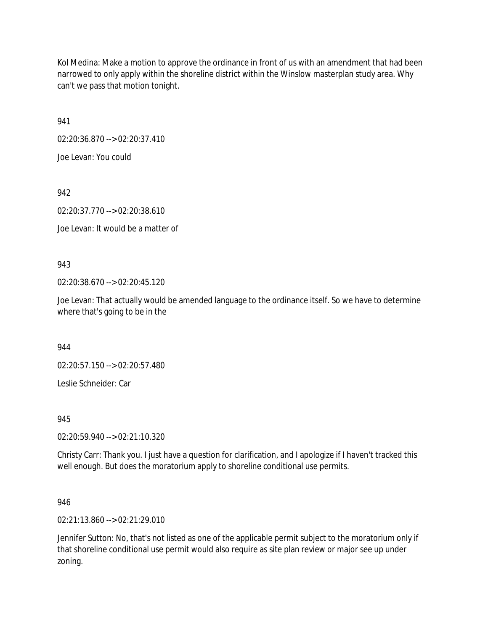Kol Medina: Make a motion to approve the ordinance in front of us with an amendment that had been narrowed to only apply within the shoreline district within the Winslow masterplan study area. Why can't we pass that motion tonight.

941

02:20:36.870 --> 02:20:37.410

Joe Levan: You could

942

02:20:37.770 --> 02:20:38.610

Joe Levan: It would be a matter of

943

02:20:38.670 --> 02:20:45.120

Joe Levan: That actually would be amended language to the ordinance itself. So we have to determine where that's going to be in the

944

02:20:57.150 --> 02:20:57.480

Leslie Schneider: Car

945

02:20:59.940 --> 02:21:10.320

Christy Carr: Thank you. I just have a question for clarification, and I apologize if I haven't tracked this well enough. But does the moratorium apply to shoreline conditional use permits.

946

02:21:13.860 --> 02:21:29.010

Jennifer Sutton: No, that's not listed as one of the applicable permit subject to the moratorium only if that shoreline conditional use permit would also require as site plan review or major see up under zoning.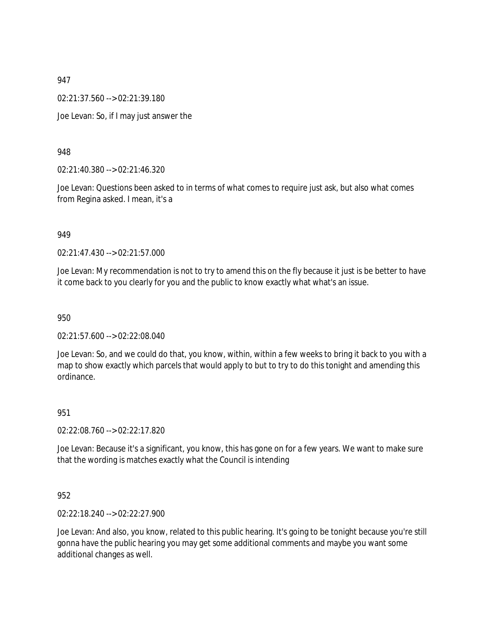02:21:37.560 --> 02:21:39.180

Joe Levan: So, if I may just answer the

### 948

02:21:40.380 --> 02:21:46.320

Joe Levan: Questions been asked to in terms of what comes to require just ask, but also what comes from Regina asked. I mean, it's a

#### 949

02:21:47.430 --> 02:21:57.000

Joe Levan: My recommendation is not to try to amend this on the fly because it just is be better to have it come back to you clearly for you and the public to know exactly what what's an issue.

950

02:21:57.600 --> 02:22:08.040

Joe Levan: So, and we could do that, you know, within, within a few weeks to bring it back to you with a map to show exactly which parcels that would apply to but to try to do this tonight and amending this ordinance.

#### 951

02:22:08.760 --> 02:22:17.820

Joe Levan: Because it's a significant, you know, this has gone on for a few years. We want to make sure that the wording is matches exactly what the Council is intending

## 952

02:22:18.240 --> 02:22:27.900

Joe Levan: And also, you know, related to this public hearing. It's going to be tonight because you're still gonna have the public hearing you may get some additional comments and maybe you want some additional changes as well.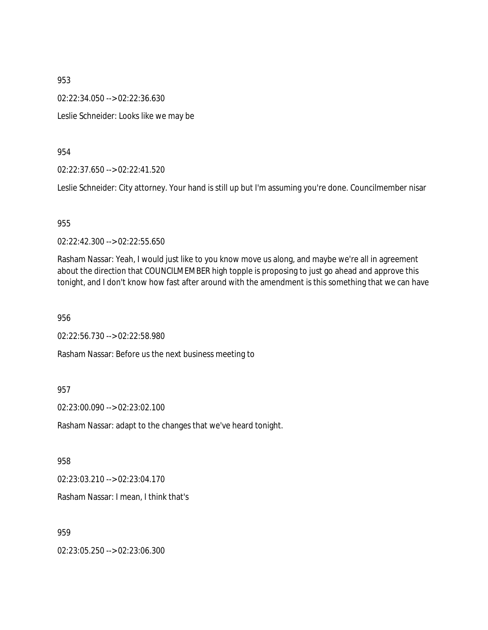02:22:34.050 --> 02:22:36.630

Leslie Schneider: Looks like we may be

954

02:22:37.650 --> 02:22:41.520

Leslie Schneider: City attorney. Your hand is still up but I'm assuming you're done. Councilmember nisar

## 955

02:22:42.300 --> 02:22:55.650

Rasham Nassar: Yeah, I would just like to you know move us along, and maybe we're all in agreement about the direction that COUNCILMEMBER high topple is proposing to just go ahead and approve this tonight, and I don't know how fast after around with the amendment is this something that we can have

956

02:22:56.730 --> 02:22:58.980

Rasham Nassar: Before us the next business meeting to

## 957

02:23:00.090 --> 02:23:02.100

Rasham Nassar: adapt to the changes that we've heard tonight.

958

02:23:03.210 --> 02:23:04.170

Rasham Nassar: I mean, I think that's

959

02:23:05.250 --> 02:23:06.300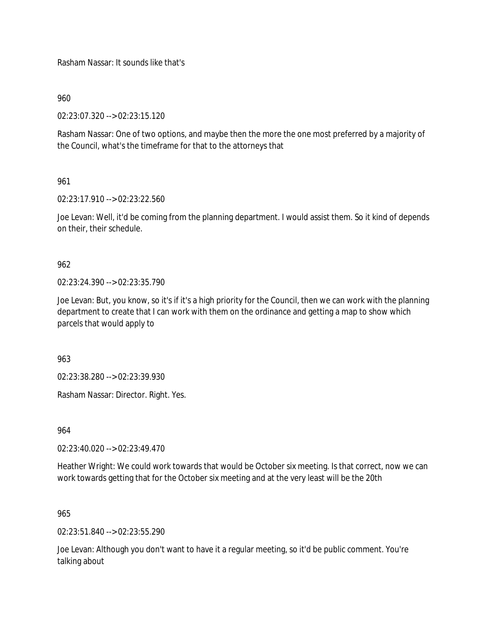Rasham Nassar: It sounds like that's

960

02:23:07.320 --> 02:23:15.120

Rasham Nassar: One of two options, and maybe then the more the one most preferred by a majority of the Council, what's the timeframe for that to the attorneys that

961

02:23:17.910 --> 02:23:22.560

Joe Levan: Well, it'd be coming from the planning department. I would assist them. So it kind of depends on their, their schedule.

962

02:23:24.390 --> 02:23:35.790

Joe Levan: But, you know, so it's if it's a high priority for the Council, then we can work with the planning department to create that I can work with them on the ordinance and getting a map to show which parcels that would apply to

963

02:23:38.280 --> 02:23:39.930

Rasham Nassar: Director. Right. Yes.

964

02:23:40.020 --> 02:23:49.470

Heather Wright: We could work towards that would be October six meeting. Is that correct, now we can work towards getting that for the October six meeting and at the very least will be the 20th

965

02:23:51.840 --> 02:23:55.290

Joe Levan: Although you don't want to have it a regular meeting, so it'd be public comment. You're talking about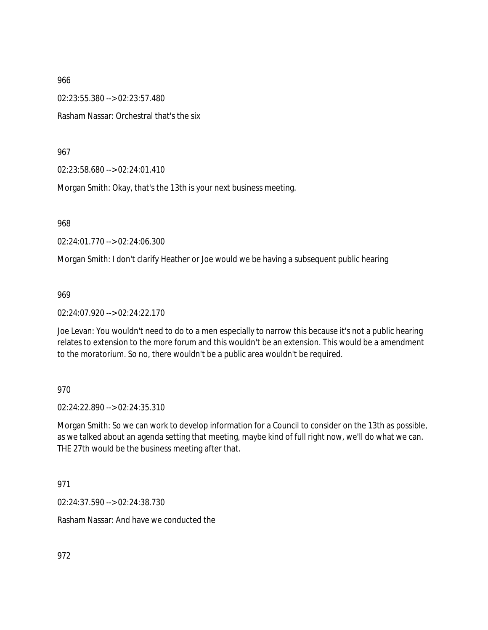02:23:55.380 --> 02:23:57.480 Rasham Nassar: Orchestral that's the six

967

02:23:58.680 --> 02:24:01.410

Morgan Smith: Okay, that's the 13th is your next business meeting.

968

02:24:01.770 --> 02:24:06.300

Morgan Smith: I don't clarify Heather or Joe would we be having a subsequent public hearing

969

02:24:07.920 --> 02:24:22.170

Joe Levan: You wouldn't need to do to a men especially to narrow this because it's not a public hearing relates to extension to the more forum and this wouldn't be an extension. This would be a amendment to the moratorium. So no, there wouldn't be a public area wouldn't be required.

970

02:24:22.890 --> 02:24:35.310

Morgan Smith: So we can work to develop information for a Council to consider on the 13th as possible, as we talked about an agenda setting that meeting, maybe kind of full right now, we'll do what we can. THE 27th would be the business meeting after that.

971

02:24:37.590 --> 02:24:38.730

Rasham Nassar: And have we conducted the

972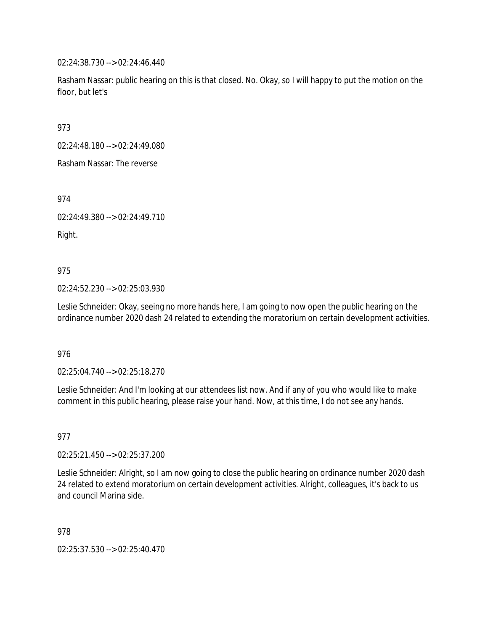02:24:38.730 --> 02:24:46.440

Rasham Nassar: public hearing on this is that closed. No. Okay, so I will happy to put the motion on the floor, but let's

973

02:24:48.180 --> 02:24:49.080

Rasham Nassar: The reverse

974

02:24:49.380 --> 02:24:49.710

Right.

975

02:24:52.230 --> 02:25:03.930

Leslie Schneider: Okay, seeing no more hands here, I am going to now open the public hearing on the ordinance number 2020 dash 24 related to extending the moratorium on certain development activities.

976

02:25:04.740 --> 02:25:18.270

Leslie Schneider: And I'm looking at our attendees list now. And if any of you who would like to make comment in this public hearing, please raise your hand. Now, at this time, I do not see any hands.

977

02:25:21.450 --> 02:25:37.200

Leslie Schneider: Alright, so I am now going to close the public hearing on ordinance number 2020 dash 24 related to extend moratorium on certain development activities. Alright, colleagues, it's back to us and council Marina side.

978

02:25:37.530 --> 02:25:40.470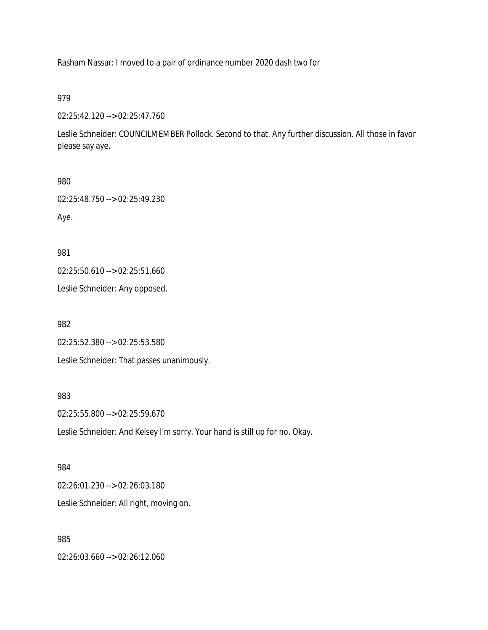Rasham Nassar: I moved to a pair of ordinance number 2020 dash two for

979

02:25:42.120 --> 02:25:47.760

Leslie Schneider: COUNCILMEMBER Pollock. Second to that. Any further discussion. All those in favor please say aye.

980

02:25:48.750 --> 02:25:49.230

Aye.

981

02:25:50.610 --> 02:25:51.660

Leslie Schneider: Any opposed.

982

02:25:52.380 --> 02:25:53.580

Leslie Schneider: That passes unanimously.

983

02:25:55.800 --> 02:25:59.670

Leslie Schneider: And Kelsey I'm sorry. Your hand is still up for no. Okay.

984

02:26:01.230 --> 02:26:03.180 Leslie Schneider: All right, moving on.

985

02:26:03.660 --> 02:26:12.060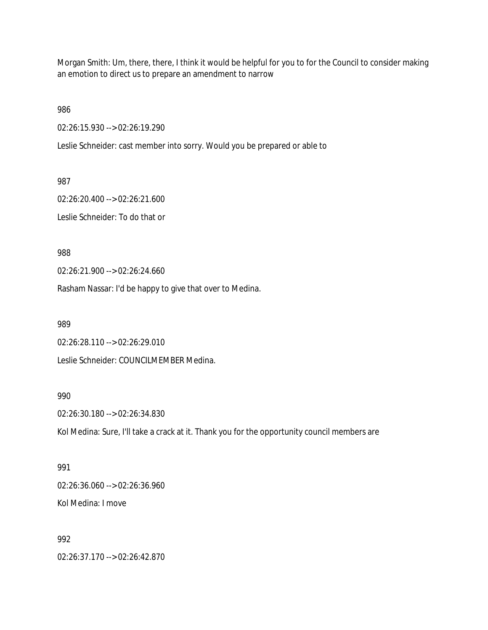Morgan Smith: Um, there, there, I think it would be helpful for you to for the Council to consider making an emotion to direct us to prepare an amendment to narrow

986

02:26:15.930 --> 02:26:19.290

Leslie Schneider: cast member into sorry. Would you be prepared or able to

987

02:26:20.400 --> 02:26:21.600 Leslie Schneider: To do that or

988

02:26:21.900 --> 02:26:24.660

Rasham Nassar: I'd be happy to give that over to Medina.

989

02:26:28.110 --> 02:26:29.010

Leslie Schneider: COUNCILMEMBER Medina.

990

02:26:30.180 --> 02:26:34.830

Kol Medina: Sure, I'll take a crack at it. Thank you for the opportunity council members are

991

02:26:36.060 --> 02:26:36.960

Kol Medina: I move

992

02:26:37.170 --> 02:26:42.870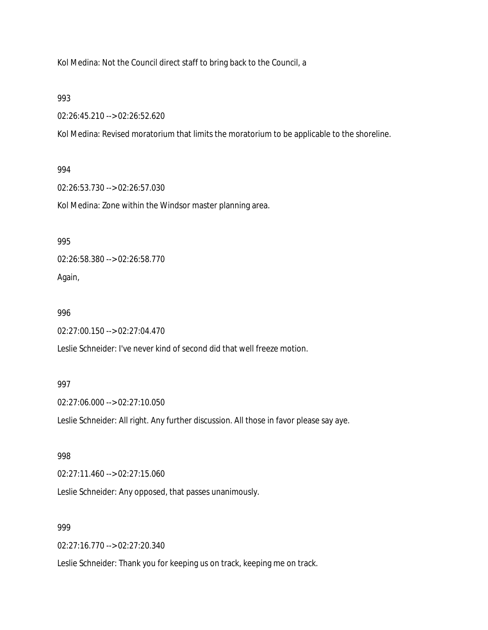Kol Medina: Not the Council direct staff to bring back to the Council, a

993

02:26:45.210 --> 02:26:52.620

Kol Medina: Revised moratorium that limits the moratorium to be applicable to the shoreline.

#### 994

02:26:53.730 --> 02:26:57.030

Kol Medina: Zone within the Windsor master planning area.

## 995

02:26:58.380 --> 02:26:58.770 Again,

#### 996

02:27:00.150 --> 02:27:04.470

Leslie Schneider: I've never kind of second did that well freeze motion.

## 997

02:27:06.000 --> 02:27:10.050

Leslie Schneider: All right. Any further discussion. All those in favor please say aye.

#### 998

02:27:11.460 --> 02:27:15.060

Leslie Schneider: Any opposed, that passes unanimously.

## 999

02:27:16.770 --> 02:27:20.340

Leslie Schneider: Thank you for keeping us on track, keeping me on track.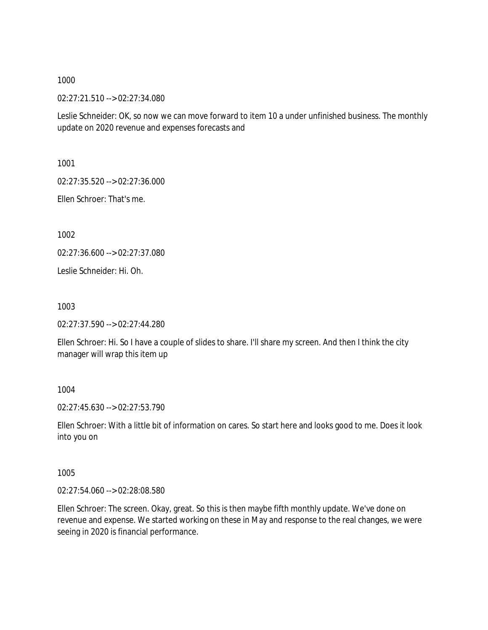02:27:21.510 --> 02:27:34.080

Leslie Schneider: OK, so now we can move forward to item 10 a under unfinished business. The monthly update on 2020 revenue and expenses forecasts and

1001

02:27:35.520 --> 02:27:36.000

Ellen Schroer: That's me.

1002

02:27:36.600 --> 02:27:37.080

Leslie Schneider: Hi. Oh.

1003

02:27:37.590 --> 02:27:44.280

Ellen Schroer: Hi. So I have a couple of slides to share. I'll share my screen. And then I think the city manager will wrap this item up

1004

02:27:45.630 --> 02:27:53.790

Ellen Schroer: With a little bit of information on cares. So start here and looks good to me. Does it look into you on

1005

02:27:54.060 --> 02:28:08.580

Ellen Schroer: The screen. Okay, great. So this is then maybe fifth monthly update. We've done on revenue and expense. We started working on these in May and response to the real changes, we were seeing in 2020 is financial performance.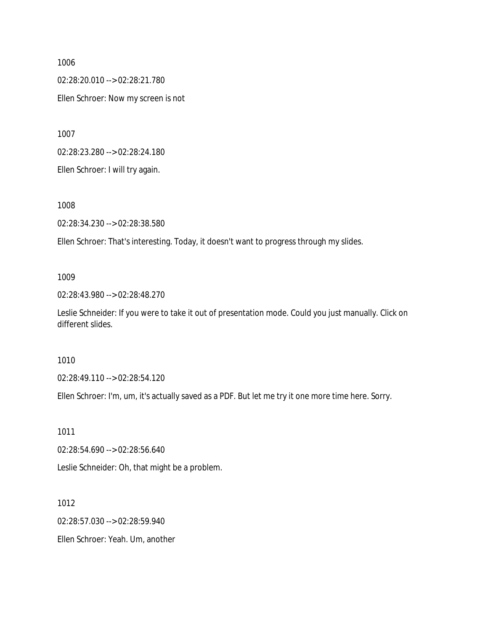02:28:20.010 --> 02:28:21.780

Ellen Schroer: Now my screen is not

1007

02:28:23.280 --> 02:28:24.180

Ellen Schroer: I will try again.

1008

02:28:34.230 --> 02:28:38.580

Ellen Schroer: That's interesting. Today, it doesn't want to progress through my slides.

## 1009

02:28:43.980 --> 02:28:48.270

Leslie Schneider: If you were to take it out of presentation mode. Could you just manually. Click on different slides.

## 1010

02:28:49.110 --> 02:28:54.120

Ellen Schroer: I'm, um, it's actually saved as a PDF. But let me try it one more time here. Sorry.

1011

02:28:54.690 --> 02:28:56.640

Leslie Schneider: Oh, that might be a problem.

1012

02:28:57.030 --> 02:28:59.940

Ellen Schroer: Yeah. Um, another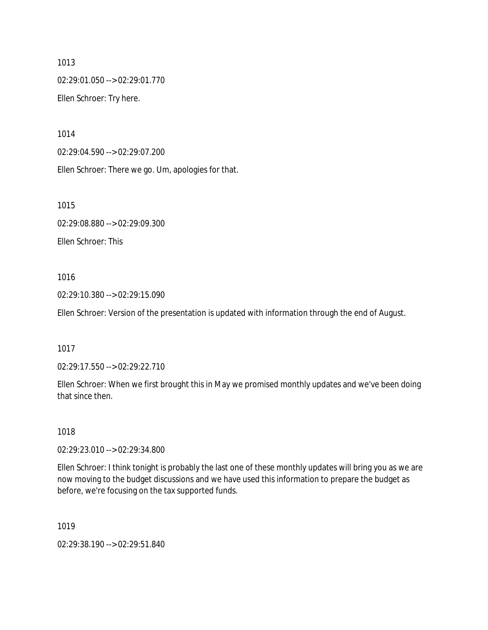1013 02:29:01.050 --> 02:29:01.770 Ellen Schroer: Try here.

1014

02:29:04.590 --> 02:29:07.200

Ellen Schroer: There we go. Um, apologies for that.

1015

02:29:08.880 --> 02:29:09.300 Ellen Schroer: This

## 1016

02:29:10.380 --> 02:29:15.090

Ellen Schroer: Version of the presentation is updated with information through the end of August.

1017

02:29:17.550 --> 02:29:22.710

Ellen Schroer: When we first brought this in May we promised monthly updates and we've been doing that since then.

1018

02:29:23.010 --> 02:29:34.800

Ellen Schroer: I think tonight is probably the last one of these monthly updates will bring you as we are now moving to the budget discussions and we have used this information to prepare the budget as before, we're focusing on the tax supported funds.

1019

02:29:38.190 --> 02:29:51.840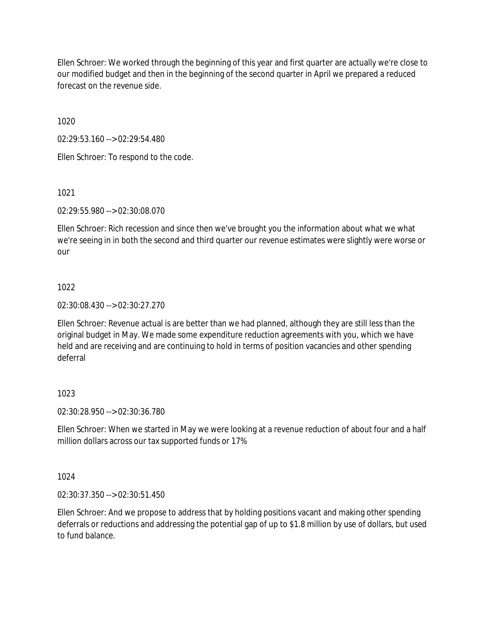Ellen Schroer: We worked through the beginning of this year and first quarter are actually we're close to our modified budget and then in the beginning of the second quarter in April we prepared a reduced forecast on the revenue side.

1020

02:29:53.160 --> 02:29:54.480

Ellen Schroer: To respond to the code.

1021

02:29:55.980 --> 02:30:08.070

Ellen Schroer: Rich recession and since then we've brought you the information about what we what we're seeing in in both the second and third quarter our revenue estimates were slightly were worse or our

## 1022

02:30:08.430 --> 02:30:27.270

Ellen Schroer: Revenue actual is are better than we had planned, although they are still less than the original budget in May. We made some expenditure reduction agreements with you, which we have held and are receiving and are continuing to hold in terms of position vacancies and other spending deferral

# 1023

02:30:28.950 --> 02:30:36.780

Ellen Schroer: When we started in May we were looking at a revenue reduction of about four and a half million dollars across our tax supported funds or 17%

1024

02:30:37.350 --> 02:30:51.450

Ellen Schroer: And we propose to address that by holding positions vacant and making other spending deferrals or reductions and addressing the potential gap of up to \$1.8 million by use of dollars, but used to fund balance.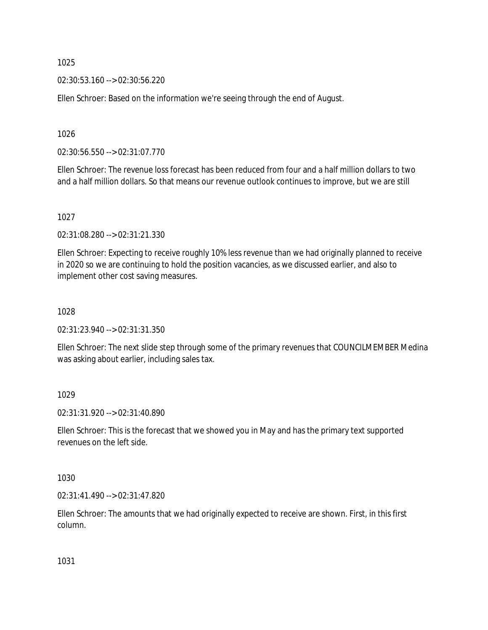02:30:53.160 --> 02:30:56.220

Ellen Schroer: Based on the information we're seeing through the end of August.

1026

02:30:56.550 --> 02:31:07.770

Ellen Schroer: The revenue loss forecast has been reduced from four and a half million dollars to two and a half million dollars. So that means our revenue outlook continues to improve, but we are still

1027

02:31:08.280 --> 02:31:21.330

Ellen Schroer: Expecting to receive roughly 10% less revenue than we had originally planned to receive in 2020 so we are continuing to hold the position vacancies, as we discussed earlier, and also to implement other cost saving measures.

1028

02:31:23.940 --> 02:31:31.350

Ellen Schroer: The next slide step through some of the primary revenues that COUNCILMEMBER Medina was asking about earlier, including sales tax.

1029

02:31:31.920 --> 02:31:40.890

Ellen Schroer: This is the forecast that we showed you in May and has the primary text supported revenues on the left side.

1030

02:31:41.490 --> 02:31:47.820

Ellen Schroer: The amounts that we had originally expected to receive are shown. First, in this first column.

1031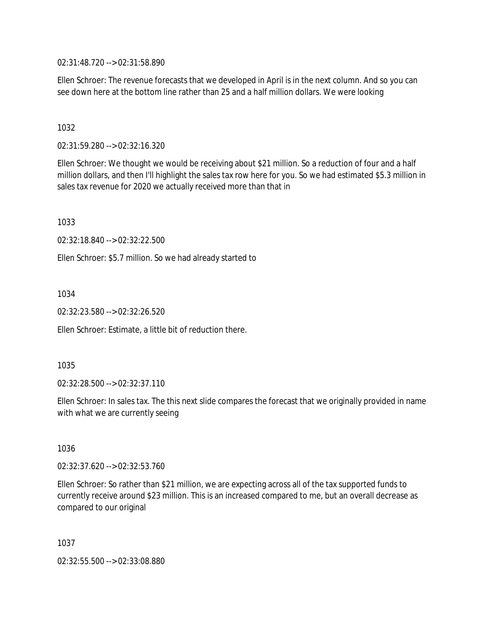02:31:48.720 --> 02:31:58.890

Ellen Schroer: The revenue forecasts that we developed in April is in the next column. And so you can see down here at the bottom line rather than 25 and a half million dollars. We were looking

1032

02:31:59.280 --> 02:32:16.320

Ellen Schroer: We thought we would be receiving about \$21 million. So a reduction of four and a half million dollars, and then I'll highlight the sales tax row here for you. So we had estimated \$5.3 million in sales tax revenue for 2020 we actually received more than that in

1033

02:32:18.840 --> 02:32:22.500

Ellen Schroer: \$5.7 million. So we had already started to

1034

02:32:23.580 --> 02:32:26.520

Ellen Schroer: Estimate, a little bit of reduction there.

1035

02:32:28.500 --> 02:32:37.110

Ellen Schroer: In sales tax. The this next slide compares the forecast that we originally provided in name with what we are currently seeing

1036

02:32:37.620 --> 02:32:53.760

Ellen Schroer: So rather than \$21 million, we are expecting across all of the tax supported funds to currently receive around \$23 million. This is an increased compared to me, but an overall decrease as compared to our original

1037

02:32:55.500 --> 02:33:08.880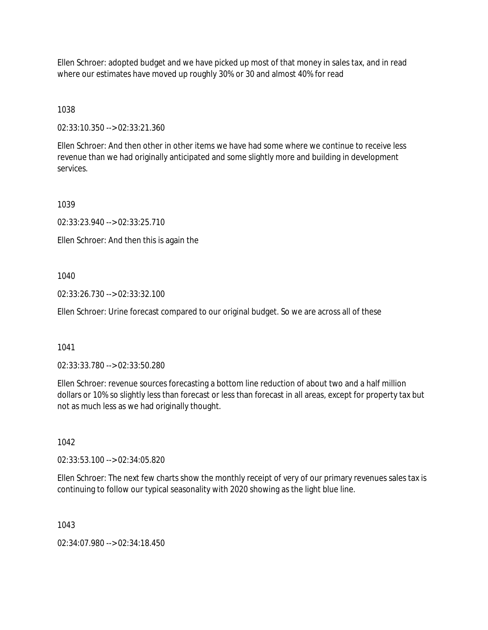Ellen Schroer: adopted budget and we have picked up most of that money in sales tax, and in read where our estimates have moved up roughly 30% or 30 and almost 40% for read

1038

02:33:10.350 --> 02:33:21.360

Ellen Schroer: And then other in other items we have had some where we continue to receive less revenue than we had originally anticipated and some slightly more and building in development services.

1039

02:33:23.940 --> 02:33:25.710

Ellen Schroer: And then this is again the

1040

02:33:26.730 --> 02:33:32.100

Ellen Schroer: Urine forecast compared to our original budget. So we are across all of these

1041

02:33:33.780 --> 02:33:50.280

Ellen Schroer: revenue sources forecasting a bottom line reduction of about two and a half million dollars or 10% so slightly less than forecast or less than forecast in all areas, except for property tax but not as much less as we had originally thought.

1042

02:33:53.100 --> 02:34:05.820

Ellen Schroer: The next few charts show the monthly receipt of very of our primary revenues sales tax is continuing to follow our typical seasonality with 2020 showing as the light blue line.

1043

02:34:07.980 --> 02:34:18.450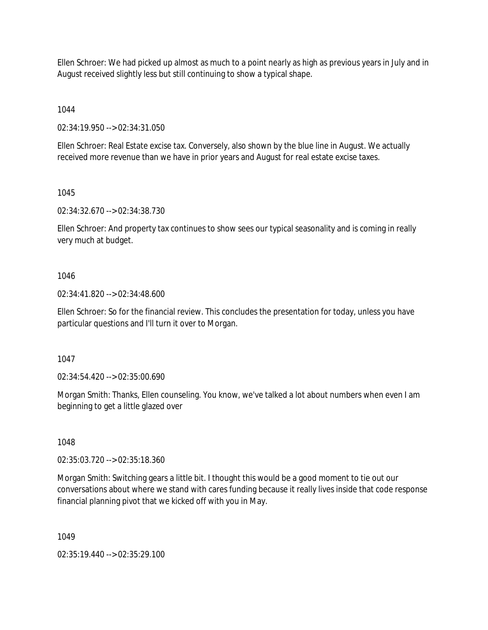Ellen Schroer: We had picked up almost as much to a point nearly as high as previous years in July and in August received slightly less but still continuing to show a typical shape.

1044

02:34:19.950 --> 02:34:31.050

Ellen Schroer: Real Estate excise tax. Conversely, also shown by the blue line in August. We actually received more revenue than we have in prior years and August for real estate excise taxes.

1045

02:34:32.670 --> 02:34:38.730

Ellen Schroer: And property tax continues to show sees our typical seasonality and is coming in really very much at budget.

1046

02:34:41.820 --> 02:34:48.600

Ellen Schroer: So for the financial review. This concludes the presentation for today, unless you have particular questions and I'll turn it over to Morgan.

1047

02:34:54.420 --> 02:35:00.690

Morgan Smith: Thanks, Ellen counseling. You know, we've talked a lot about numbers when even I am beginning to get a little glazed over

1048

02:35:03.720 --> 02:35:18.360

Morgan Smith: Switching gears a little bit. I thought this would be a good moment to tie out our conversations about where we stand with cares funding because it really lives inside that code response financial planning pivot that we kicked off with you in May.

1049

02:35:19.440 --> 02:35:29.100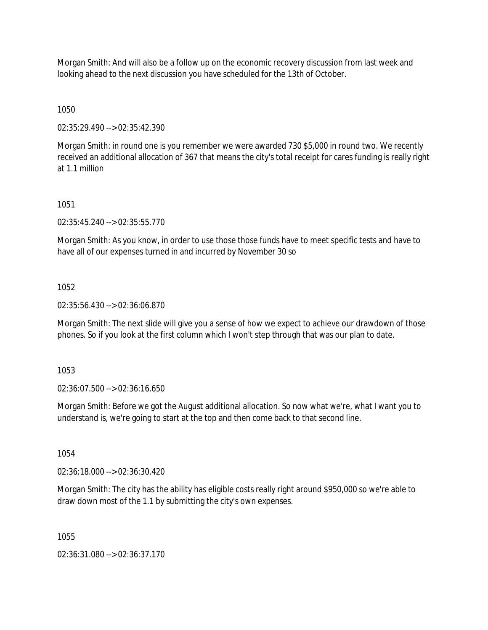Morgan Smith: And will also be a follow up on the economic recovery discussion from last week and looking ahead to the next discussion you have scheduled for the 13th of October.

1050

02:35:29.490 --> 02:35:42.390

Morgan Smith: in round one is you remember we were awarded 730 \$5,000 in round two. We recently received an additional allocation of 367 that means the city's total receipt for cares funding is really right at 1.1 million

1051

02:35:45.240 --> 02:35:55.770

Morgan Smith: As you know, in order to use those those funds have to meet specific tests and have to have all of our expenses turned in and incurred by November 30 so

1052

02:35:56.430 --> 02:36:06.870

Morgan Smith: The next slide will give you a sense of how we expect to achieve our drawdown of those phones. So if you look at the first column which I won't step through that was our plan to date.

1053

02:36:07.500 --> 02:36:16.650

Morgan Smith: Before we got the August additional allocation. So now what we're, what I want you to understand is, we're going to start at the top and then come back to that second line.

1054

02:36:18.000 --> 02:36:30.420

Morgan Smith: The city has the ability has eligible costs really right around \$950,000 so we're able to draw down most of the 1.1 by submitting the city's own expenses.

1055

02:36:31.080 --> 02:36:37.170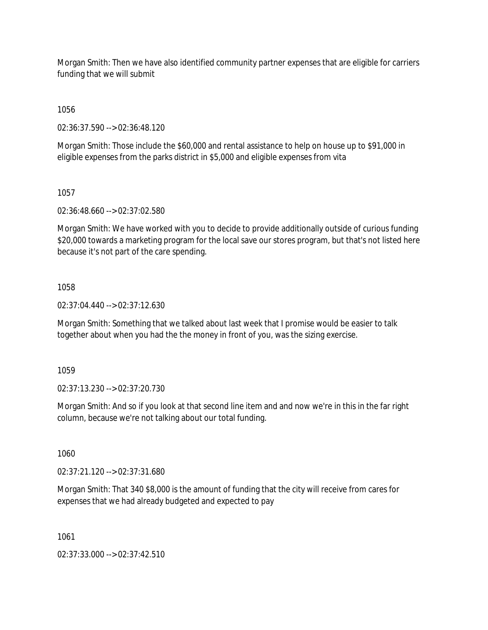Morgan Smith: Then we have also identified community partner expenses that are eligible for carriers funding that we will submit

1056

02:36:37.590 --> 02:36:48.120

Morgan Smith: Those include the \$60,000 and rental assistance to help on house up to \$91,000 in eligible expenses from the parks district in \$5,000 and eligible expenses from vita

1057

02:36:48.660 --> 02:37:02.580

Morgan Smith: We have worked with you to decide to provide additionally outside of curious funding \$20,000 towards a marketing program for the local save our stores program, but that's not listed here because it's not part of the care spending.

## 1058

02:37:04.440 --> 02:37:12.630

Morgan Smith: Something that we talked about last week that I promise would be easier to talk together about when you had the the money in front of you, was the sizing exercise.

1059

02:37:13.230 --> 02:37:20.730

Morgan Smith: And so if you look at that second line item and and now we're in this in the far right column, because we're not talking about our total funding.

1060

02:37:21.120 --> 02:37:31.680

Morgan Smith: That 340 \$8,000 is the amount of funding that the city will receive from cares for expenses that we had already budgeted and expected to pay

1061

02:37:33.000 --> 02:37:42.510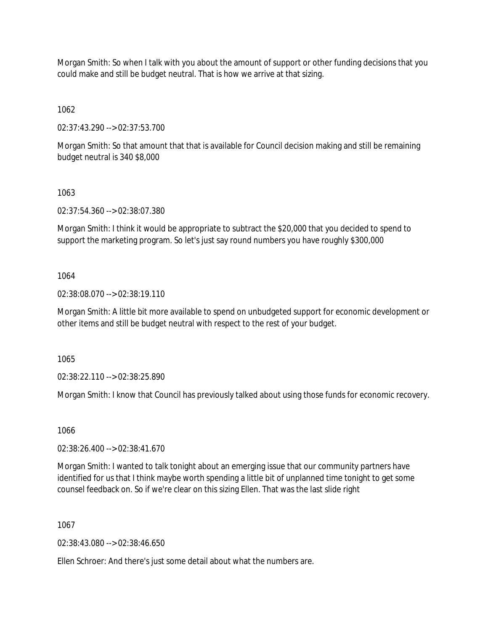Morgan Smith: So when I talk with you about the amount of support or other funding decisions that you could make and still be budget neutral. That is how we arrive at that sizing.

1062

02:37:43.290 --> 02:37:53.700

Morgan Smith: So that amount that that is available for Council decision making and still be remaining budget neutral is 340 \$8,000

# 1063

02:37:54.360 --> 02:38:07.380

Morgan Smith: I think it would be appropriate to subtract the \$20,000 that you decided to spend to support the marketing program. So let's just say round numbers you have roughly \$300,000

# 1064

02:38:08.070 --> 02:38:19.110

Morgan Smith: A little bit more available to spend on unbudgeted support for economic development or other items and still be budget neutral with respect to the rest of your budget.

1065

02:38:22.110 --> 02:38:25.890

Morgan Smith: I know that Council has previously talked about using those funds for economic recovery.

1066

02:38:26.400 --> 02:38:41.670

Morgan Smith: I wanted to talk tonight about an emerging issue that our community partners have identified for us that I think maybe worth spending a little bit of unplanned time tonight to get some counsel feedback on. So if we're clear on this sizing Ellen. That was the last slide right

1067

02:38:43.080 --> 02:38:46.650

Ellen Schroer: And there's just some detail about what the numbers are.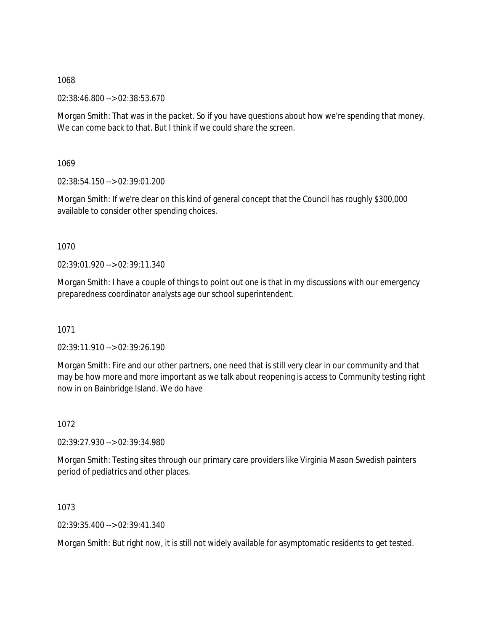02:38:46.800 --> 02:38:53.670

Morgan Smith: That was in the packet. So if you have questions about how we're spending that money. We can come back to that. But I think if we could share the screen.

1069

02:38:54.150 --> 02:39:01.200

Morgan Smith: If we're clear on this kind of general concept that the Council has roughly \$300,000 available to consider other spending choices.

1070

02:39:01.920 --> 02:39:11.340

Morgan Smith: I have a couple of things to point out one is that in my discussions with our emergency preparedness coordinator analysts age our school superintendent.

1071

02:39:11.910 --> 02:39:26.190

Morgan Smith: Fire and our other partners, one need that is still very clear in our community and that may be how more and more important as we talk about reopening is access to Community testing right now in on Bainbridge Island. We do have

1072

02:39:27.930 --> 02:39:34.980

Morgan Smith: Testing sites through our primary care providers like Virginia Mason Swedish painters period of pediatrics and other places.

1073

02:39:35.400 --> 02:39:41.340

Morgan Smith: But right now, it is still not widely available for asymptomatic residents to get tested.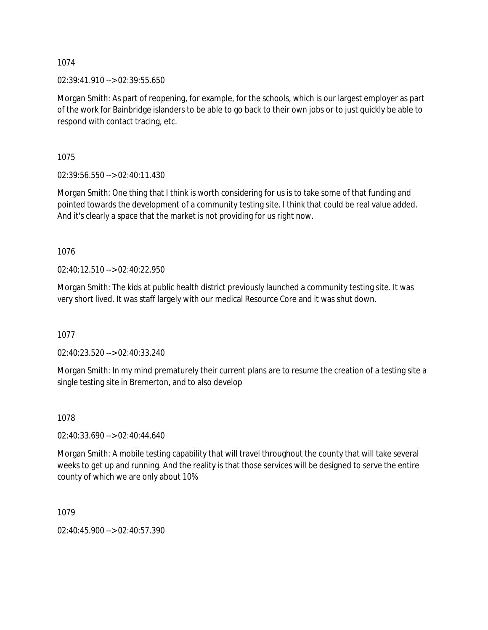02:39:41.910 --> 02:39:55.650

Morgan Smith: As part of reopening, for example, for the schools, which is our largest employer as part of the work for Bainbridge islanders to be able to go back to their own jobs or to just quickly be able to respond with contact tracing, etc.

1075

02:39:56.550 --> 02:40:11.430

Morgan Smith: One thing that I think is worth considering for us is to take some of that funding and pointed towards the development of a community testing site. I think that could be real value added. And it's clearly a space that the market is not providing for us right now.

1076

02:40:12.510 --> 02:40:22.950

Morgan Smith: The kids at public health district previously launched a community testing site. It was very short lived. It was staff largely with our medical Resource Core and it was shut down.

1077

02:40:23.520 --> 02:40:33.240

Morgan Smith: In my mind prematurely their current plans are to resume the creation of a testing site a single testing site in Bremerton, and to also develop

1078

02:40:33.690 --> 02:40:44.640

Morgan Smith: A mobile testing capability that will travel throughout the county that will take several weeks to get up and running. And the reality is that those services will be designed to serve the entire county of which we are only about 10%

1079

02:40:45.900 --> 02:40:57.390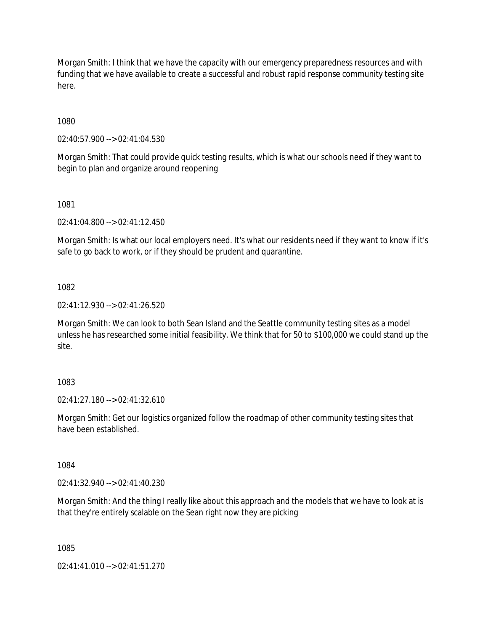Morgan Smith: I think that we have the capacity with our emergency preparedness resources and with funding that we have available to create a successful and robust rapid response community testing site here.

1080

02:40:57.900 --> 02:41:04.530

Morgan Smith: That could provide quick testing results, which is what our schools need if they want to begin to plan and organize around reopening

1081

02:41:04.800 --> 02:41:12.450

Morgan Smith: Is what our local employers need. It's what our residents need if they want to know if it's safe to go back to work, or if they should be prudent and quarantine.

1082

02:41:12.930 --> 02:41:26.520

Morgan Smith: We can look to both Sean Island and the Seattle community testing sites as a model unless he has researched some initial feasibility. We think that for 50 to \$100,000 we could stand up the site.

1083

02:41:27.180 --> 02:41:32.610

Morgan Smith: Get our logistics organized follow the roadmap of other community testing sites that have been established.

1084

02:41:32.940 --> 02:41:40.230

Morgan Smith: And the thing I really like about this approach and the models that we have to look at is that they're entirely scalable on the Sean right now they are picking

1085

02:41:41.010 --> 02:41:51.270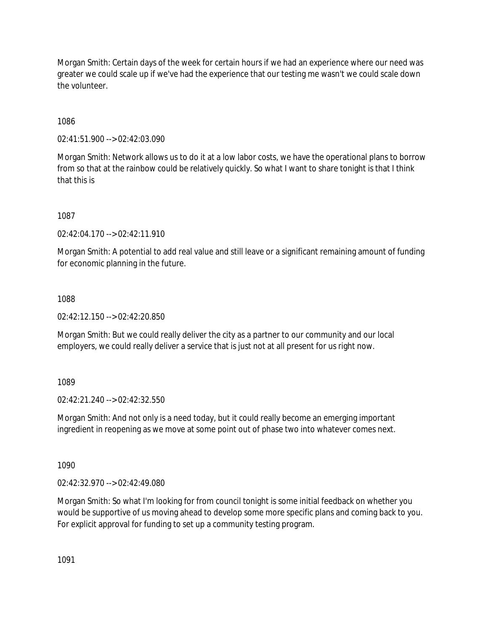Morgan Smith: Certain days of the week for certain hours if we had an experience where our need was greater we could scale up if we've had the experience that our testing me wasn't we could scale down the volunteer.

1086

02:41:51.900 --> 02:42:03.090

Morgan Smith: Network allows us to do it at a low labor costs, we have the operational plans to borrow from so that at the rainbow could be relatively quickly. So what I want to share tonight is that I think that this is

1087

 $02:42:04.170 \rightarrow 02:42:11.910$ 

Morgan Smith: A potential to add real value and still leave or a significant remaining amount of funding for economic planning in the future.

# 1088

02:42:12.150 --> 02:42:20.850

Morgan Smith: But we could really deliver the city as a partner to our community and our local employers, we could really deliver a service that is just not at all present for us right now.

1089

02:42:21.240 --> 02:42:32.550

Morgan Smith: And not only is a need today, but it could really become an emerging important ingredient in reopening as we move at some point out of phase two into whatever comes next.

1090

02:42:32.970 --> 02:42:49.080

Morgan Smith: So what I'm looking for from council tonight is some initial feedback on whether you would be supportive of us moving ahead to develop some more specific plans and coming back to you. For explicit approval for funding to set up a community testing program.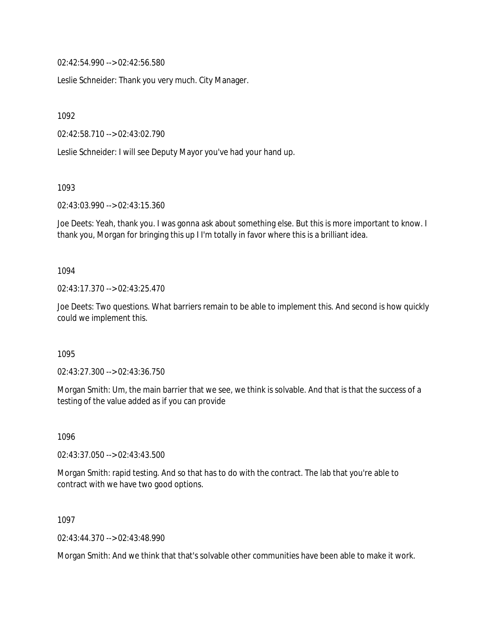02:42:54.990 --> 02:42:56.580

Leslie Schneider: Thank you very much. City Manager.

1092

02:42:58.710 --> 02:43:02.790

Leslie Schneider: I will see Deputy Mayor you've had your hand up.

1093

02:43:03.990 --> 02:43:15.360

Joe Deets: Yeah, thank you. I was gonna ask about something else. But this is more important to know. I thank you, Morgan for bringing this up I I'm totally in favor where this is a brilliant idea.

1094

02:43:17.370 --> 02:43:25.470

Joe Deets: Two questions. What barriers remain to be able to implement this. And second is how quickly could we implement this.

1095

02:43:27.300 --> 02:43:36.750

Morgan Smith: Um, the main barrier that we see, we think is solvable. And that is that the success of a testing of the value added as if you can provide

1096

02:43:37.050 --> 02:43:43.500

Morgan Smith: rapid testing. And so that has to do with the contract. The lab that you're able to contract with we have two good options.

1097

02:43:44.370 --> 02:43:48.990

Morgan Smith: And we think that that's solvable other communities have been able to make it work.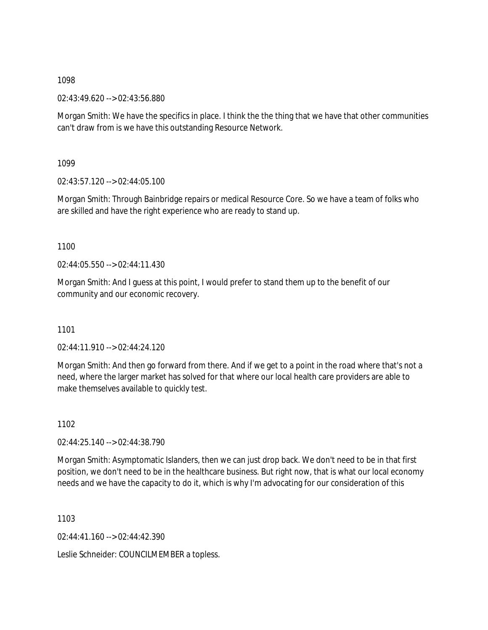02:43:49.620 --> 02:43:56.880

Morgan Smith: We have the specifics in place. I think the the thing that we have that other communities can't draw from is we have this outstanding Resource Network.

1099

02:43:57.120 --> 02:44:05.100

Morgan Smith: Through Bainbridge repairs or medical Resource Core. So we have a team of folks who are skilled and have the right experience who are ready to stand up.

1100

02:44:05.550 --> 02:44:11.430

Morgan Smith: And I guess at this point, I would prefer to stand them up to the benefit of our community and our economic recovery.

1101

02:44:11.910 --> 02:44:24.120

Morgan Smith: And then go forward from there. And if we get to a point in the road where that's not a need, where the larger market has solved for that where our local health care providers are able to make themselves available to quickly test.

1102

02:44:25.140 --> 02:44:38.790

Morgan Smith: Asymptomatic Islanders, then we can just drop back. We don't need to be in that first position, we don't need to be in the healthcare business. But right now, that is what our local economy needs and we have the capacity to do it, which is why I'm advocating for our consideration of this

1103

02:44:41.160 --> 02:44:42.390

Leslie Schneider: COUNCILMEMBER a topless.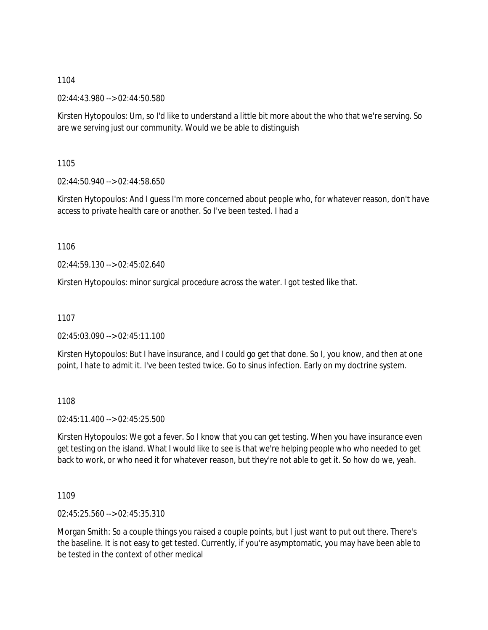02:44:43.980 --> 02:44:50.580

Kirsten Hytopoulos: Um, so I'd like to understand a little bit more about the who that we're serving. So are we serving just our community. Would we be able to distinguish

1105

02:44:50.940 --> 02:44:58.650

Kirsten Hytopoulos: And I guess I'm more concerned about people who, for whatever reason, don't have access to private health care or another. So I've been tested. I had a

1106

 $02.44.59$  130 -->  $02.45.02$  640

Kirsten Hytopoulos: minor surgical procedure across the water. I got tested like that.

1107

02:45:03.090 --> 02:45:11.100

Kirsten Hytopoulos: But I have insurance, and I could go get that done. So I, you know, and then at one point, I hate to admit it. I've been tested twice. Go to sinus infection. Early on my doctrine system.

1108

02:45:11.400 --> 02:45:25.500

Kirsten Hytopoulos: We got a fever. So I know that you can get testing. When you have insurance even get testing on the island. What I would like to see is that we're helping people who who needed to get back to work, or who need it for whatever reason, but they're not able to get it. So how do we, yeah.

1109

02:45:25.560 --> 02:45:35.310

Morgan Smith: So a couple things you raised a couple points, but I just want to put out there. There's the baseline. It is not easy to get tested. Currently, if you're asymptomatic, you may have been able to be tested in the context of other medical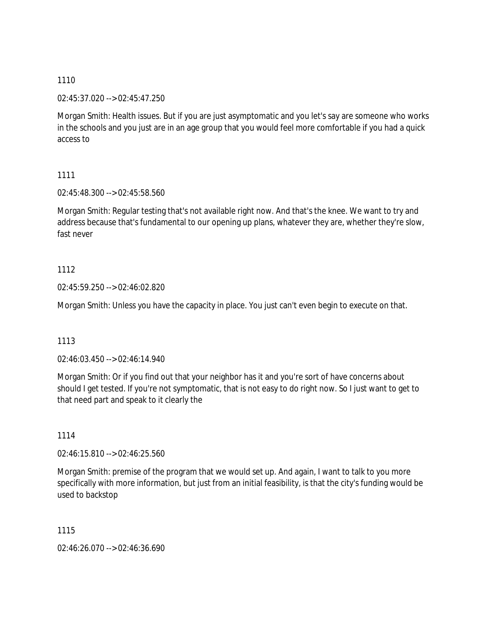02:45:37.020 --> 02:45:47.250

Morgan Smith: Health issues. But if you are just asymptomatic and you let's say are someone who works in the schools and you just are in an age group that you would feel more comfortable if you had a quick access to

1111

02:45:48.300 --> 02:45:58.560

Morgan Smith: Regular testing that's not available right now. And that's the knee. We want to try and address because that's fundamental to our opening up plans, whatever they are, whether they're slow, fast never

1112

02:45:59.250 --> 02:46:02.820

Morgan Smith: Unless you have the capacity in place. You just can't even begin to execute on that.

1113

02:46:03.450 --> 02:46:14.940

Morgan Smith: Or if you find out that your neighbor has it and you're sort of have concerns about should I get tested. If you're not symptomatic, that is not easy to do right now. So I just want to get to that need part and speak to it clearly the

1114

02:46:15.810 --> 02:46:25.560

Morgan Smith: premise of the program that we would set up. And again, I want to talk to you more specifically with more information, but just from an initial feasibility, is that the city's funding would be used to backstop

1115

02:46:26.070 --> 02:46:36.690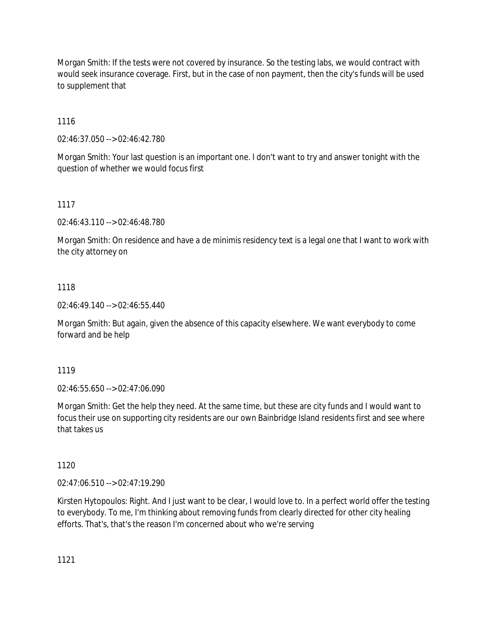Morgan Smith: If the tests were not covered by insurance. So the testing labs, we would contract with would seek insurance coverage. First, but in the case of non payment, then the city's funds will be used to supplement that

1116

02:46:37.050 --> 02:46:42.780

Morgan Smith: Your last question is an important one. I don't want to try and answer tonight with the question of whether we would focus first

## 1117

02:46:43.110 --> 02:46:48.780

Morgan Smith: On residence and have a de minimis residency text is a legal one that I want to work with the city attorney on

## 1118

02:46:49.140 --> 02:46:55.440

Morgan Smith: But again, given the absence of this capacity elsewhere. We want everybody to come forward and be help

## 1119

02:46:55.650 --> 02:47:06.090

Morgan Smith: Get the help they need. At the same time, but these are city funds and I would want to focus their use on supporting city residents are our own Bainbridge Island residents first and see where that takes us

## 1120

02:47:06.510 --> 02:47:19.290

Kirsten Hytopoulos: Right. And I just want to be clear, I would love to. In a perfect world offer the testing to everybody. To me, I'm thinking about removing funds from clearly directed for other city healing efforts. That's, that's the reason I'm concerned about who we're serving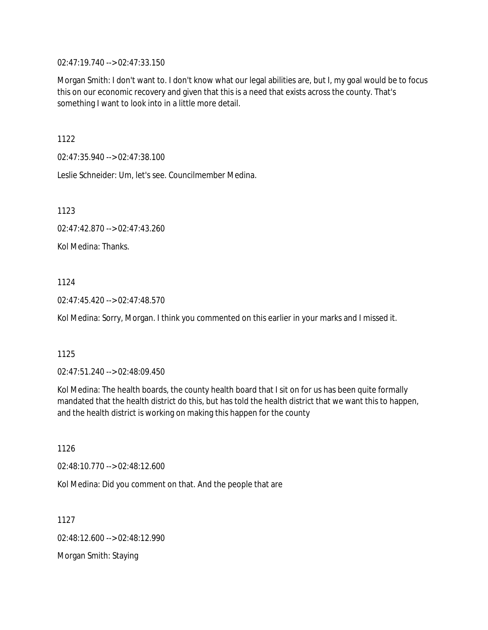02:47:19.740 --> 02:47:33.150

Morgan Smith: I don't want to. I don't know what our legal abilities are, but I, my goal would be to focus this on our economic recovery and given that this is a need that exists across the county. That's something I want to look into in a little more detail.

1122

02:47:35.940 --> 02:47:38.100

Leslie Schneider: Um, let's see. Councilmember Medina.

1123

02:47:42.870 --> 02:47:43.260

Kol Medina: Thanks.

1124

02:47:45.420 --> 02:47:48.570

Kol Medina: Sorry, Morgan. I think you commented on this earlier in your marks and I missed it.

1125

02:47:51.240 --> 02:48:09.450

Kol Medina: The health boards, the county health board that I sit on for us has been quite formally mandated that the health district do this, but has told the health district that we want this to happen, and the health district is working on making this happen for the county

1126

02:48:10.770 --> 02:48:12.600

Kol Medina: Did you comment on that. And the people that are

1127

02:48:12.600 --> 02:48:12.990

Morgan Smith: Staying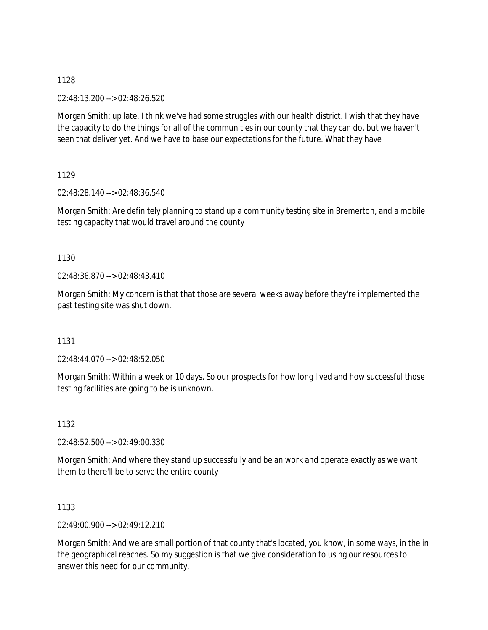02:48:13.200 --> 02:48:26.520

Morgan Smith: up late. I think we've had some struggles with our health district. I wish that they have the capacity to do the things for all of the communities in our county that they can do, but we haven't seen that deliver yet. And we have to base our expectations for the future. What they have

1129

02:48:28.140 --> 02:48:36.540

Morgan Smith: Are definitely planning to stand up a community testing site in Bremerton, and a mobile testing capacity that would travel around the county

1130

02:48:36.870 --> 02:48:43.410

Morgan Smith: My concern is that that those are several weeks away before they're implemented the past testing site was shut down.

1131

02:48:44.070 --> 02:48:52.050

Morgan Smith: Within a week or 10 days. So our prospects for how long lived and how successful those testing facilities are going to be is unknown.

1132

02:48:52.500 --> 02:49:00.330

Morgan Smith: And where they stand up successfully and be an work and operate exactly as we want them to there'll be to serve the entire county

1133

02:49:00.900 --> 02:49:12.210

Morgan Smith: And we are small portion of that county that's located, you know, in some ways, in the in the geographical reaches. So my suggestion is that we give consideration to using our resources to answer this need for our community.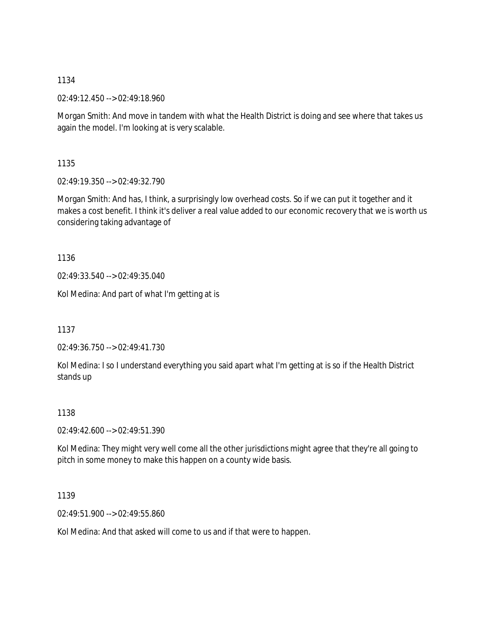02:49:12.450 --> 02:49:18.960

Morgan Smith: And move in tandem with what the Health District is doing and see where that takes us again the model. I'm looking at is very scalable.

1135

02:49:19.350 --> 02:49:32.790

Morgan Smith: And has, I think, a surprisingly low overhead costs. So if we can put it together and it makes a cost benefit. I think it's deliver a real value added to our economic recovery that we is worth us considering taking advantage of

1136

02:49:33.540 --> 02:49:35.040

Kol Medina: And part of what I'm getting at is

1137

02:49:36.750 --> 02:49:41.730

Kol Medina: I so I understand everything you said apart what I'm getting at is so if the Health District stands up

1138

02:49:42.600 --> 02:49:51.390

Kol Medina: They might very well come all the other jurisdictions might agree that they're all going to pitch in some money to make this happen on a county wide basis.

1139

02:49:51.900 --> 02:49:55.860

Kol Medina: And that asked will come to us and if that were to happen.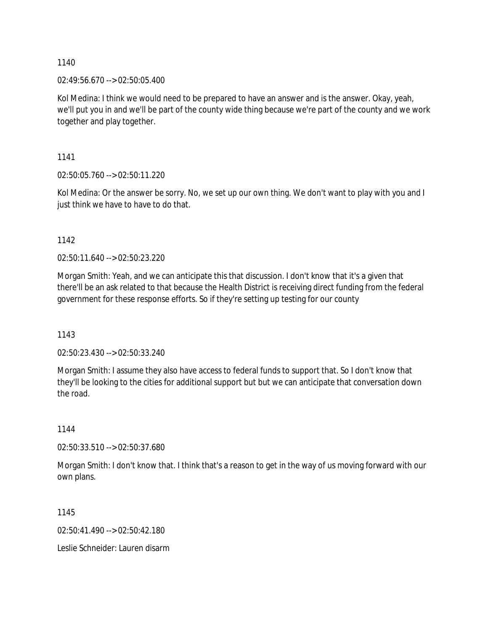02:49:56.670 --> 02:50:05.400

Kol Medina: I think we would need to be prepared to have an answer and is the answer. Okay, yeah, we'll put you in and we'll be part of the county wide thing because we're part of the county and we work together and play together.

1141

02:50:05.760 --> 02:50:11.220

Kol Medina: Or the answer be sorry. No, we set up our own thing. We don't want to play with you and I just think we have to have to do that.

1142

02:50:11.640 --> 02:50:23.220

Morgan Smith: Yeah, and we can anticipate this that discussion. I don't know that it's a given that there'll be an ask related to that because the Health District is receiving direct funding from the federal government for these response efforts. So if they're setting up testing for our county

1143

02:50:23.430 --> 02:50:33.240

Morgan Smith: I assume they also have access to federal funds to support that. So I don't know that they'll be looking to the cities for additional support but but we can anticipate that conversation down the road.

1144

02:50:33.510 --> 02:50:37.680

Morgan Smith: I don't know that. I think that's a reason to get in the way of us moving forward with our own plans.

1145

02:50:41.490 --> 02:50:42.180

Leslie Schneider: Lauren disarm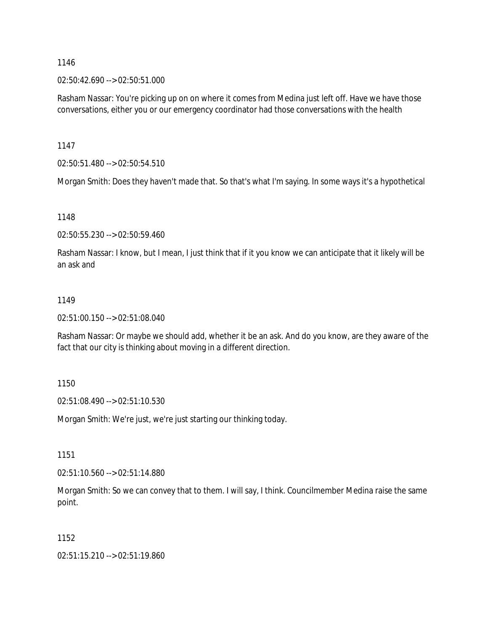### 02:50:42.690 --> 02:50:51.000

Rasham Nassar: You're picking up on on where it comes from Medina just left off. Have we have those conversations, either you or our emergency coordinator had those conversations with the health

1147

02:50:51.480 --> 02:50:54.510

Morgan Smith: Does they haven't made that. So that's what I'm saying. In some ways it's a hypothetical

1148

02:50:55.230 --> 02:50:59.460

Rasham Nassar: I know, but I mean, I just think that if it you know we can anticipate that it likely will be an ask and

#### 1149

02:51:00.150 --> 02:51:08.040

Rasham Nassar: Or maybe we should add, whether it be an ask. And do you know, are they aware of the fact that our city is thinking about moving in a different direction.

1150

02:51:08.490 --> 02:51:10.530

Morgan Smith: We're just, we're just starting our thinking today.

1151

02:51:10.560 --> 02:51:14.880

Morgan Smith: So we can convey that to them. I will say, I think. Councilmember Medina raise the same point.

1152

02:51:15.210 --> 02:51:19.860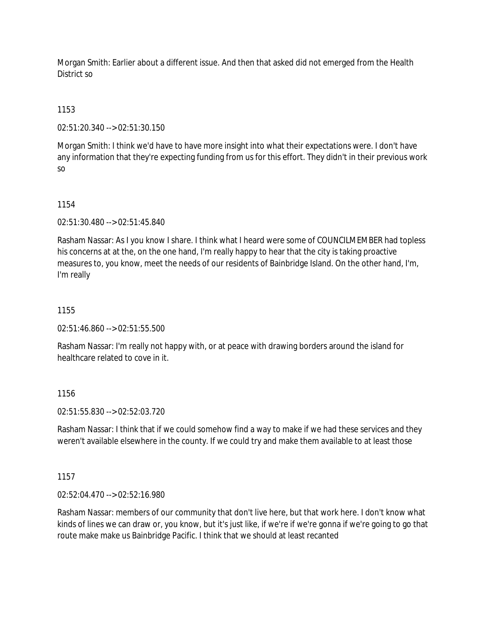Morgan Smith: Earlier about a different issue. And then that asked did not emerged from the Health District so

# 1153

02:51:20.340 --> 02:51:30.150

Morgan Smith: I think we'd have to have more insight into what their expectations were. I don't have any information that they're expecting funding from us for this effort. They didn't in their previous work so

### 1154

02:51:30.480 --> 02:51:45.840

Rasham Nassar: As I you know I share. I think what I heard were some of COUNCILMEMBER had topless his concerns at at the, on the one hand, I'm really happy to hear that the city is taking proactive measures to, you know, meet the needs of our residents of Bainbridge Island. On the other hand, I'm, I'm really

### 1155

02:51:46.860 --> 02:51:55.500

Rasham Nassar: I'm really not happy with, or at peace with drawing borders around the island for healthcare related to cove in it.

### 1156

02:51:55.830 --> 02:52:03.720

Rasham Nassar: I think that if we could somehow find a way to make if we had these services and they weren't available elsewhere in the county. If we could try and make them available to at least those

### 1157

02:52:04.470 --> 02:52:16.980

Rasham Nassar: members of our community that don't live here, but that work here. I don't know what kinds of lines we can draw or, you know, but it's just like, if we're if we're gonna if we're going to go that route make make us Bainbridge Pacific. I think that we should at least recanted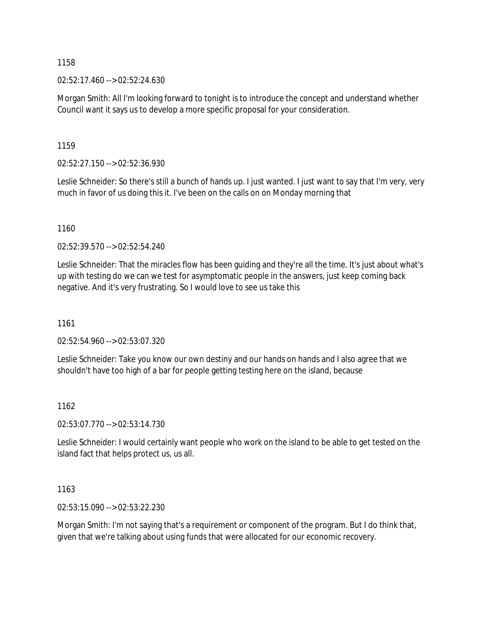02:52:17.460 --> 02:52:24.630

Morgan Smith: All I'm looking forward to tonight is to introduce the concept and understand whether Council want it says us to develop a more specific proposal for your consideration.

1159

02:52:27.150 --> 02:52:36.930

Leslie Schneider: So there's still a bunch of hands up. I just wanted. I just want to say that I'm very, very much in favor of us doing this it. I've been on the calls on on Monday morning that

1160

02:52:39.570 --> 02:52:54.240

Leslie Schneider: That the miracles flow has been guiding and they're all the time. It's just about what's up with testing do we can we test for asymptomatic people in the answers, just keep coming back negative. And it's very frustrating. So I would love to see us take this

1161

02:52:54.960 --> 02:53:07.320

Leslie Schneider: Take you know our own destiny and our hands on hands and I also agree that we shouldn't have too high of a bar for people getting testing here on the island, because

1162

02:53:07.770 --> 02:53:14.730

Leslie Schneider: I would certainly want people who work on the island to be able to get tested on the island fact that helps protect us, us all.

1163

02:53:15.090 --> 02:53:22.230

Morgan Smith: I'm not saying that's a requirement or component of the program. But I do think that, given that we're talking about using funds that were allocated for our economic recovery.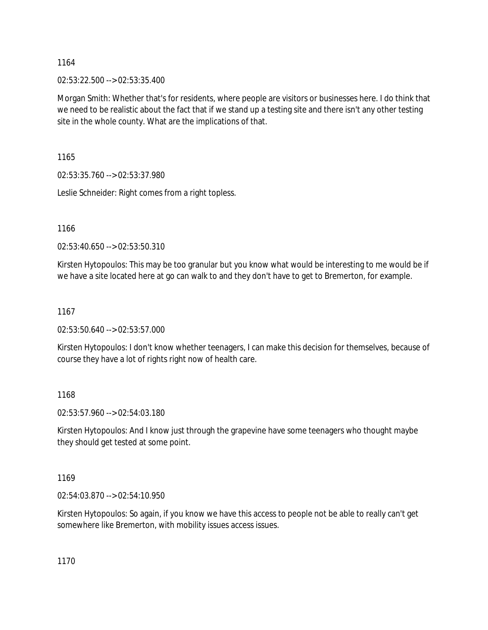02:53:22.500 --> 02:53:35.400

Morgan Smith: Whether that's for residents, where people are visitors or businesses here. I do think that we need to be realistic about the fact that if we stand up a testing site and there isn't any other testing site in the whole county. What are the implications of that.

1165

02:53:35.760 --> 02:53:37.980

Leslie Schneider: Right comes from a right topless.

1166

02:53:40.650 --> 02:53:50.310

Kirsten Hytopoulos: This may be too granular but you know what would be interesting to me would be if we have a site located here at go can walk to and they don't have to get to Bremerton, for example.

### 1167

02:53:50.640 --> 02:53:57.000

Kirsten Hytopoulos: I don't know whether teenagers, I can make this decision for themselves, because of course they have a lot of rights right now of health care.

### 1168

02:53:57.960 --> 02:54:03.180

Kirsten Hytopoulos: And I know just through the grapevine have some teenagers who thought maybe they should get tested at some point.

1169

02:54:03.870 --> 02:54:10.950

Kirsten Hytopoulos: So again, if you know we have this access to people not be able to really can't get somewhere like Bremerton, with mobility issues access issues.

1170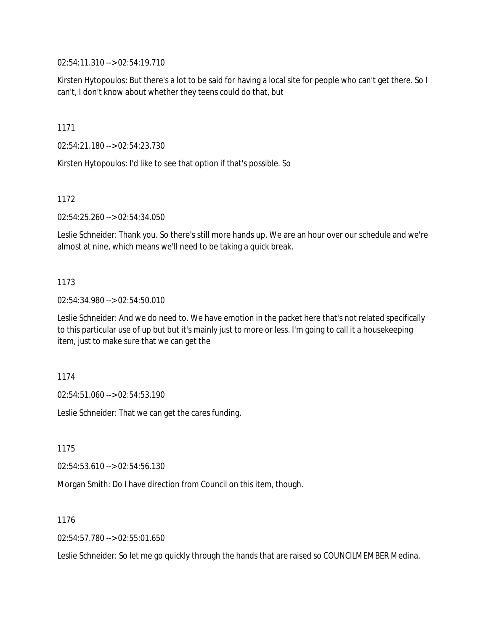02:54:11.310 --> 02:54:19.710

Kirsten Hytopoulos: But there's a lot to be said for having a local site for people who can't get there. So I can't, I don't know about whether they teens could do that, but

1171

02:54:21.180 --> 02:54:23.730

Kirsten Hytopoulos: I'd like to see that option if that's possible. So

1172

02:54:25.260 --> 02:54:34.050

Leslie Schneider: Thank you. So there's still more hands up. We are an hour over our schedule and we're almost at nine, which means we'll need to be taking a quick break.

### 1173

02:54:34.980 --> 02:54:50.010

Leslie Schneider: And we do need to. We have emotion in the packet here that's not related specifically to this particular use of up but but it's mainly just to more or less. I'm going to call it a housekeeping item, just to make sure that we can get the

1174

02:54:51.060 --> 02:54:53.190

Leslie Schneider: That we can get the cares funding.

1175

02:54:53.610 --> 02:54:56.130

Morgan Smith: Do I have direction from Council on this item, though.

1176

02:54:57.780 --> 02:55:01.650

Leslie Schneider: So let me go quickly through the hands that are raised so COUNCILMEMBER Medina.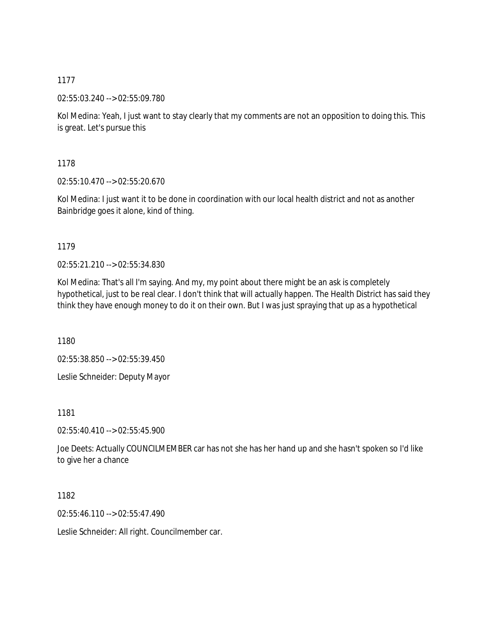02:55:03.240 --> 02:55:09.780

Kol Medina: Yeah, I just want to stay clearly that my comments are not an opposition to doing this. This is great. Let's pursue this

1178

02:55:10.470 --> 02:55:20.670

Kol Medina: I just want it to be done in coordination with our local health district and not as another Bainbridge goes it alone, kind of thing.

1179

02:55:21.210 --> 02:55:34.830

Kol Medina: That's all I'm saying. And my, my point about there might be an ask is completely hypothetical, just to be real clear. I don't think that will actually happen. The Health District has said they think they have enough money to do it on their own. But I was just spraying that up as a hypothetical

1180

02:55:38.850 --> 02:55:39.450

Leslie Schneider: Deputy Mayor

1181

02:55:40.410 --> 02:55:45.900

Joe Deets: Actually COUNCILMEMBER car has not she has her hand up and she hasn't spoken so I'd like to give her a chance

1182

02:55:46.110 --> 02:55:47.490

Leslie Schneider: All right. Councilmember car.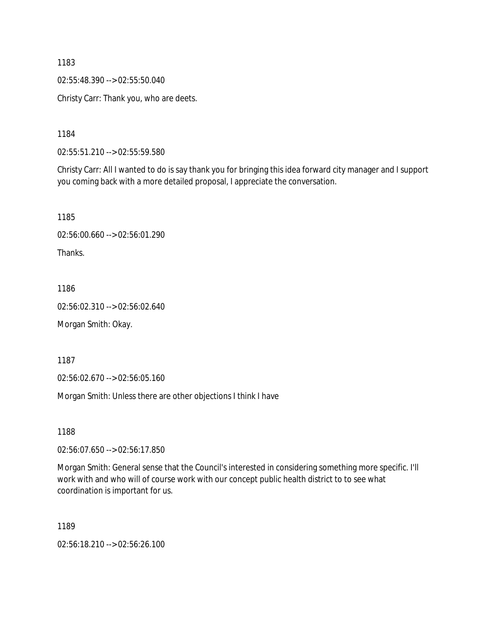02:55:48.390 --> 02:55:50.040

Christy Carr: Thank you, who are deets.

1184

02:55:51.210 --> 02:55:59.580

Christy Carr: All I wanted to do is say thank you for bringing this idea forward city manager and I support you coming back with a more detailed proposal, I appreciate the conversation.

1185 02:56:00.660 --> 02:56:01.290

Thanks.

1186

02:56:02.310 --> 02:56:02.640

Morgan Smith: Okay.

1187

02:56:02.670 --> 02:56:05.160

Morgan Smith: Unless there are other objections I think I have

1188

02:56:07.650 --> 02:56:17.850

Morgan Smith: General sense that the Council's interested in considering something more specific. I'll work with and who will of course work with our concept public health district to to see what coordination is important for us.

1189

02:56:18.210 --> 02:56:26.100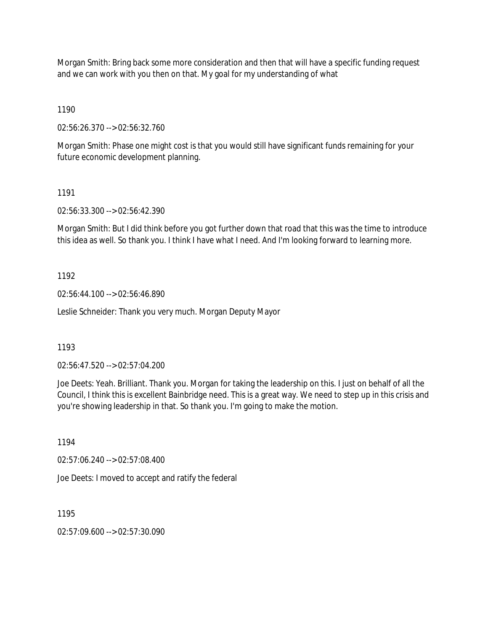Morgan Smith: Bring back some more consideration and then that will have a specific funding request and we can work with you then on that. My goal for my understanding of what

1190

02:56:26.370 --> 02:56:32.760

Morgan Smith: Phase one might cost is that you would still have significant funds remaining for your future economic development planning.

1191

02:56:33.300 --> 02:56:42.390

Morgan Smith: But I did think before you got further down that road that this was the time to introduce this idea as well. So thank you. I think I have what I need. And I'm looking forward to learning more.

1192

02:56:44.100 --> 02:56:46.890

Leslie Schneider: Thank you very much. Morgan Deputy Mayor

1193

02:56:47.520 --> 02:57:04.200

Joe Deets: Yeah. Brilliant. Thank you. Morgan for taking the leadership on this. I just on behalf of all the Council, I think this is excellent Bainbridge need. This is a great way. We need to step up in this crisis and you're showing leadership in that. So thank you. I'm going to make the motion.

1194

02:57:06.240 --> 02:57:08.400

Joe Deets: I moved to accept and ratify the federal

1195

02:57:09.600 --> 02:57:30.090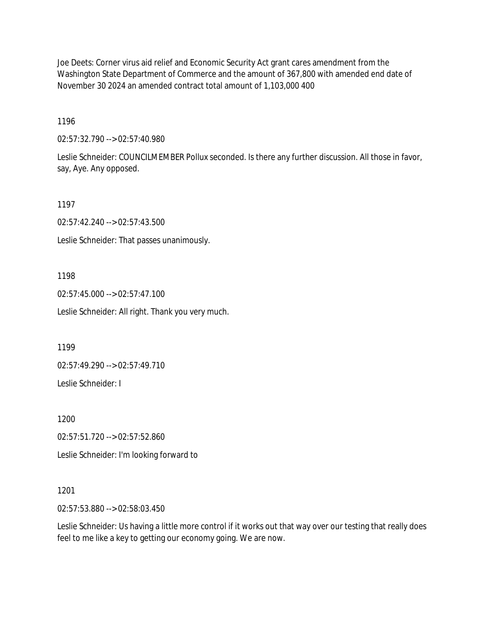Joe Deets: Corner virus aid relief and Economic Security Act grant cares amendment from the Washington State Department of Commerce and the amount of 367,800 with amended end date of November 30 2024 an amended contract total amount of 1,103,000 400

1196

02:57:32.790 --> 02:57:40.980

Leslie Schneider: COUNCILMEMBER Pollux seconded. Is there any further discussion. All those in favor, say, Aye. Any opposed.

1197

02:57:42.240 --> 02:57:43.500

Leslie Schneider: That passes unanimously.

1198

02:57:45.000 --> 02:57:47.100

Leslie Schneider: All right. Thank you very much.

1199

02:57:49.290 --> 02:57:49.710

Leslie Schneider: I

1200

02:57:51.720 --> 02:57:52.860

Leslie Schneider: I'm looking forward to

1201

02:57:53.880 --> 02:58:03.450

Leslie Schneider: Us having a little more control if it works out that way over our testing that really does feel to me like a key to getting our economy going. We are now.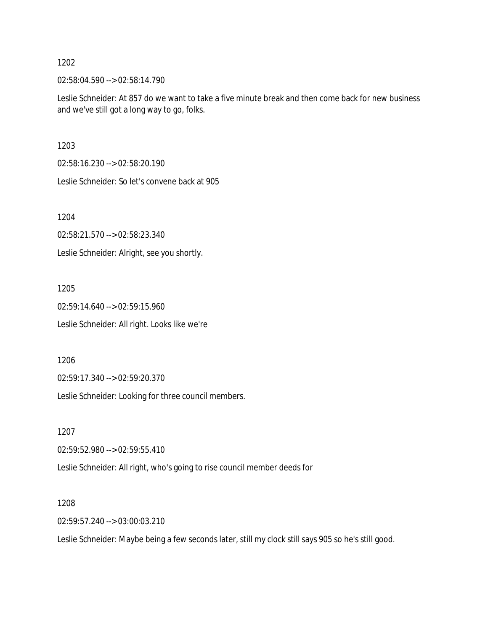02:58:04.590 --> 02:58:14.790

Leslie Schneider: At 857 do we want to take a five minute break and then come back for new business and we've still got a long way to go, folks.

1203

02:58:16.230 --> 02:58:20.190

Leslie Schneider: So let's convene back at 905

1204

02:58:21.570 --> 02:58:23.340

Leslie Schneider: Alright, see you shortly.

1205

02:59:14.640 --> 02:59:15.960 Leslie Schneider: All right. Looks like we're

1206

02:59:17.340 --> 02:59:20.370

Leslie Schneider: Looking for three council members.

1207

02:59:52.980 --> 02:59:55.410

Leslie Schneider: All right, who's going to rise council member deeds for

1208

02:59:57.240 --> 03:00:03.210

Leslie Schneider: Maybe being a few seconds later, still my clock still says 905 so he's still good.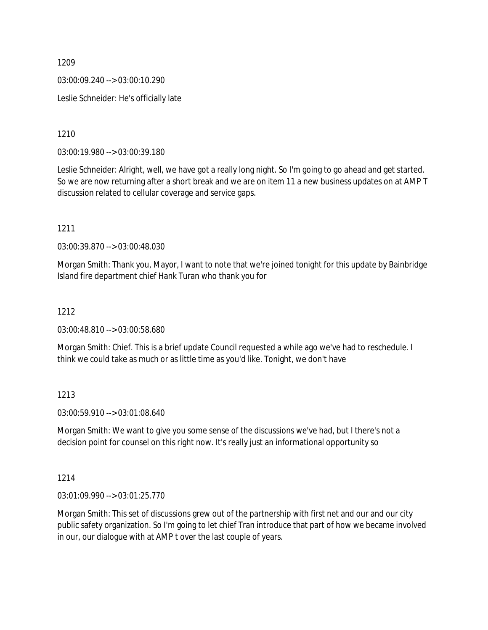03:00:09.240 --> 03:00:10.290

Leslie Schneider: He's officially late

1210

03:00:19.980 --> 03:00:39.180

Leslie Schneider: Alright, well, we have got a really long night. So I'm going to go ahead and get started. So we are now returning after a short break and we are on item 11 a new business updates on at AMP T discussion related to cellular coverage and service gaps.

1211

03:00:39.870 --> 03:00:48.030

Morgan Smith: Thank you, Mayor, I want to note that we're joined tonight for this update by Bainbridge Island fire department chief Hank Turan who thank you for

### 1212

03:00:48.810 --> 03:00:58.680

Morgan Smith: Chief. This is a brief update Council requested a while ago we've had to reschedule. I think we could take as much or as little time as you'd like. Tonight, we don't have

### 1213

03:00:59.910 --> 03:01:08.640

Morgan Smith: We want to give you some sense of the discussions we've had, but I there's not a decision point for counsel on this right now. It's really just an informational opportunity so

1214

03:01:09.990 --> 03:01:25.770

Morgan Smith: This set of discussions grew out of the partnership with first net and our and our city public safety organization. So I'm going to let chief Tran introduce that part of how we became involved in our, our dialogue with at AMP t over the last couple of years.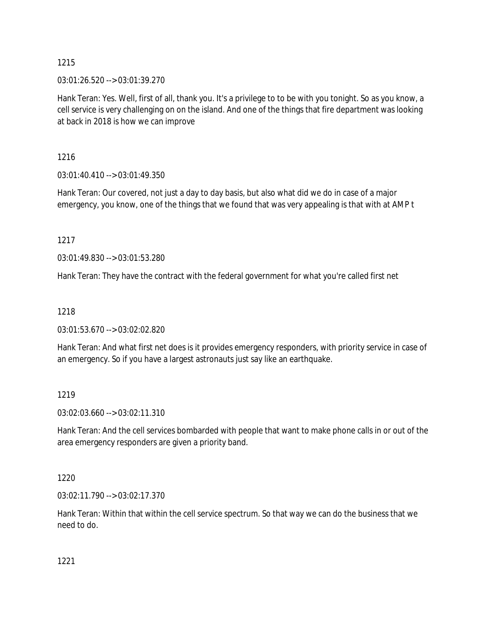03:01:26.520 --> 03:01:39.270

Hank Teran: Yes. Well, first of all, thank you. It's a privilege to to be with you tonight. So as you know, a cell service is very challenging on on the island. And one of the things that fire department was looking at back in 2018 is how we can improve

1216

03:01:40.410 --> 03:01:49.350

Hank Teran: Our covered, not just a day to day basis, but also what did we do in case of a major emergency, you know, one of the things that we found that was very appealing is that with at AMP t

1217

03:01:49.830 --> 03:01:53.280

Hank Teran: They have the contract with the federal government for what you're called first net

# 1218

03:01:53.670 --> 03:02:02.820

Hank Teran: And what first net does is it provides emergency responders, with priority service in case of an emergency. So if you have a largest astronauts just say like an earthquake.

# 1219

03:02:03.660 --> 03:02:11.310

Hank Teran: And the cell services bombarded with people that want to make phone calls in or out of the area emergency responders are given a priority band.

1220

03:02:11.790 --> 03:02:17.370

Hank Teran: Within that within the cell service spectrum. So that way we can do the business that we need to do.

1221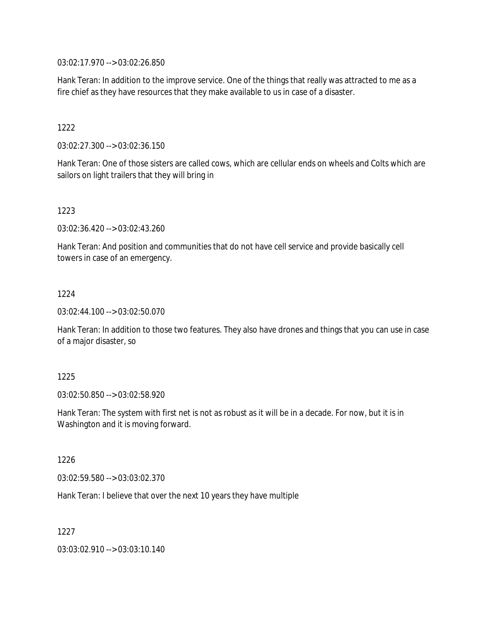03:02:17.970 --> 03:02:26.850

Hank Teran: In addition to the improve service. One of the things that really was attracted to me as a fire chief as they have resources that they make available to us in case of a disaster.

1222

03:02:27.300 --> 03:02:36.150

Hank Teran: One of those sisters are called cows, which are cellular ends on wheels and Colts which are sailors on light trailers that they will bring in

1223

03:02:36.420 --> 03:02:43.260

Hank Teran: And position and communities that do not have cell service and provide basically cell towers in case of an emergency.

1224

03:02:44.100 --> 03:02:50.070

Hank Teran: In addition to those two features. They also have drones and things that you can use in case of a major disaster, so

1225

03:02:50.850 --> 03:02:58.920

Hank Teran: The system with first net is not as robust as it will be in a decade. For now, but it is in Washington and it is moving forward.

1226

03:02:59.580 --> 03:03:02.370

Hank Teran: I believe that over the next 10 years they have multiple

1227

03:03:02.910 --> 03:03:10.140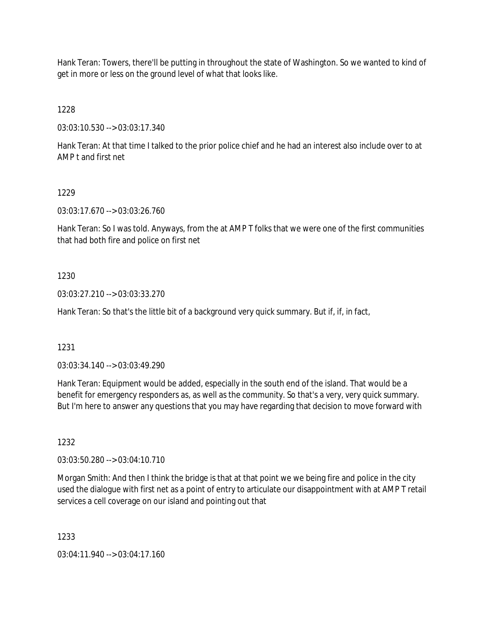Hank Teran: Towers, there'll be putting in throughout the state of Washington. So we wanted to kind of get in more or less on the ground level of what that looks like.

1228

03:03:10.530 --> 03:03:17.340

Hank Teran: At that time I talked to the prior police chief and he had an interest also include over to at AMP t and first net

### 1229

03:03:17.670 --> 03:03:26.760

Hank Teran: So I was told. Anyways, from the at AMP T folks that we were one of the first communities that had both fire and police on first net

### 1230

03:03:27.210 --> 03:03:33.270

Hank Teran: So that's the little bit of a background very quick summary. But if, if, in fact,

1231

03:03:34.140 --> 03:03:49.290

Hank Teran: Equipment would be added, especially in the south end of the island. That would be a benefit for emergency responders as, as well as the community. So that's a very, very quick summary. But I'm here to answer any questions that you may have regarding that decision to move forward with

1232

03:03:50.280 --> 03:04:10.710

Morgan Smith: And then I think the bridge is that at that point we we being fire and police in the city used the dialogue with first net as a point of entry to articulate our disappointment with at AMP T retail services a cell coverage on our island and pointing out that

1233

03:04:11.940 --> 03:04:17.160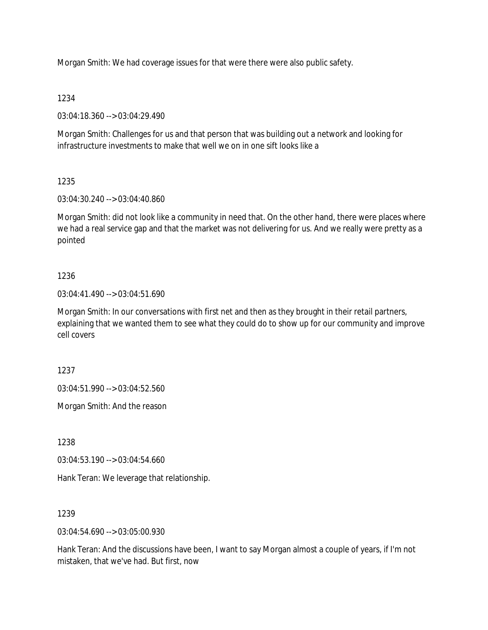Morgan Smith: We had coverage issues for that were there were also public safety.

### 1234

03:04:18.360 --> 03:04:29.490

Morgan Smith: Challenges for us and that person that was building out a network and looking for infrastructure investments to make that well we on in one sift looks like a

# 1235

03:04:30.240 --> 03:04:40.860

Morgan Smith: did not look like a community in need that. On the other hand, there were places where we had a real service gap and that the market was not delivering for us. And we really were pretty as a pointed

### 1236

03:04:41.490 --> 03:04:51.690

Morgan Smith: In our conversations with first net and then as they brought in their retail partners, explaining that we wanted them to see what they could do to show up for our community and improve cell covers

1237

03:04:51.990 --> 03:04:52.560

Morgan Smith: And the reason

1238

03:04:53.190 --> 03:04:54.660

Hank Teran: We leverage that relationship.

### 1239

03:04:54.690 --> 03:05:00.930

Hank Teran: And the discussions have been, I want to say Morgan almost a couple of years, if I'm not mistaken, that we've had. But first, now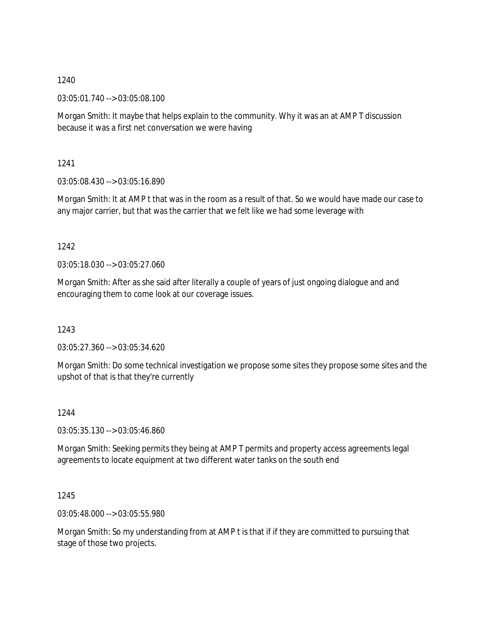03:05:01.740 --> 03:05:08.100

Morgan Smith: It maybe that helps explain to the community. Why it was an at AMP T discussion because it was a first net conversation we were having

1241

03:05:08.430 --> 03:05:16.890

Morgan Smith: It at AMP t that was in the room as a result of that. So we would have made our case to any major carrier, but that was the carrier that we felt like we had some leverage with

1242

03:05:18.030 --> 03:05:27.060

Morgan Smith: After as she said after literally a couple of years of just ongoing dialogue and and encouraging them to come look at our coverage issues.

1243

03:05:27.360 --> 03:05:34.620

Morgan Smith: Do some technical investigation we propose some sites they propose some sites and the upshot of that is that they're currently

1244

03:05:35.130 --> 03:05:46.860

Morgan Smith: Seeking permits they being at AMP T permits and property access agreements legal agreements to locate equipment at two different water tanks on the south end

1245

03:05:48.000 --> 03:05:55.980

Morgan Smith: So my understanding from at AMP t is that if if they are committed to pursuing that stage of those two projects.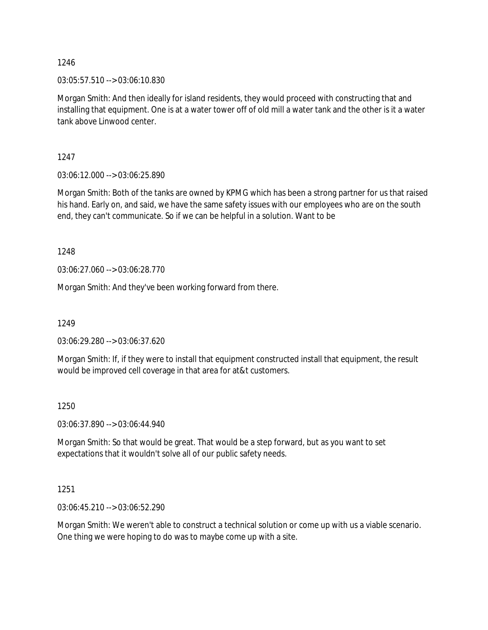03:05:57.510 --> 03:06:10.830

Morgan Smith: And then ideally for island residents, they would proceed with constructing that and installing that equipment. One is at a water tower off of old mill a water tank and the other is it a water tank above Linwood center.

1247

03:06:12.000 --> 03:06:25.890

Morgan Smith: Both of the tanks are owned by KPMG which has been a strong partner for us that raised his hand. Early on, and said, we have the same safety issues with our employees who are on the south end, they can't communicate. So if we can be helpful in a solution. Want to be

1248

03:06:27.060 --> 03:06:28.770

Morgan Smith: And they've been working forward from there.

1249

03:06:29.280 --> 03:06:37.620

Morgan Smith: If, if they were to install that equipment constructed install that equipment, the result would be improved cell coverage in that area for at&t customers.

### 1250

03:06:37.890 --> 03:06:44.940

Morgan Smith: So that would be great. That would be a step forward, but as you want to set expectations that it wouldn't solve all of our public safety needs.

1251

03:06:45.210 --> 03:06:52.290

Morgan Smith: We weren't able to construct a technical solution or come up with us a viable scenario. One thing we were hoping to do was to maybe come up with a site.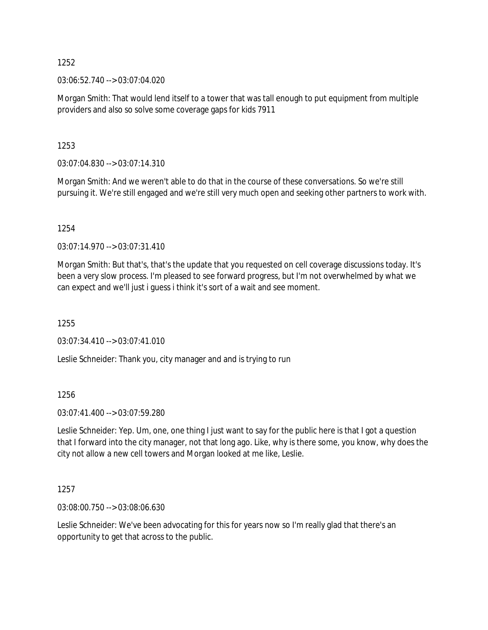03:06:52.740 --> 03:07:04.020

Morgan Smith: That would lend itself to a tower that was tall enough to put equipment from multiple providers and also so solve some coverage gaps for kids 7911

1253

03:07:04.830 --> 03:07:14.310

Morgan Smith: And we weren't able to do that in the course of these conversations. So we're still pursuing it. We're still engaged and we're still very much open and seeking other partners to work with.

1254

03:07:14.970 --> 03:07:31.410

Morgan Smith: But that's, that's the update that you requested on cell coverage discussions today. It's been a very slow process. I'm pleased to see forward progress, but I'm not overwhelmed by what we can expect and we'll just i guess i think it's sort of a wait and see moment.

1255

03:07:34.410 --> 03:07:41.010

Leslie Schneider: Thank you, city manager and and is trying to run

1256

03:07:41.400 --> 03:07:59.280

Leslie Schneider: Yep. Um, one, one thing I just want to say for the public here is that I got a question that I forward into the city manager, not that long ago. Like, why is there some, you know, why does the city not allow a new cell towers and Morgan looked at me like, Leslie.

1257

03:08:00.750 --> 03:08:06.630

Leslie Schneider: We've been advocating for this for years now so I'm really glad that there's an opportunity to get that across to the public.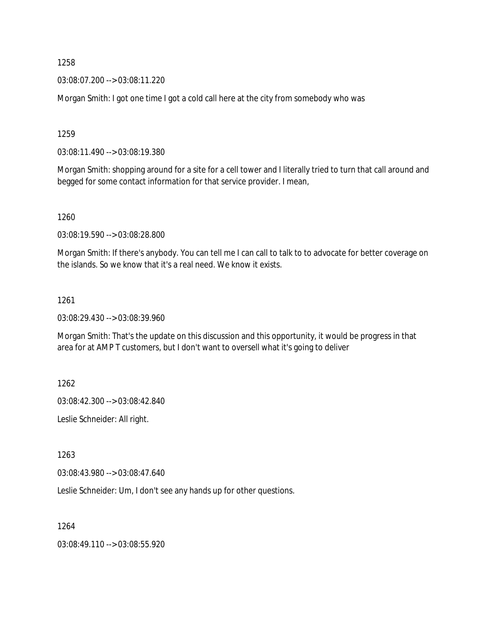03:08:07.200 --> 03:08:11.220

Morgan Smith: I got one time I got a cold call here at the city from somebody who was

1259

03:08:11.490 --> 03:08:19.380

Morgan Smith: shopping around for a site for a cell tower and I literally tried to turn that call around and begged for some contact information for that service provider. I mean,

1260

03:08:19.590 --> 03:08:28.800

Morgan Smith: If there's anybody. You can tell me I can call to talk to to advocate for better coverage on the islands. So we know that it's a real need. We know it exists.

#### 1261

03:08:29.430 --> 03:08:39.960

Morgan Smith: That's the update on this discussion and this opportunity, it would be progress in that area for at AMP T customers, but I don't want to oversell what it's going to deliver

1262

03:08:42.300 --> 03:08:42.840

Leslie Schneider: All right.

1263

03:08:43.980 --> 03:08:47.640

Leslie Schneider: Um, I don't see any hands up for other questions.

1264

03:08:49.110 --> 03:08:55.920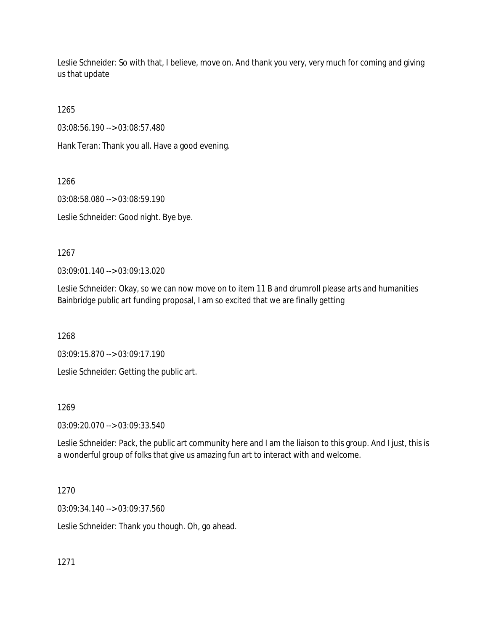Leslie Schneider: So with that, I believe, move on. And thank you very, very much for coming and giving us that update

1265

03:08:56.190 --> 03:08:57.480

Hank Teran: Thank you all. Have a good evening.

1266

03:08:58.080 --> 03:08:59.190

Leslie Schneider: Good night. Bye bye.

1267

03:09:01.140 --> 03:09:13.020

Leslie Schneider: Okay, so we can now move on to item 11 B and drumroll please arts and humanities Bainbridge public art funding proposal, I am so excited that we are finally getting

1268

03:09:15.870 --> 03:09:17.190

Leslie Schneider: Getting the public art.

1269

03:09:20.070 --> 03:09:33.540

Leslie Schneider: Pack, the public art community here and I am the liaison to this group. And I just, this is a wonderful group of folks that give us amazing fun art to interact with and welcome.

1270

03:09:34.140 --> 03:09:37.560

Leslie Schneider: Thank you though. Oh, go ahead.

1271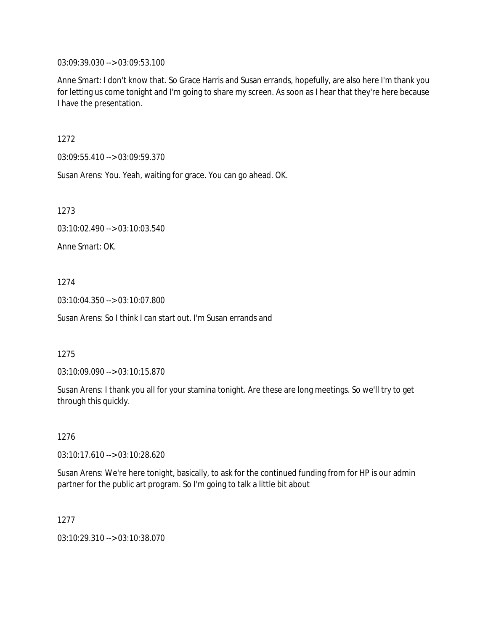03:09:39.030 --> 03:09:53.100

Anne Smart: I don't know that. So Grace Harris and Susan errands, hopefully, are also here I'm thank you for letting us come tonight and I'm going to share my screen. As soon as I hear that they're here because I have the presentation.

1272

03:09:55.410 --> 03:09:59.370

Susan Arens: You. Yeah, waiting for grace. You can go ahead. OK.

1273

03:10:02.490 --> 03:10:03.540

Anne Smart: OK.

1274

03:10:04.350 --> 03:10:07.800

Susan Arens: So I think I can start out. I'm Susan errands and

1275

03:10:09.090 --> 03:10:15.870

Susan Arens: I thank you all for your stamina tonight. Are these are long meetings. So we'll try to get through this quickly.

1276

03:10:17.610 --> 03:10:28.620

Susan Arens: We're here tonight, basically, to ask for the continued funding from for HP is our admin partner for the public art program. So I'm going to talk a little bit about

1277

03:10:29.310 --> 03:10:38.070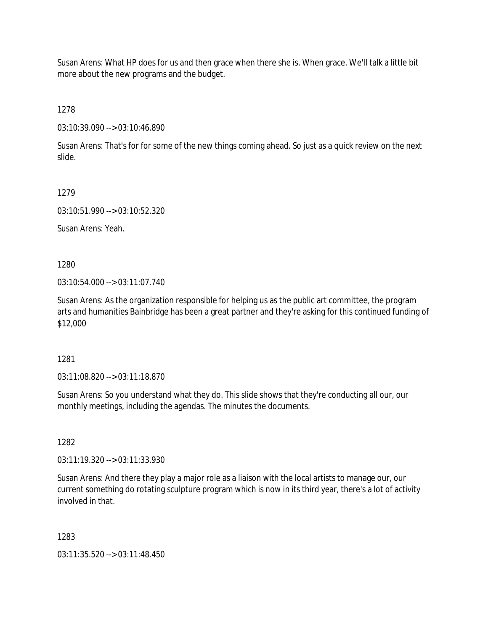Susan Arens: What HP does for us and then grace when there she is. When grace. We'll talk a little bit more about the new programs and the budget.

1278

03:10:39.090 --> 03:10:46.890

Susan Arens: That's for for some of the new things coming ahead. So just as a quick review on the next slide.

1279

03:10:51.990 --> 03:10:52.320

Susan Arens: Yeah.

1280

03:10:54.000 --> 03:11:07.740

Susan Arens: As the organization responsible for helping us as the public art committee, the program arts and humanities Bainbridge has been a great partner and they're asking for this continued funding of \$12,000

1281

03:11:08.820 --> 03:11:18.870

Susan Arens: So you understand what they do. This slide shows that they're conducting all our, our monthly meetings, including the agendas. The minutes the documents.

1282

03:11:19.320 --> 03:11:33.930

Susan Arens: And there they play a major role as a liaison with the local artists to manage our, our current something do rotating sculpture program which is now in its third year, there's a lot of activity involved in that.

1283

03:11:35.520 --> 03:11:48.450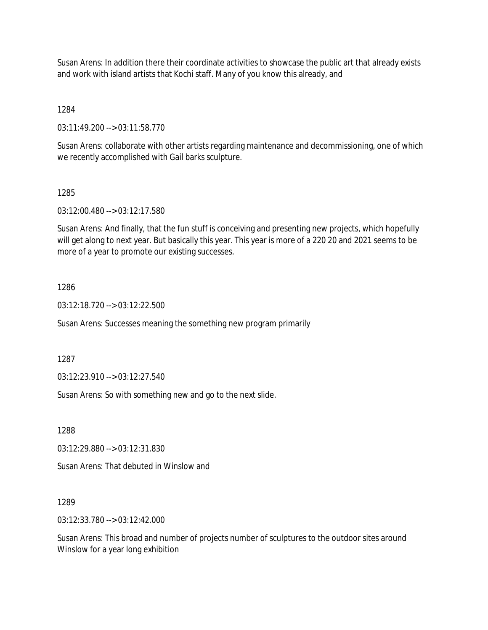Susan Arens: In addition there their coordinate activities to showcase the public art that already exists and work with island artists that Kochi staff. Many of you know this already, and

1284

03:11:49.200 --> 03:11:58.770

Susan Arens: collaborate with other artists regarding maintenance and decommissioning, one of which we recently accomplished with Gail barks sculpture.

1285

03:12:00.480 --> 03:12:17.580

Susan Arens: And finally, that the fun stuff is conceiving and presenting new projects, which hopefully will get along to next year. But basically this year. This year is more of a 220 20 and 2021 seems to be more of a year to promote our existing successes.

1286

03:12:18.720 --> 03:12:22.500

Susan Arens: Successes meaning the something new program primarily

1287

03:12:23.910 --> 03:12:27.540

Susan Arens: So with something new and go to the next slide.

1288

03:12:29.880 --> 03:12:31.830

Susan Arens: That debuted in Winslow and

1289

03:12:33.780 --> 03:12:42.000

Susan Arens: This broad and number of projects number of sculptures to the outdoor sites around Winslow for a year long exhibition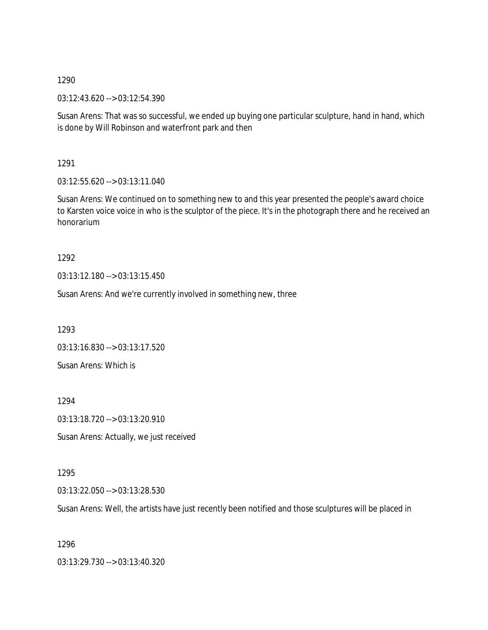03:12:43.620 --> 03:12:54.390

Susan Arens: That was so successful, we ended up buying one particular sculpture, hand in hand, which is done by Will Robinson and waterfront park and then

1291

03:12:55.620 --> 03:13:11.040

Susan Arens: We continued on to something new to and this year presented the people's award choice to Karsten voice voice in who is the sculptor of the piece. It's in the photograph there and he received an honorarium

1292

03:13:12.180 --> 03:13:15.450

Susan Arens: And we're currently involved in something new, three

1293

03:13:16.830 --> 03:13:17.520 Susan Arens: Which is

1294

03:13:18.720 --> 03:13:20.910

Susan Arens: Actually, we just received

### 1295

03:13:22.050 --> 03:13:28.530

Susan Arens: Well, the artists have just recently been notified and those sculptures will be placed in

1296

03:13:29.730 --> 03:13:40.320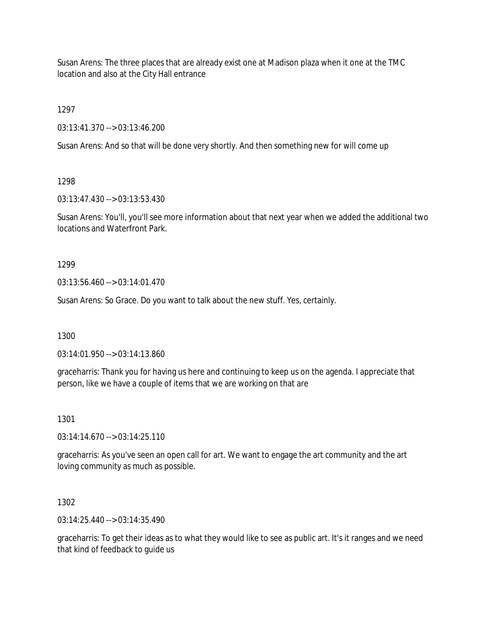Susan Arens: The three places that are already exist one at Madison plaza when it one at the TMC location and also at the City Hall entrance

1297

03:13:41.370 --> 03:13:46.200

Susan Arens: And so that will be done very shortly. And then something new for will come up

1298

03:13:47.430 --> 03:13:53.430

Susan Arens: You'll, you'll see more information about that next year when we added the additional two locations and Waterfront Park.

1299

03:13:56.460 --> 03:14:01.470

Susan Arens: So Grace. Do you want to talk about the new stuff. Yes, certainly.

1300

03:14:01.950 --> 03:14:13.860

graceharris: Thank you for having us here and continuing to keep us on the agenda. I appreciate that person, like we have a couple of items that we are working on that are

1301

03:14:14.670 --> 03:14:25.110

graceharris: As you've seen an open call for art. We want to engage the art community and the art loving community as much as possible.

1302

03:14:25.440 --> 03:14:35.490

graceharris: To get their ideas as to what they would like to see as public art. It's it ranges and we need that kind of feedback to guide us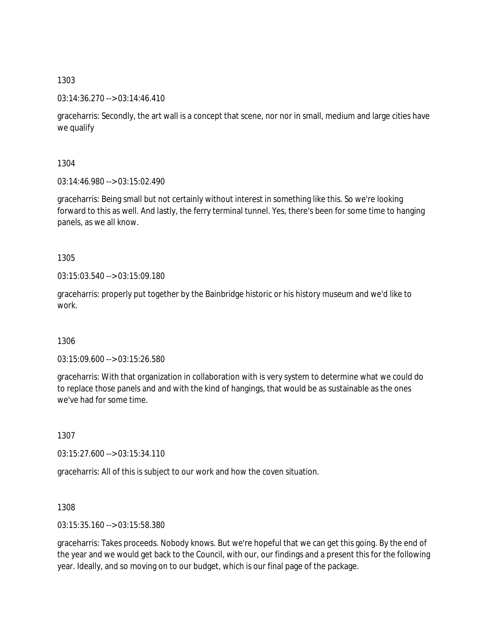### 03:14:36.270 --> 03:14:46.410

graceharris: Secondly, the art wall is a concept that scene, nor nor in small, medium and large cities have we qualify

1304

03:14:46.980 --> 03:15:02.490

graceharris: Being small but not certainly without interest in something like this. So we're looking forward to this as well. And lastly, the ferry terminal tunnel. Yes, there's been for some time to hanging panels, as we all know.

### 1305

03:15:03.540 --> 03:15:09.180

graceharris: properly put together by the Bainbridge historic or his history museum and we'd like to work.

### 1306

03:15:09.600 --> 03:15:26.580

graceharris: With that organization in collaboration with is very system to determine what we could do to replace those panels and and with the kind of hangings, that would be as sustainable as the ones we've had for some time.

1307

03:15:27.600 --> 03:15:34.110

graceharris: All of this is subject to our work and how the coven situation.

### 1308

03:15:35.160 --> 03:15:58.380

graceharris: Takes proceeds. Nobody knows. But we're hopeful that we can get this going. By the end of the year and we would get back to the Council, with our, our findings and a present this for the following year. Ideally, and so moving on to our budget, which is our final page of the package.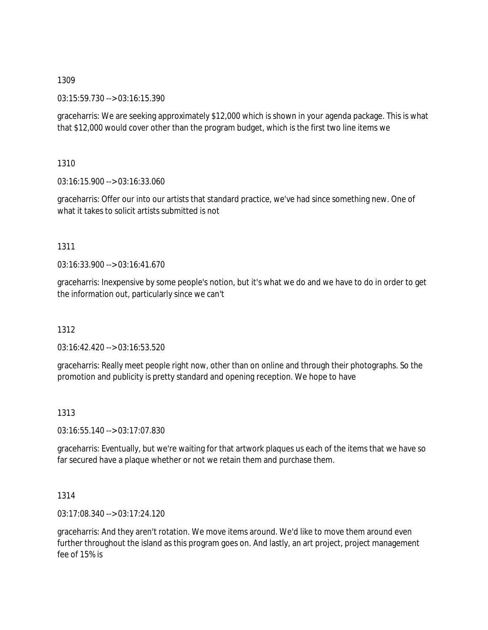03:15:59.730 --> 03:16:15.390

graceharris: We are seeking approximately \$12,000 which is shown in your agenda package. This is what that \$12,000 would cover other than the program budget, which is the first two line items we

1310

03:16:15.900 --> 03:16:33.060

graceharris: Offer our into our artists that standard practice, we've had since something new. One of what it takes to solicit artists submitted is not

### 1311

03:16:33.900 --> 03:16:41.670

graceharris: Inexpensive by some people's notion, but it's what we do and we have to do in order to get the information out, particularly since we can't

# 1312

03:16:42.420 --> 03:16:53.520

graceharris: Really meet people right now, other than on online and through their photographs. So the promotion and publicity is pretty standard and opening reception. We hope to have

# 1313

03:16:55.140 --> 03:17:07.830

graceharris: Eventually, but we're waiting for that artwork plaques us each of the items that we have so far secured have a plaque whether or not we retain them and purchase them.

# 1314

03:17:08.340 --> 03:17:24.120

graceharris: And they aren't rotation. We move items around. We'd like to move them around even further throughout the island as this program goes on. And lastly, an art project, project management fee of 15% is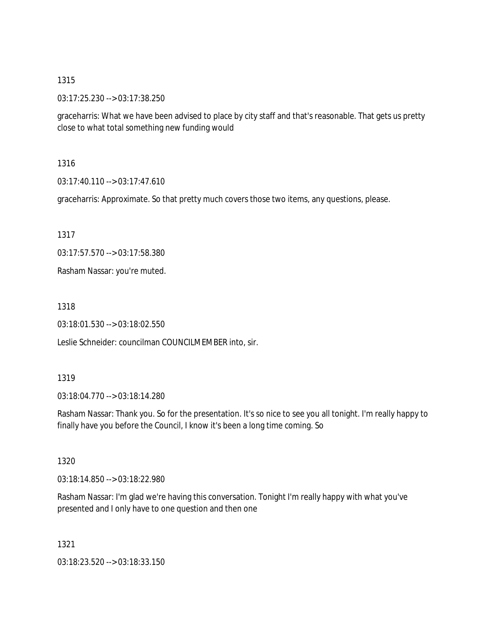03:17:25.230 --> 03:17:38.250

graceharris: What we have been advised to place by city staff and that's reasonable. That gets us pretty close to what total something new funding would

1316

03:17:40.110 --> 03:17:47.610

graceharris: Approximate. So that pretty much covers those two items, any questions, please.

1317

03:17:57.570 --> 03:17:58.380

Rasham Nassar: you're muted.

1318

03:18:01.530 --> 03:18:02.550

Leslie Schneider: councilman COUNCILMEMBER into, sir.

### 1319

03:18:04.770 --> 03:18:14.280

Rasham Nassar: Thank you. So for the presentation. It's so nice to see you all tonight. I'm really happy to finally have you before the Council, I know it's been a long time coming. So

1320

03:18:14.850 --> 03:18:22.980

Rasham Nassar: I'm glad we're having this conversation. Tonight I'm really happy with what you've presented and I only have to one question and then one

1321

03:18:23.520 --> 03:18:33.150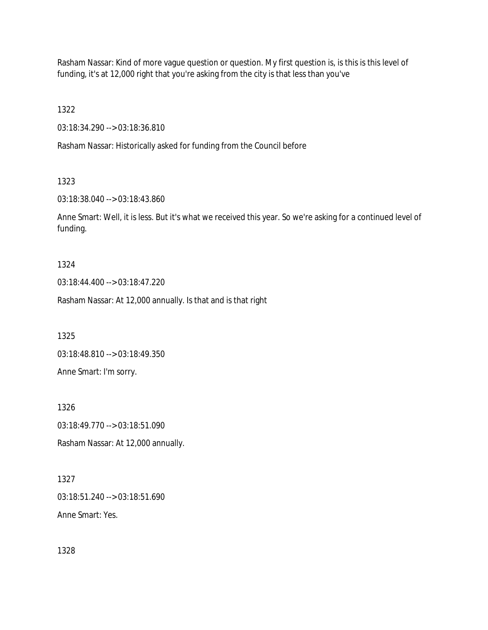Rasham Nassar: Kind of more vague question or question. My first question is, is this is this level of funding, it's at 12,000 right that you're asking from the city is that less than you've

1322

03:18:34.290 --> 03:18:36.810

Rasham Nassar: Historically asked for funding from the Council before

1323

03:18:38.040 --> 03:18:43.860

Anne Smart: Well, it is less. But it's what we received this year. So we're asking for a continued level of funding.

1324

03:18:44.400 --> 03:18:47.220

Rasham Nassar: At 12,000 annually. Is that and is that right

1325

03:18:48.810 --> 03:18:49.350

Anne Smart: I'm sorry.

1326 03:18:49.770 --> 03:18:51.090

Rasham Nassar: At 12,000 annually.

1327 03:18:51.240 --> 03:18:51.690

Anne Smart: Yes.

1328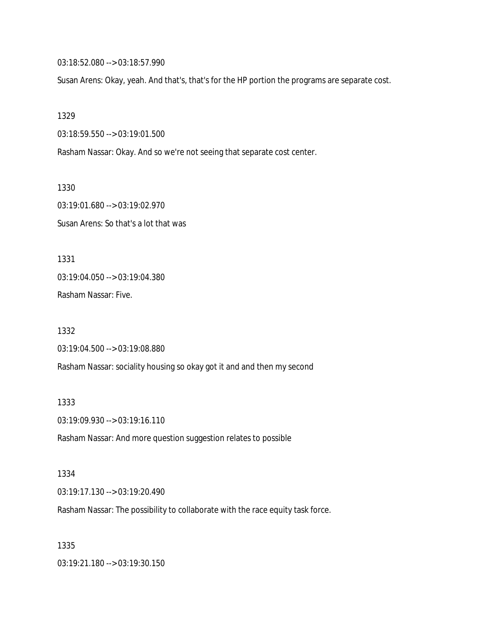03:18:52.080 --> 03:18:57.990

Susan Arens: Okay, yeah. And that's, that's for the HP portion the programs are separate cost.

1329

03:18:59.550 --> 03:19:01.500

Rasham Nassar: Okay. And so we're not seeing that separate cost center.

1330

03:19:01.680 --> 03:19:02.970 Susan Arens: So that's a lot that was

1331 03:19:04.050 --> 03:19:04.380

Rasham Nassar: Five.

1332 03:19:04.500 --> 03:19:08.880 Rasham Nassar: sociality housing so okay got it and and then my second

1333 03:19:09.930 --> 03:19:16.110

Rasham Nassar: And more question suggestion relates to possible

1334

03:19:17.130 --> 03:19:20.490

Rasham Nassar: The possibility to collaborate with the race equity task force.

1335

03:19:21.180 --> 03:19:30.150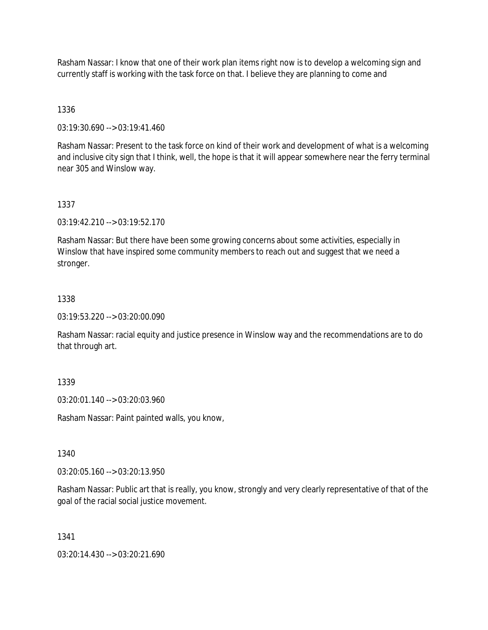Rasham Nassar: I know that one of their work plan items right now is to develop a welcoming sign and currently staff is working with the task force on that. I believe they are planning to come and

### 1336

03:19:30.690 --> 03:19:41.460

Rasham Nassar: Present to the task force on kind of their work and development of what is a welcoming and inclusive city sign that I think, well, the hope is that it will appear somewhere near the ferry terminal near 305 and Winslow way.

### 1337

03:19:42.210 --> 03:19:52.170

Rasham Nassar: But there have been some growing concerns about some activities, especially in Winslow that have inspired some community members to reach out and suggest that we need a stronger.

### 1338

03:19:53.220 --> 03:20:00.090

Rasham Nassar: racial equity and justice presence in Winslow way and the recommendations are to do that through art.

# 1339

03:20:01.140 --> 03:20:03.960

Rasham Nassar: Paint painted walls, you know,

### 1340

03:20:05.160 --> 03:20:13.950

Rasham Nassar: Public art that is really, you know, strongly and very clearly representative of that of the goal of the racial social justice movement.

### 1341

03:20:14.430 --> 03:20:21.690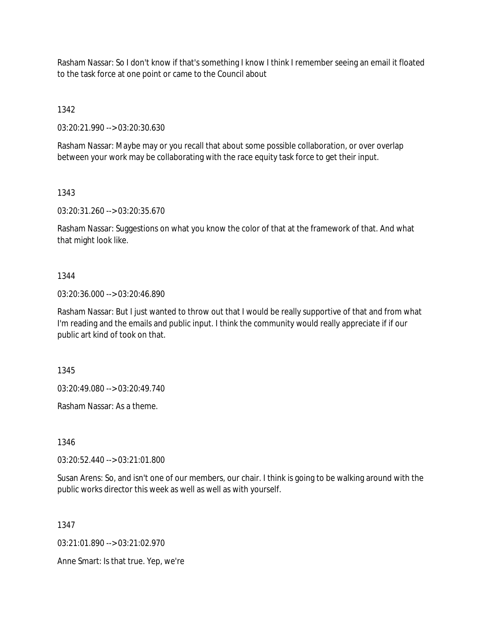Rasham Nassar: So I don't know if that's something I know I think I remember seeing an email it floated to the task force at one point or came to the Council about

1342

03:20:21.990 --> 03:20:30.630

Rasham Nassar: Maybe may or you recall that about some possible collaboration, or over overlap between your work may be collaborating with the race equity task force to get their input.

### 1343

03:20:31.260 --> 03:20:35.670

Rasham Nassar: Suggestions on what you know the color of that at the framework of that. And what that might look like.

### 1344

03:20:36.000 --> 03:20:46.890

Rasham Nassar: But I just wanted to throw out that I would be really supportive of that and from what I'm reading and the emails and public input. I think the community would really appreciate if if our public art kind of took on that.

1345

03:20:49.080 --> 03:20:49.740

Rasham Nassar: As a theme.

1346

03:20:52.440 --> 03:21:01.800

Susan Arens: So, and isn't one of our members, our chair. I think is going to be walking around with the public works director this week as well as well as with yourself.

1347

03:21:01.890 --> 03:21:02.970

Anne Smart: Is that true. Yep, we're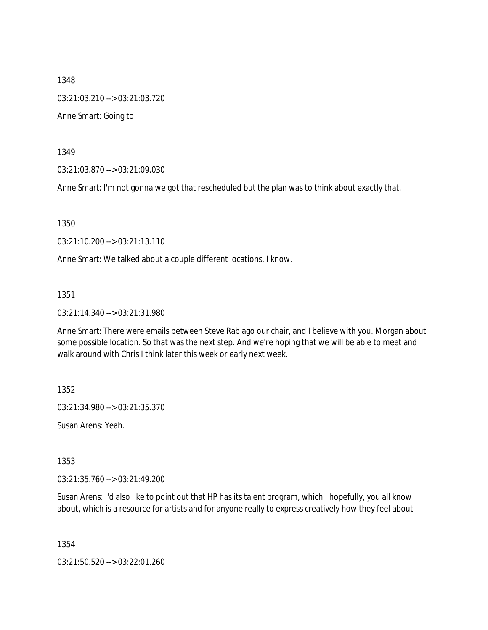1348 03:21:03.210 --> 03:21:03.720 Anne Smart: Going to

1349

03:21:03.870 --> 03:21:09.030

Anne Smart: I'm not gonna we got that rescheduled but the plan was to think about exactly that.

1350

03:21:10.200 --> 03:21:13.110

Anne Smart: We talked about a couple different locations. I know.

1351

03:21:14.340 --> 03:21:31.980

Anne Smart: There were emails between Steve Rab ago our chair, and I believe with you. Morgan about some possible location. So that was the next step. And we're hoping that we will be able to meet and walk around with Chris I think later this week or early next week.

1352

03:21:34.980 --> 03:21:35.370

Susan Arens: Yeah.

1353

03:21:35.760 --> 03:21:49.200

Susan Arens: I'd also like to point out that HP has its talent program, which I hopefully, you all know about, which is a resource for artists and for anyone really to express creatively how they feel about

1354

03:21:50.520 --> 03:22:01.260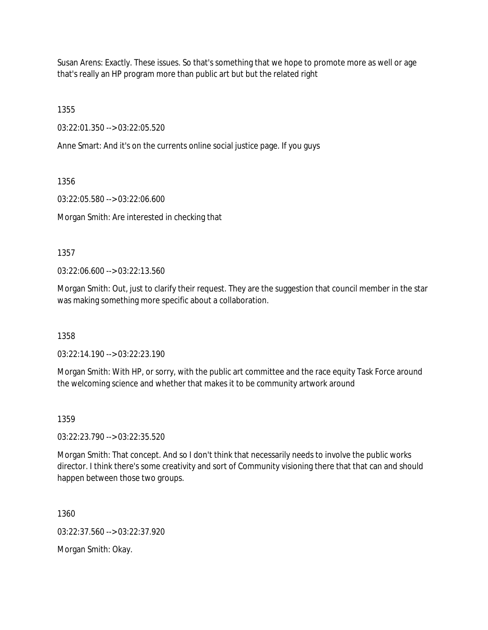Susan Arens: Exactly. These issues. So that's something that we hope to promote more as well or age that's really an HP program more than public art but but the related right

1355

03:22:01.350 --> 03:22:05.520

Anne Smart: And it's on the currents online social justice page. If you guys

1356

03:22:05.580 --> 03:22:06.600

Morgan Smith: Are interested in checking that

1357

03:22:06.600 --> 03:22:13.560

Morgan Smith: Out, just to clarify their request. They are the suggestion that council member in the star was making something more specific about a collaboration.

1358

03:22:14.190 --> 03:22:23.190

Morgan Smith: With HP, or sorry, with the public art committee and the race equity Task Force around the welcoming science and whether that makes it to be community artwork around

1359

03:22:23.790 --> 03:22:35.520

Morgan Smith: That concept. And so I don't think that necessarily needs to involve the public works director. I think there's some creativity and sort of Community visioning there that that can and should happen between those two groups.

1360

03:22:37.560 --> 03:22:37.920

Morgan Smith: Okay.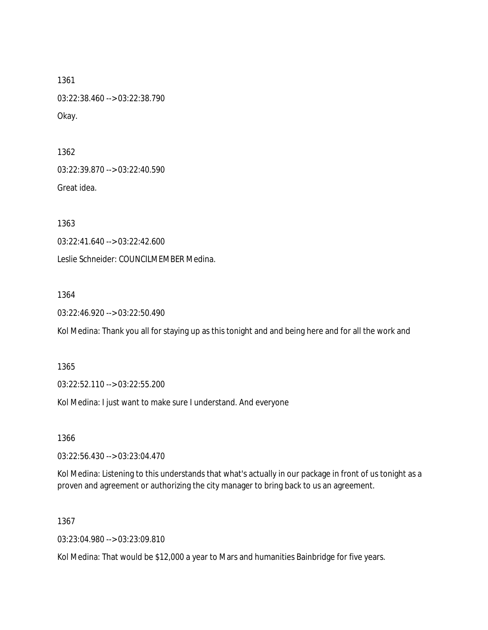1361 03:22:38.460 --> 03:22:38.790 Okay.

1362 03:22:39.870 --> 03:22:40.590 Great idea.

1363

03:22:41.640 --> 03:22:42.600

Leslie Schneider: COUNCILMEMBER Medina.

1364

03:22:46.920 --> 03:22:50.490

Kol Medina: Thank you all for staying up as this tonight and and being here and for all the work and

1365

03:22:52.110 --> 03:22:55.200

Kol Medina: I just want to make sure I understand. And everyone

1366

03:22:56.430 --> 03:23:04.470

Kol Medina: Listening to this understands that what's actually in our package in front of us tonight as a proven and agreement or authorizing the city manager to bring back to us an agreement.

1367

03:23:04.980 --> 03:23:09.810

Kol Medina: That would be \$12,000 a year to Mars and humanities Bainbridge for five years.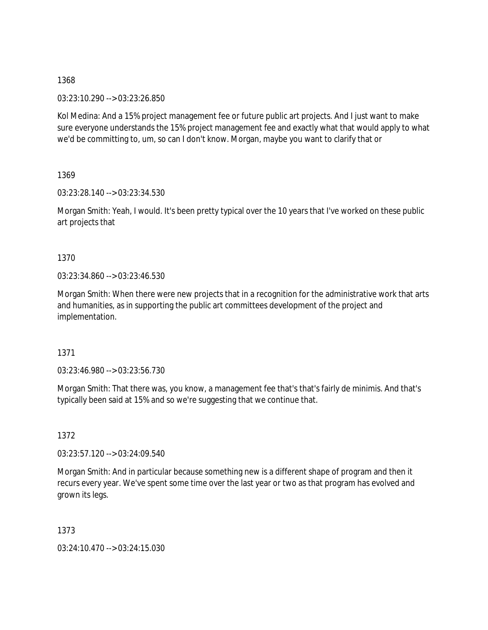03:23:10.290 --> 03:23:26.850

Kol Medina: And a 15% project management fee or future public art projects. And I just want to make sure everyone understands the 15% project management fee and exactly what that would apply to what we'd be committing to, um, so can I don't know. Morgan, maybe you want to clarify that or

1369

03:23:28.140 --> 03:23:34.530

Morgan Smith: Yeah, I would. It's been pretty typical over the 10 years that I've worked on these public art projects that

1370

03:23:34.860 --> 03:23:46.530

Morgan Smith: When there were new projects that in a recognition for the administrative work that arts and humanities, as in supporting the public art committees development of the project and implementation.

1371

03:23:46.980 --> 03:23:56.730

Morgan Smith: That there was, you know, a management fee that's that's fairly de minimis. And that's typically been said at 15% and so we're suggesting that we continue that.

1372

03:23:57.120 --> 03:24:09.540

Morgan Smith: And in particular because something new is a different shape of program and then it recurs every year. We've spent some time over the last year or two as that program has evolved and grown its legs.

1373

03:24:10.470 --> 03:24:15.030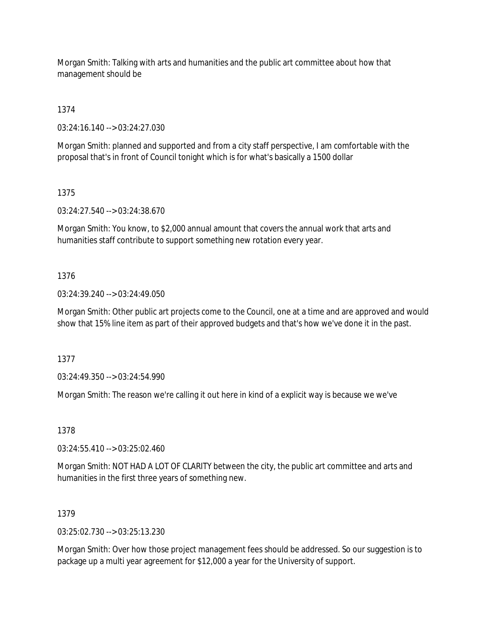Morgan Smith: Talking with arts and humanities and the public art committee about how that management should be

1374

03:24:16.140 --> 03:24:27.030

Morgan Smith: planned and supported and from a city staff perspective, I am comfortable with the proposal that's in front of Council tonight which is for what's basically a 1500 dollar

1375

03:24:27.540 --> 03:24:38.670

Morgan Smith: You know, to \$2,000 annual amount that covers the annual work that arts and humanities staff contribute to support something new rotation every year.

### 1376

03:24:39.240 --> 03:24:49.050

Morgan Smith: Other public art projects come to the Council, one at a time and are approved and would show that 15% line item as part of their approved budgets and that's how we've done it in the past.

1377

03:24:49.350 --> 03:24:54.990

Morgan Smith: The reason we're calling it out here in kind of a explicit way is because we we've

1378

03:24:55.410 --> 03:25:02.460

Morgan Smith: NOT HAD A LOT OF CLARITY between the city, the public art committee and arts and humanities in the first three years of something new.

### 1379

03:25:02.730 --> 03:25:13.230

Morgan Smith: Over how those project management fees should be addressed. So our suggestion is to package up a multi year agreement for \$12,000 a year for the University of support.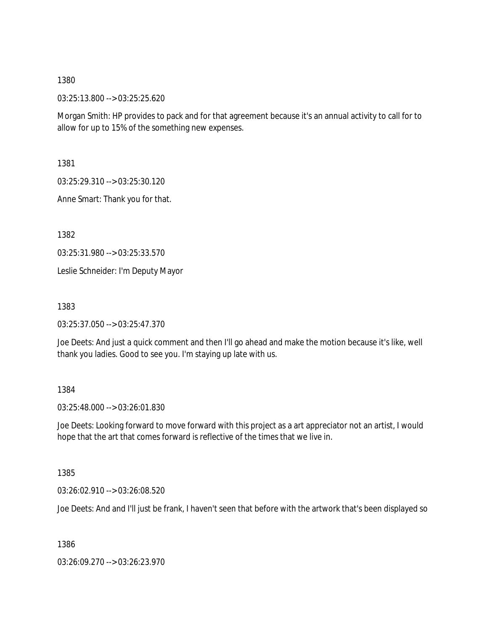03:25:13.800 --> 03:25:25.620

Morgan Smith: HP provides to pack and for that agreement because it's an annual activity to call for to allow for up to 15% of the something new expenses.

1381

03:25:29.310 --> 03:25:30.120

Anne Smart: Thank you for that.

1382

03:25:31.980 --> 03:25:33.570

Leslie Schneider: I'm Deputy Mayor

1383

03:25:37.050 --> 03:25:47.370

Joe Deets: And just a quick comment and then I'll go ahead and make the motion because it's like, well thank you ladies. Good to see you. I'm staying up late with us.

### 1384

03:25:48.000 --> 03:26:01.830

Joe Deets: Looking forward to move forward with this project as a art appreciator not an artist, I would hope that the art that comes forward is reflective of the times that we live in.

1385

03:26:02.910 --> 03:26:08.520

Joe Deets: And and I'll just be frank, I haven't seen that before with the artwork that's been displayed so

1386

03:26:09.270 --> 03:26:23.970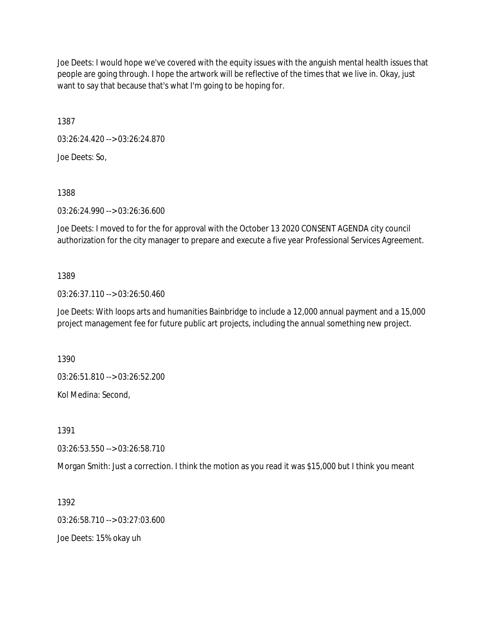Joe Deets: I would hope we've covered with the equity issues with the anguish mental health issues that people are going through. I hope the artwork will be reflective of the times that we live in. Okay, just want to say that because that's what I'm going to be hoping for.

1387

03:26:24.420 --> 03:26:24.870 Joe Deets: So,

1388

03:26:24.990 --> 03:26:36.600

Joe Deets: I moved to for the for approval with the October 13 2020 CONSENT AGENDA city council authorization for the city manager to prepare and execute a five year Professional Services Agreement.

## 1389

03:26:37.110 --> 03:26:50.460

Joe Deets: With loops arts and humanities Bainbridge to include a 12,000 annual payment and a 15,000 project management fee for future public art projects, including the annual something new project.

1390

03:26:51.810 --> 03:26:52.200

Kol Medina: Second,

1391

03:26:53.550 --> 03:26:58.710

Morgan Smith: Just a correction. I think the motion as you read it was \$15,000 but I think you meant

1392

03:26:58.710 --> 03:27:03.600

Joe Deets: 15% okay uh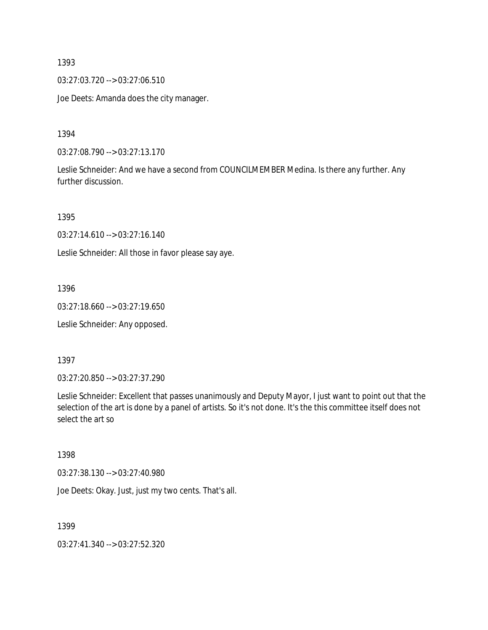03:27:03.720 --> 03:27:06.510

Joe Deets: Amanda does the city manager.

1394

03:27:08.790 --> 03:27:13.170

Leslie Schneider: And we have a second from COUNCILMEMBER Medina. Is there any further. Any further discussion.

1395

03:27:14.610 --> 03:27:16.140

Leslie Schneider: All those in favor please say aye.

1396

03:27:18.660 --> 03:27:19.650

Leslie Schneider: Any opposed.

1397

03:27:20.850 --> 03:27:37.290

Leslie Schneider: Excellent that passes unanimously and Deputy Mayor, I just want to point out that the selection of the art is done by a panel of artists. So it's not done. It's the this committee itself does not select the art so

1398

03:27:38.130 --> 03:27:40.980

Joe Deets: Okay. Just, just my two cents. That's all.

1399

03:27:41.340 --> 03:27:52.320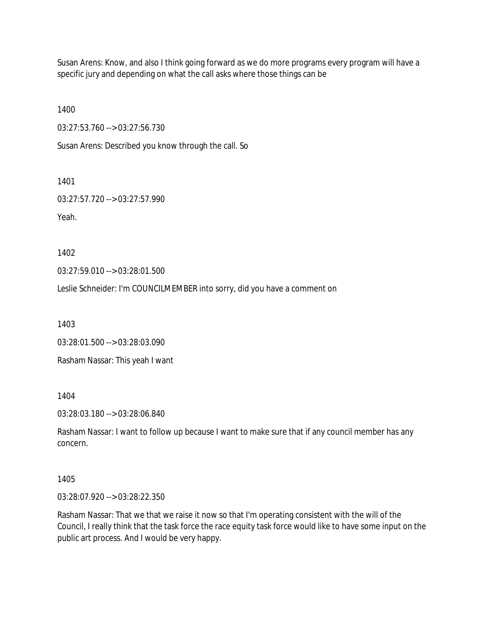Susan Arens: Know, and also I think going forward as we do more programs every program will have a specific jury and depending on what the call asks where those things can be

1400

03:27:53.760 --> 03:27:56.730

Susan Arens: Described you know through the call. So

1401

03:27:57.720 --> 03:27:57.990

Yeah.

1402

03:27:59.010 --> 03:28:01.500

Leslie Schneider: I'm COUNCILMEMBER into sorry, did you have a comment on

1403

03:28:01.500 --> 03:28:03.090

Rasham Nassar: This yeah I want

1404

03:28:03.180 --> 03:28:06.840

Rasham Nassar: I want to follow up because I want to make sure that if any council member has any concern.

1405

03:28:07.920 --> 03:28:22.350

Rasham Nassar: That we that we raise it now so that I'm operating consistent with the will of the Council, I really think that the task force the race equity task force would like to have some input on the public art process. And I would be very happy.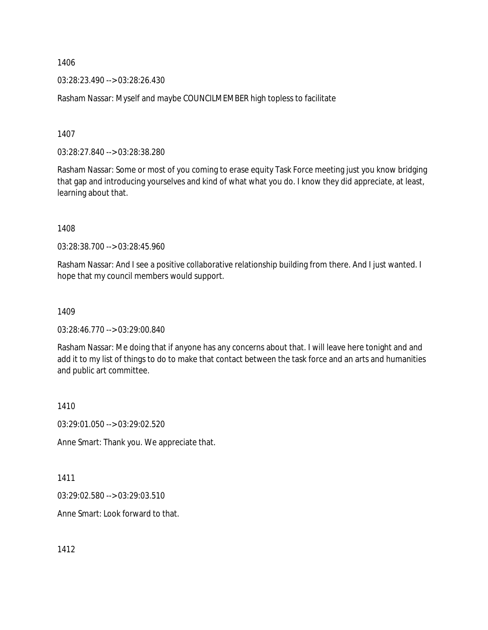03:28:23.490 --> 03:28:26.430

Rasham Nassar: Myself and maybe COUNCILMEMBER high topless to facilitate

1407

03:28:27.840 --> 03:28:38.280

Rasham Nassar: Some or most of you coming to erase equity Task Force meeting just you know bridging that gap and introducing yourselves and kind of what what you do. I know they did appreciate, at least, learning about that.

1408

03:28:38.700 --> 03:28:45.960

Rasham Nassar: And I see a positive collaborative relationship building from there. And I just wanted. I hope that my council members would support.

1409

03:28:46.770 --> 03:29:00.840

Rasham Nassar: Me doing that if anyone has any concerns about that. I will leave here tonight and and add it to my list of things to do to make that contact between the task force and an arts and humanities and public art committee.

1410

03:29:01.050 --> 03:29:02.520

Anne Smart: Thank you. We appreciate that.

1411

03:29:02.580 --> 03:29:03.510

Anne Smart: Look forward to that.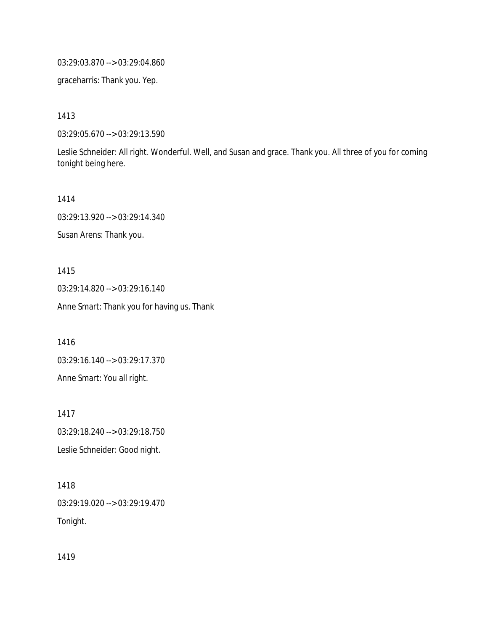03:29:03.870 --> 03:29:04.860

graceharris: Thank you. Yep.

1413

03:29:05.670 --> 03:29:13.590

Leslie Schneider: All right. Wonderful. Well, and Susan and grace. Thank you. All three of you for coming tonight being here.

1414

03:29:13.920 --> 03:29:14.340

Susan Arens: Thank you.

1415

03:29:14.820 --> 03:29:16.140 Anne Smart: Thank you for having us. Thank

1416

03:29:16.140 --> 03:29:17.370 Anne Smart: You all right.

1417 03:29:18.240 --> 03:29:18.750 Leslie Schneider: Good night.

1418 03:29:19.020 --> 03:29:19.470 Tonight.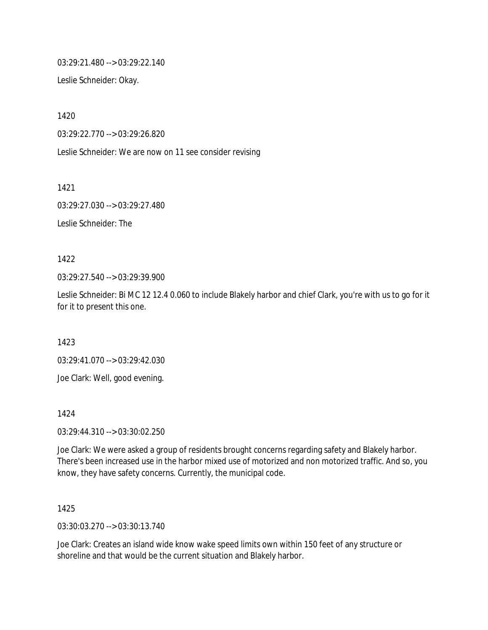03:29:21.480 --> 03:29:22.140

Leslie Schneider: Okay.

1420

03:29:22.770 --> 03:29:26.820

Leslie Schneider: We are now on 11 see consider revising

1421

03:29:27.030 --> 03:29:27.480

Leslie Schneider: The

1422

03:29:27.540 --> 03:29:39.900

Leslie Schneider: Bi MC 12 12.4 0.060 to include Blakely harbor and chief Clark, you're with us to go for it for it to present this one.

1423

03:29:41.070 --> 03:29:42.030

Joe Clark: Well, good evening.

1424

03:29:44.310 --> 03:30:02.250

Joe Clark: We were asked a group of residents brought concerns regarding safety and Blakely harbor. There's been increased use in the harbor mixed use of motorized and non motorized traffic. And so, you know, they have safety concerns. Currently, the municipal code.

1425

03:30:03.270 --> 03:30:13.740

Joe Clark: Creates an island wide know wake speed limits own within 150 feet of any structure or shoreline and that would be the current situation and Blakely harbor.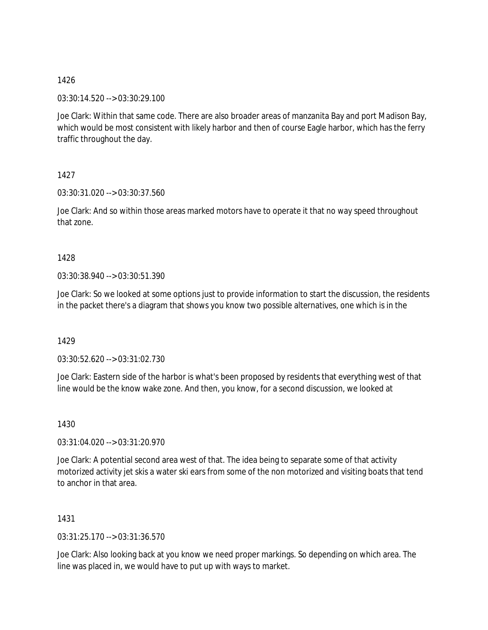03:30:14.520 --> 03:30:29.100

Joe Clark: Within that same code. There are also broader areas of manzanita Bay and port Madison Bay, which would be most consistent with likely harbor and then of course Eagle harbor, which has the ferry traffic throughout the day.

1427

03:30:31.020 --> 03:30:37.560

Joe Clark: And so within those areas marked motors have to operate it that no way speed throughout that zone.

1428

03:30:38.940 --> 03:30:51.390

Joe Clark: So we looked at some options just to provide information to start the discussion, the residents in the packet there's a diagram that shows you know two possible alternatives, one which is in the

1429

03:30:52.620 --> 03:31:02.730

Joe Clark: Eastern side of the harbor is what's been proposed by residents that everything west of that line would be the know wake zone. And then, you know, for a second discussion, we looked at

1430

03:31:04.020 --> 03:31:20.970

Joe Clark: A potential second area west of that. The idea being to separate some of that activity motorized activity jet skis a water ski ears from some of the non motorized and visiting boats that tend to anchor in that area.

1431

03:31:25.170 --> 03:31:36.570

Joe Clark: Also looking back at you know we need proper markings. So depending on which area. The line was placed in, we would have to put up with ways to market.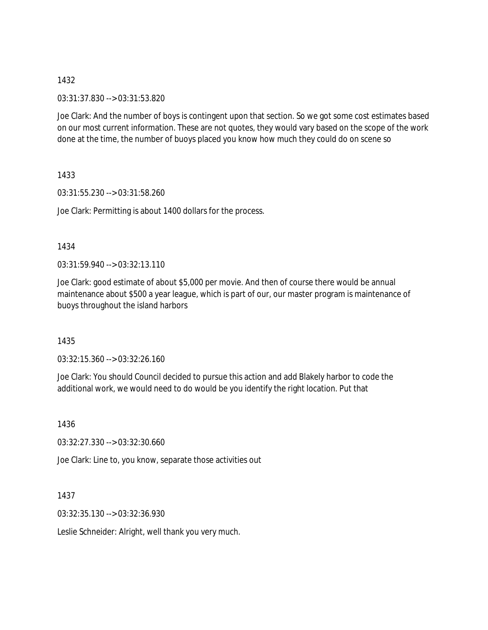03:31:37.830 --> 03:31:53.820

Joe Clark: And the number of boys is contingent upon that section. So we got some cost estimates based on our most current information. These are not quotes, they would vary based on the scope of the work done at the time, the number of buoys placed you know how much they could do on scene so

1433

03:31:55.230 --> 03:31:58.260

Joe Clark: Permitting is about 1400 dollars for the process.

1434

 $03:31:59.940 \rightarrow 03:32:13.110$ 

Joe Clark: good estimate of about \$5,000 per movie. And then of course there would be annual maintenance about \$500 a year league, which is part of our, our master program is maintenance of buoys throughout the island harbors

1435

03:32:15.360 --> 03:32:26.160

Joe Clark: You should Council decided to pursue this action and add Blakely harbor to code the additional work, we would need to do would be you identify the right location. Put that

1436

03:32:27.330 --> 03:32:30.660

Joe Clark: Line to, you know, separate those activities out

1437

03:32:35.130 --> 03:32:36.930

Leslie Schneider: Alright, well thank you very much.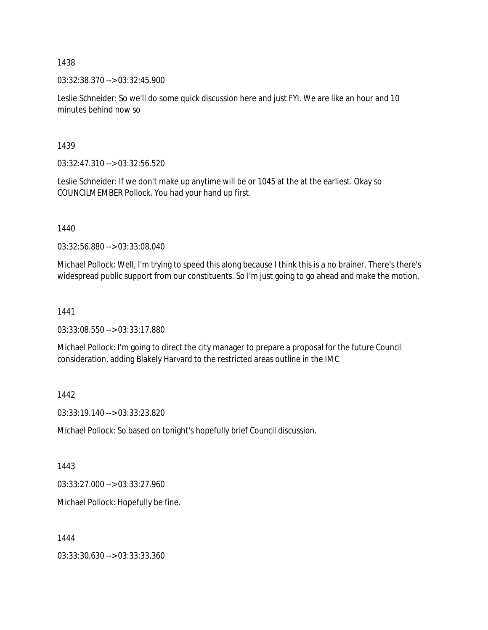03:32:38.370 --> 03:32:45.900

Leslie Schneider: So we'll do some quick discussion here and just FYI. We are like an hour and 10 minutes behind now so

1439

03:32:47.310 --> 03:32:56.520

Leslie Schneider: If we don't make up anytime will be or 1045 at the at the earliest. Okay so COUNCILMEMBER Pollock. You had your hand up first.

1440

03:32:56.880 --> 03:33:08.040

Michael Pollock: Well, I'm trying to speed this along because I think this is a no brainer. There's there's widespread public support from our constituents. So I'm just going to go ahead and make the motion.

1441

03:33:08.550 --> 03:33:17.880

Michael Pollock: I'm going to direct the city manager to prepare a proposal for the future Council consideration, adding Blakely Harvard to the restricted areas outline in the IMC

1442

03:33:19.140 --> 03:33:23.820

Michael Pollock: So based on tonight's hopefully brief Council discussion.

1443

03:33:27.000 --> 03:33:27.960

Michael Pollock: Hopefully be fine.

1444

03:33:30.630 --> 03:33:33.360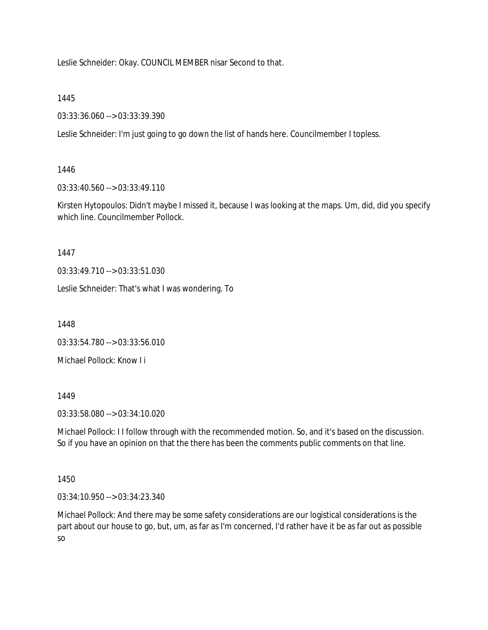Leslie Schneider: Okay. COUNCIL MEMBER nisar Second to that.

1445

03:33:36.060 --> 03:33:39.390

Leslie Schneider: I'm just going to go down the list of hands here. Councilmember I topless.

## 1446

03:33:40.560 --> 03:33:49.110

Kirsten Hytopoulos: Didn't maybe I missed it, because I was looking at the maps. Um, did, did you specify which line. Councilmember Pollock.

1447

03:33:49.710 --> 03:33:51.030

Leslie Schneider: That's what I was wondering. To

1448

03:33:54.780 --> 03:33:56.010

Michael Pollock: Know I i

1449

03:33:58.080 --> 03:34:10.020

Michael Pollock: I I follow through with the recommended motion. So, and it's based on the discussion. So if you have an opinion on that the there has been the comments public comments on that line.

1450

03:34:10.950 --> 03:34:23.340

Michael Pollock: And there may be some safety considerations are our logistical considerations is the part about our house to go, but, um, as far as I'm concerned, I'd rather have it be as far out as possible so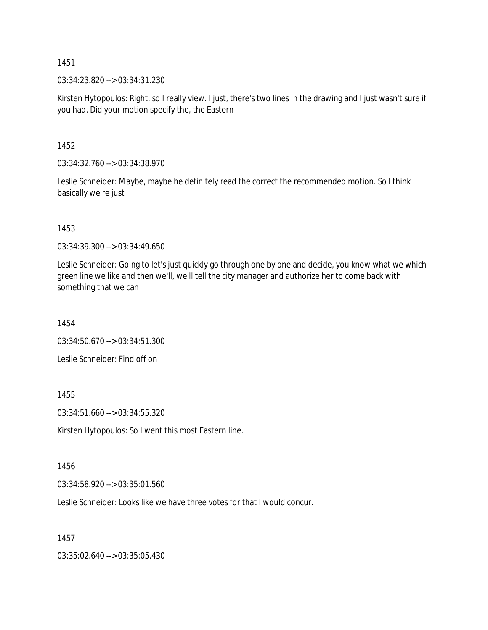03:34:23.820 --> 03:34:31.230

Kirsten Hytopoulos: Right, so I really view. I just, there's two lines in the drawing and I just wasn't sure if you had. Did your motion specify the, the Eastern

1452

03:34:32.760 --> 03:34:38.970

Leslie Schneider: Maybe, maybe he definitely read the correct the recommended motion. So I think basically we're just

1453

03:34:39.300 --> 03:34:49.650

Leslie Schneider: Going to let's just quickly go through one by one and decide, you know what we which green line we like and then we'll, we'll tell the city manager and authorize her to come back with something that we can

1454

03:34:50.670 --> 03:34:51.300

Leslie Schneider: Find off on

1455

03:34:51.660 --> 03:34:55.320

Kirsten Hytopoulos: So I went this most Eastern line.

1456

03:34:58.920 --> 03:35:01.560

Leslie Schneider: Looks like we have three votes for that I would concur.

1457

03:35:02.640 --> 03:35:05.430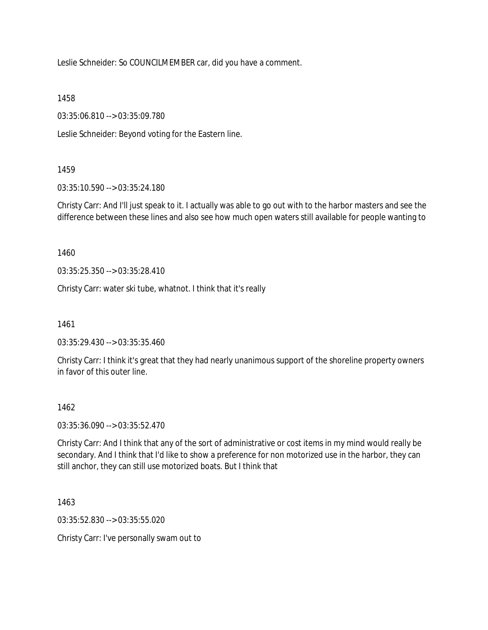Leslie Schneider: So COUNCILMEMBER car, did you have a comment.

1458

03:35:06.810 --> 03:35:09.780

Leslie Schneider: Beyond voting for the Eastern line.

## 1459

03:35:10.590 --> 03:35:24.180

Christy Carr: And I'll just speak to it. I actually was able to go out with to the harbor masters and see the difference between these lines and also see how much open waters still available for people wanting to

1460

03:35:25.350 --> 03:35:28.410

Christy Carr: water ski tube, whatnot. I think that it's really

1461

03:35:29.430 --> 03:35:35.460

Christy Carr: I think it's great that they had nearly unanimous support of the shoreline property owners in favor of this outer line.

### 1462

03:35:36.090 --> 03:35:52.470

Christy Carr: And I think that any of the sort of administrative or cost items in my mind would really be secondary. And I think that I'd like to show a preference for non motorized use in the harbor, they can still anchor, they can still use motorized boats. But I think that

1463

03:35:52.830 --> 03:35:55.020

Christy Carr: I've personally swam out to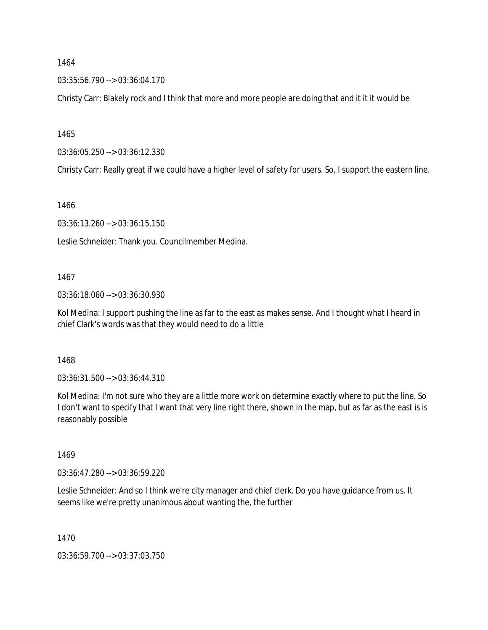03:35:56.790 --> 03:36:04.170

Christy Carr: Blakely rock and I think that more and more people are doing that and it it it would be

1465

03:36:05.250 --> 03:36:12.330

Christy Carr: Really great if we could have a higher level of safety for users. So, I support the eastern line.

1466

03:36:13.260 --> 03:36:15.150

Leslie Schneider: Thank you. Councilmember Medina.

#### 1467

03:36:18.060 --> 03:36:30.930

Kol Medina: I support pushing the line as far to the east as makes sense. And I thought what I heard in chief Clark's words was that they would need to do a little

1468

03:36:31.500 --> 03:36:44.310

Kol Medina: I'm not sure who they are a little more work on determine exactly where to put the line. So I don't want to specify that I want that very line right there, shown in the map, but as far as the east is is reasonably possible

1469

03:36:47.280 --> 03:36:59.220

Leslie Schneider: And so I think we're city manager and chief clerk. Do you have guidance from us. It seems like we're pretty unanimous about wanting the, the further

1470

03:36:59.700 --> 03:37:03.750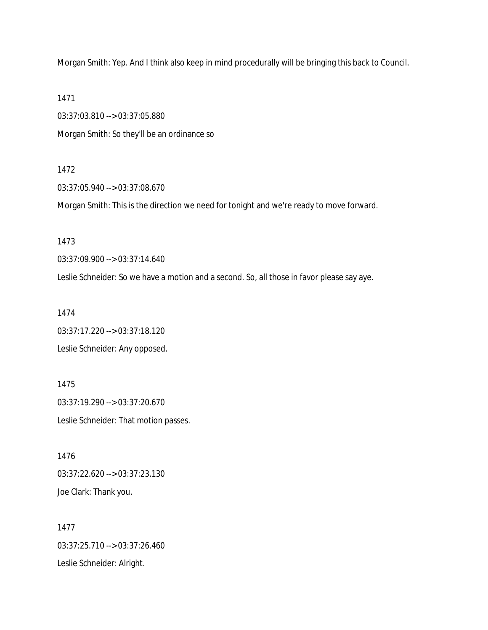Morgan Smith: Yep. And I think also keep in mind procedurally will be bringing this back to Council.

1471

03:37:03.810 --> 03:37:05.880 Morgan Smith: So they'll be an ordinance so

#### 1472

03:37:05.940 --> 03:37:08.670

Morgan Smith: This is the direction we need for tonight and we're ready to move forward.

1473

03:37:09.900 --> 03:37:14.640

Leslie Schneider: So we have a motion and a second. So, all those in favor please say aye.

1474

03:37:17.220 --> 03:37:18.120 Leslie Schneider: Any opposed.

1475 03:37:19.290 --> 03:37:20.670 Leslie Schneider: That motion passes.

1476 03:37:22.620 --> 03:37:23.130 Joe Clark: Thank you.

1477 03:37:25.710 --> 03:37:26.460 Leslie Schneider: Alright.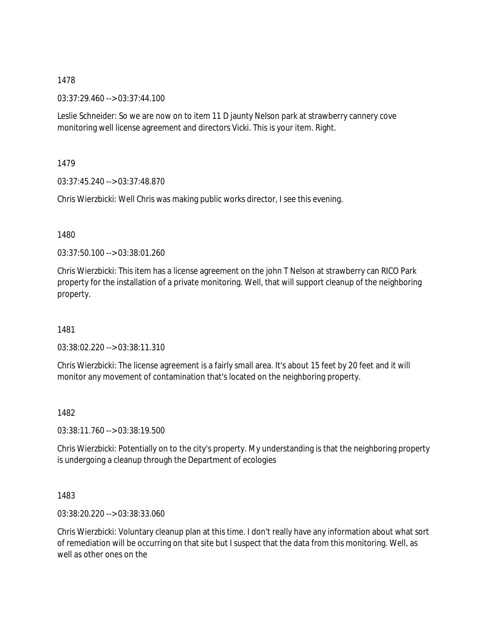03:37:29.460 --> 03:37:44.100

Leslie Schneider: So we are now on to item 11 D jaunty Nelson park at strawberry cannery cove monitoring well license agreement and directors Vicki. This is your item. Right.

1479

03:37:45.240 --> 03:37:48.870

Chris Wierzbicki: Well Chris was making public works director, I see this evening.

1480

03:37:50.100 --> 03:38:01.260

Chris Wierzbicki: This item has a license agreement on the john T Nelson at strawberry can RICO Park property for the installation of a private monitoring. Well, that will support cleanup of the neighboring property.

1481

03:38:02.220 --> 03:38:11.310

Chris Wierzbicki: The license agreement is a fairly small area. It's about 15 feet by 20 feet and it will monitor any movement of contamination that's located on the neighboring property.

1482

03:38:11.760 --> 03:38:19.500

Chris Wierzbicki: Potentially on to the city's property. My understanding is that the neighboring property is undergoing a cleanup through the Department of ecologies

1483

03:38:20.220 --> 03:38:33.060

Chris Wierzbicki: Voluntary cleanup plan at this time. I don't really have any information about what sort of remediation will be occurring on that site but I suspect that the data from this monitoring. Well, as well as other ones on the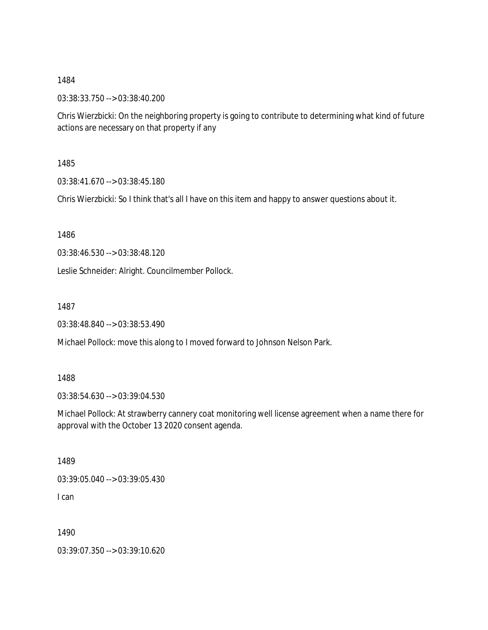03:38:33.750 --> 03:38:40.200

Chris Wierzbicki: On the neighboring property is going to contribute to determining what kind of future actions are necessary on that property if any

1485

03:38:41.670 --> 03:38:45.180

Chris Wierzbicki: So I think that's all I have on this item and happy to answer questions about it.

1486

03:38:46.530 --> 03:38:48.120

Leslie Schneider: Alright. Councilmember Pollock.

1487

03:38:48.840 --> 03:38:53.490

Michael Pollock: move this along to I moved forward to Johnson Nelson Park.

1488

03:38:54.630 --> 03:39:04.530

Michael Pollock: At strawberry cannery coat monitoring well license agreement when a name there for approval with the October 13 2020 consent agenda.

1489

03:39:05.040 --> 03:39:05.430

I can

1490

03:39:07.350 --> 03:39:10.620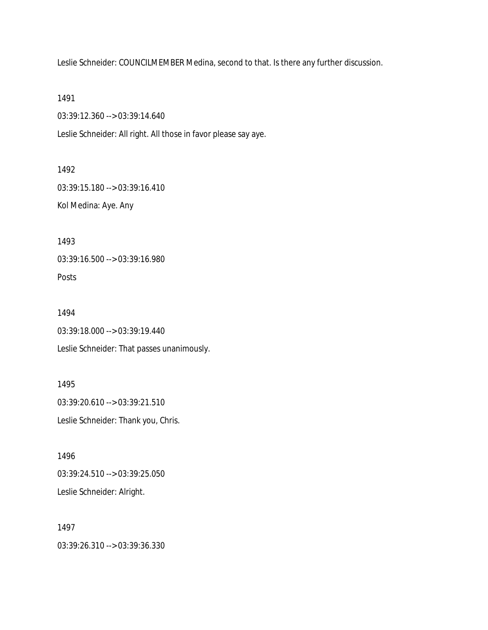Leslie Schneider: COUNCILMEMBER Medina, second to that. Is there any further discussion.

1491

03:39:12.360 --> 03:39:14.640

Leslie Schneider: All right. All those in favor please say aye.

1492

03:39:15.180 --> 03:39:16.410

Kol Medina: Aye. Any

1493

03:39:16.500 --> 03:39:16.980

Posts

1494 03:39:18.000 --> 03:39:19.440 Leslie Schneider: That passes unanimously.

1495 03:39:20.610 --> 03:39:21.510 Leslie Schneider: Thank you, Chris.

1496 03:39:24.510 --> 03:39:25.050 Leslie Schneider: Alright.

1497 03:39:26.310 --> 03:39:36.330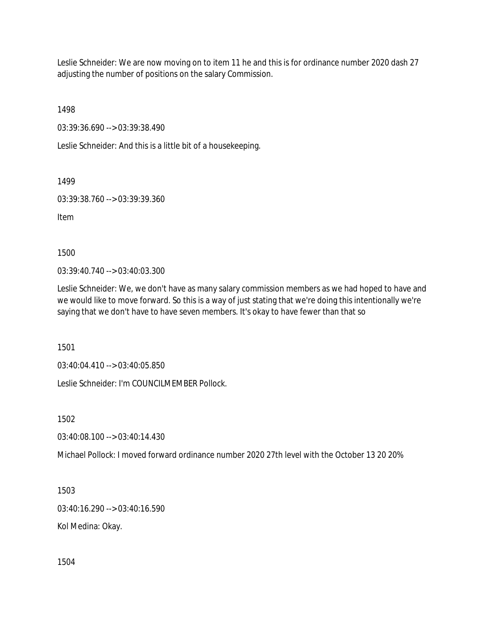Leslie Schneider: We are now moving on to item 11 he and this is for ordinance number 2020 dash 27 adjusting the number of positions on the salary Commission.

1498

03:39:36.690 --> 03:39:38.490

Leslie Schneider: And this is a little bit of a housekeeping.

1499

03:39:38.760 --> 03:39:39.360

Item

1500

03:39:40.740 --> 03:40:03.300

Leslie Schneider: We, we don't have as many salary commission members as we had hoped to have and we would like to move forward. So this is a way of just stating that we're doing this intentionally we're saying that we don't have to have seven members. It's okay to have fewer than that so

1501

03:40:04.410 --> 03:40:05.850

Leslie Schneider: I'm COUNCILMEMBER Pollock.

1502

03:40:08.100 --> 03:40:14.430

Michael Pollock: I moved forward ordinance number 2020 27th level with the October 13 20 20%

1503

03:40:16.290 --> 03:40:16.590

Kol Medina: Okay.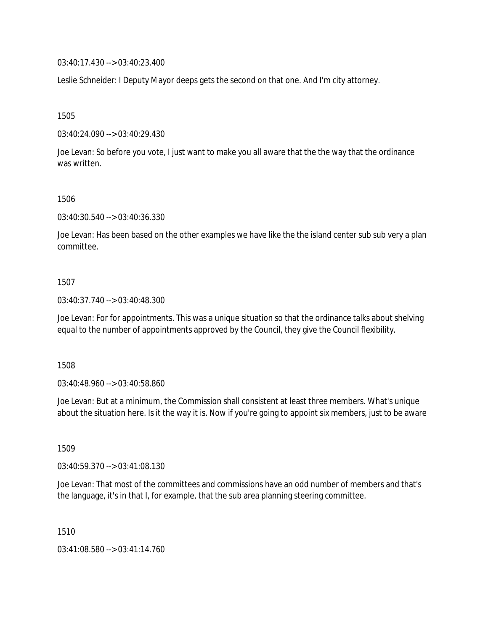03:40:17.430 --> 03:40:23.400

Leslie Schneider: I Deputy Mayor deeps gets the second on that one. And I'm city attorney.

1505

03:40:24.090 --> 03:40:29.430

Joe Levan: So before you vote, I just want to make you all aware that the the way that the ordinance was written.

1506

03:40:30.540 --> 03:40:36.330

Joe Levan: Has been based on the other examples we have like the the island center sub sub very a plan committee.

### 1507

03:40:37.740 --> 03:40:48.300

Joe Levan: For for appointments. This was a unique situation so that the ordinance talks about shelving equal to the number of appointments approved by the Council, they give the Council flexibility.

1508

03:40:48.960 --> 03:40:58.860

Joe Levan: But at a minimum, the Commission shall consistent at least three members. What's unique about the situation here. Is it the way it is. Now if you're going to appoint six members, just to be aware

1509

03:40:59.370 --> 03:41:08.130

Joe Levan: That most of the committees and commissions have an odd number of members and that's the language, it's in that I, for example, that the sub area planning steering committee.

1510

03:41:08.580 --> 03:41:14.760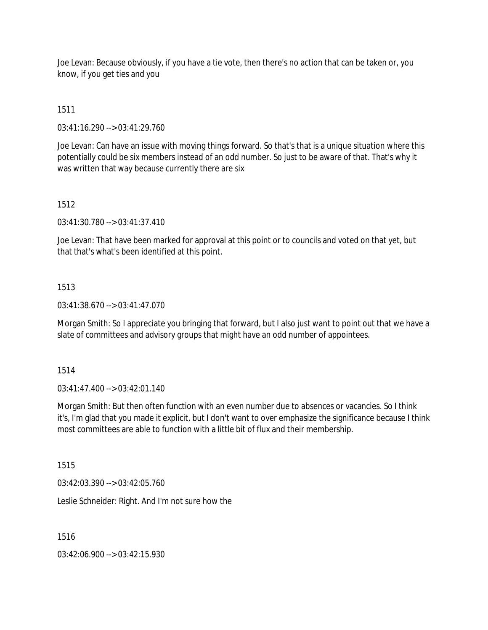Joe Levan: Because obviously, if you have a tie vote, then there's no action that can be taken or, you know, if you get ties and you

1511

03:41:16.290 --> 03:41:29.760

Joe Levan: Can have an issue with moving things forward. So that's that is a unique situation where this potentially could be six members instead of an odd number. So just to be aware of that. That's why it was written that way because currently there are six

### 1512

03:41:30.780 --> 03:41:37.410

Joe Levan: That have been marked for approval at this point or to councils and voted on that yet, but that that's what's been identified at this point.

### 1513

03:41:38.670 --> 03:41:47.070

Morgan Smith: So I appreciate you bringing that forward, but I also just want to point out that we have a slate of committees and advisory groups that might have an odd number of appointees.

1514

03:41:47.400 --> 03:42:01.140

Morgan Smith: But then often function with an even number due to absences or vacancies. So I think it's, I'm glad that you made it explicit, but I don't want to over emphasize the significance because I think most committees are able to function with a little bit of flux and their membership.

1515

03:42:03.390 --> 03:42:05.760

Leslie Schneider: Right. And I'm not sure how the

1516

03:42:06.900 --> 03:42:15.930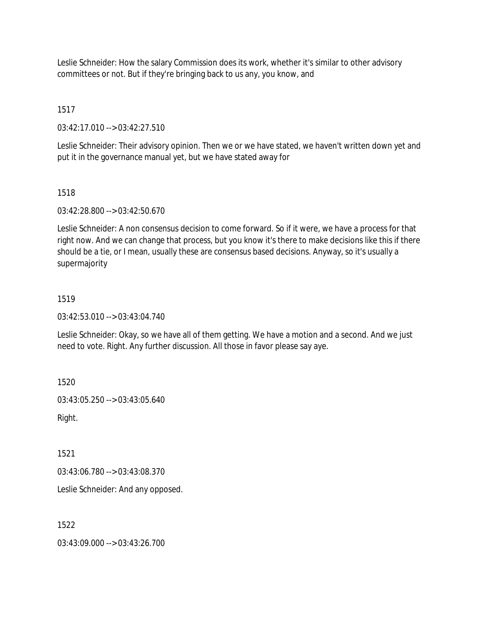Leslie Schneider: How the salary Commission does its work, whether it's similar to other advisory committees or not. But if they're bringing back to us any, you know, and

1517

03:42:17.010 --> 03:42:27.510

Leslie Schneider: Their advisory opinion. Then we or we have stated, we haven't written down yet and put it in the governance manual yet, but we have stated away for

### 1518

03:42:28.800 --> 03:42:50.670

Leslie Schneider: A non consensus decision to come forward. So if it were, we have a process for that right now. And we can change that process, but you know it's there to make decisions like this if there should be a tie, or I mean, usually these are consensus based decisions. Anyway, so it's usually a supermajority

## 1519

03:42:53.010 --> 03:43:04.740

Leslie Schneider: Okay, so we have all of them getting. We have a motion and a second. And we just need to vote. Right. Any further discussion. All those in favor please say aye.

1520

03:43:05.250 --> 03:43:05.640

Right.

1521

03:43:06.780 --> 03:43:08.370

Leslie Schneider: And any opposed.

1522

03:43:09.000 --> 03:43:26.700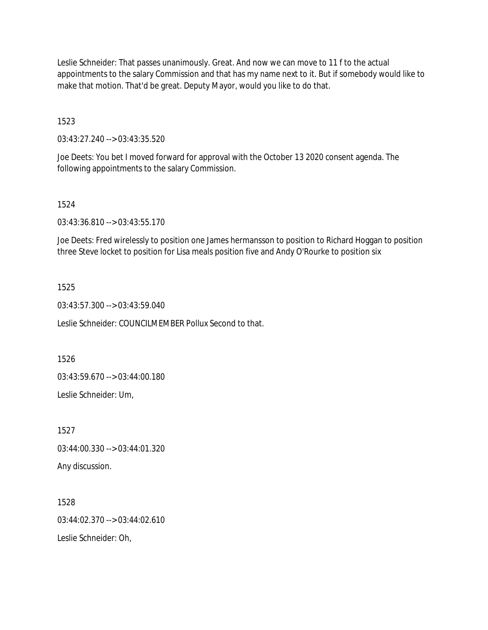Leslie Schneider: That passes unanimously. Great. And now we can move to 11 f to the actual appointments to the salary Commission and that has my name next to it. But if somebody would like to make that motion. That'd be great. Deputy Mayor, would you like to do that.

1523

03:43:27.240 --> 03:43:35.520

Joe Deets: You bet I moved forward for approval with the October 13 2020 consent agenda. The following appointments to the salary Commission.

### 1524

03:43:36.810 --> 03:43:55.170

Joe Deets: Fred wirelessly to position one James hermansson to position to Richard Hoggan to position three Steve locket to position for Lisa meals position five and Andy O'Rourke to position six

### 1525

03:43:57.300 --> 03:43:59.040

Leslie Schneider: COUNCILMEMBER Pollux Second to that.

1526

03:43:59.670 --> 03:44:00.180

Leslie Schneider: Um,

1527 03:44:00.330 --> 03:44:01.320 Any discussion.

1528 03:44:02.370 --> 03:44:02.610 Leslie Schneider: Oh,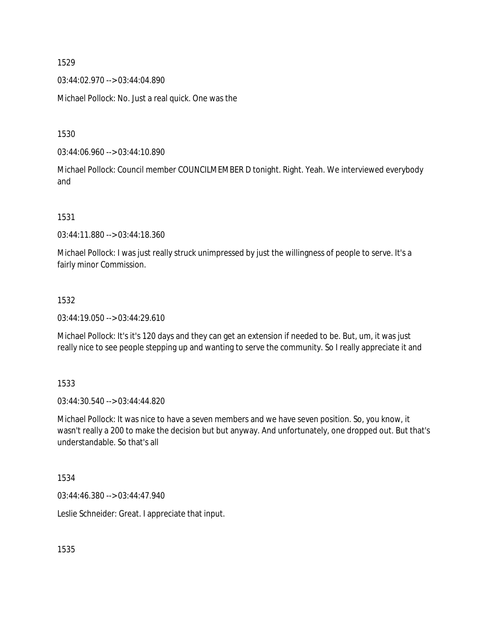03:44:02.970 --> 03:44:04.890

Michael Pollock: No. Just a real quick. One was the

1530

03:44:06.960 --> 03:44:10.890

Michael Pollock: Council member COUNCILMEMBER D tonight. Right. Yeah. We interviewed everybody and

1531

03:44:11.880 --> 03:44:18.360

Michael Pollock: I was just really struck unimpressed by just the willingness of people to serve. It's a fairly minor Commission.

#### 1532

03:44:19.050 --> 03:44:29.610

Michael Pollock: It's it's 120 days and they can get an extension if needed to be. But, um, it was just really nice to see people stepping up and wanting to serve the community. So I really appreciate it and

1533

03:44:30.540 --> 03:44:44.820

Michael Pollock: It was nice to have a seven members and we have seven position. So, you know, it wasn't really a 200 to make the decision but but anyway. And unfortunately, one dropped out. But that's understandable. So that's all

1534

03:44:46.380 --> 03:44:47.940

Leslie Schneider: Great. I appreciate that input.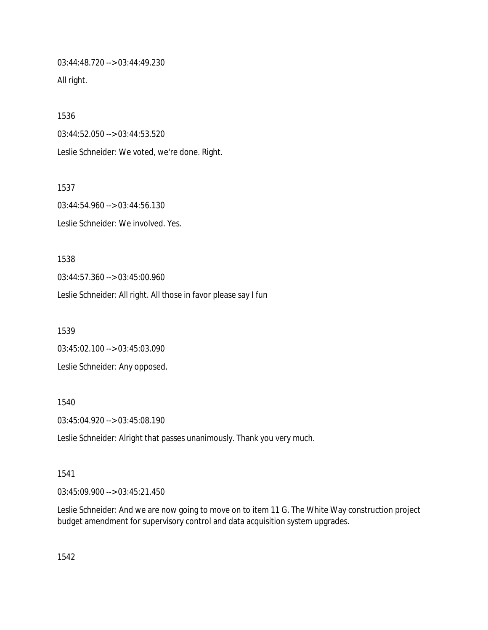03:44:48.720 --> 03:44:49.230

All right.

1536 03:44:52.050 --> 03:44:53.520 Leslie Schneider: We voted, we're done. Right.

1537 03:44:54.960 --> 03:44:56.130 Leslie Schneider: We involved. Yes.

1538 03:44:57.360 --> 03:45:00.960 Leslie Schneider: All right. All those in favor please say I fun

1539 03:45:02.100 --> 03:45:03.090 Leslie Schneider: Any opposed.

1540

03:45:04.920 --> 03:45:08.190

Leslie Schneider: Alright that passes unanimously. Thank you very much.

1541

03:45:09.900 --> 03:45:21.450

Leslie Schneider: And we are now going to move on to item 11 G. The White Way construction project budget amendment for supervisory control and data acquisition system upgrades.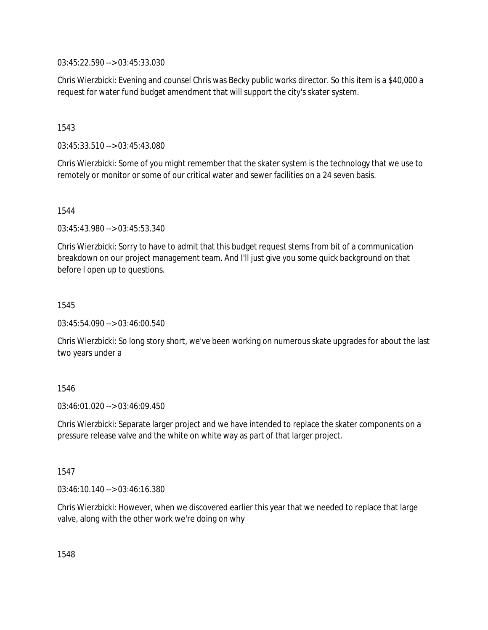03:45:22.590 --> 03:45:33.030

Chris Wierzbicki: Evening and counsel Chris was Becky public works director. So this item is a \$40,000 a request for water fund budget amendment that will support the city's skater system.

### 1543

03:45:33.510 --> 03:45:43.080

Chris Wierzbicki: Some of you might remember that the skater system is the technology that we use to remotely or monitor or some of our critical water and sewer facilities on a 24 seven basis.

1544

03:45:43.980 --> 03:45:53.340

Chris Wierzbicki: Sorry to have to admit that this budget request stems from bit of a communication breakdown on our project management team. And I'll just give you some quick background on that before I open up to questions.

1545

03:45:54.090 --> 03:46:00.540

Chris Wierzbicki: So long story short, we've been working on numerous skate upgrades for about the last two years under a

## 1546

 $03:46:01.020 \rightarrow 03:46:09.450$ 

Chris Wierzbicki: Separate larger project and we have intended to replace the skater components on a pressure release valve and the white on white way as part of that larger project.

### 1547

03:46:10.140 --> 03:46:16.380

Chris Wierzbicki: However, when we discovered earlier this year that we needed to replace that large valve, along with the other work we're doing on why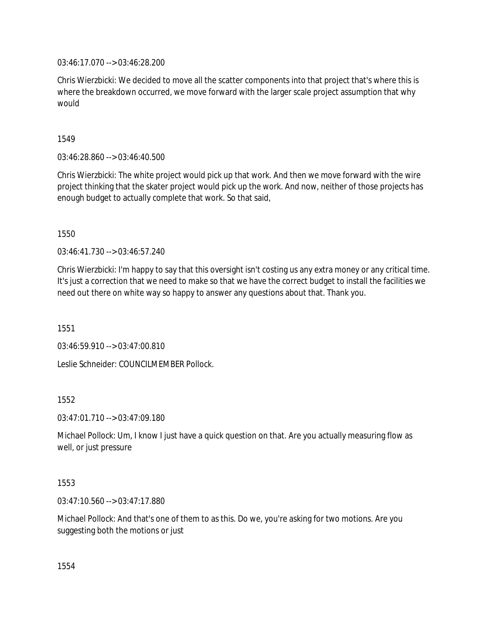03:46:17.070 --> 03:46:28.200

Chris Wierzbicki: We decided to move all the scatter components into that project that's where this is where the breakdown occurred, we move forward with the larger scale project assumption that why would

1549

03:46:28.860 --> 03:46:40.500

Chris Wierzbicki: The white project would pick up that work. And then we move forward with the wire project thinking that the skater project would pick up the work. And now, neither of those projects has enough budget to actually complete that work. So that said,

1550

03:46:41.730 --> 03:46:57.240

Chris Wierzbicki: I'm happy to say that this oversight isn't costing us any extra money or any critical time. It's just a correction that we need to make so that we have the correct budget to install the facilities we need out there on white way so happy to answer any questions about that. Thank you.

1551

03:46:59.910 --> 03:47:00.810

Leslie Schneider: COUNCILMEMBER Pollock.

1552

03:47:01.710 --> 03:47:09.180

Michael Pollock: Um, I know I just have a quick question on that. Are you actually measuring flow as well, or just pressure

1553

03:47:10.560 --> 03:47:17.880

Michael Pollock: And that's one of them to as this. Do we, you're asking for two motions. Are you suggesting both the motions or just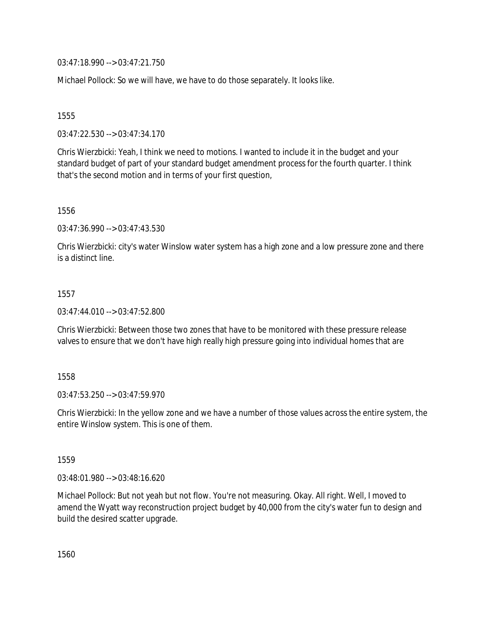03:47:18.990 --> 03:47:21.750

Michael Pollock: So we will have, we have to do those separately. It looks like.

1555

03:47:22.530 --> 03:47:34.170

Chris Wierzbicki: Yeah, I think we need to motions. I wanted to include it in the budget and your standard budget of part of your standard budget amendment process for the fourth quarter. I think that's the second motion and in terms of your first question,

1556

03:47:36.990 --> 03:47:43.530

Chris Wierzbicki: city's water Winslow water system has a high zone and a low pressure zone and there is a distinct line.

1557

03:47:44.010 --> 03:47:52.800

Chris Wierzbicki: Between those two zones that have to be monitored with these pressure release valves to ensure that we don't have high really high pressure going into individual homes that are

1558

03:47:53.250 --> 03:47:59.970

Chris Wierzbicki: In the yellow zone and we have a number of those values across the entire system, the entire Winslow system. This is one of them.

1559

03:48:01.980 --> 03:48:16.620

Michael Pollock: But not yeah but not flow. You're not measuring. Okay. All right. Well, I moved to amend the Wyatt way reconstruction project budget by 40,000 from the city's water fun to design and build the desired scatter upgrade.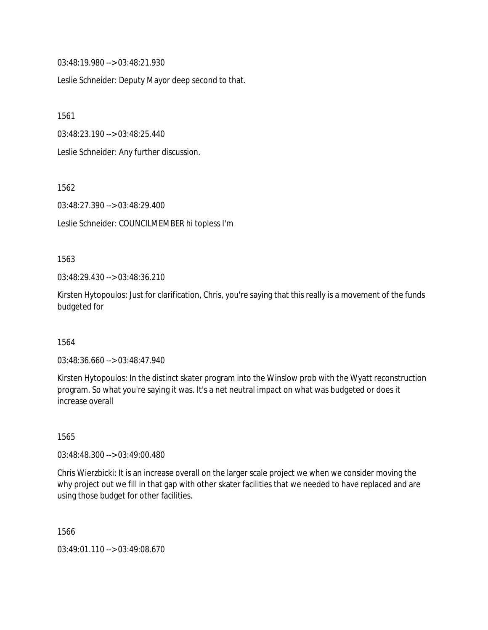03:48:19.980 --> 03:48:21.930

Leslie Schneider: Deputy Mayor deep second to that.

1561

03:48:23.190 --> 03:48:25.440

Leslie Schneider: Any further discussion.

1562

03:48:27.390 --> 03:48:29.400

Leslie Schneider: COUNCILMEMBER hi topless I'm

#### 1563

03:48:29.430 --> 03:48:36.210

Kirsten Hytopoulos: Just for clarification, Chris, you're saying that this really is a movement of the funds budgeted for

### 1564

03:48:36.660 --> 03:48:47.940

Kirsten Hytopoulos: In the distinct skater program into the Winslow prob with the Wyatt reconstruction program. So what you're saying it was. It's a net neutral impact on what was budgeted or does it increase overall

1565

03:48:48.300 --> 03:49:00.480

Chris Wierzbicki: It is an increase overall on the larger scale project we when we consider moving the why project out we fill in that gap with other skater facilities that we needed to have replaced and are using those budget for other facilities.

1566

03:49:01.110 --> 03:49:08.670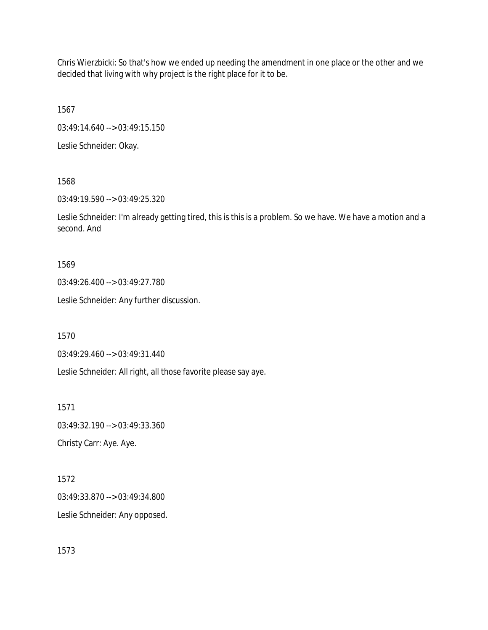Chris Wierzbicki: So that's how we ended up needing the amendment in one place or the other and we decided that living with why project is the right place for it to be.

1567

03:49:14.640 --> 03:49:15.150

Leslie Schneider: Okay.

### 1568

03:49:19.590 --> 03:49:25.320

Leslie Schneider: I'm already getting tired, this is this is a problem. So we have. We have a motion and a second. And

### 1569

03:49:26.400 --> 03:49:27.780

Leslie Schneider: Any further discussion.

1570

03:49:29.460 --> 03:49:31.440

Leslie Schneider: All right, all those favorite please say aye.

1571

03:49:32.190 --> 03:49:33.360

Christy Carr: Aye. Aye.

### 1572

03:49:33.870 --> 03:49:34.800

Leslie Schneider: Any opposed.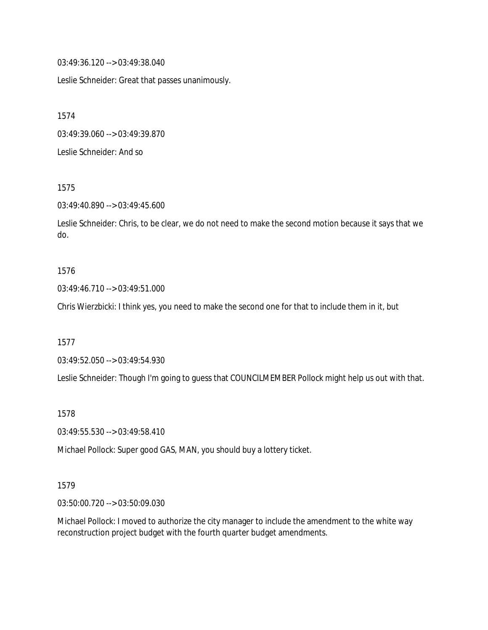03:49:36.120 --> 03:49:38.040

Leslie Schneider: Great that passes unanimously.

1574

03:49:39.060 --> 03:49:39.870

Leslie Schneider: And so

1575

03:49:40.890 --> 03:49:45.600

Leslie Schneider: Chris, to be clear, we do not need to make the second motion because it says that we do.

#### 1576

03:49:46.710 --> 03:49:51.000

Chris Wierzbicki: I think yes, you need to make the second one for that to include them in it, but

1577

03:49:52.050 --> 03:49:54.930

Leslie Schneider: Though I'm going to guess that COUNCILMEMBER Pollock might help us out with that.

1578

03:49:55.530 --> 03:49:58.410

Michael Pollock: Super good GAS, MAN, you should buy a lottery ticket.

### 1579

03:50:00.720 --> 03:50:09.030

Michael Pollock: I moved to authorize the city manager to include the amendment to the white way reconstruction project budget with the fourth quarter budget amendments.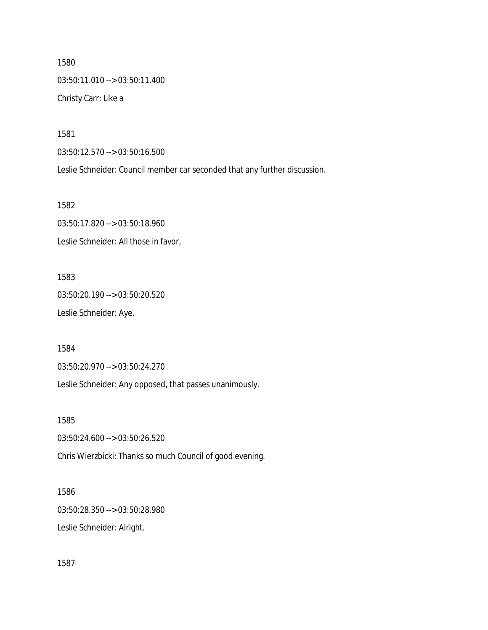1580 03:50:11.010 --> 03:50:11.400 Christy Carr: Like a

1581

03:50:12.570 --> 03:50:16.500

Leslie Schneider: Council member car seconded that any further discussion.

1582

03:50:17.820 --> 03:50:18.960 Leslie Schneider: All those in favor,

1583 03:50:20.190 --> 03:50:20.520 Leslie Schneider: Aye.

1584

03:50:20.970 --> 03:50:24.270

Leslie Schneider: Any opposed, that passes unanimously.

1585

03:50:24.600 --> 03:50:26.520

Chris Wierzbicki: Thanks so much Council of good evening.

1586

03:50:28.350 --> 03:50:28.980

Leslie Schneider: Alright.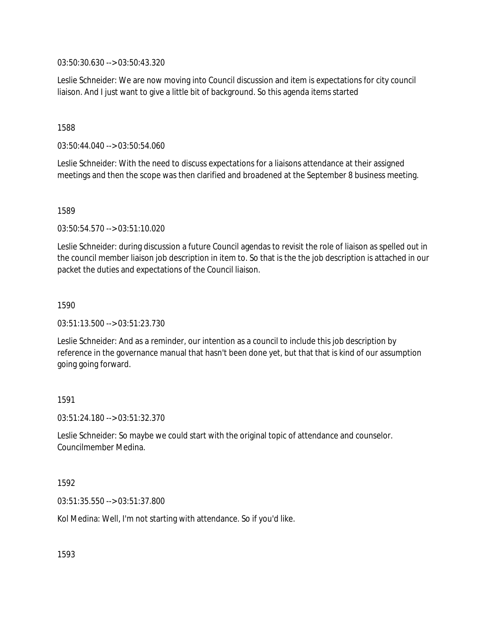03:50:30.630 --> 03:50:43.320

Leslie Schneider: We are now moving into Council discussion and item is expectations for city council liaison. And I just want to give a little bit of background. So this agenda items started

### 1588

03:50:44.040 --> 03:50:54.060

Leslie Schneider: With the need to discuss expectations for a liaisons attendance at their assigned meetings and then the scope was then clarified and broadened at the September 8 business meeting.

### 1589

03:50:54.570 --> 03:51:10.020

Leslie Schneider: during discussion a future Council agendas to revisit the role of liaison as spelled out in the council member liaison job description in item to. So that is the the job description is attached in our packet the duties and expectations of the Council liaison.

### 1590

03:51:13.500 --> 03:51:23.730

Leslie Schneider: And as a reminder, our intention as a council to include this job description by reference in the governance manual that hasn't been done yet, but that that is kind of our assumption going going forward.

### 1591

03:51:24.180 --> 03:51:32.370

Leslie Schneider: So maybe we could start with the original topic of attendance and counselor. Councilmember Medina.

### 1592

03:51:35.550 --> 03:51:37.800

Kol Medina: Well, I'm not starting with attendance. So if you'd like.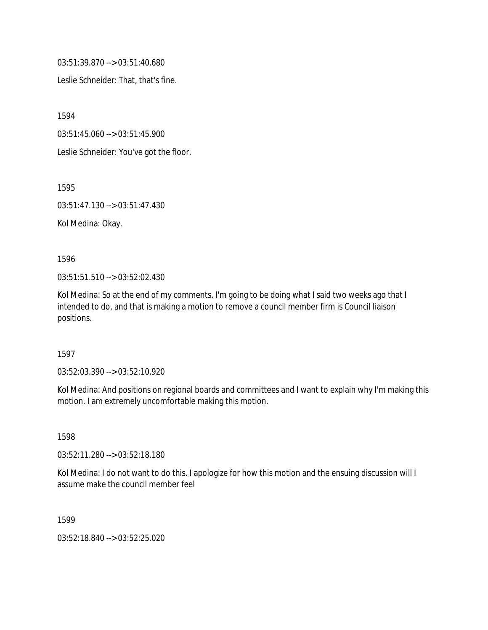03:51:39.870 --> 03:51:40.680

Leslie Schneider: That, that's fine.

1594

03:51:45.060 --> 03:51:45.900

Leslie Schneider: You've got the floor.

1595

03:51:47.130 --> 03:51:47.430

Kol Medina: Okay.

1596

03:51:51.510 --> 03:52:02.430

Kol Medina: So at the end of my comments. I'm going to be doing what I said two weeks ago that I intended to do, and that is making a motion to remove a council member firm is Council liaison positions.

1597

03:52:03.390 --> 03:52:10.920

Kol Medina: And positions on regional boards and committees and I want to explain why I'm making this motion. I am extremely uncomfortable making this motion.

1598

03:52:11.280 --> 03:52:18.180

Kol Medina: I do not want to do this. I apologize for how this motion and the ensuing discussion will I assume make the council member feel

1599

03:52:18.840 --> 03:52:25.020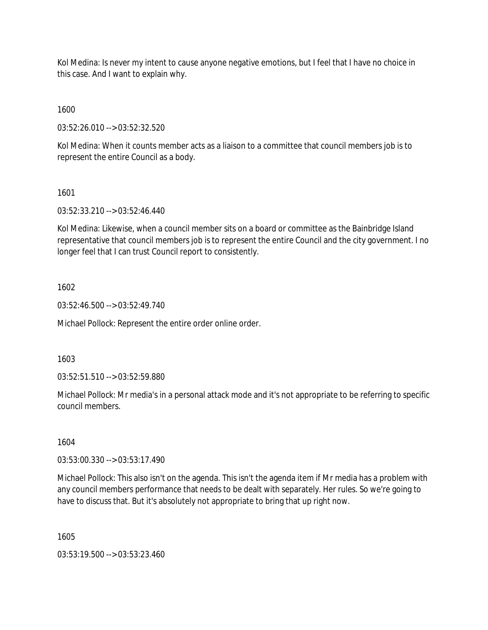Kol Medina: Is never my intent to cause anyone negative emotions, but I feel that I have no choice in this case. And I want to explain why.

1600

03:52:26.010 --> 03:52:32.520

Kol Medina: When it counts member acts as a liaison to a committee that council members job is to represent the entire Council as a body.

## 1601

03:52:33.210 --> 03:52:46.440

Kol Medina: Likewise, when a council member sits on a board or committee as the Bainbridge Island representative that council members job is to represent the entire Council and the city government. I no longer feel that I can trust Council report to consistently.

## 1602

03:52:46.500 --> 03:52:49.740

Michael Pollock: Represent the entire order online order.

### 1603

03:52:51.510 --> 03:52:59.880

Michael Pollock: Mr media's in a personal attack mode and it's not appropriate to be referring to specific council members.

### 1604

03:53:00.330 --> 03:53:17.490

Michael Pollock: This also isn't on the agenda. This isn't the agenda item if Mr media has a problem with any council members performance that needs to be dealt with separately. Her rules. So we're going to have to discuss that. But it's absolutely not appropriate to bring that up right now.

1605

03:53:19.500 --> 03:53:23.460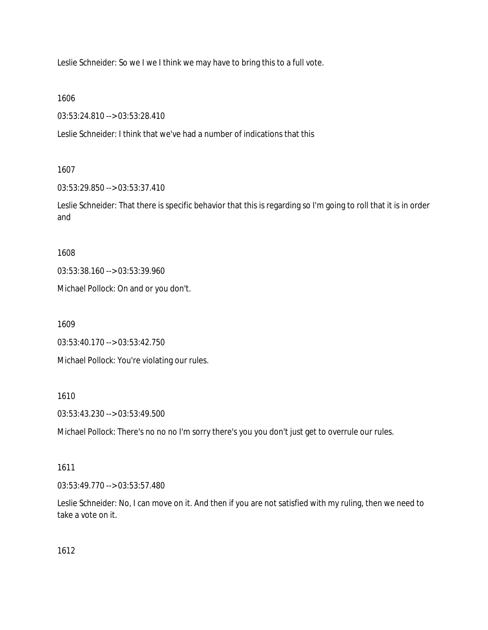Leslie Schneider: So we I we I think we may have to bring this to a full vote.

1606

03:53:24.810 --> 03:53:28.410

Leslie Schneider: I think that we've had a number of indications that this

### 1607

03:53:29.850 --> 03:53:37.410

Leslie Schneider: That there is specific behavior that this is regarding so I'm going to roll that it is in order and

1608

03:53:38.160 --> 03:53:39.960

Michael Pollock: On and or you don't.

1609

03:53:40.170 --> 03:53:42.750

Michael Pollock: You're violating our rules.

1610

03:53:43.230 --> 03:53:49.500

Michael Pollock: There's no no no I'm sorry there's you you don't just get to overrule our rules.

### 1611

03:53:49.770 --> 03:53:57.480

Leslie Schneider: No, I can move on it. And then if you are not satisfied with my ruling, then we need to take a vote on it.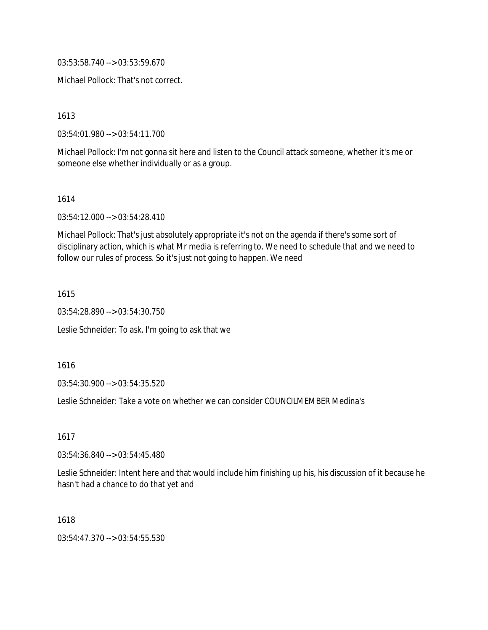03:53:58.740 --> 03:53:59.670

Michael Pollock: That's not correct.

1613

03:54:01.980 --> 03:54:11.700

Michael Pollock: I'm not gonna sit here and listen to the Council attack someone, whether it's me or someone else whether individually or as a group.

1614

03:54:12.000 --> 03:54:28.410

Michael Pollock: That's just absolutely appropriate it's not on the agenda if there's some sort of disciplinary action, which is what Mr media is referring to. We need to schedule that and we need to follow our rules of process. So it's just not going to happen. We need

1615

03:54:28.890 --> 03:54:30.750

Leslie Schneider: To ask. I'm going to ask that we

1616

03:54:30.900 --> 03:54:35.520

Leslie Schneider: Take a vote on whether we can consider COUNCILMEMBER Medina's

1617

03:54:36.840 --> 03:54:45.480

Leslie Schneider: Intent here and that would include him finishing up his, his discussion of it because he hasn't had a chance to do that yet and

1618

03:54:47.370 --> 03:54:55.530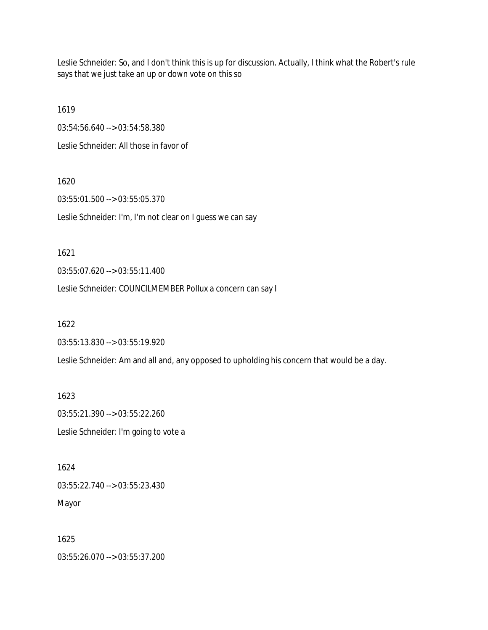Leslie Schneider: So, and I don't think this is up for discussion. Actually, I think what the Robert's rule says that we just take an up or down vote on this so

1619 03:54:56.640 --> 03:54:58.380 Leslie Schneider: All those in favor of

1620 03:55:01.500 --> 03:55:05.370 Leslie Schneider: I'm, I'm not clear on I guess we can say

1621

03:55:07.620 --> 03:55:11.400

Leslie Schneider: COUNCILMEMBER Pollux a concern can say I

1622

03:55:13.830 --> 03:55:19.920

Leslie Schneider: Am and all and, any opposed to upholding his concern that would be a day.

1623 03:55:21.390 --> 03:55:22.260 Leslie Schneider: I'm going to vote a

1624 03:55:22.740 --> 03:55:23.430 Mayor

1625 03:55:26.070 --> 03:55:37.200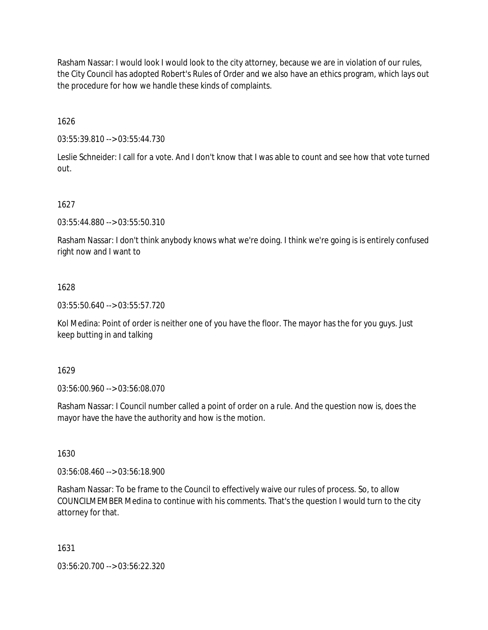Rasham Nassar: I would look I would look to the city attorney, because we are in violation of our rules, the City Council has adopted Robert's Rules of Order and we also have an ethics program, which lays out the procedure for how we handle these kinds of complaints.

1626

03:55:39.810 --> 03:55:44.730

Leslie Schneider: I call for a vote. And I don't know that I was able to count and see how that vote turned out.

1627

03:55:44.880 --> 03:55:50.310

Rasham Nassar: I don't think anybody knows what we're doing. I think we're going is is entirely confused right now and I want to

### 1628

03:55:50.640 --> 03:55:57.720

Kol Medina: Point of order is neither one of you have the floor. The mayor has the for you guys. Just keep butting in and talking

1629

03:56:00.960 --> 03:56:08.070

Rasham Nassar: I Council number called a point of order on a rule. And the question now is, does the mayor have the have the authority and how is the motion.

1630

03:56:08.460 --> 03:56:18.900

Rasham Nassar: To be frame to the Council to effectively waive our rules of process. So, to allow COUNCILMEMBER Medina to continue with his comments. That's the question I would turn to the city attorney for that.

1631

03:56:20.700 --> 03:56:22.320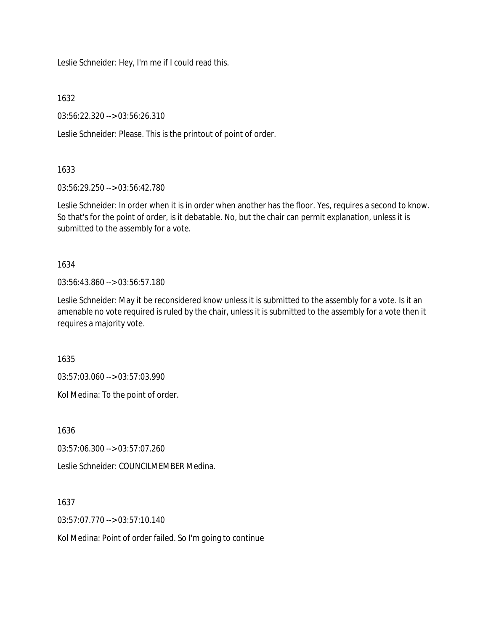Leslie Schneider: Hey, I'm me if I could read this.

1632

03:56:22.320 --> 03:56:26.310

Leslie Schneider: Please. This is the printout of point of order.

1633

03:56:29.250 --> 03:56:42.780

Leslie Schneider: In order when it is in order when another has the floor. Yes, requires a second to know. So that's for the point of order, is it debatable. No, but the chair can permit explanation, unless it is submitted to the assembly for a vote.

1634

03:56:43.860 --> 03:56:57.180

Leslie Schneider: May it be reconsidered know unless it is submitted to the assembly for a vote. Is it an amenable no vote required is ruled by the chair, unless it is submitted to the assembly for a vote then it requires a majority vote.

1635

03:57:03.060 --> 03:57:03.990

Kol Medina: To the point of order.

1636

03:57:06.300 --> 03:57:07.260

Leslie Schneider: COUNCILMEMBER Medina.

1637

03:57:07.770 --> 03:57:10.140

Kol Medina: Point of order failed. So I'm going to continue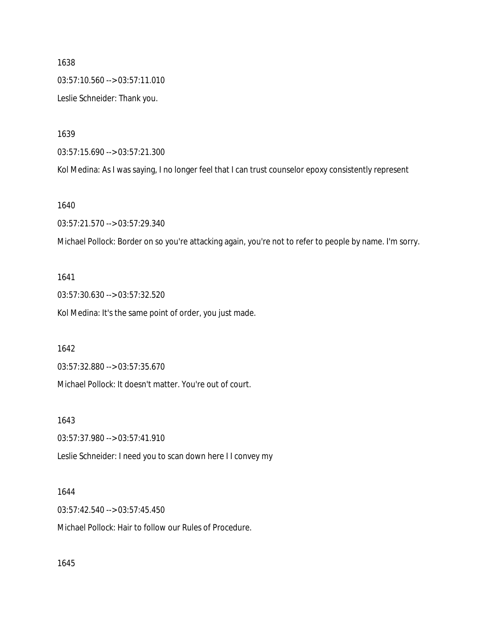1638 03:57:10.560 --> 03:57:11.010 Leslie Schneider: Thank you.

1639

03:57:15.690 --> 03:57:21.300

Kol Medina: As I was saying, I no longer feel that I can trust counselor epoxy consistently represent

1640

03:57:21.570 --> 03:57:29.340

Michael Pollock: Border on so you're attacking again, you're not to refer to people by name. I'm sorry.

1641

03:57:30.630 --> 03:57:32.520 Kol Medina: It's the same point of order, you just made.

1642

03:57:32.880 --> 03:57:35.670

Michael Pollock: It doesn't matter. You're out of court.

1643

03:57:37.980 --> 03:57:41.910

Leslie Schneider: I need you to scan down here I I convey my

1644

03:57:42.540 --> 03:57:45.450

Michael Pollock: Hair to follow our Rules of Procedure.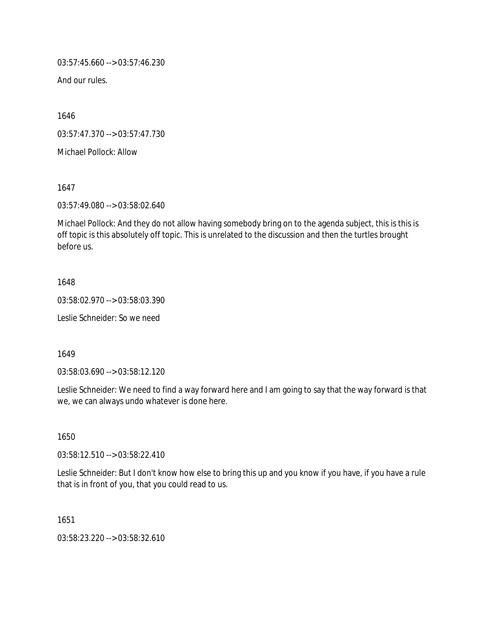03:57:45.660 --> 03:57:46.230

And our rules.

1646

03:57:47.370 --> 03:57:47.730

Michael Pollock: Allow

1647

03:57:49.080 --> 03:58:02.640

Michael Pollock: And they do not allow having somebody bring on to the agenda subject, this is this is off topic is this absolutely off topic. This is unrelated to the discussion and then the turtles brought before us.

1648

03:58:02.970 --> 03:58:03.390

Leslie Schneider: So we need

1649

03:58:03.690 --> 03:58:12.120

Leslie Schneider: We need to find a way forward here and I am going to say that the way forward is that we, we can always undo whatever is done here.

1650

03:58:12.510 --> 03:58:22.410

Leslie Schneider: But I don't know how else to bring this up and you know if you have, if you have a rule that is in front of you, that you could read to us.

1651

03:58:23.220 --> 03:58:32.610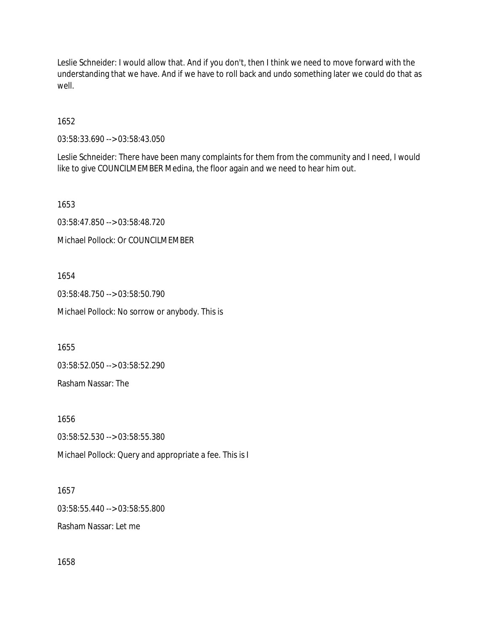Leslie Schneider: I would allow that. And if you don't, then I think we need to move forward with the understanding that we have. And if we have to roll back and undo something later we could do that as well.

1652

03:58:33.690 --> 03:58:43.050

Leslie Schneider: There have been many complaints for them from the community and I need, I would like to give COUNCILMEMBER Medina, the floor again and we need to hear him out.

1653

03:58:47.850 --> 03:58:48.720 Michael Pollock: Or COUNCILMEMBER

1654

03:58:48.750 --> 03:58:50.790 Michael Pollock: No sorrow or anybody. This is

1655

03:58:52.050 --> 03:58:52.290

Rasham Nassar: The

1656 03:58:52.530 --> 03:58:55.380 Michael Pollock: Query and appropriate a fee. This is I

1657 03:58:55.440 --> 03:58:55.800 Rasham Nassar: Let me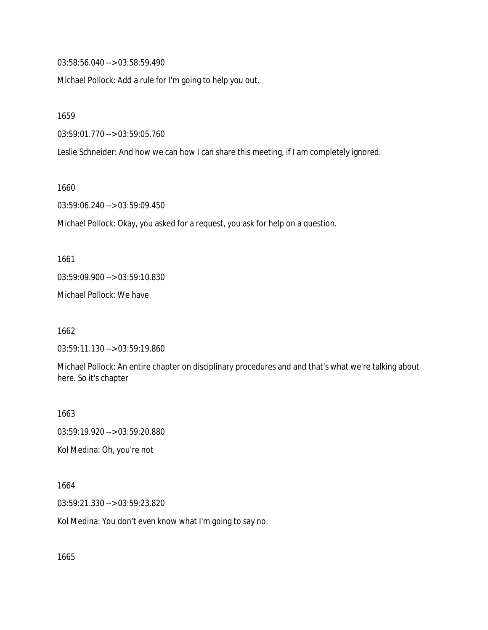03:58:56.040 --> 03:58:59.490

Michael Pollock: Add a rule for I'm going to help you out.

1659

03:59:01.770 --> 03:59:05.760

Leslie Schneider: And how we can how I can share this meeting, if I am completely ignored.

1660

03:59:06.240 --> 03:59:09.450

Michael Pollock: Okay, you asked for a request, you ask for help on a question.

1661 03:59:09.900 --> 03:59:10.830

Michael Pollock: We have

1662

03:59:11.130 --> 03:59:19.860

Michael Pollock: An entire chapter on disciplinary procedures and and that's what we're talking about here. So it's chapter

1663 03:59:19.920 --> 03:59:20.880 Kol Medina: Oh, you're not

1664

03:59:21.330 --> 03:59:23.820

Kol Medina: You don't even know what I'm going to say no.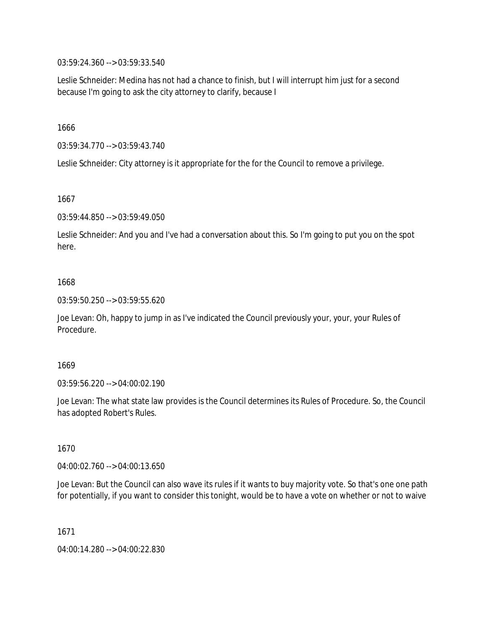03:59:24.360 --> 03:59:33.540

Leslie Schneider: Medina has not had a chance to finish, but I will interrupt him just for a second because I'm going to ask the city attorney to clarify, because I

1666

03:59:34.770 --> 03:59:43.740

Leslie Schneider: City attorney is it appropriate for the for the Council to remove a privilege.

1667

03:59:44.850 --> 03:59:49.050

Leslie Schneider: And you and I've had a conversation about this. So I'm going to put you on the spot here.

## 1668

03:59:50.250 --> 03:59:55.620

Joe Levan: Oh, happy to jump in as I've indicated the Council previously your, your, your Rules of Procedure.

1669

03:59:56.220 --> 04:00:02.190

Joe Levan: The what state law provides is the Council determines its Rules of Procedure. So, the Council has adopted Robert's Rules.

1670

04:00:02.760 --> 04:00:13.650

Joe Levan: But the Council can also wave its rules if it wants to buy majority vote. So that's one one path for potentially, if you want to consider this tonight, would be to have a vote on whether or not to waive

1671

04:00:14.280 --> 04:00:22.830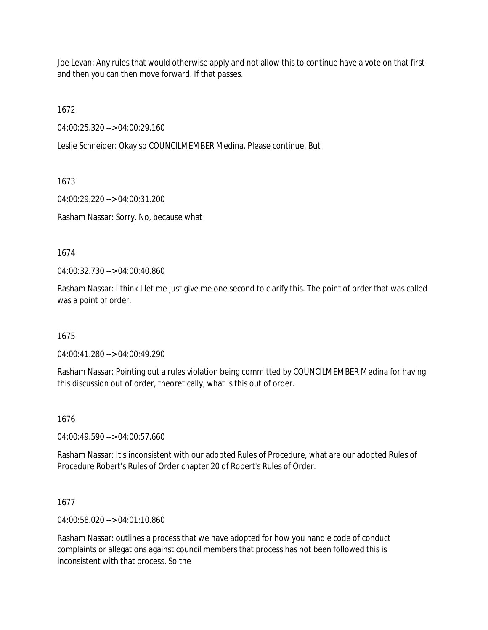Joe Levan: Any rules that would otherwise apply and not allow this to continue have a vote on that first and then you can then move forward. If that passes.

1672

04:00:25.320 --> 04:00:29.160

Leslie Schneider: Okay so COUNCILMEMBER Medina. Please continue. But

1673

04:00:29.220 --> 04:00:31.200

Rasham Nassar: Sorry. No, because what

1674

04:00:32.730 --> 04:00:40.860

Rasham Nassar: I think I let me just give me one second to clarify this. The point of order that was called was a point of order.

#### 1675

04:00:41.280 --> 04:00:49.290

Rasham Nassar: Pointing out a rules violation being committed by COUNCILMEMBER Medina for having this discussion out of order, theoretically, what is this out of order.

### 1676

04:00:49.590 --> 04:00:57.660

Rasham Nassar: It's inconsistent with our adopted Rules of Procedure, what are our adopted Rules of Procedure Robert's Rules of Order chapter 20 of Robert's Rules of Order.

1677

04:00:58.020 --> 04:01:10.860

Rasham Nassar: outlines a process that we have adopted for how you handle code of conduct complaints or allegations against council members that process has not been followed this is inconsistent with that process. So the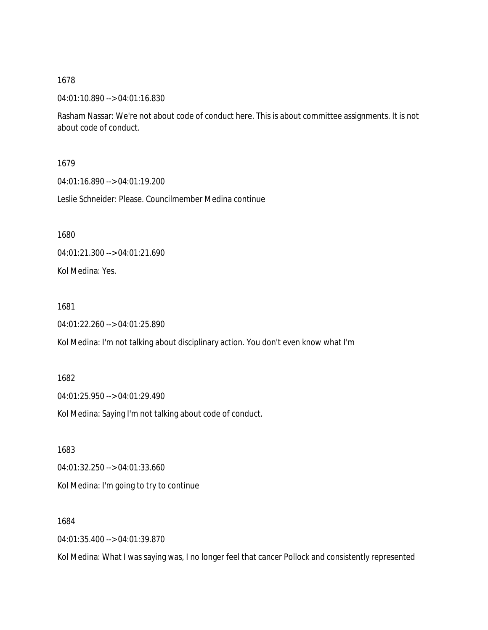04:01:10.890 --> 04:01:16.830

Rasham Nassar: We're not about code of conduct here. This is about committee assignments. It is not about code of conduct.

#### 1679

04:01:16.890 --> 04:01:19.200

Leslie Schneider: Please. Councilmember Medina continue

1680

04:01:21.300 --> 04:01:21.690

Kol Medina: Yes.

1681

04:01:22.260 --> 04:01:25.890

Kol Medina: I'm not talking about disciplinary action. You don't even know what I'm

### 1682

04:01:25.950 --> 04:01:29.490

Kol Medina: Saying I'm not talking about code of conduct.

1683

04:01:32.250 --> 04:01:33.660

Kol Medina: I'm going to try to continue

1684

04:01:35.400 --> 04:01:39.870

Kol Medina: What I was saying was, I no longer feel that cancer Pollock and consistently represented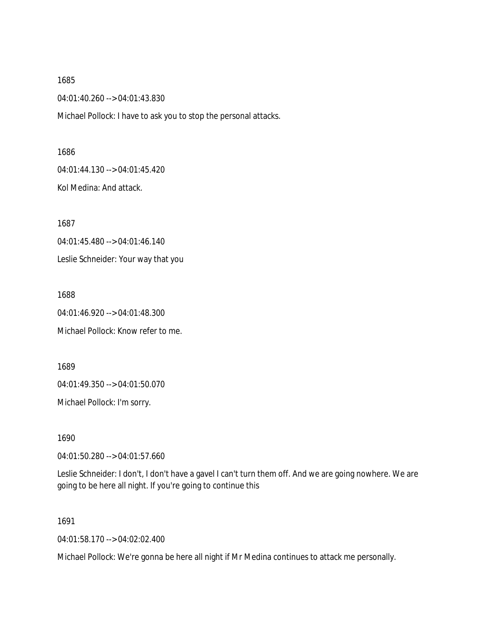1685 04:01:40.260 --> 04:01:43.830 Michael Pollock: I have to ask you to stop the personal attacks.

1686 04:01:44.130 --> 04:01:45.420 Kol Medina: And attack.

1687 04:01:45.480 --> 04:01:46.140 Leslie Schneider: Your way that you

1688 04:01:46.920 --> 04:01:48.300 Michael Pollock: Know refer to me.

1689 04:01:49.350 --> 04:01:50.070

Michael Pollock: I'm sorry.

1690

04:01:50.280 --> 04:01:57.660

Leslie Schneider: I don't, I don't have a gavel I can't turn them off. And we are going nowhere. We are going to be here all night. If you're going to continue this

1691

04:01:58.170 --> 04:02:02.400

Michael Pollock: We're gonna be here all night if Mr Medina continues to attack me personally.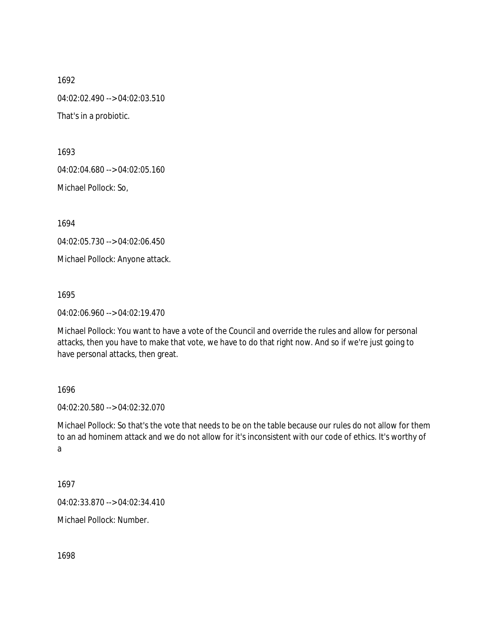1692 04:02:02.490 --> 04:02:03.510 That's in a probiotic.

1693

04:02:04.680 --> 04:02:05.160

Michael Pollock: So,

1694

04:02:05.730 --> 04:02:06.450

Michael Pollock: Anyone attack.

1695

04:02:06.960 --> 04:02:19.470

Michael Pollock: You want to have a vote of the Council and override the rules and allow for personal attacks, then you have to make that vote, we have to do that right now. And so if we're just going to have personal attacks, then great.

1696

04:02:20.580 --> 04:02:32.070

Michael Pollock: So that's the vote that needs to be on the table because our rules do not allow for them to an ad hominem attack and we do not allow for it's inconsistent with our code of ethics. It's worthy of a

1697

04:02:33.870 --> 04:02:34.410

Michael Pollock: Number.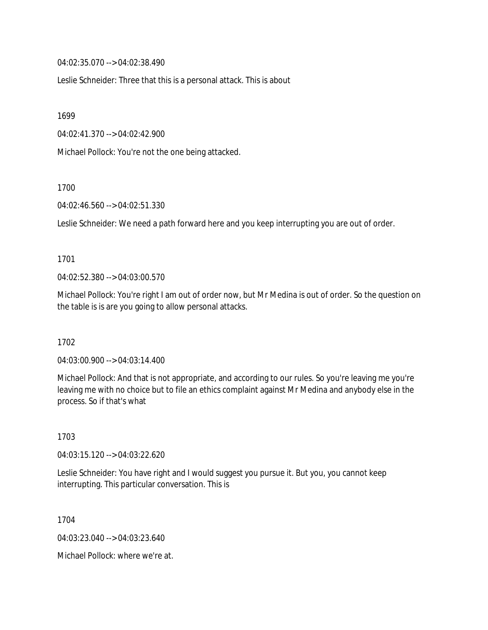04:02:35.070 --> 04:02:38.490

Leslie Schneider: Three that this is a personal attack. This is about

1699

04:02:41.370 --> 04:02:42.900

Michael Pollock: You're not the one being attacked.

1700

04:02:46.560 --> 04:02:51.330

Leslie Schneider: We need a path forward here and you keep interrupting you are out of order.

#### 1701

04:02:52.380 --> 04:03:00.570

Michael Pollock: You're right I am out of order now, but Mr Medina is out of order. So the question on the table is is are you going to allow personal attacks.

1702

04:03:00.900 --> 04:03:14.400

Michael Pollock: And that is not appropriate, and according to our rules. So you're leaving me you're leaving me with no choice but to file an ethics complaint against Mr Medina and anybody else in the process. So if that's what

1703

04:03:15.120 --> 04:03:22.620

Leslie Schneider: You have right and I would suggest you pursue it. But you, you cannot keep interrupting. This particular conversation. This is

1704

04:03:23.040 --> 04:03:23.640

Michael Pollock: where we're at.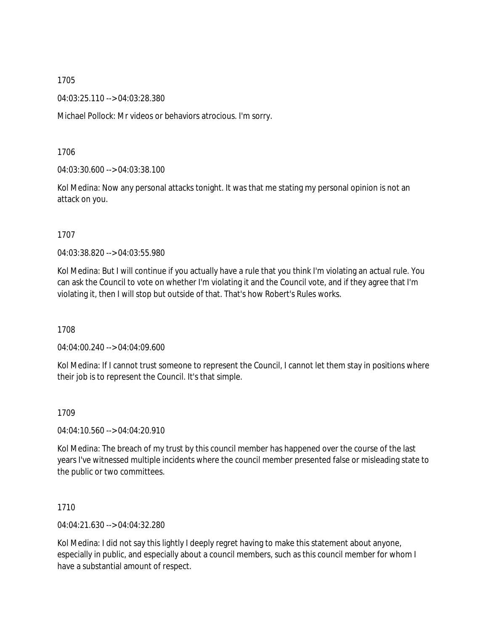04:03:25.110 --> 04:03:28.380

Michael Pollock: Mr videos or behaviors atrocious. I'm sorry.

1706

04:03:30.600 --> 04:03:38.100

Kol Medina: Now any personal attacks tonight. It was that me stating my personal opinion is not an attack on you.

1707

04:03:38.820 --> 04:03:55.980

Kol Medina: But I will continue if you actually have a rule that you think I'm violating an actual rule. You can ask the Council to vote on whether I'm violating it and the Council vote, and if they agree that I'm violating it, then I will stop but outside of that. That's how Robert's Rules works.

1708

04:04:00.240 --> 04:04:09.600

Kol Medina: If I cannot trust someone to represent the Council, I cannot let them stay in positions where their job is to represent the Council. It's that simple.

1709

04:04:10.560 --> 04:04:20.910

Kol Medina: The breach of my trust by this council member has happened over the course of the last years I've witnessed multiple incidents where the council member presented false or misleading state to the public or two committees.

1710

04:04:21.630 --> 04:04:32.280

Kol Medina: I did not say this lightly I deeply regret having to make this statement about anyone, especially in public, and especially about a council members, such as this council member for whom I have a substantial amount of respect.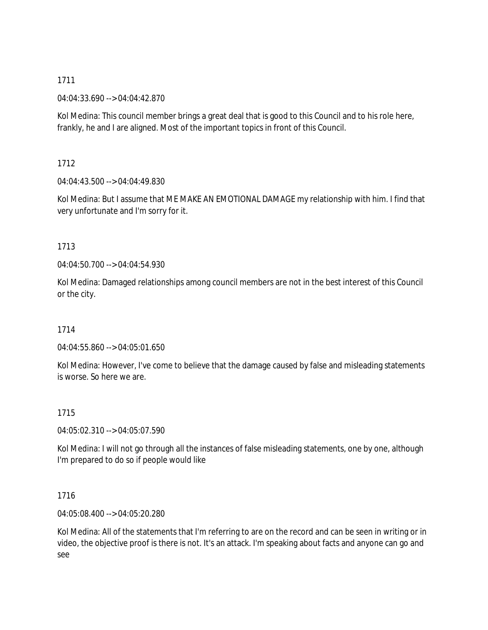04:04:33.690 --> 04:04:42.870

Kol Medina: This council member brings a great deal that is good to this Council and to his role here, frankly, he and I are aligned. Most of the important topics in front of this Council.

1712

04:04:43.500 --> 04:04:49.830

Kol Medina: But I assume that ME MAKE AN EMOTIONAL DAMAGE my relationship with him. I find that very unfortunate and I'm sorry for it.

# 1713

04:04:50.700 --> 04:04:54.930

Kol Medina: Damaged relationships among council members are not in the best interest of this Council or the city.

# 1714

04:04:55.860 --> 04:05:01.650

Kol Medina: However, I've come to believe that the damage caused by false and misleading statements is worse. So here we are.

# 1715

04:05:02.310 --> 04:05:07.590

Kol Medina: I will not go through all the instances of false misleading statements, one by one, although I'm prepared to do so if people would like

# 1716

04:05:08.400 --> 04:05:20.280

Kol Medina: All of the statements that I'm referring to are on the record and can be seen in writing or in video, the objective proof is there is not. It's an attack. I'm speaking about facts and anyone can go and see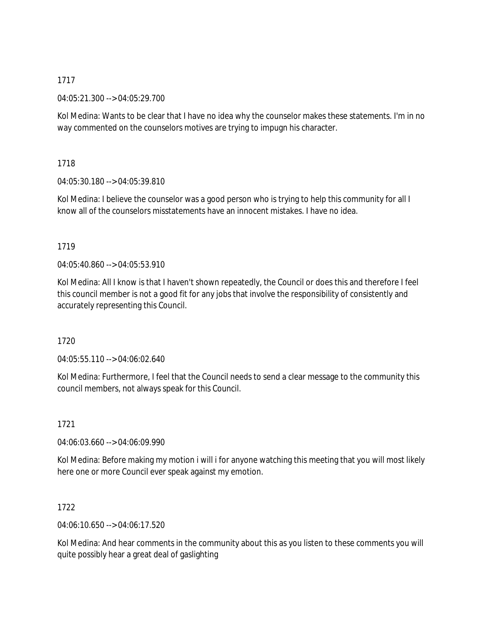04:05:21.300 --> 04:05:29.700

Kol Medina: Wants to be clear that I have no idea why the counselor makes these statements. I'm in no way commented on the counselors motives are trying to impugn his character.

1718

04:05:30.180 --> 04:05:39.810

Kol Medina: I believe the counselor was a good person who is trying to help this community for all I know all of the counselors misstatements have an innocent mistakes. I have no idea.

# 1719

04:05:40.860 --> 04:05:53.910

Kol Medina: All I know is that I haven't shown repeatedly, the Council or does this and therefore I feel this council member is not a good fit for any jobs that involve the responsibility of consistently and accurately representing this Council.

# 1720

04:05:55.110 --> 04:06:02.640

Kol Medina: Furthermore, I feel that the Council needs to send a clear message to the community this council members, not always speak for this Council.

1721

04:06:03.660 --> 04:06:09.990

Kol Medina: Before making my motion i will i for anyone watching this meeting that you will most likely here one or more Council ever speak against my emotion.

1722

04:06:10.650 --> 04:06:17.520

Kol Medina: And hear comments in the community about this as you listen to these comments you will quite possibly hear a great deal of gaslighting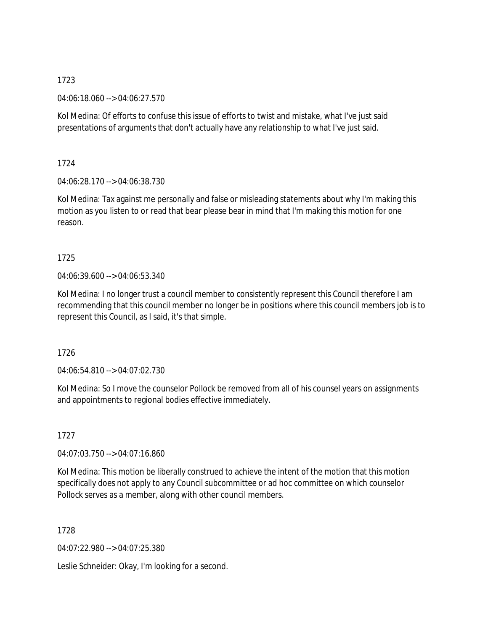04:06:18.060 --> 04:06:27.570

Kol Medina: Of efforts to confuse this issue of efforts to twist and mistake, what I've just said presentations of arguments that don't actually have any relationship to what I've just said.

1724

04:06:28.170 --> 04:06:38.730

Kol Medina: Tax against me personally and false or misleading statements about why I'm making this motion as you listen to or read that bear please bear in mind that I'm making this motion for one reason.

# 1725

04:06:39.600 --> 04:06:53.340

Kol Medina: I no longer trust a council member to consistently represent this Council therefore I am recommending that this council member no longer be in positions where this council members job is to represent this Council, as I said, it's that simple.

1726

04:06:54.810 --> 04:07:02.730

Kol Medina: So I move the counselor Pollock be removed from all of his counsel years on assignments and appointments to regional bodies effective immediately.

1727

04:07:03.750 --> 04:07:16.860

Kol Medina: This motion be liberally construed to achieve the intent of the motion that this motion specifically does not apply to any Council subcommittee or ad hoc committee on which counselor Pollock serves as a member, along with other council members.

1728

04:07:22.980 --> 04:07:25.380

Leslie Schneider: Okay, I'm looking for a second.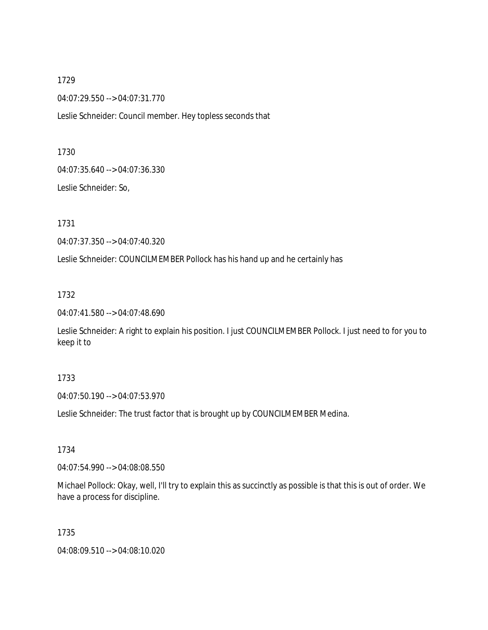1729 04:07:29.550 --> 04:07:31.770

Leslie Schneider: Council member. Hey topless seconds that

1730

04:07:35.640 --> 04:07:36.330

Leslie Schneider: So,

1731

04:07:37.350 --> 04:07:40.320

Leslie Schneider: COUNCILMEMBER Pollock has his hand up and he certainly has

1732

04:07:41.580 --> 04:07:48.690

Leslie Schneider: A right to explain his position. I just COUNCILMEMBER Pollock. I just need to for you to keep it to

# 1733

04:07:50.190 --> 04:07:53.970

Leslie Schneider: The trust factor that is brought up by COUNCILMEMBER Medina.

1734

04:07:54.990 --> 04:08:08.550

Michael Pollock: Okay, well, I'll try to explain this as succinctly as possible is that this is out of order. We have a process for discipline.

1735

04:08:09.510 --> 04:08:10.020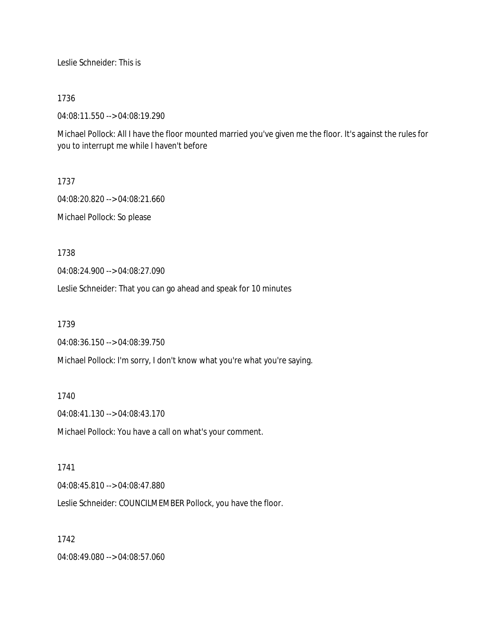Leslie Schneider: This is

1736

04:08:11.550 --> 04:08:19.290

Michael Pollock: All I have the floor mounted married you've given me the floor. It's against the rules for you to interrupt me while I haven't before

1737

04:08:20.820 --> 04:08:21.660 Michael Pollock: So please

1738

04:08:24.900 --> 04:08:27.090

Leslie Schneider: That you can go ahead and speak for 10 minutes

1739

04:08:36.150 --> 04:08:39.750

Michael Pollock: I'm sorry, I don't know what you're what you're saying.

1740

04:08:41.130 --> 04:08:43.170

Michael Pollock: You have a call on what's your comment.

1741

04:08:45.810 --> 04:08:47.880

Leslie Schneider: COUNCILMEMBER Pollock, you have the floor.

1742

04:08:49.080 --> 04:08:57.060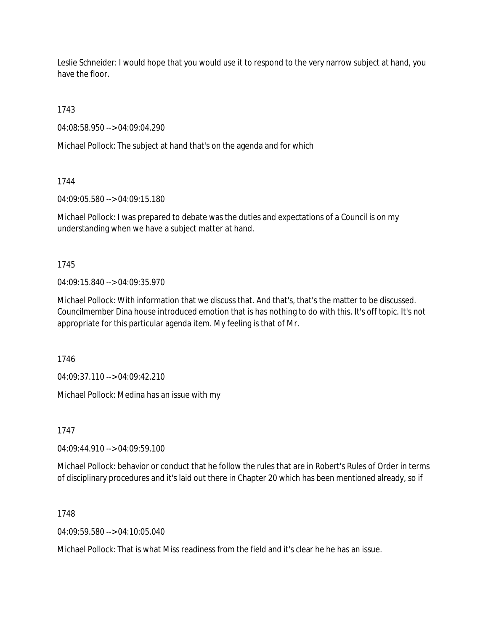Leslie Schneider: I would hope that you would use it to respond to the very narrow subject at hand, you have the floor.

1743

04:08:58.950 --> 04:09:04.290

Michael Pollock: The subject at hand that's on the agenda and for which

1744

04:09:05.580 --> 04:09:15.180

Michael Pollock: I was prepared to debate was the duties and expectations of a Council is on my understanding when we have a subject matter at hand.

1745

04:09:15.840 --> 04:09:35.970

Michael Pollock: With information that we discuss that. And that's, that's the matter to be discussed. Councilmember Dina house introduced emotion that is has nothing to do with this. It's off topic. It's not appropriate for this particular agenda item. My feeling is that of Mr.

1746

04:09:37.110 --> 04:09:42.210

Michael Pollock: Medina has an issue with my

1747

04:09:44.910 --> 04:09:59.100

Michael Pollock: behavior or conduct that he follow the rules that are in Robert's Rules of Order in terms of disciplinary procedures and it's laid out there in Chapter 20 which has been mentioned already, so if

1748

04:09:59.580 --> 04:10:05.040

Michael Pollock: That is what Miss readiness from the field and it's clear he he has an issue.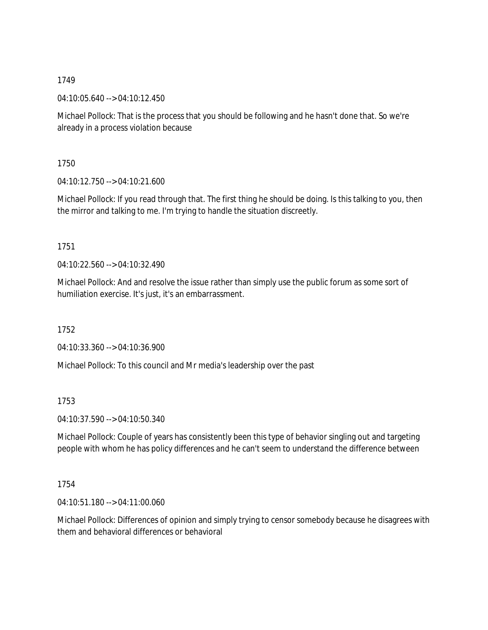04:10:05.640 --> 04:10:12.450

Michael Pollock: That is the process that you should be following and he hasn't done that. So we're already in a process violation because

1750

04:10:12.750 --> 04:10:21.600

Michael Pollock: If you read through that. The first thing he should be doing. Is this talking to you, then the mirror and talking to me. I'm trying to handle the situation discreetly.

## 1751

04:10:22.560 --> 04:10:32.490

Michael Pollock: And and resolve the issue rather than simply use the public forum as some sort of humiliation exercise. It's just, it's an embarrassment.

1752

04:10:33.360 --> 04:10:36.900

Michael Pollock: To this council and Mr media's leadership over the past

1753

04:10:37.590 --> 04:10:50.340

Michael Pollock: Couple of years has consistently been this type of behavior singling out and targeting people with whom he has policy differences and he can't seem to understand the difference between

1754

04:10:51.180 --> 04:11:00.060

Michael Pollock: Differences of opinion and simply trying to censor somebody because he disagrees with them and behavioral differences or behavioral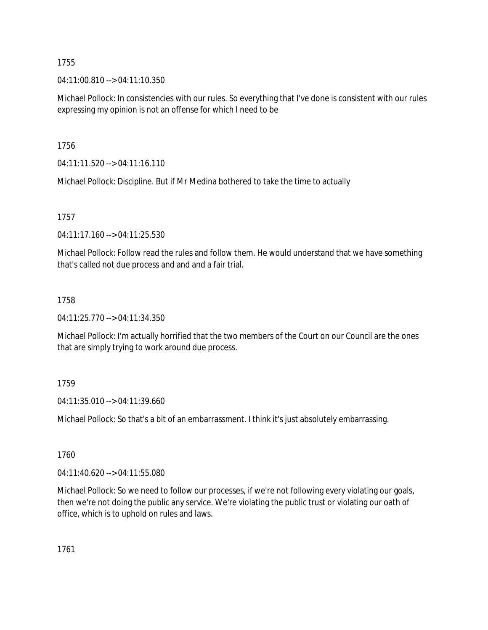04:11:00.810 --> 04:11:10.350

Michael Pollock: In consistencies with our rules. So everything that I've done is consistent with our rules expressing my opinion is not an offense for which I need to be

1756

04:11:11.520 --> 04:11:16.110

Michael Pollock: Discipline. But if Mr Medina bothered to take the time to actually

1757

04:11:17.160 --> 04:11:25.530

Michael Pollock: Follow read the rules and follow them. He would understand that we have something that's called not due process and and and a fair trial.

## 1758

04:11:25.770 --> 04:11:34.350

Michael Pollock: I'm actually horrified that the two members of the Court on our Council are the ones that are simply trying to work around due process.

# 1759

04:11:35.010 --> 04:11:39.660

Michael Pollock: So that's a bit of an embarrassment. I think it's just absolutely embarrassing.

# 1760

04:11:40.620 --> 04:11:55.080

Michael Pollock: So we need to follow our processes, if we're not following every violating our goals, then we're not doing the public any service. We're violating the public trust or violating our oath of office, which is to uphold on rules and laws.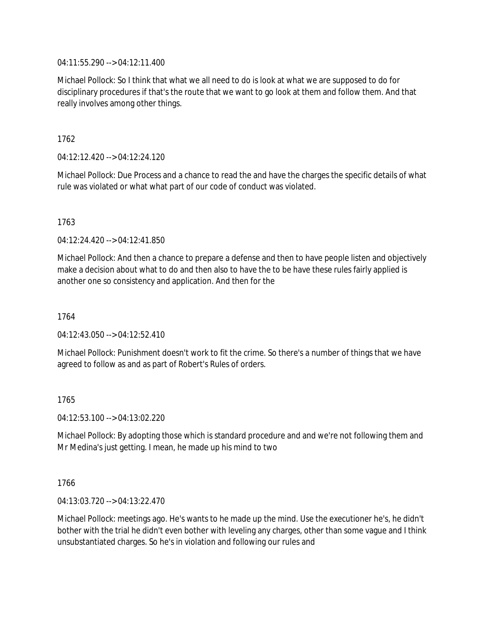04:11:55.290 --> 04:12:11.400

Michael Pollock: So I think that what we all need to do is look at what we are supposed to do for disciplinary procedures if that's the route that we want to go look at them and follow them. And that really involves among other things.

1762

04:12:12.420 --> 04:12:24.120

Michael Pollock: Due Process and a chance to read the and have the charges the specific details of what rule was violated or what what part of our code of conduct was violated.

1763

04:12:24.420 --> 04:12:41.850

Michael Pollock: And then a chance to prepare a defense and then to have people listen and objectively make a decision about what to do and then also to have the to be have these rules fairly applied is another one so consistency and application. And then for the

1764

 $04.12.43.050 -> 04.12.52.410$ 

Michael Pollock: Punishment doesn't work to fit the crime. So there's a number of things that we have agreed to follow as and as part of Robert's Rules of orders.

1765

04:12:53.100 --> 04:13:02.220

Michael Pollock: By adopting those which is standard procedure and and we're not following them and Mr Medina's just getting. I mean, he made up his mind to two

1766

04:13:03.720 --> 04:13:22.470

Michael Pollock: meetings ago. He's wants to he made up the mind. Use the executioner he's, he didn't bother with the trial he didn't even bother with leveling any charges, other than some vague and I think unsubstantiated charges. So he's in violation and following our rules and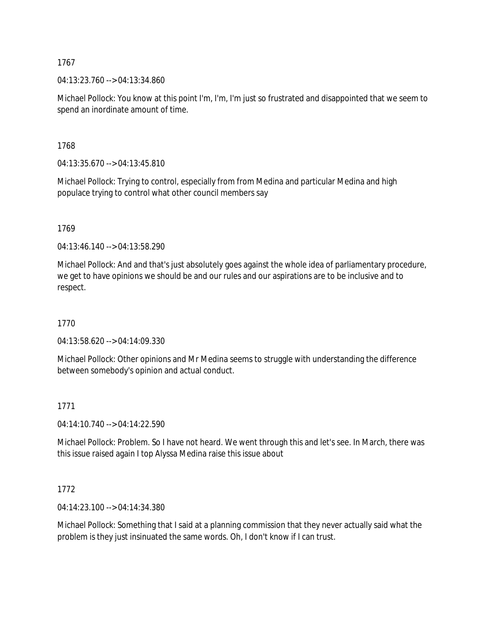04:13:23.760 --> 04:13:34.860

Michael Pollock: You know at this point I'm, I'm, I'm just so frustrated and disappointed that we seem to spend an inordinate amount of time.

1768

04:13:35.670 --> 04:13:45.810

Michael Pollock: Trying to control, especially from from Medina and particular Medina and high populace trying to control what other council members say

1769

04:13:46.140 --> 04:13:58.290

Michael Pollock: And and that's just absolutely goes against the whole idea of parliamentary procedure, we get to have opinions we should be and our rules and our aspirations are to be inclusive and to respect.

1770

04:13:58.620 --> 04:14:09.330

Michael Pollock: Other opinions and Mr Medina seems to struggle with understanding the difference between somebody's opinion and actual conduct.

### 1771

04:14:10.740 --> 04:14:22.590

Michael Pollock: Problem. So I have not heard. We went through this and let's see. In March, there was this issue raised again I top Alyssa Medina raise this issue about

### 1772

04:14:23.100 --> 04:14:34.380

Michael Pollock: Something that I said at a planning commission that they never actually said what the problem is they just insinuated the same words. Oh, I don't know if I can trust.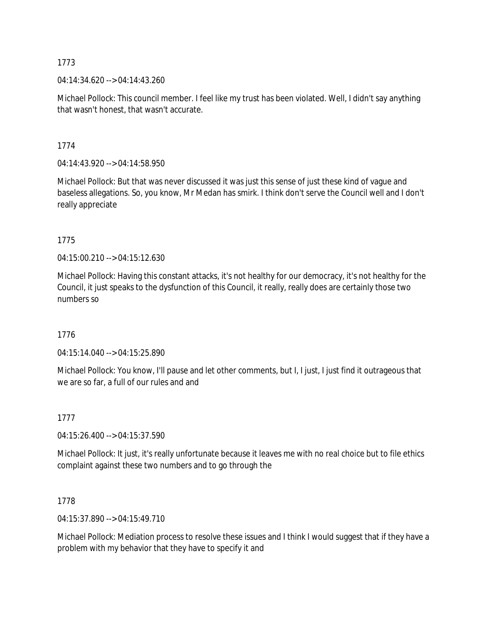04:14:34.620 --> 04:14:43.260

Michael Pollock: This council member. I feel like my trust has been violated. Well, I didn't say anything that wasn't honest, that wasn't accurate.

1774

04:14:43.920 --> 04:14:58.950

Michael Pollock: But that was never discussed it was just this sense of just these kind of vague and baseless allegations. So, you know, Mr Medan has smirk. I think don't serve the Council well and I don't really appreciate

1775

04:15:00.210 --> 04:15:12.630

Michael Pollock: Having this constant attacks, it's not healthy for our democracy, it's not healthy for the Council, it just speaks to the dysfunction of this Council, it really, really does are certainly those two numbers so

1776

04:15:14.040 --> 04:15:25.890

Michael Pollock: You know, I'll pause and let other comments, but I, I just, I just find it outrageous that we are so far, a full of our rules and and

# 1777

04:15:26.400 --> 04:15:37.590

Michael Pollock: It just, it's really unfortunate because it leaves me with no real choice but to file ethics complaint against these two numbers and to go through the

1778

04:15:37.890 --> 04:15:49.710

Michael Pollock: Mediation process to resolve these issues and I think I would suggest that if they have a problem with my behavior that they have to specify it and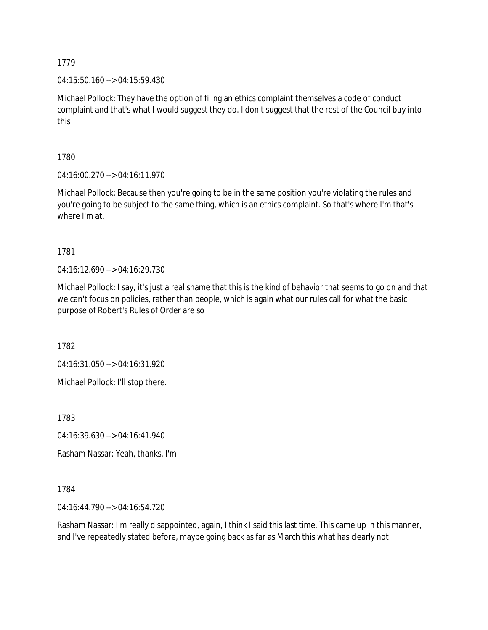04:15:50.160 --> 04:15:59.430

Michael Pollock: They have the option of filing an ethics complaint themselves a code of conduct complaint and that's what I would suggest they do. I don't suggest that the rest of the Council buy into this

1780

04:16:00.270 --> 04:16:11.970

Michael Pollock: Because then you're going to be in the same position you're violating the rules and you're going to be subject to the same thing, which is an ethics complaint. So that's where I'm that's where I'm at.

1781

04:16:12.690 --> 04:16:29.730

Michael Pollock: I say, it's just a real shame that this is the kind of behavior that seems to go on and that we can't focus on policies, rather than people, which is again what our rules call for what the basic purpose of Robert's Rules of Order are so

1782

04:16:31.050 --> 04:16:31.920

Michael Pollock: I'll stop there.

1783

04:16:39.630 --> 04:16:41.940

Rasham Nassar: Yeah, thanks. I'm

1784

04:16:44.790 --> 04:16:54.720

Rasham Nassar: I'm really disappointed, again, I think I said this last time. This came up in this manner, and I've repeatedly stated before, maybe going back as far as March this what has clearly not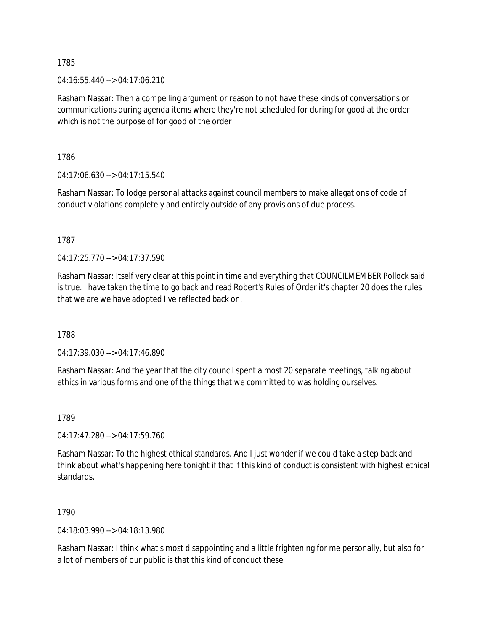04:16:55.440 --> 04:17:06.210

Rasham Nassar: Then a compelling argument or reason to not have these kinds of conversations or communications during agenda items where they're not scheduled for during for good at the order which is not the purpose of for good of the order

1786

04:17:06.630 --> 04:17:15.540

Rasham Nassar: To lodge personal attacks against council members to make allegations of code of conduct violations completely and entirely outside of any provisions of due process.

1787

04:17:25.770 --> 04:17:37.590

Rasham Nassar: Itself very clear at this point in time and everything that COUNCILMEMBER Pollock said is true. I have taken the time to go back and read Robert's Rules of Order it's chapter 20 does the rules that we are we have adopted I've reflected back on.

1788

04:17:39.030 --> 04:17:46.890

Rasham Nassar: And the year that the city council spent almost 20 separate meetings, talking about ethics in various forms and one of the things that we committed to was holding ourselves.

1789

04:17:47.280 --> 04:17:59.760

Rasham Nassar: To the highest ethical standards. And I just wonder if we could take a step back and think about what's happening here tonight if that if this kind of conduct is consistent with highest ethical standards.

1790

04:18:03.990 --> 04:18:13.980

Rasham Nassar: I think what's most disappointing and a little frightening for me personally, but also for a lot of members of our public is that this kind of conduct these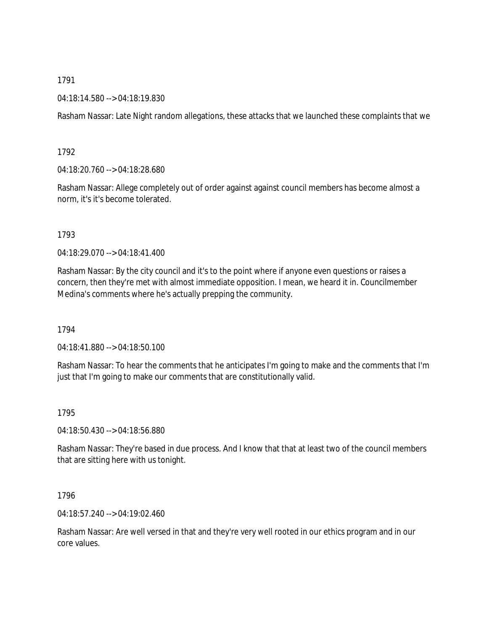### 04:18:14.580 --> 04:18:19.830

Rasham Nassar: Late Night random allegations, these attacks that we launched these complaints that we

### 1792

04:18:20.760 --> 04:18:28.680

Rasham Nassar: Allege completely out of order against against council members has become almost a norm, it's it's become tolerated.

## 1793

04:18:29.070 --> 04:18:41.400

Rasham Nassar: By the city council and it's to the point where if anyone even questions or raises a concern, then they're met with almost immediate opposition. I mean, we heard it in. Councilmember Medina's comments where he's actually prepping the community.

### 1794

04:18:41.880 --> 04:18:50.100

Rasham Nassar: To hear the comments that he anticipates I'm going to make and the comments that I'm just that I'm going to make our comments that are constitutionally valid.

### 1795

04:18:50.430 --> 04:18:56.880

Rasham Nassar: They're based in due process. And I know that that at least two of the council members that are sitting here with us tonight.

### 1796

04:18:57.240 --> 04:19:02.460

Rasham Nassar: Are well versed in that and they're very well rooted in our ethics program and in our core values.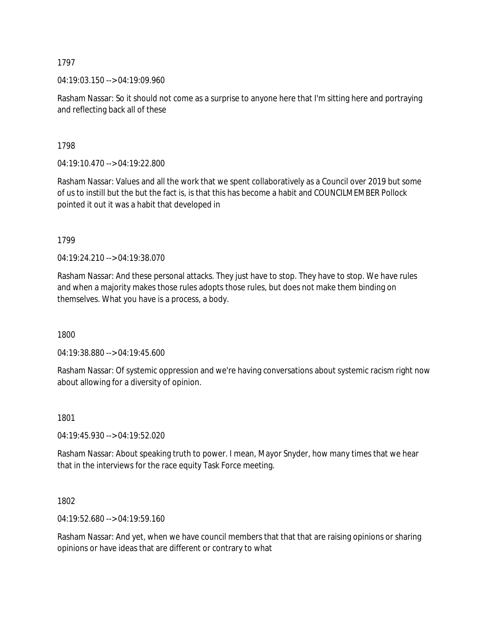04:19:03.150 --> 04:19:09.960

Rasham Nassar: So it should not come as a surprise to anyone here that I'm sitting here and portraying and reflecting back all of these

1798

04:19:10.470 --> 04:19:22.800

Rasham Nassar: Values and all the work that we spent collaboratively as a Council over 2019 but some of us to instill but the but the fact is, is that this has become a habit and COUNCILMEMBER Pollock pointed it out it was a habit that developed in

1799

04:19:24.210 --> 04:19:38.070

Rasham Nassar: And these personal attacks. They just have to stop. They have to stop. We have rules and when a majority makes those rules adopts those rules, but does not make them binding on themselves. What you have is a process, a body.

1800

04:19:38.880 --> 04:19:45.600

Rasham Nassar: Of systemic oppression and we're having conversations about systemic racism right now about allowing for a diversity of opinion.

1801

04:19:45.930 --> 04:19:52.020

Rasham Nassar: About speaking truth to power. I mean, Mayor Snyder, how many times that we hear that in the interviews for the race equity Task Force meeting.

1802

04:19:52.680 --> 04:19:59.160

Rasham Nassar: And yet, when we have council members that that that are raising opinions or sharing opinions or have ideas that are different or contrary to what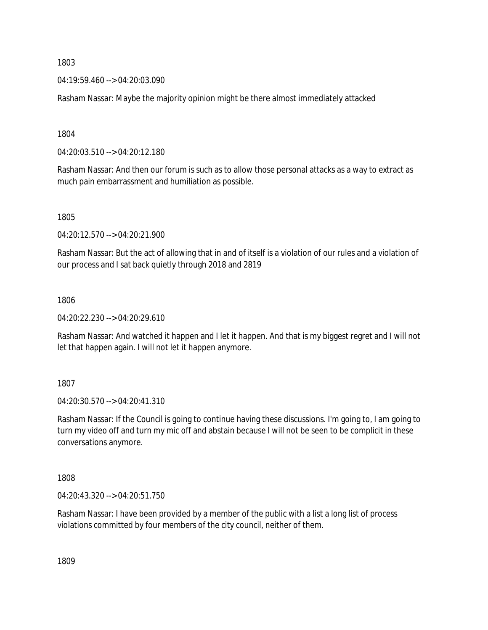04:19:59.460 --> 04:20:03.090

Rasham Nassar: Maybe the majority opinion might be there almost immediately attacked

1804

04:20:03.510 --> 04:20:12.180

Rasham Nassar: And then our forum is such as to allow those personal attacks as a way to extract as much pain embarrassment and humiliation as possible.

1805

04:20:12.570 --> 04:20:21.900

Rasham Nassar: But the act of allowing that in and of itself is a violation of our rules and a violation of our process and I sat back quietly through 2018 and 2819

1806

04:20:22.230 --> 04:20:29.610

Rasham Nassar: And watched it happen and I let it happen. And that is my biggest regret and I will not let that happen again. I will not let it happen anymore.

1807

04:20:30.570 --> 04:20:41.310

Rasham Nassar: If the Council is going to continue having these discussions. I'm going to, I am going to turn my video off and turn my mic off and abstain because I will not be seen to be complicit in these conversations anymore.

1808

04:20:43.320 --> 04:20:51.750

Rasham Nassar: I have been provided by a member of the public with a list a long list of process violations committed by four members of the city council, neither of them.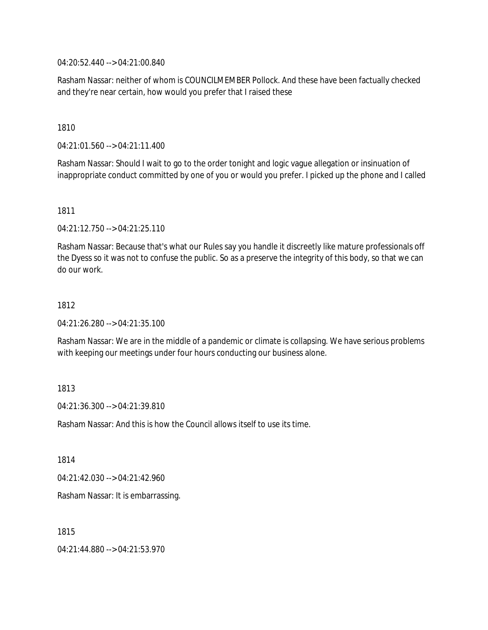04:20:52.440 --> 04:21:00.840

Rasham Nassar: neither of whom is COUNCILMEMBER Pollock. And these have been factually checked and they're near certain, how would you prefer that I raised these

1810

04:21:01.560 --> 04:21:11.400

Rasham Nassar: Should I wait to go to the order tonight and logic vague allegation or insinuation of inappropriate conduct committed by one of you or would you prefer. I picked up the phone and I called

1811

04:21:12.750 --> 04:21:25.110

Rasham Nassar: Because that's what our Rules say you handle it discreetly like mature professionals off the Dyess so it was not to confuse the public. So as a preserve the integrity of this body, so that we can do our work.

1812

04:21:26.280 --> 04:21:35.100

Rasham Nassar: We are in the middle of a pandemic or climate is collapsing. We have serious problems with keeping our meetings under four hours conducting our business alone.

1813

04:21:36.300 --> 04:21:39.810

Rasham Nassar: And this is how the Council allows itself to use its time.

1814

04:21:42.030 --> 04:21:42.960

Rasham Nassar: It is embarrassing.

1815

04:21:44.880 --> 04:21:53.970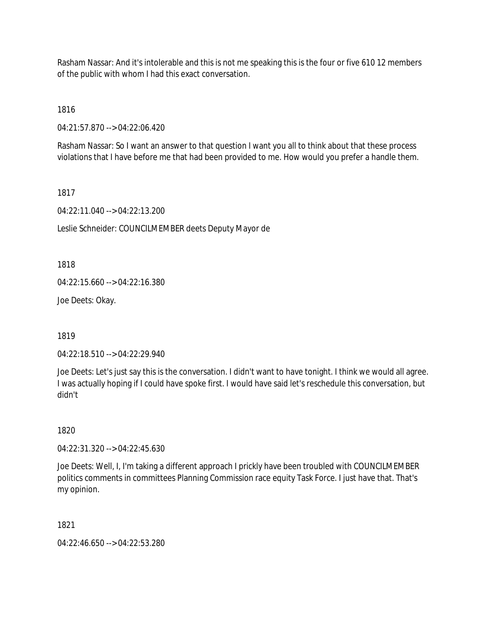Rasham Nassar: And it's intolerable and this is not me speaking this is the four or five 610 12 members of the public with whom I had this exact conversation.

1816

04:21:57.870 --> 04:22:06.420

Rasham Nassar: So I want an answer to that question I want you all to think about that these process violations that I have before me that had been provided to me. How would you prefer a handle them.

1817

04:22:11.040 --> 04:22:13.200

Leslie Schneider: COUNCILMEMBER deets Deputy Mayor de

1818

04:22:15.660 --> 04:22:16.380

Joe Deets: Okay.

1819

04:22:18.510 --> 04:22:29.940

Joe Deets: Let's just say this is the conversation. I didn't want to have tonight. I think we would all agree. I was actually hoping if I could have spoke first. I would have said let's reschedule this conversation, but didn't

1820

04:22:31.320 --> 04:22:45.630

Joe Deets: Well, I, I'm taking a different approach I prickly have been troubled with COUNCILMEMBER politics comments in committees Planning Commission race equity Task Force. I just have that. That's my opinion.

1821

04:22:46.650 --> 04:22:53.280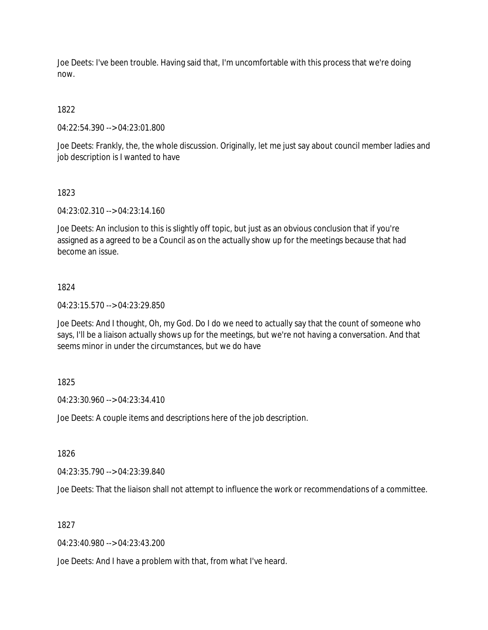Joe Deets: I've been trouble. Having said that, I'm uncomfortable with this process that we're doing now.

# 1822

04:22:54.390 --> 04:23:01.800

Joe Deets: Frankly, the, the whole discussion. Originally, let me just say about council member ladies and job description is I wanted to have

## 1823

04:23:02.310 --> 04:23:14.160

Joe Deets: An inclusion to this is slightly off topic, but just as an obvious conclusion that if you're assigned as a agreed to be a Council as on the actually show up for the meetings because that had become an issue.

## 1824

04:23:15.570 --> 04:23:29.850

Joe Deets: And I thought, Oh, my God. Do I do we need to actually say that the count of someone who says, I'll be a liaison actually shows up for the meetings, but we're not having a conversation. And that seems minor in under the circumstances, but we do have

# 1825

04:23:30.960 --> 04:23:34.410

Joe Deets: A couple items and descriptions here of the job description.

1826

04:23:35.790 --> 04:23:39.840

Joe Deets: That the liaison shall not attempt to influence the work or recommendations of a committee.

1827

04:23:40.980 --> 04:23:43.200

Joe Deets: And I have a problem with that, from what I've heard.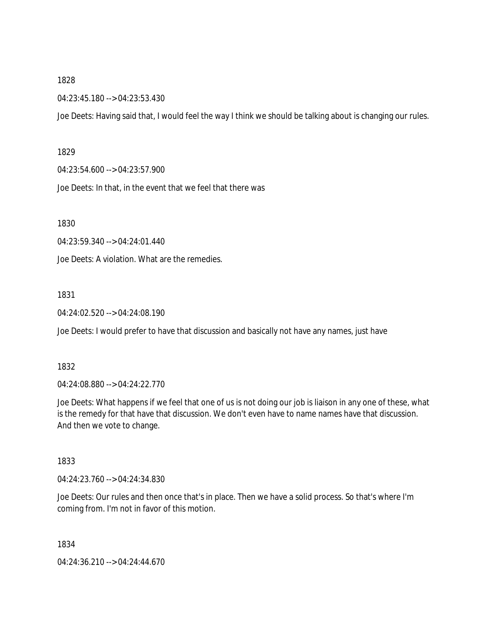04:23:45.180 --> 04:23:53.430

Joe Deets: Having said that, I would feel the way I think we should be talking about is changing our rules.

#### 1829

04:23:54.600 --> 04:23:57.900

Joe Deets: In that, in the event that we feel that there was

1830

04:23:59.340 --> 04:24:01.440

Joe Deets: A violation. What are the remedies.

#### 1831

04:24:02.520 --> 04:24:08.190

Joe Deets: I would prefer to have that discussion and basically not have any names, just have

## 1832

04:24:08.880 --> 04:24:22.770

Joe Deets: What happens if we feel that one of us is not doing our job is liaison in any one of these, what is the remedy for that have that discussion. We don't even have to name names have that discussion. And then we vote to change.

## 1833

04:24:23.760 --> 04:24:34.830

Joe Deets: Our rules and then once that's in place. Then we have a solid process. So that's where I'm coming from. I'm not in favor of this motion.

1834

04:24:36.210 --> 04:24:44.670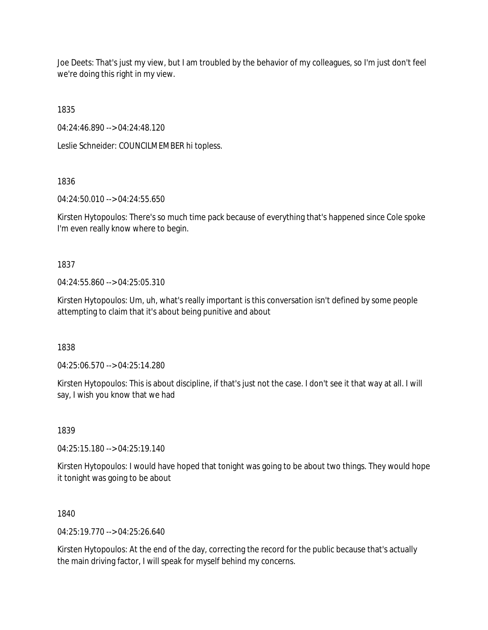Joe Deets: That's just my view, but I am troubled by the behavior of my colleagues, so I'm just don't feel we're doing this right in my view.

1835

04:24:46.890 --> 04:24:48.120

Leslie Schneider: COUNCILMEMBER hi topless.

1836

04:24:50.010 --> 04:24:55.650

Kirsten Hytopoulos: There's so much time pack because of everything that's happened since Cole spoke I'm even really know where to begin.

1837

 $04.24.55.860 -> 04.25.05.310$ 

Kirsten Hytopoulos: Um, uh, what's really important is this conversation isn't defined by some people attempting to claim that it's about being punitive and about

1838

04:25:06.570 --> 04:25:14.280

Kirsten Hytopoulos: This is about discipline, if that's just not the case. I don't see it that way at all. I will say, I wish you know that we had

1839

04:25:15.180 --> 04:25:19.140

Kirsten Hytopoulos: I would have hoped that tonight was going to be about two things. They would hope it tonight was going to be about

1840

 $04.25.19770 -> 04.25.26640$ 

Kirsten Hytopoulos: At the end of the day, correcting the record for the public because that's actually the main driving factor, I will speak for myself behind my concerns.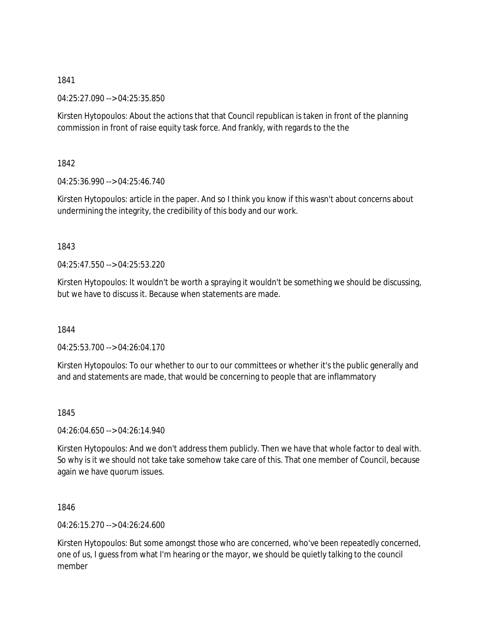04:25:27.090 --> 04:25:35.850

Kirsten Hytopoulos: About the actions that that Council republican is taken in front of the planning commission in front of raise equity task force. And frankly, with regards to the the

1842

04:25:36.990 --> 04:25:46.740

Kirsten Hytopoulos: article in the paper. And so I think you know if this wasn't about concerns about undermining the integrity, the credibility of this body and our work.

1843

 $04.25.47.550 -> 04.25.53.220$ 

Kirsten Hytopoulos: It wouldn't be worth a spraying it wouldn't be something we should be discussing, but we have to discuss it. Because when statements are made.

1844

04:25:53.700 --> 04:26:04.170

Kirsten Hytopoulos: To our whether to our to our committees or whether it's the public generally and and and statements are made, that would be concerning to people that are inflammatory

1845

04:26:04.650 --> 04:26:14.940

Kirsten Hytopoulos: And we don't address them publicly. Then we have that whole factor to deal with. So why is it we should not take take somehow take care of this. That one member of Council, because again we have quorum issues.

1846

04:26:15.270 --> 04:26:24.600

Kirsten Hytopoulos: But some amongst those who are concerned, who've been repeatedly concerned, one of us, I guess from what I'm hearing or the mayor, we should be quietly talking to the council member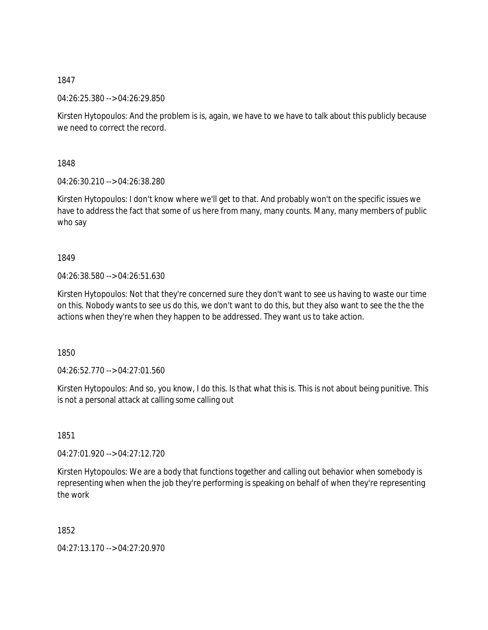04:26:25.380 --> 04:26:29.850

Kirsten Hytopoulos: And the problem is is, again, we have to we have to talk about this publicly because we need to correct the record.

1848

04:26:30.210 --> 04:26:38.280

Kirsten Hytopoulos: I don't know where we'll get to that. And probably won't on the specific issues we have to address the fact that some of us here from many, many counts. Many, many members of public who say

1849

04:26:38.580 --> 04:26:51.630

Kirsten Hytopoulos: Not that they're concerned sure they don't want to see us having to waste our time on this. Nobody wants to see us do this, we don't want to do this, but they also want to see the the the actions when they're when they happen to be addressed. They want us to take action.

1850

 $04.26:52.770 \rightarrow 04.27:01.560$ 

Kirsten Hytopoulos: And so, you know, I do this. Is that what this is. This is not about being punitive. This is not a personal attack at calling some calling out

1851

04:27:01.920 --> 04:27:12.720

Kirsten Hytopoulos: We are a body that functions together and calling out behavior when somebody is representing when when the job they're performing is speaking on behalf of when they're representing the work

1852

04:27:13.170 --> 04:27:20.970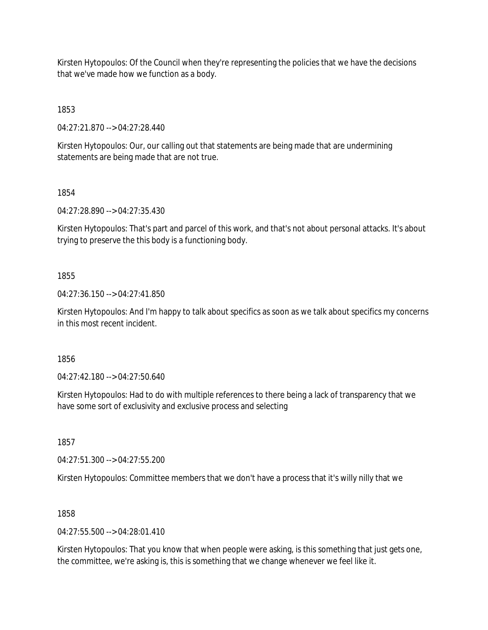Kirsten Hytopoulos: Of the Council when they're representing the policies that we have the decisions that we've made how we function as a body.

1853

04:27:21.870 --> 04:27:28.440

Kirsten Hytopoulos: Our, our calling out that statements are being made that are undermining statements are being made that are not true.

1854

04:27:28.890 --> 04:27:35.430

Kirsten Hytopoulos: That's part and parcel of this work, and that's not about personal attacks. It's about trying to preserve the this body is a functioning body.

## 1855

04:27:36.150 --> 04:27:41.850

Kirsten Hytopoulos: And I'm happy to talk about specifics as soon as we talk about specifics my concerns in this most recent incident.

1856

04:27:42.180 --> 04:27:50.640

Kirsten Hytopoulos: Had to do with multiple references to there being a lack of transparency that we have some sort of exclusivity and exclusive process and selecting

1857

04:27:51.300 --> 04:27:55.200

Kirsten Hytopoulos: Committee members that we don't have a process that it's willy nilly that we

## 1858

 $04.27:55.500 -> 04.28:01.410$ 

Kirsten Hytopoulos: That you know that when people were asking, is this something that just gets one, the committee, we're asking is, this is something that we change whenever we feel like it.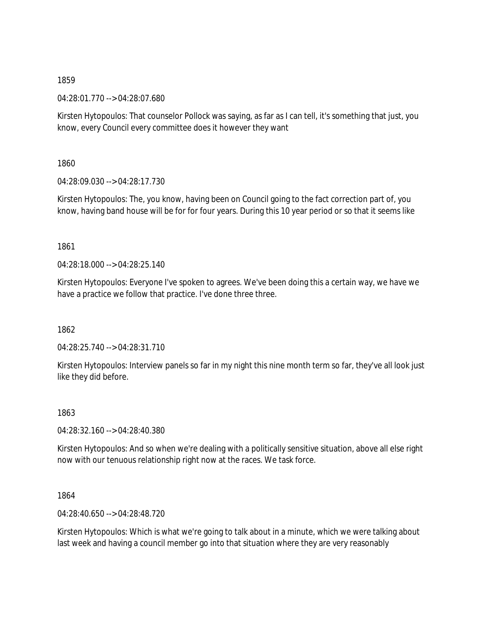04:28:01.770 --> 04:28:07.680

Kirsten Hytopoulos: That counselor Pollock was saying, as far as I can tell, it's something that just, you know, every Council every committee does it however they want

1860

04:28:09.030 --> 04:28:17.730

Kirsten Hytopoulos: The, you know, having been on Council going to the fact correction part of, you know, having band house will be for for four years. During this 10 year period or so that it seems like

1861

04:28:18.000 --> 04:28:25.140

Kirsten Hytopoulos: Everyone I've spoken to agrees. We've been doing this a certain way, we have we have a practice we follow that practice. I've done three three.

1862

04:28:25.740 --> 04:28:31.710

Kirsten Hytopoulos: Interview panels so far in my night this nine month term so far, they've all look just like they did before.

1863

04:28:32.160 --> 04:28:40.380

Kirsten Hytopoulos: And so when we're dealing with a politically sensitive situation, above all else right now with our tenuous relationship right now at the races. We task force.

1864

04:28:40.650 --> 04:28:48.720

Kirsten Hytopoulos: Which is what we're going to talk about in a minute, which we were talking about last week and having a council member go into that situation where they are very reasonably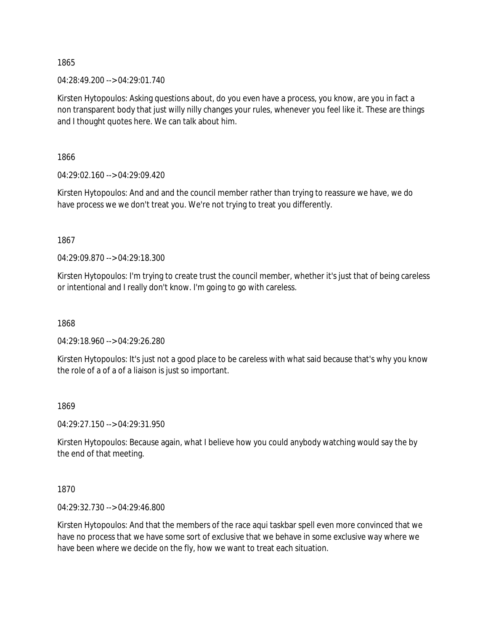04:28:49.200 --> 04:29:01.740

Kirsten Hytopoulos: Asking questions about, do you even have a process, you know, are you in fact a non transparent body that just willy nilly changes your rules, whenever you feel like it. These are things and I thought quotes here. We can talk about him.

1866

04:29:02.160 --> 04:29:09.420

Kirsten Hytopoulos: And and and the council member rather than trying to reassure we have, we do have process we we don't treat you. We're not trying to treat you differently.

1867

04:29:09.870 --> 04:29:18.300

Kirsten Hytopoulos: I'm trying to create trust the council member, whether it's just that of being careless or intentional and I really don't know. I'm going to go with careless.

1868

04:29:18.960 --> 04:29:26.280

Kirsten Hytopoulos: It's just not a good place to be careless with what said because that's why you know the role of a of a of a liaison is just so important.

## 1869

04:29:27.150 --> 04:29:31.950

Kirsten Hytopoulos: Because again, what I believe how you could anybody watching would say the by the end of that meeting.

1870

04:29:32.730 --> 04:29:46.800

Kirsten Hytopoulos: And that the members of the race aqui taskbar spell even more convinced that we have no process that we have some sort of exclusive that we behave in some exclusive way where we have been where we decide on the fly, how we want to treat each situation.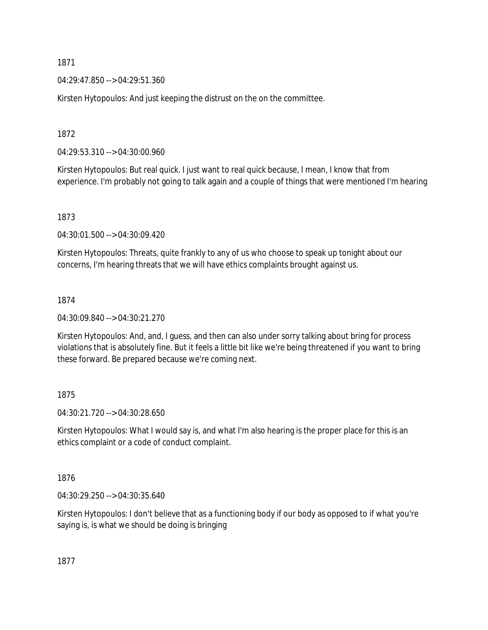04:29:47.850 --> 04:29:51.360

Kirsten Hytopoulos: And just keeping the distrust on the on the committee.

1872

04:29:53.310 --> 04:30:00.960

Kirsten Hytopoulos: But real quick. I just want to real quick because, I mean, I know that from experience. I'm probably not going to talk again and a couple of things that were mentioned I'm hearing

1873

04:30:01.500 --> 04:30:09.420

Kirsten Hytopoulos: Threats, quite frankly to any of us who choose to speak up tonight about our concerns, I'm hearing threats that we will have ethics complaints brought against us.

## 1874

04:30:09.840 --> 04:30:21.270

Kirsten Hytopoulos: And, and, I guess, and then can also under sorry talking about bring for process violations that is absolutely fine. But it feels a little bit like we're being threatened if you want to bring these forward. Be prepared because we're coming next.

1875

04:30:21.720 --> 04:30:28.650

Kirsten Hytopoulos: What I would say is, and what I'm also hearing is the proper place for this is an ethics complaint or a code of conduct complaint.

1876

04:30:29.250 --> 04:30:35.640

Kirsten Hytopoulos: I don't believe that as a functioning body if our body as opposed to if what you're saying is, is what we should be doing is bringing

1877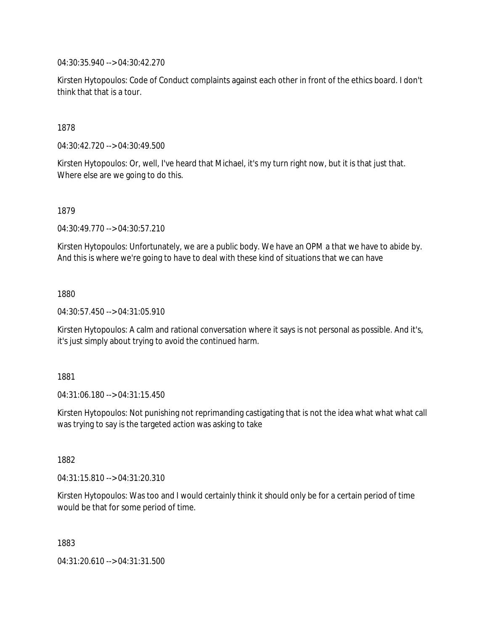04:30:35.940 --> 04:30:42.270

Kirsten Hytopoulos: Code of Conduct complaints against each other in front of the ethics board. I don't think that that is a tour.

1878

04:30:42.720 --> 04:30:49.500

Kirsten Hytopoulos: Or, well, I've heard that Michael, it's my turn right now, but it is that just that. Where else are we going to do this.

1879

04:30:49.770 --> 04:30:57.210

Kirsten Hytopoulos: Unfortunately, we are a public body. We have an OPM a that we have to abide by. And this is where we're going to have to deal with these kind of situations that we can have

1880

04:30:57.450 --> 04:31:05.910

Kirsten Hytopoulos: A calm and rational conversation where it says is not personal as possible. And it's, it's just simply about trying to avoid the continued harm.

1881

04:31:06.180 --> 04:31:15.450

Kirsten Hytopoulos: Not punishing not reprimanding castigating that is not the idea what what what call was trying to say is the targeted action was asking to take

1882

04:31:15.810 --> 04:31:20.310

Kirsten Hytopoulos: Was too and I would certainly think it should only be for a certain period of time would be that for some period of time.

1883

04:31:20.610 --> 04:31:31.500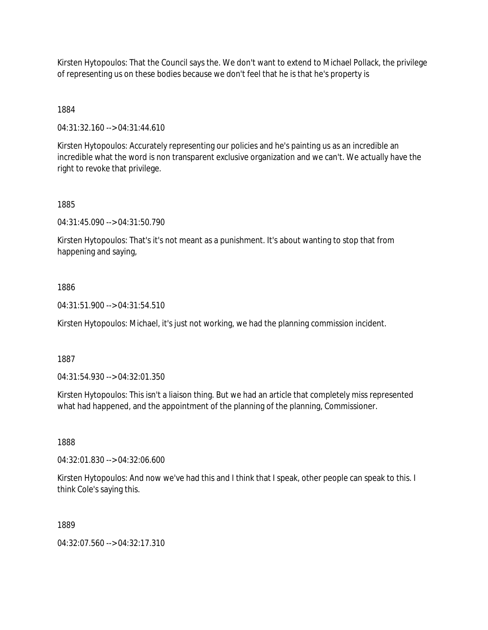Kirsten Hytopoulos: That the Council says the. We don't want to extend to Michael Pollack, the privilege of representing us on these bodies because we don't feel that he is that he's property is

1884

04:31:32.160 --> 04:31:44.610

Kirsten Hytopoulos: Accurately representing our policies and he's painting us as an incredible an incredible what the word is non transparent exclusive organization and we can't. We actually have the right to revoke that privilege.

1885

04:31:45.090 --> 04:31:50.790

Kirsten Hytopoulos: That's it's not meant as a punishment. It's about wanting to stop that from happening and saying,

1886

04:31:51.900 --> 04:31:54.510

Kirsten Hytopoulos: Michael, it's just not working, we had the planning commission incident.

1887

04:31:54.930 --> 04:32:01.350

Kirsten Hytopoulos: This isn't a liaison thing. But we had an article that completely miss represented what had happened, and the appointment of the planning of the planning, Commissioner.

1888

04:32:01.830 --> 04:32:06.600

Kirsten Hytopoulos: And now we've had this and I think that I speak, other people can speak to this. I think Cole's saying this.

1889

04:32:07.560 --> 04:32:17.310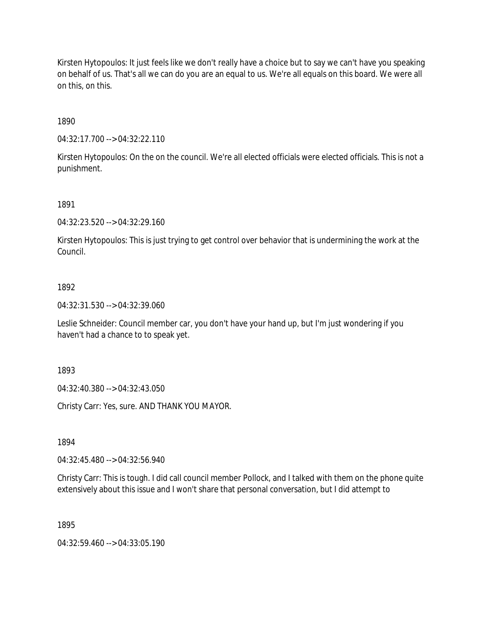Kirsten Hytopoulos: It just feels like we don't really have a choice but to say we can't have you speaking on behalf of us. That's all we can do you are an equal to us. We're all equals on this board. We were all on this, on this.

1890

04:32:17.700 --> 04:32:22.110

Kirsten Hytopoulos: On the on the council. We're all elected officials were elected officials. This is not a punishment.

1891

04:32:23.520 --> 04:32:29.160

Kirsten Hytopoulos: This is just trying to get control over behavior that is undermining the work at the Council.

## 1892

04:32:31.530 --> 04:32:39.060

Leslie Schneider: Council member car, you don't have your hand up, but I'm just wondering if you haven't had a chance to to speak yet.

1893

04:32:40.380 --> 04:32:43.050

Christy Carr: Yes, sure. AND THANK YOU MAYOR.

1894

04:32:45.480 --> 04:32:56.940

Christy Carr: This is tough. I did call council member Pollock, and I talked with them on the phone quite extensively about this issue and I won't share that personal conversation, but I did attempt to

1895

04:32:59.460 --> 04:33:05.190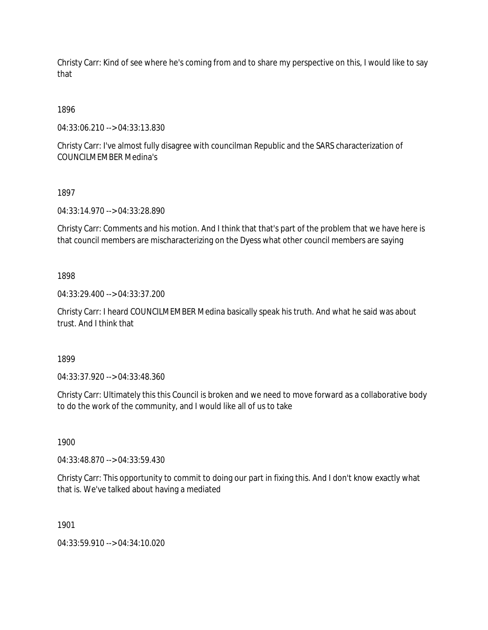Christy Carr: Kind of see where he's coming from and to share my perspective on this, I would like to say that

1896

04:33:06.210 --> 04:33:13.830

Christy Carr: I've almost fully disagree with councilman Republic and the SARS characterization of COUNCILMEMBER Medina's

1897

04:33:14.970 --> 04:33:28.890

Christy Carr: Comments and his motion. And I think that that's part of the problem that we have here is that council members are mischaracterizing on the Dyess what other council members are saying

1898

04:33:29.400 --> 04:33:37.200

Christy Carr: I heard COUNCILMEMBER Medina basically speak his truth. And what he said was about trust. And I think that

1899

04:33:37.920 --> 04:33:48.360

Christy Carr: Ultimately this this Council is broken and we need to move forward as a collaborative body to do the work of the community, and I would like all of us to take

1900

04:33:48.870 --> 04:33:59.430

Christy Carr: This opportunity to commit to doing our part in fixing this. And I don't know exactly what that is. We've talked about having a mediated

1901

04:33:59.910 --> 04:34:10.020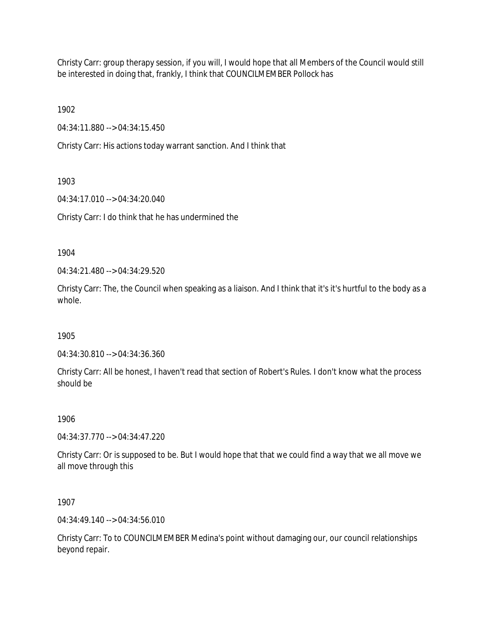Christy Carr: group therapy session, if you will, I would hope that all Members of the Council would still be interested in doing that, frankly, I think that COUNCILMEMBER Pollock has

1902

04:34:11.880 --> 04:34:15.450

Christy Carr: His actions today warrant sanction. And I think that

1903

04:34:17.010 --> 04:34:20.040

Christy Carr: I do think that he has undermined the

1904

04:34:21.480 --> 04:34:29.520

Christy Carr: The, the Council when speaking as a liaison. And I think that it's it's hurtful to the body as a whole.

1905

04:34:30.810 --> 04:34:36.360

Christy Carr: All be honest, I haven't read that section of Robert's Rules. I don't know what the process should be

1906

04:34:37.770 --> 04:34:47.220

Christy Carr: Or is supposed to be. But I would hope that that we could find a way that we all move we all move through this

1907

04:34:49.140 --> 04:34:56.010

Christy Carr: To to COUNCILMEMBER Medina's point without damaging our, our council relationships beyond repair.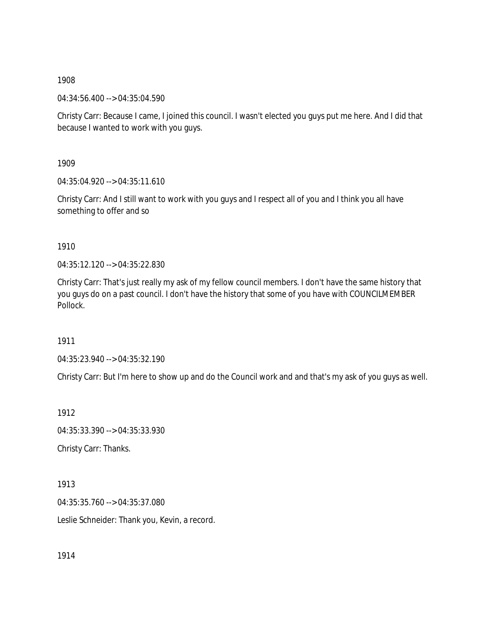04:34:56.400 --> 04:35:04.590

Christy Carr: Because I came, I joined this council. I wasn't elected you guys put me here. And I did that because I wanted to work with you guys.

1909

04:35:04.920 --> 04:35:11.610

Christy Carr: And I still want to work with you guys and I respect all of you and I think you all have something to offer and so

1910

04:35:12.120 --> 04:35:22.830

Christy Carr: That's just really my ask of my fellow council members. I don't have the same history that you guys do on a past council. I don't have the history that some of you have with COUNCILMEMBER Pollock.

1911

04:35:23.940 --> 04:35:32.190

Christy Carr: But I'm here to show up and do the Council work and and that's my ask of you guys as well.

1912 04:35:33.390 --> 04:35:33.930 Christy Carr: Thanks.

1913 04:35:35.760 --> 04:35:37.080

Leslie Schneider: Thank you, Kevin, a record.

1914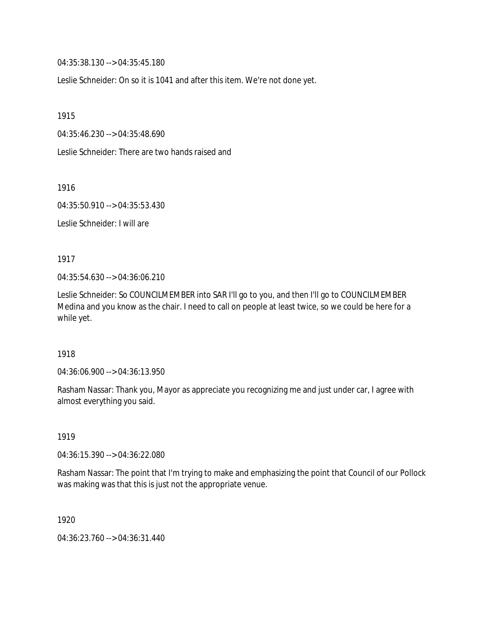04:35:38.130 --> 04:35:45.180

Leslie Schneider: On so it is 1041 and after this item. We're not done yet.

1915

04:35:46.230 --> 04:35:48.690

Leslie Schneider: There are two hands raised and

1916

04:35:50.910 --> 04:35:53.430

Leslie Schneider: I will are

1917

04:35:54.630 --> 04:36:06.210

Leslie Schneider: So COUNCILMEMBER into SAR I'll go to you, and then I'll go to COUNCILMEMBER Medina and you know as the chair. I need to call on people at least twice, so we could be here for a while yet.

1918

04:36:06.900 --> 04:36:13.950

Rasham Nassar: Thank you, Mayor as appreciate you recognizing me and just under car, I agree with almost everything you said.

1919

04:36:15.390 --> 04:36:22.080

Rasham Nassar: The point that I'm trying to make and emphasizing the point that Council of our Pollock was making was that this is just not the appropriate venue.

1920

04:36:23.760 --> 04:36:31.440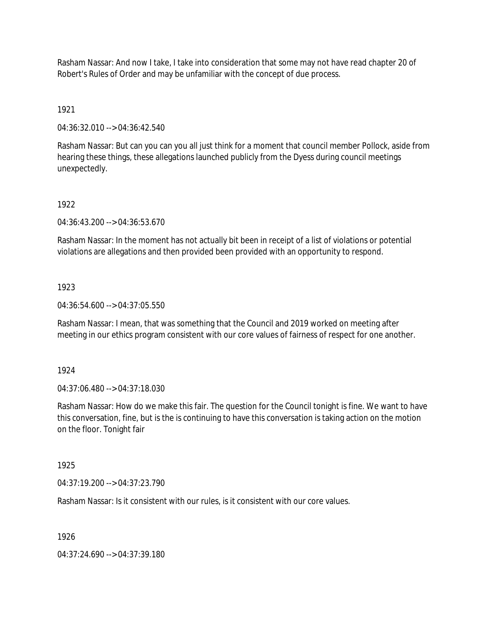Rasham Nassar: And now I take, I take into consideration that some may not have read chapter 20 of Robert's Rules of Order and may be unfamiliar with the concept of due process.

1921

04:36:32.010 --> 04:36:42.540

Rasham Nassar: But can you can you all just think for a moment that council member Pollock, aside from hearing these things, these allegations launched publicly from the Dyess during council meetings unexpectedly.

#### 1922

04:36:43.200 --> 04:36:53.670

Rasham Nassar: In the moment has not actually bit been in receipt of a list of violations or potential violations are allegations and then provided been provided with an opportunity to respond.

#### 1923

04:36:54.600 --> 04:37:05.550

Rasham Nassar: I mean, that was something that the Council and 2019 worked on meeting after meeting in our ethics program consistent with our core values of fairness of respect for one another.

1924

04:37:06.480 --> 04:37:18.030

Rasham Nassar: How do we make this fair. The question for the Council tonight is fine. We want to have this conversation, fine, but is the is continuing to have this conversation is taking action on the motion on the floor. Tonight fair

## 1925

04:37:19.200 --> 04:37:23.790

Rasham Nassar: Is it consistent with our rules, is it consistent with our core values.

1926

04:37:24.690 --> 04:37:39.180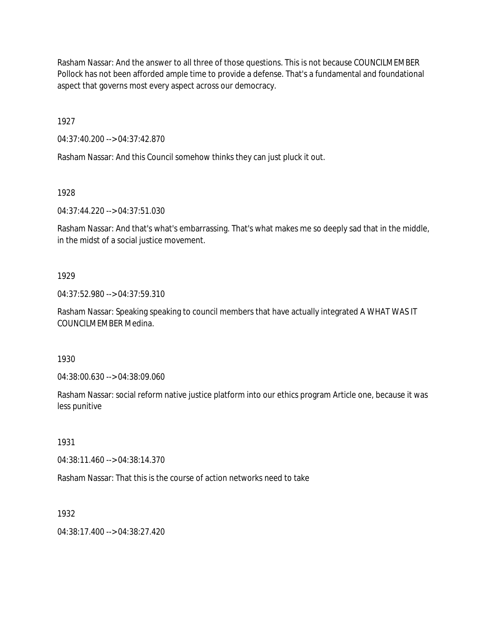Rasham Nassar: And the answer to all three of those questions. This is not because COUNCILMEMBER Pollock has not been afforded ample time to provide a defense. That's a fundamental and foundational aspect that governs most every aspect across our democracy.

1927

04:37:40.200 --> 04:37:42.870

Rasham Nassar: And this Council somehow thinks they can just pluck it out.

1928

04:37:44.220 --> 04:37:51.030

Rasham Nassar: And that's what's embarrassing. That's what makes me so deeply sad that in the middle, in the midst of a social justice movement.

## 1929

04:37:52.980 --> 04:37:59.310

Rasham Nassar: Speaking speaking to council members that have actually integrated A WHAT WAS IT COUNCILMEMBER Medina.

1930

04:38:00.630 --> 04:38:09.060

Rasham Nassar: social reform native justice platform into our ethics program Article one, because it was less punitive

1931

04:38:11.460 --> 04:38:14.370

Rasham Nassar: That this is the course of action networks need to take

1932

 $04:38:17.400 \rightarrow 04:38:27.420$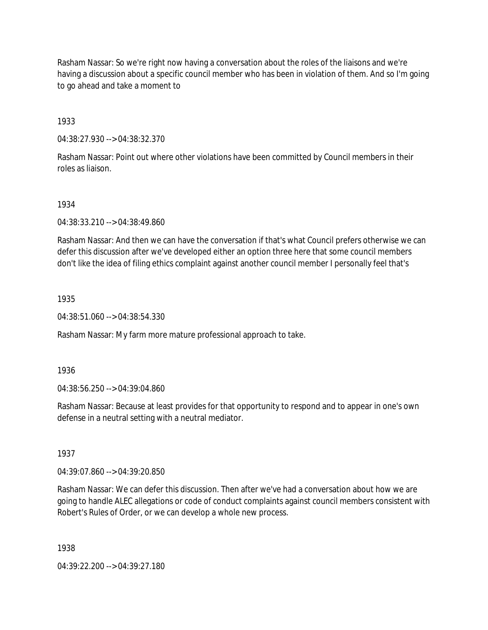Rasham Nassar: So we're right now having a conversation about the roles of the liaisons and we're having a discussion about a specific council member who has been in violation of them. And so I'm going to go ahead and take a moment to

1933

04:38:27.930 --> 04:38:32.370

Rasham Nassar: Point out where other violations have been committed by Council members in their roles as liaison.

1934

04:38:33.210 --> 04:38:49.860

Rasham Nassar: And then we can have the conversation if that's what Council prefers otherwise we can defer this discussion after we've developed either an option three here that some council members don't like the idea of filing ethics complaint against another council member I personally feel that's

1935

04:38:51.060 --> 04:38:54.330

Rasham Nassar: My farm more mature professional approach to take.

1936

04:38:56.250 --> 04:39:04.860

Rasham Nassar: Because at least provides for that opportunity to respond and to appear in one's own defense in a neutral setting with a neutral mediator.

1937

04:39:07.860 --> 04:39:20.850

Rasham Nassar: We can defer this discussion. Then after we've had a conversation about how we are going to handle ALEC allegations or code of conduct complaints against council members consistent with Robert's Rules of Order, or we can develop a whole new process.

1938

04:39:22.200 --> 04:39:27.180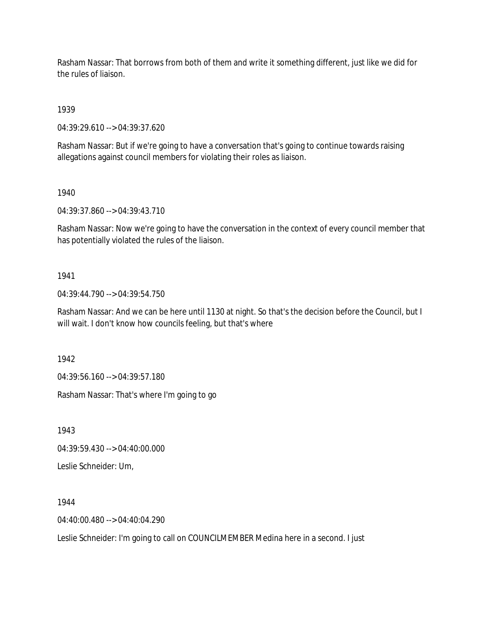Rasham Nassar: That borrows from both of them and write it something different, just like we did for the rules of liaison.

1939

04:39:29.610 --> 04:39:37.620

Rasham Nassar: But if we're going to have a conversation that's going to continue towards raising allegations against council members for violating their roles as liaison.

1940

04:39:37.860 --> 04:39:43.710

Rasham Nassar: Now we're going to have the conversation in the context of every council member that has potentially violated the rules of the liaison.

## 1941

04:39:44.790 --> 04:39:54.750

Rasham Nassar: And we can be here until 1130 at night. So that's the decision before the Council, but I will wait. I don't know how councils feeling, but that's where

1942

04:39:56.160 --> 04:39:57.180

Rasham Nassar: That's where I'm going to go

1943

04:39:59.430 --> 04:40:00.000

Leslie Schneider: Um,

1944

04:40:00.480 --> 04:40:04.290

Leslie Schneider: I'm going to call on COUNCILMEMBER Medina here in a second. I just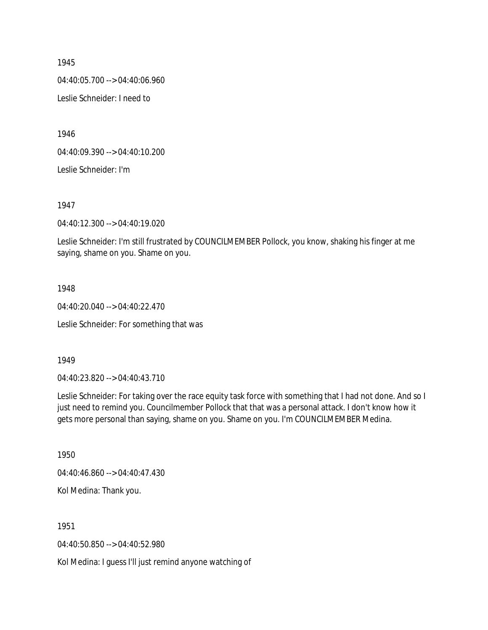04:40:05.700 --> 04:40:06.960

Leslie Schneider: I need to

1946

04:40:09.390 --> 04:40:10.200

Leslie Schneider: I'm

1947

04:40:12.300 --> 04:40:19.020

Leslie Schneider: I'm still frustrated by COUNCILMEMBER Pollock, you know, shaking his finger at me saying, shame on you. Shame on you.

#### 1948

04:40:20.040 --> 04:40:22.470

Leslie Schneider: For something that was

## 1949

04:40:23.820 --> 04:40:43.710

Leslie Schneider: For taking over the race equity task force with something that I had not done. And so I just need to remind you. Councilmember Pollock that that was a personal attack. I don't know how it gets more personal than saying, shame on you. Shame on you. I'm COUNCILMEMBER Medina.

1950

04:40:46.860 --> 04:40:47.430

Kol Medina: Thank you.

1951

04:40:50.850 --> 04:40:52.980

Kol Medina: I guess I'll just remind anyone watching of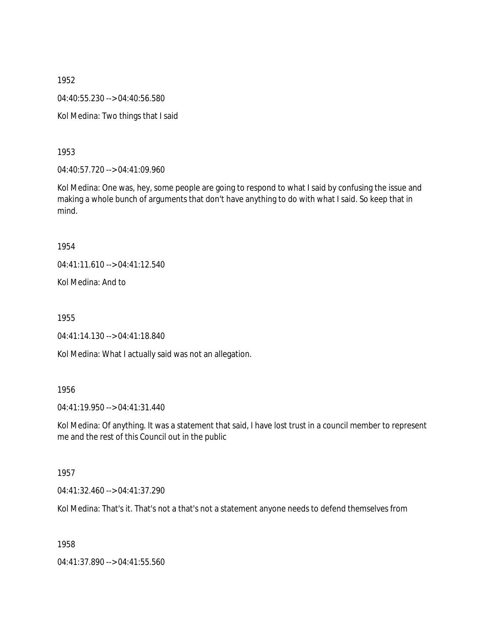1952 04:40:55.230 --> 04:40:56.580 Kol Medina: Two things that I said

1953

04:40:57.720 --> 04:41:09.960

Kol Medina: One was, hey, some people are going to respond to what I said by confusing the issue and making a whole bunch of arguments that don't have anything to do with what I said. So keep that in mind.

1954

04:41:11.610 --> 04:41:12.540

Kol Medina: And to

1955

04:41:14.130 --> 04:41:18.840

Kol Medina: What I actually said was not an allegation.

1956

04:41:19.950 --> 04:41:31.440

Kol Medina: Of anything. It was a statement that said, I have lost trust in a council member to represent me and the rest of this Council out in the public

1957

04:41:32.460 --> 04:41:37.290

Kol Medina: That's it. That's not a that's not a statement anyone needs to defend themselves from

1958

04:41:37.890 --> 04:41:55.560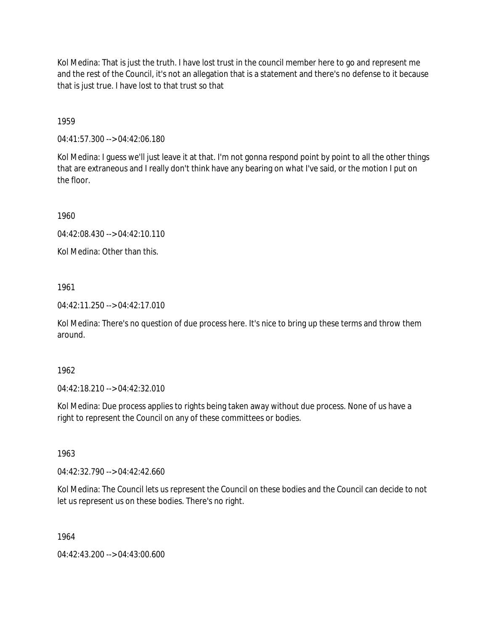Kol Medina: That is just the truth. I have lost trust in the council member here to go and represent me and the rest of the Council, it's not an allegation that is a statement and there's no defense to it because that is just true. I have lost to that trust so that

1959

04:41:57.300 --> 04:42:06.180

Kol Medina: I guess we'll just leave it at that. I'm not gonna respond point by point to all the other things that are extraneous and I really don't think have any bearing on what I've said, or the motion I put on the floor.

1960

04:42:08.430 --> 04:42:10.110

Kol Medina: Other than this.

1961

04:42:11.250 --> 04:42:17.010

Kol Medina: There's no question of due process here. It's nice to bring up these terms and throw them around.

1962

04:42:18.210 --> 04:42:32.010

Kol Medina: Due process applies to rights being taken away without due process. None of us have a right to represent the Council on any of these committees or bodies.

1963

04:42:32.790 --> 04:42:42.660

Kol Medina: The Council lets us represent the Council on these bodies and the Council can decide to not let us represent us on these bodies. There's no right.

1964

04:42:43.200 --> 04:43:00.600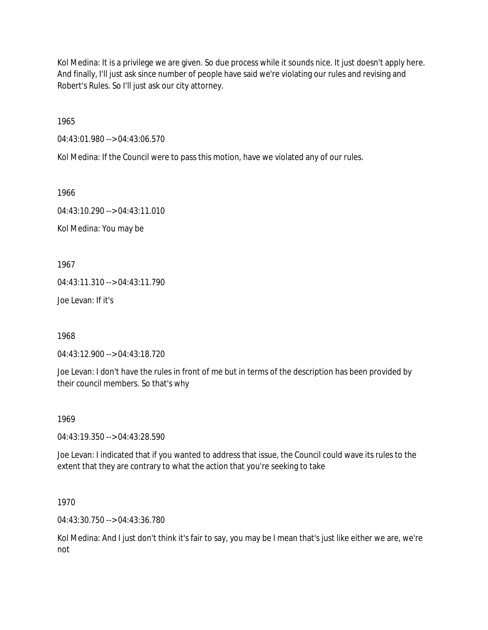Kol Medina: It is a privilege we are given. So due process while it sounds nice. It just doesn't apply here. And finally, I'll just ask since number of people have said we're violating our rules and revising and Robert's Rules. So I'll just ask our city attorney.

1965

04:43:01.980 --> 04:43:06.570

Kol Medina: If the Council were to pass this motion, have we violated any of our rules.

1966

04:43:10.290 --> 04:43:11.010

Kol Medina: You may be

1967

04:43:11.310 --> 04:43:11.790

Joe Levan: If it's

1968

04:43:12.900 --> 04:43:18.720

Joe Levan: I don't have the rules in front of me but in terms of the description has been provided by their council members. So that's why

1969

04:43:19.350 --> 04:43:28.590

Joe Levan: I indicated that if you wanted to address that issue, the Council could wave its rules to the extent that they are contrary to what the action that you're seeking to take

1970

04:43:30.750 --> 04:43:36.780

Kol Medina: And I just don't think it's fair to say, you may be I mean that's just like either we are, we're not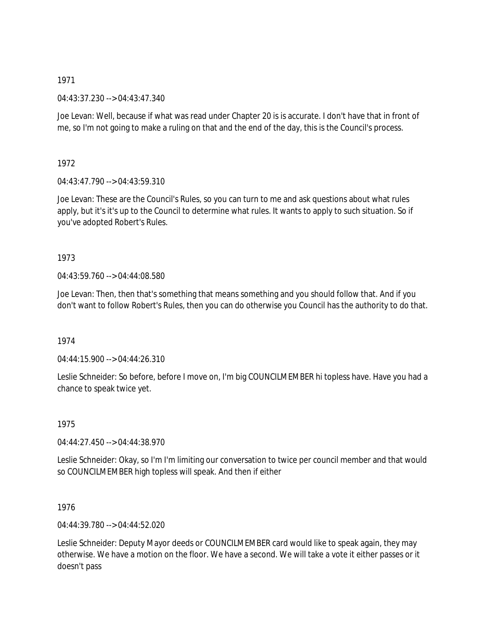04:43:37.230 --> 04:43:47.340

Joe Levan: Well, because if what was read under Chapter 20 is is accurate. I don't have that in front of me, so I'm not going to make a ruling on that and the end of the day, this is the Council's process.

1972

04:43:47.790 --> 04:43:59.310

Joe Levan: These are the Council's Rules, so you can turn to me and ask questions about what rules apply, but it's it's up to the Council to determine what rules. It wants to apply to such situation. So if you've adopted Robert's Rules.

# 1973

04:43:59.760 --> 04:44:08.580

Joe Levan: Then, then that's something that means something and you should follow that. And if you don't want to follow Robert's Rules, then you can do otherwise you Council has the authority to do that.

# 1974

04:44:15.900 --> 04:44:26.310

Leslie Schneider: So before, before I move on, I'm big COUNCILMEMBER hi topless have. Have you had a chance to speak twice yet.

1975

04:44:27.450 --> 04:44:38.970

Leslie Schneider: Okay, so I'm I'm limiting our conversation to twice per council member and that would so COUNCILMEMBER high topless will speak. And then if either

1976

04:44:39.780 --> 04:44:52.020

Leslie Schneider: Deputy Mayor deeds or COUNCILMEMBER card would like to speak again, they may otherwise. We have a motion on the floor. We have a second. We will take a vote it either passes or it doesn't pass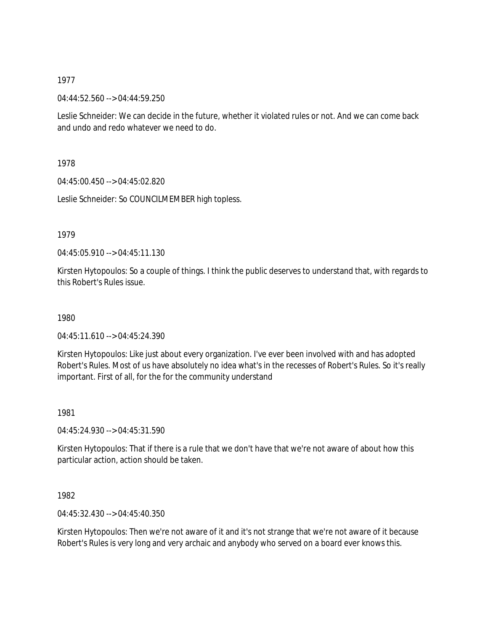04:44:52.560 --> 04:44:59.250

Leslie Schneider: We can decide in the future, whether it violated rules or not. And we can come back and undo and redo whatever we need to do.

1978

04:45:00.450 --> 04:45:02.820

Leslie Schneider: So COUNCILMEMBER high topless.

1979

04:45:05.910 --> 04:45:11.130

Kirsten Hytopoulos: So a couple of things. I think the public deserves to understand that, with regards to this Robert's Rules issue.

1980

04:45:11.610 --> 04:45:24.390

Kirsten Hytopoulos: Like just about every organization. I've ever been involved with and has adopted Robert's Rules. Most of us have absolutely no idea what's in the recesses of Robert's Rules. So it's really important. First of all, for the for the community understand

1981

04:45:24.930 --> 04:45:31.590

Kirsten Hytopoulos: That if there is a rule that we don't have that we're not aware of about how this particular action, action should be taken.

1982

04:45:32.430 --> 04:45:40.350

Kirsten Hytopoulos: Then we're not aware of it and it's not strange that we're not aware of it because Robert's Rules is very long and very archaic and anybody who served on a board ever knows this.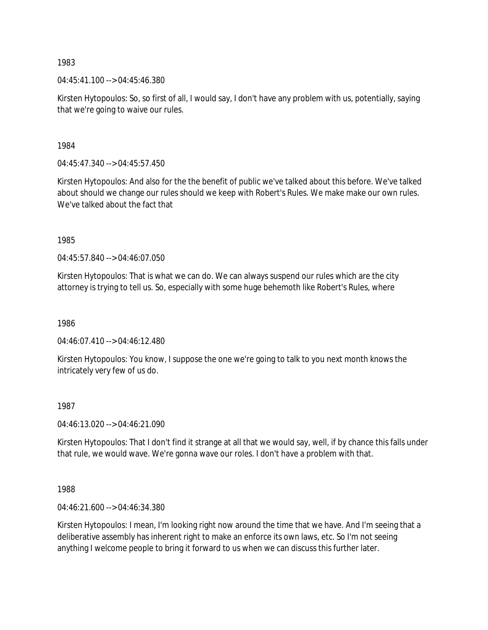$04:45:41.100 \rightarrow 04:45:46.380$ 

Kirsten Hytopoulos: So, so first of all, I would say, I don't have any problem with us, potentially, saying that we're going to waive our rules.

1984

04:45:47.340 --> 04:45:57.450

Kirsten Hytopoulos: And also for the the benefit of public we've talked about this before. We've talked about should we change our rules should we keep with Robert's Rules. We make make our own rules. We've talked about the fact that

1985

04:45:57.840 --> 04:46:07.050

Kirsten Hytopoulos: That is what we can do. We can always suspend our rules which are the city attorney is trying to tell us. So, especially with some huge behemoth like Robert's Rules, where

1986

04:46:07.410 --> 04:46:12.480

Kirsten Hytopoulos: You know, I suppose the one we're going to talk to you next month knows the intricately very few of us do.

## 1987

04:46:13.020 --> 04:46:21.090

Kirsten Hytopoulos: That I don't find it strange at all that we would say, well, if by chance this falls under that rule, we would wave. We're gonna wave our roles. I don't have a problem with that.

1988

04:46:21.600 --> 04:46:34.380

Kirsten Hytopoulos: I mean, I'm looking right now around the time that we have. And I'm seeing that a deliberative assembly has inherent right to make an enforce its own laws, etc. So I'm not seeing anything I welcome people to bring it forward to us when we can discuss this further later.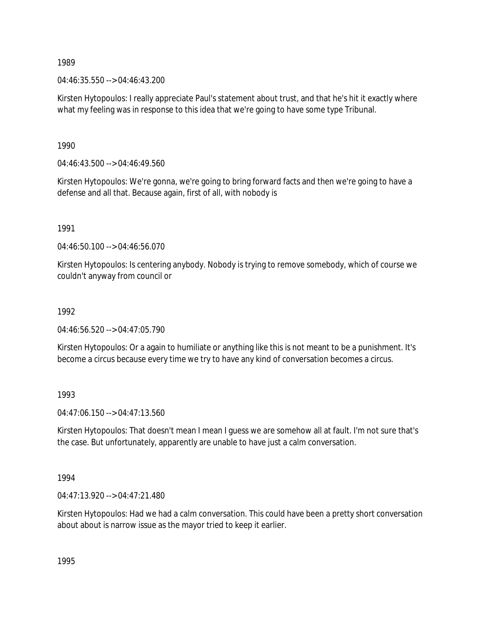04:46:35.550 --> 04:46:43.200

Kirsten Hytopoulos: I really appreciate Paul's statement about trust, and that he's hit it exactly where what my feeling was in response to this idea that we're going to have some type Tribunal.

1990

04:46:43.500 --> 04:46:49.560

Kirsten Hytopoulos: We're gonna, we're going to bring forward facts and then we're going to have a defense and all that. Because again, first of all, with nobody is

1991

04:46:50.100 --> 04:46:56.070

Kirsten Hytopoulos: Is centering anybody. Nobody is trying to remove somebody, which of course we couldn't anyway from council or

#### 1992

04:46:56.520 --> 04:47:05.790

Kirsten Hytopoulos: Or a again to humiliate or anything like this is not meant to be a punishment. It's become a circus because every time we try to have any kind of conversation becomes a circus.

1993

04:47:06.150 --> 04:47:13.560

Kirsten Hytopoulos: That doesn't mean I mean I guess we are somehow all at fault. I'm not sure that's the case. But unfortunately, apparently are unable to have just a calm conversation.

1994

04:47:13.920 --> 04:47:21.480

Kirsten Hytopoulos: Had we had a calm conversation. This could have been a pretty short conversation about about is narrow issue as the mayor tried to keep it earlier.

1995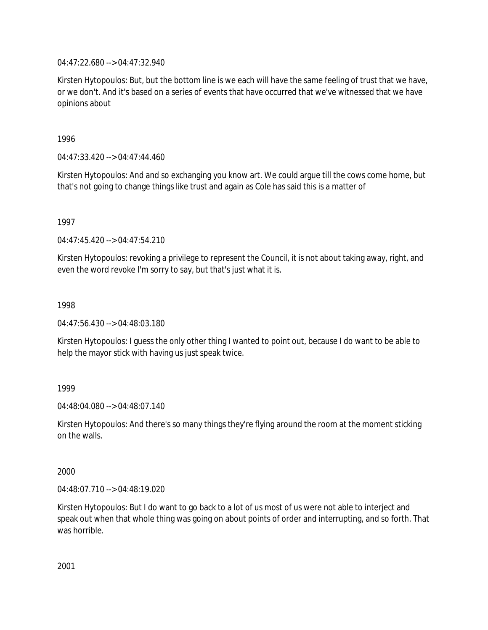04:47:22.680 --> 04:47:32.940

Kirsten Hytopoulos: But, but the bottom line is we each will have the same feeling of trust that we have, or we don't. And it's based on a series of events that have occurred that we've witnessed that we have opinions about

1996

04:47:33.420 --> 04:47:44.460

Kirsten Hytopoulos: And and so exchanging you know art. We could argue till the cows come home, but that's not going to change things like trust and again as Cole has said this is a matter of

1997

 $04:47:45.420 \rightarrow 04:47:54.210$ 

Kirsten Hytopoulos: revoking a privilege to represent the Council, it is not about taking away, right, and even the word revoke I'm sorry to say, but that's just what it is.

1998

04:47:56.430 --> 04:48:03.180

Kirsten Hytopoulos: I guess the only other thing I wanted to point out, because I do want to be able to help the mayor stick with having us just speak twice.

1999

04:48:04.080 --> 04:48:07.140

Kirsten Hytopoulos: And there's so many things they're flying around the room at the moment sticking on the walls.

2000

04:48:07.710 --> 04:48:19.020

Kirsten Hytopoulos: But I do want to go back to a lot of us most of us were not able to interject and speak out when that whole thing was going on about points of order and interrupting, and so forth. That was horrible.

2001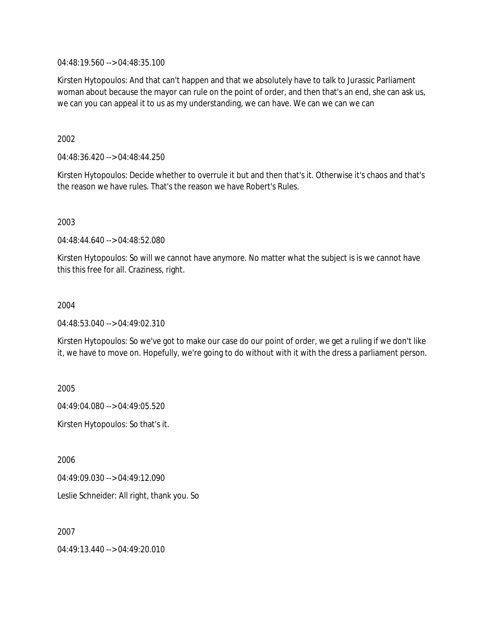04:48:19.560 --> 04:48:35.100

Kirsten Hytopoulos: And that can't happen and that we absolutely have to talk to Jurassic Parliament woman about because the mayor can rule on the point of order, and then that's an end, she can ask us, we can you can appeal it to us as my understanding, we can have. We can we can we can

## 2002

04:48:36.420 --> 04:48:44.250

Kirsten Hytopoulos: Decide whether to overrule it but and then that's it. Otherwise it's chaos and that's the reason we have rules. That's the reason we have Robert's Rules.

2003

04:48:44.640 --> 04:48:52.080

Kirsten Hytopoulos: So will we cannot have anymore. No matter what the subject is is we cannot have this this free for all. Craziness, right.

## 2004

04:48:53.040 --> 04:49:02.310

Kirsten Hytopoulos: So we've got to make our case do our point of order, we get a ruling if we don't like it, we have to move on. Hopefully, we're going to do without with it with the dress a parliament person.

2005

04:49:04.080 --> 04:49:05.520

Kirsten Hytopoulos: So that's it.

2006

04:49:09.030 --> 04:49:12.090

Leslie Schneider: All right, thank you. So

2007

04:49:13.440 --> 04:49:20.010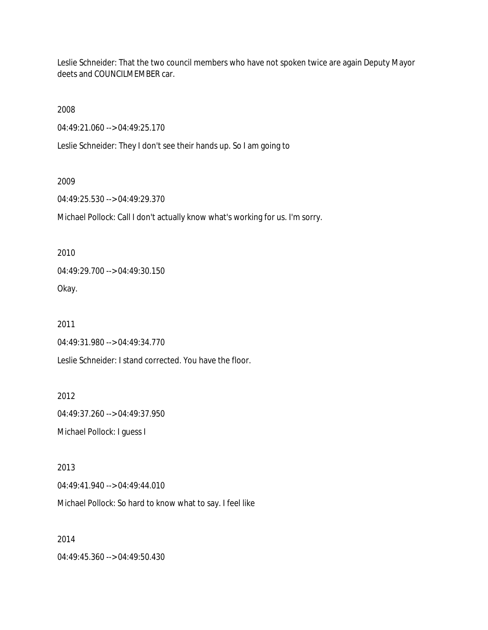Leslie Schneider: That the two council members who have not spoken twice are again Deputy Mayor deets and COUNCILMEMBER car.

2008

04:49:21.060 --> 04:49:25.170

Leslie Schneider: They I don't see their hands up. So I am going to

#### 2009

04:49:25.530 --> 04:49:29.370

Michael Pollock: Call I don't actually know what's working for us. I'm sorry.

2010

04:49:29.700 --> 04:49:30.150

Okay.

2011

04:49:31.980 --> 04:49:34.770

Leslie Schneider: I stand corrected. You have the floor.

2012

04:49:37.260 --> 04:49:37.950 Michael Pollock: I guess I

2013

04:49:41.940 --> 04:49:44.010

Michael Pollock: So hard to know what to say. I feel like

2014

04:49:45.360 --> 04:49:50.430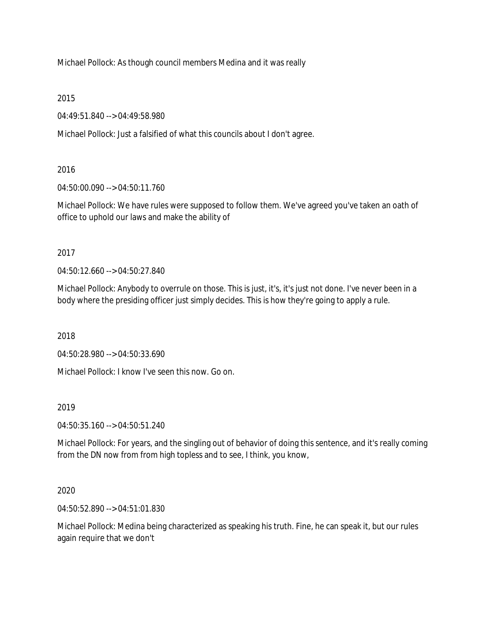Michael Pollock: As though council members Medina and it was really

2015

04:49:51.840 --> 04:49:58.980

Michael Pollock: Just a falsified of what this councils about I don't agree.

# 2016

04:50:00.090 --> 04:50:11.760

Michael Pollock: We have rules were supposed to follow them. We've agreed you've taken an oath of office to uphold our laws and make the ability of

# 2017

04:50:12.660 --> 04:50:27.840

Michael Pollock: Anybody to overrule on those. This is just, it's, it's just not done. I've never been in a body where the presiding officer just simply decides. This is how they're going to apply a rule.

2018

04:50:28.980 --> 04:50:33.690

Michael Pollock: I know I've seen this now. Go on.

# 2019

04:50:35.160 --> 04:50:51.240

Michael Pollock: For years, and the singling out of behavior of doing this sentence, and it's really coming from the DN now from from high topless and to see, I think, you know,

# 2020

04:50:52.890 --> 04:51:01.830

Michael Pollock: Medina being characterized as speaking his truth. Fine, he can speak it, but our rules again require that we don't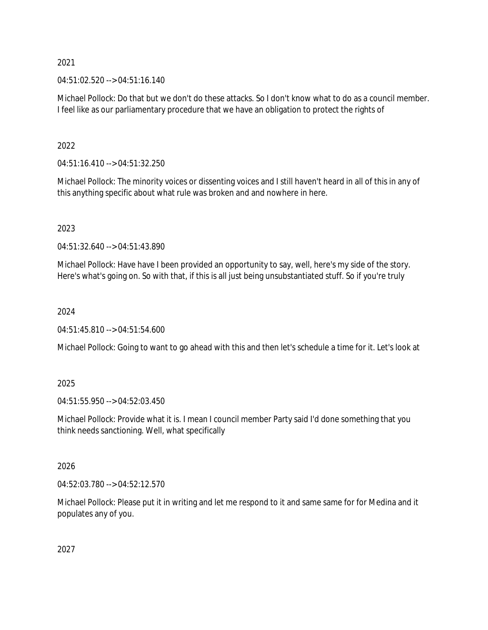04:51:02.520 --> 04:51:16.140

Michael Pollock: Do that but we don't do these attacks. So I don't know what to do as a council member. I feel like as our parliamentary procedure that we have an obligation to protect the rights of

2022

04:51:16.410 --> 04:51:32.250

Michael Pollock: The minority voices or dissenting voices and I still haven't heard in all of this in any of this anything specific about what rule was broken and and nowhere in here.

2023

04:51:32.640 --> 04:51:43.890

Michael Pollock: Have have I been provided an opportunity to say, well, here's my side of the story. Here's what's going on. So with that, if this is all just being unsubstantiated stuff. So if you're truly

2024

04:51:45.810 --> 04:51:54.600

Michael Pollock: Going to want to go ahead with this and then let's schedule a time for it. Let's look at

2025

04:51:55.950 --> 04:52:03.450

Michael Pollock: Provide what it is. I mean I council member Party said I'd done something that you think needs sanctioning. Well, what specifically

2026

04:52:03.780 --> 04:52:12.570

Michael Pollock: Please put it in writing and let me respond to it and same same for for Medina and it populates any of you.

2027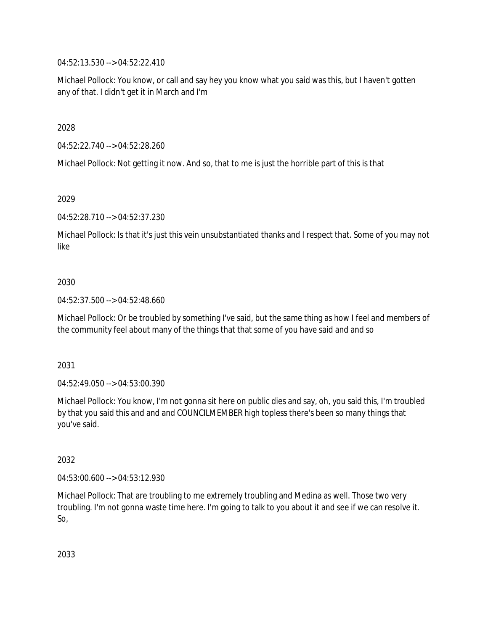04:52:13.530 --> 04:52:22.410

Michael Pollock: You know, or call and say hey you know what you said was this, but I haven't gotten any of that. I didn't get it in March and I'm

2028

04:52:22.740 --> 04:52:28.260

Michael Pollock: Not getting it now. And so, that to me is just the horrible part of this is that

2029

04:52:28.710 --> 04:52:37.230

Michael Pollock: Is that it's just this vein unsubstantiated thanks and I respect that. Some of you may not like

## 2030

04:52:37.500 --> 04:52:48.660

Michael Pollock: Or be troubled by something I've said, but the same thing as how I feel and members of the community feel about many of the things that that some of you have said and and so

2031

04:52:49.050 --> 04:53:00.390

Michael Pollock: You know, I'm not gonna sit here on public dies and say, oh, you said this, I'm troubled by that you said this and and and COUNCILMEMBER high topless there's been so many things that you've said.

2032

04:53:00.600 --> 04:53:12.930

Michael Pollock: That are troubling to me extremely troubling and Medina as well. Those two very troubling. I'm not gonna waste time here. I'm going to talk to you about it and see if we can resolve it. So,

2033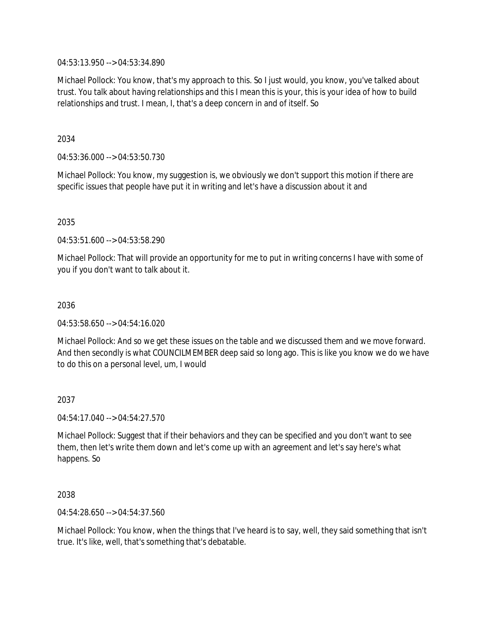04:53:13.950 --> 04:53:34.890

Michael Pollock: You know, that's my approach to this. So I just would, you know, you've talked about trust. You talk about having relationships and this I mean this is your, this is your idea of how to build relationships and trust. I mean, I, that's a deep concern in and of itself. So

2034

04:53:36.000 --> 04:53:50.730

Michael Pollock: You know, my suggestion is, we obviously we don't support this motion if there are specific issues that people have put it in writing and let's have a discussion about it and

2035

04:53:51.600 --> 04:53:58.290

Michael Pollock: That will provide an opportunity for me to put in writing concerns I have with some of you if you don't want to talk about it.

2036

04:53:58.650 --> 04:54:16.020

Michael Pollock: And so we get these issues on the table and we discussed them and we move forward. And then secondly is what COUNCILMEMBER deep said so long ago. This is like you know we do we have to do this on a personal level, um, I would

2037

04:54:17.040 --> 04:54:27.570

Michael Pollock: Suggest that if their behaviors and they can be specified and you don't want to see them, then let's write them down and let's come up with an agreement and let's say here's what happens. So

2038

04:54:28.650 --> 04:54:37.560

Michael Pollock: You know, when the things that I've heard is to say, well, they said something that isn't true. It's like, well, that's something that's debatable.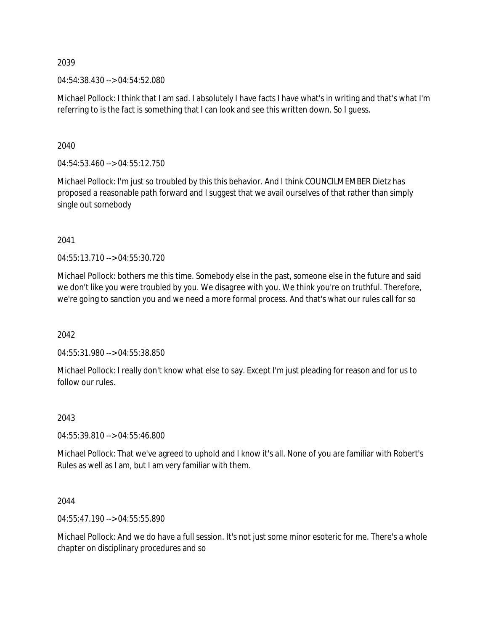04:54:38.430 --> 04:54:52.080

Michael Pollock: I think that I am sad. I absolutely I have facts I have what's in writing and that's what I'm referring to is the fact is something that I can look and see this written down. So I guess.

2040

04:54:53.460 --> 04:55:12.750

Michael Pollock: I'm just so troubled by this this behavior. And I think COUNCILMEMBER Dietz has proposed a reasonable path forward and I suggest that we avail ourselves of that rather than simply single out somebody

2041

04:55:13.710 --> 04:55:30.720

Michael Pollock: bothers me this time. Somebody else in the past, someone else in the future and said we don't like you were troubled by you. We disagree with you. We think you're on truthful. Therefore, we're going to sanction you and we need a more formal process. And that's what our rules call for so

2042

04:55:31.980 --> 04:55:38.850

Michael Pollock: I really don't know what else to say. Except I'm just pleading for reason and for us to follow our rules.

2043

04:55:39.810 --> 04:55:46.800

Michael Pollock: That we've agreed to uphold and I know it's all. None of you are familiar with Robert's Rules as well as I am, but I am very familiar with them.

2044

04:55:47.190 --> 04:55:55.890

Michael Pollock: And we do have a full session. It's not just some minor esoteric for me. There's a whole chapter on disciplinary procedures and so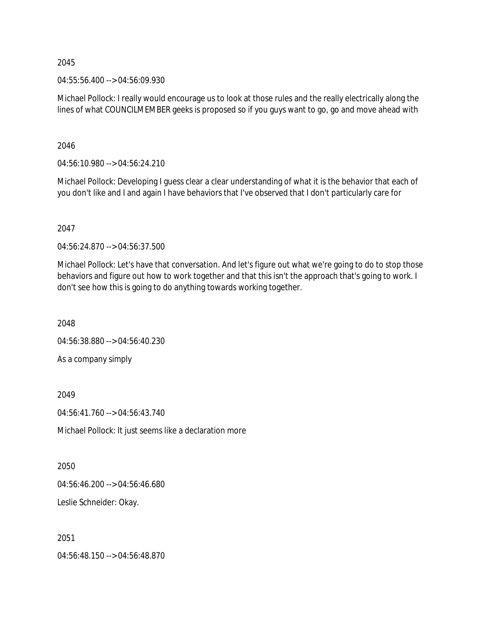04:55:56.400 --> 04:56:09.930

Michael Pollock: I really would encourage us to look at those rules and the really electrically along the lines of what COUNCILMEMBER geeks is proposed so if you guys want to go, go and move ahead with

2046

04:56:10.980 --> 04:56:24.210

Michael Pollock: Developing I guess clear a clear understanding of what it is the behavior that each of you don't like and I and again I have behaviors that I've observed that I don't particularly care for

2047

04:56:24.870 --> 04:56:37.500

Michael Pollock: Let's have that conversation. And let's figure out what we're going to do to stop those behaviors and figure out how to work together and that this isn't the approach that's going to work. I don't see how this is going to do anything towards working together.

2048

04:56:38.880 --> 04:56:40.230

As a company simply

2049

04:56:41.760 --> 04:56:43.740

Michael Pollock: It just seems like a declaration more

2050

04:56:46.200 --> 04:56:46.680

Leslie Schneider: Okay.

2051

04:56:48.150 --> 04:56:48.870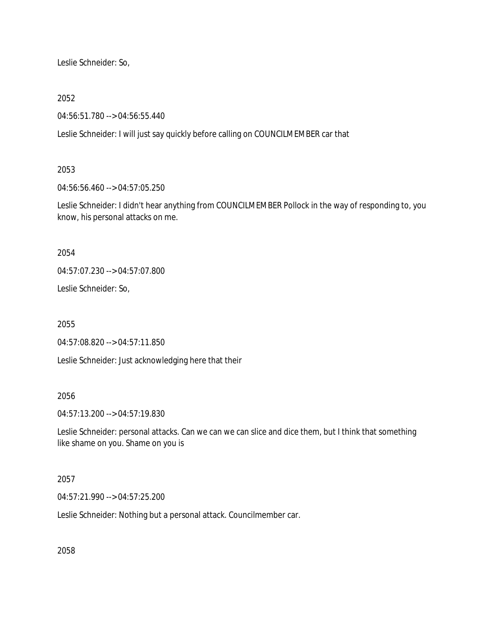Leslie Schneider: So,

### 2052

04:56:51.780 --> 04:56:55.440

Leslie Schneider: I will just say quickly before calling on COUNCILMEMBER car that

### 2053

04:56:56.460 --> 04:57:05.250

Leslie Schneider: I didn't hear anything from COUNCILMEMBER Pollock in the way of responding to, you know, his personal attacks on me.

2054

04:57:07.230 --> 04:57:07.800

Leslie Schneider: So,

2055

04:57:08.820 --> 04:57:11.850

Leslie Schneider: Just acknowledging here that their

### 2056

04:57:13.200 --> 04:57:19.830

Leslie Schneider: personal attacks. Can we can we can slice and dice them, but I think that something like shame on you. Shame on you is

# 2057

04:57:21.990 --> 04:57:25.200

Leslie Schneider: Nothing but a personal attack. Councilmember car.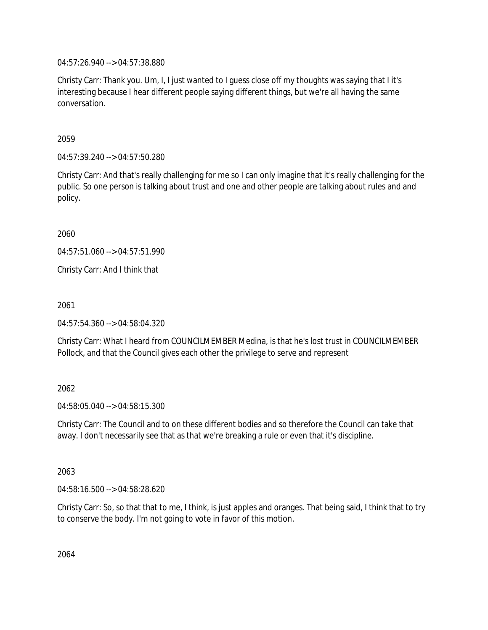04:57:26.940 --> 04:57:38.880

Christy Carr: Thank you. Um, I, I just wanted to I guess close off my thoughts was saying that I it's interesting because I hear different people saying different things, but we're all having the same conversation.

2059

04:57:39.240 --> 04:57:50.280

Christy Carr: And that's really challenging for me so I can only imagine that it's really challenging for the public. So one person is talking about trust and one and other people are talking about rules and and policy.

2060

04:57:51.060 --> 04:57:51.990

Christy Carr: And I think that

2061

04:57:54.360 --> 04:58:04.320

Christy Carr: What I heard from COUNCILMEMBER Medina, is that he's lost trust in COUNCILMEMBER Pollock, and that the Council gives each other the privilege to serve and represent

### 2062

04:58:05.040 --> 04:58:15.300

Christy Carr: The Council and to on these different bodies and so therefore the Council can take that away. I don't necessarily see that as that we're breaking a rule or even that it's discipline.

2063

04:58:16.500 --> 04:58:28.620

Christy Carr: So, so that that to me, I think, is just apples and oranges. That being said, I think that to try to conserve the body. I'm not going to vote in favor of this motion.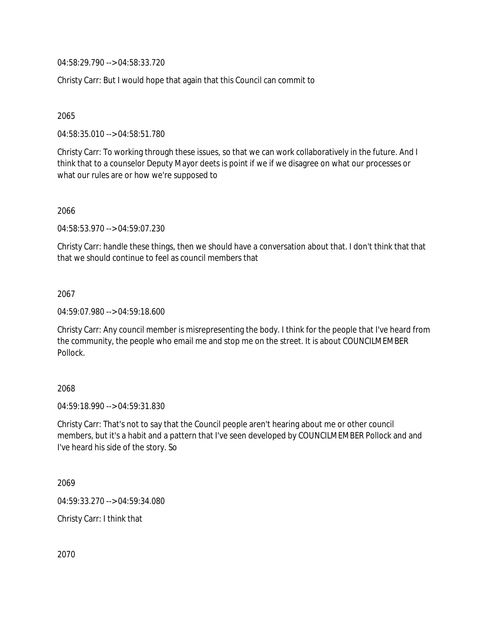04:58:29.790 --> 04:58:33.720

Christy Carr: But I would hope that again that this Council can commit to

2065

04:58:35.010 --> 04:58:51.780

Christy Carr: To working through these issues, so that we can work collaboratively in the future. And I think that to a counselor Deputy Mayor deets is point if we if we disagree on what our processes or what our rules are or how we're supposed to

2066

04:58:53.970 --> 04:59:07.230

Christy Carr: handle these things, then we should have a conversation about that. I don't think that that that we should continue to feel as council members that

2067

04:59:07.980 --> 04:59:18.600

Christy Carr: Any council member is misrepresenting the body. I think for the people that I've heard from the community, the people who email me and stop me on the street. It is about COUNCILMEMBER Pollock.

### 2068

04:59:18.990 --> 04:59:31.830

Christy Carr: That's not to say that the Council people aren't hearing about me or other council members, but it's a habit and a pattern that I've seen developed by COUNCILMEMBER Pollock and and I've heard his side of the story. So

2069

04:59:33.270 --> 04:59:34.080

Christy Carr: I think that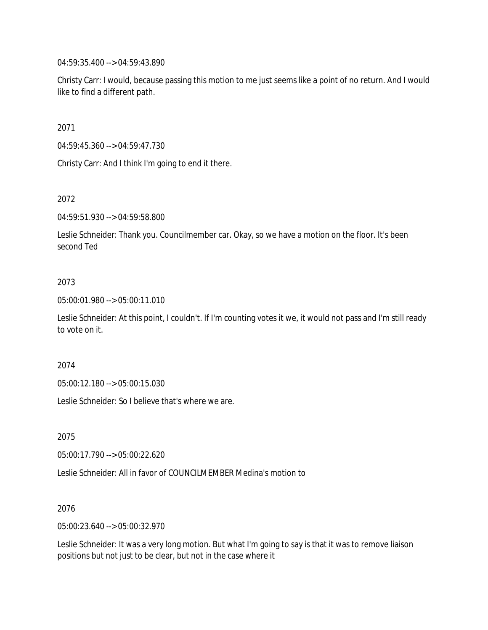04:59:35.400 --> 04:59:43.890

Christy Carr: I would, because passing this motion to me just seems like a point of no return. And I would like to find a different path.

2071

04:59:45.360 --> 04:59:47.730

Christy Carr: And I think I'm going to end it there.

2072

04:59:51.930 --> 04:59:58.800

Leslie Schneider: Thank you. Councilmember car. Okay, so we have a motion on the floor. It's been second Ted

### 2073

05:00:01.980 --> 05:00:11.010

Leslie Schneider: At this point, I couldn't. If I'm counting votes it we, it would not pass and I'm still ready to vote on it.

2074

05:00:12.180 --> 05:00:15.030

Leslie Schneider: So I believe that's where we are.

2075

05:00:17.790 --> 05:00:22.620

Leslie Schneider: All in favor of COUNCILMEMBER Medina's motion to

2076

05:00:23.640 --> 05:00:32.970

Leslie Schneider: It was a very long motion. But what I'm going to say is that it was to remove liaison positions but not just to be clear, but not in the case where it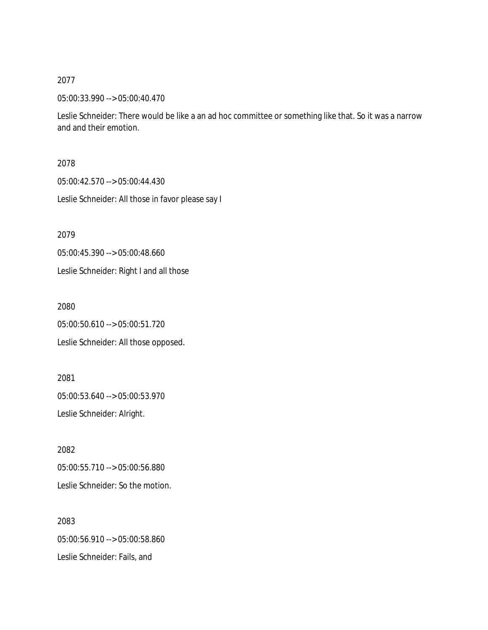05:00:33.990 --> 05:00:40.470

Leslie Schneider: There would be like a an ad hoc committee or something like that. So it was a narrow and and their emotion.

2078

05:00:42.570 --> 05:00:44.430

Leslie Schneider: All those in favor please say I

2079

05:00:45.390 --> 05:00:48.660

Leslie Schneider: Right I and all those

2080

05:00:50.610 --> 05:00:51.720

Leslie Schneider: All those opposed.

2081 05:00:53.640 --> 05:00:53.970 Leslie Schneider: Alright.

2082 05:00:55.710 --> 05:00:56.880 Leslie Schneider: So the motion.

2083 05:00:56.910 --> 05:00:58.860 Leslie Schneider: Fails, and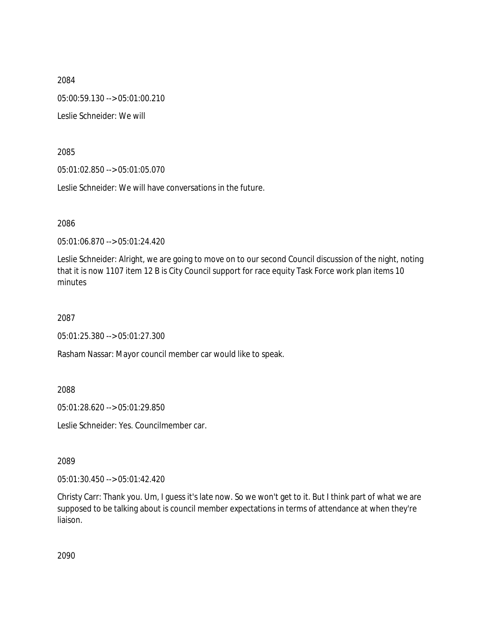2084 05:00:59.130 --> 05:01:00.210 Leslie Schneider: We will

2085

05:01:02.850 --> 05:01:05.070

Leslie Schneider: We will have conversations in the future.

2086

05:01:06.870 --> 05:01:24.420

Leslie Schneider: Alright, we are going to move on to our second Council discussion of the night, noting that it is now 1107 item 12 B is City Council support for race equity Task Force work plan items 10 minutes

2087

05:01:25.380 --> 05:01:27.300

Rasham Nassar: Mayor council member car would like to speak.

2088

05:01:28.620 --> 05:01:29.850

Leslie Schneider: Yes. Councilmember car.

2089

05:01:30.450 --> 05:01:42.420

Christy Carr: Thank you. Um, I guess it's late now. So we won't get to it. But I think part of what we are supposed to be talking about is council member expectations in terms of attendance at when they're liaison.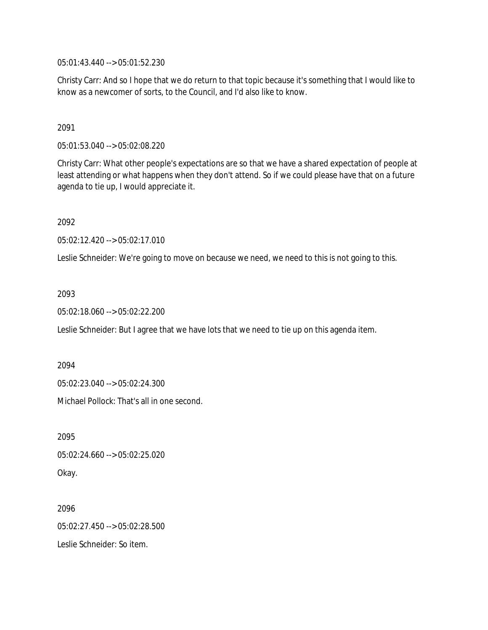05:01:43.440 --> 05:01:52.230

Christy Carr: And so I hope that we do return to that topic because it's something that I would like to know as a newcomer of sorts, to the Council, and I'd also like to know.

2091

05:01:53.040 --> 05:02:08.220

Christy Carr: What other people's expectations are so that we have a shared expectation of people at least attending or what happens when they don't attend. So if we could please have that on a future agenda to tie up, I would appreciate it.

2092

05:02:12.420 --> 05:02:17.010

Leslie Schneider: We're going to move on because we need, we need to this is not going to this.

2093

05:02:18.060 --> 05:02:22.200

Leslie Schneider: But I agree that we have lots that we need to tie up on this agenda item.

2094

05:02:23.040 --> 05:02:24.300

Michael Pollock: That's all in one second.

2095 05:02:24.660 --> 05:02:25.020 Okay.

2096 05:02:27.450 --> 05:02:28.500 Leslie Schneider: So item.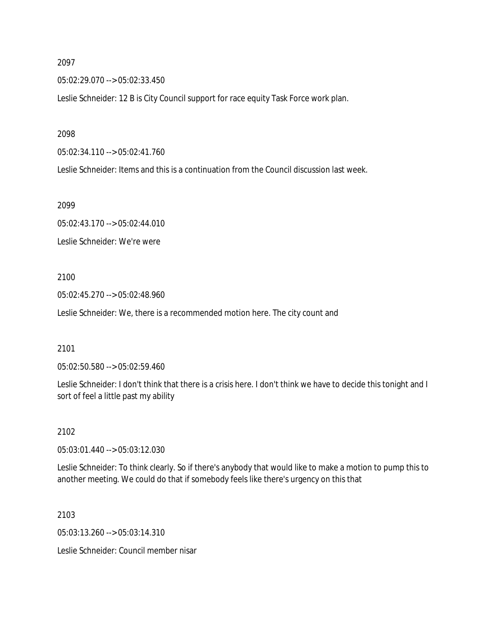05:02:29.070 --> 05:02:33.450

Leslie Schneider: 12 B is City Council support for race equity Task Force work plan.

2098

05:02:34.110 --> 05:02:41.760

Leslie Schneider: Items and this is a continuation from the Council discussion last week.

2099

05:02:43.170 --> 05:02:44.010 Leslie Schneider: We're were

#### 2100

05:02:45.270 --> 05:02:48.960

Leslie Schneider: We, there is a recommended motion here. The city count and

#### 2101

05:02:50.580 --> 05:02:59.460

Leslie Schneider: I don't think that there is a crisis here. I don't think we have to decide this tonight and I sort of feel a little past my ability

2102

05:03:01.440 --> 05:03:12.030

Leslie Schneider: To think clearly. So if there's anybody that would like to make a motion to pump this to another meeting. We could do that if somebody feels like there's urgency on this that

2103

05:03:13.260 --> 05:03:14.310

Leslie Schneider: Council member nisar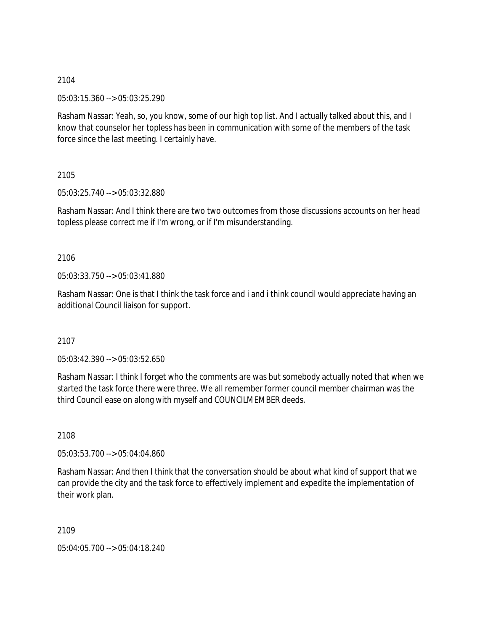05:03:15.360 --> 05:03:25.290

Rasham Nassar: Yeah, so, you know, some of our high top list. And I actually talked about this, and I know that counselor her topless has been in communication with some of the members of the task force since the last meeting. I certainly have.

2105

05:03:25.740 --> 05:03:32.880

Rasham Nassar: And I think there are two two outcomes from those discussions accounts on her head topless please correct me if I'm wrong, or if I'm misunderstanding.

2106

05:03:33.750 --> 05:03:41.880

Rasham Nassar: One is that I think the task force and i and i think council would appreciate having an additional Council liaison for support.

2107

05:03:42.390 --> 05:03:52.650

Rasham Nassar: I think I forget who the comments are was but somebody actually noted that when we started the task force there were three. We all remember former council member chairman was the third Council ease on along with myself and COUNCILMEMBER deeds.

2108

05:03:53.700 --> 05:04:04.860

Rasham Nassar: And then I think that the conversation should be about what kind of support that we can provide the city and the task force to effectively implement and expedite the implementation of their work plan.

2109

05:04:05.700 --> 05:04:18.240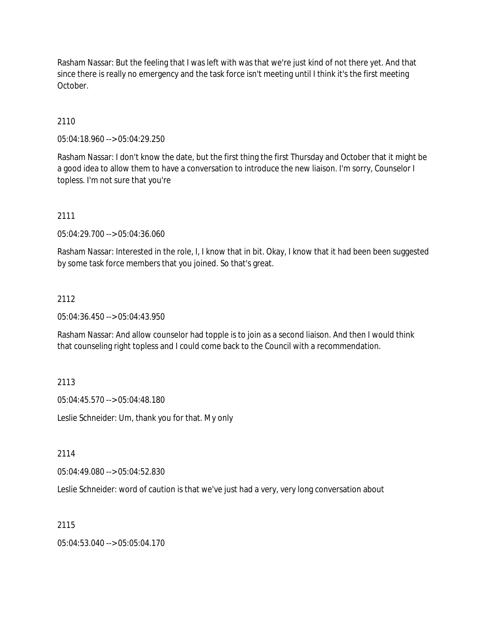Rasham Nassar: But the feeling that I was left with was that we're just kind of not there yet. And that since there is really no emergency and the task force isn't meeting until I think it's the first meeting October.

2110

05:04:18.960 --> 05:04:29.250

Rasham Nassar: I don't know the date, but the first thing the first Thursday and October that it might be a good idea to allow them to have a conversation to introduce the new liaison. I'm sorry, Counselor I topless. I'm not sure that you're

2111

05:04:29.700 --> 05:04:36.060

Rasham Nassar: Interested in the role, I, I know that in bit. Okay, I know that it had been been suggested by some task force members that you joined. So that's great.

## 2112

05:04:36.450 --> 05:04:43.950

Rasham Nassar: And allow counselor had topple is to join as a second liaison. And then I would think that counseling right topless and I could come back to the Council with a recommendation.

2113

05:04:45.570 --> 05:04:48.180

Leslie Schneider: Um, thank you for that. My only

2114

05:04:49.080 --> 05:04:52.830

Leslie Schneider: word of caution is that we've just had a very, very long conversation about

2115

05:04:53.040 --> 05:05:04.170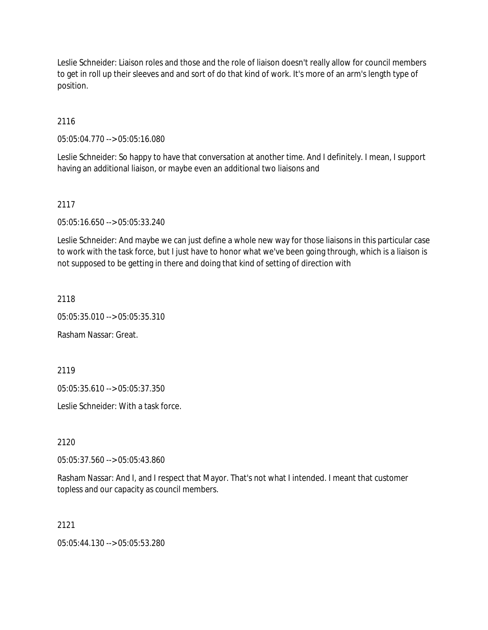Leslie Schneider: Liaison roles and those and the role of liaison doesn't really allow for council members to get in roll up their sleeves and and sort of do that kind of work. It's more of an arm's length type of position.

2116

05:05:04.770 --> 05:05:16.080

Leslie Schneider: So happy to have that conversation at another time. And I definitely. I mean, I support having an additional liaison, or maybe even an additional two liaisons and

# 2117

05:05:16.650 --> 05:05:33.240

Leslie Schneider: And maybe we can just define a whole new way for those liaisons in this particular case to work with the task force, but I just have to honor what we've been going through, which is a liaison is not supposed to be getting in there and doing that kind of setting of direction with

2118

05:05:35.010 --> 05:05:35.310

Rasham Nassar: Great.

2119

05:05:35.610 --> 05:05:37.350

Leslie Schneider: With a task force.

2120

05:05:37.560 --> 05:05:43.860

Rasham Nassar: And I, and I respect that Mayor. That's not what I intended. I meant that customer topless and our capacity as council members.

2121

05:05:44.130 --> 05:05:53.280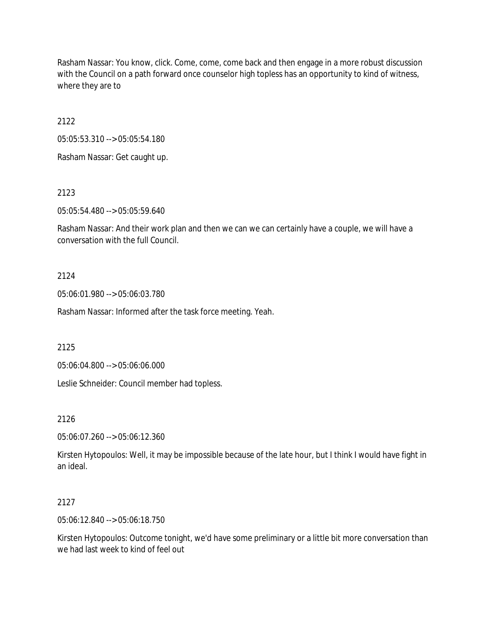Rasham Nassar: You know, click. Come, come, come back and then engage in a more robust discussion with the Council on a path forward once counselor high topless has an opportunity to kind of witness, where they are to

2122

05:05:53.310 --> 05:05:54.180

Rasham Nassar: Get caught up.

2123

05:05:54.480 --> 05:05:59.640

Rasham Nassar: And their work plan and then we can we can certainly have a couple, we will have a conversation with the full Council.

#### 2124

05:06:01.980 --> 05:06:03.780

Rasham Nassar: Informed after the task force meeting. Yeah.

2125

05:06:04.800 --> 05:06:06.000

Leslie Schneider: Council member had topless.

2126

05:06:07.260 --> 05:06:12.360

Kirsten Hytopoulos: Well, it may be impossible because of the late hour, but I think I would have fight in an ideal.

### 2127

05:06:12.840 --> 05:06:18.750

Kirsten Hytopoulos: Outcome tonight, we'd have some preliminary or a little bit more conversation than we had last week to kind of feel out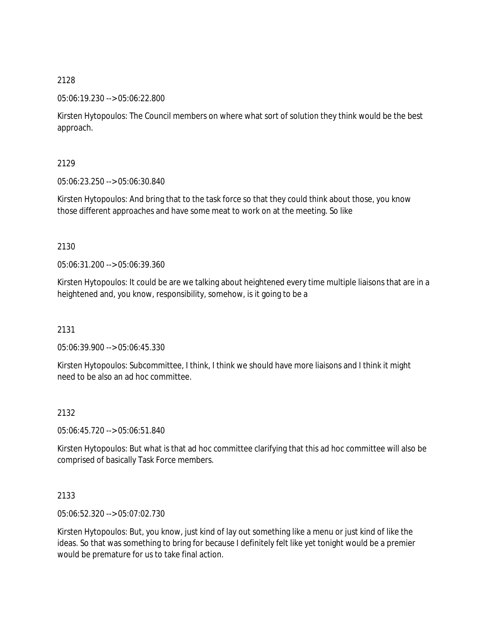05:06:19.230 --> 05:06:22.800

Kirsten Hytopoulos: The Council members on where what sort of solution they think would be the best approach.

2129

05:06:23.250 --> 05:06:30.840

Kirsten Hytopoulos: And bring that to the task force so that they could think about those, you know those different approaches and have some meat to work on at the meeting. So like

2130

05:06:31.200 --> 05:06:39.360

Kirsten Hytopoulos: It could be are we talking about heightened every time multiple liaisons that are in a heightened and, you know, responsibility, somehow, is it going to be a

2131

05:06:39.900 --> 05:06:45.330

Kirsten Hytopoulos: Subcommittee, I think, I think we should have more liaisons and I think it might need to be also an ad hoc committee.

2132

05:06:45.720 --> 05:06:51.840

Kirsten Hytopoulos: But what is that ad hoc committee clarifying that this ad hoc committee will also be comprised of basically Task Force members.

2133

05:06:52.320 --> 05:07:02.730

Kirsten Hytopoulos: But, you know, just kind of lay out something like a menu or just kind of like the ideas. So that was something to bring for because I definitely felt like yet tonight would be a premier would be premature for us to take final action.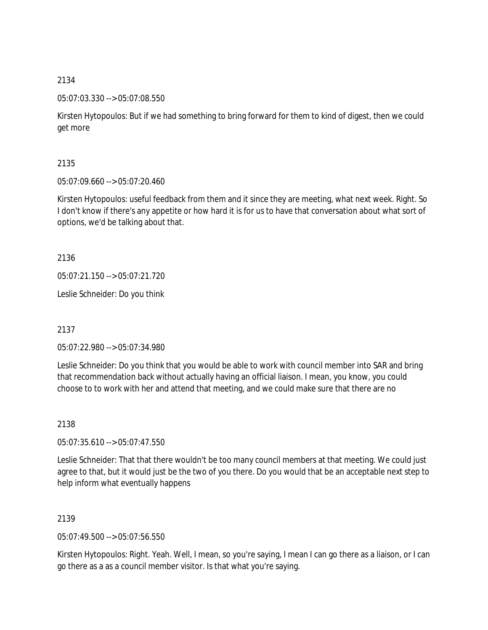05:07:03.330 --> 05:07:08.550

Kirsten Hytopoulos: But if we had something to bring forward for them to kind of digest, then we could get more

2135

05:07:09.660 --> 05:07:20.460

Kirsten Hytopoulos: useful feedback from them and it since they are meeting, what next week. Right. So I don't know if there's any appetite or how hard it is for us to have that conversation about what sort of options, we'd be talking about that.

2136

05:07:21.150 --> 05:07:21.720

Leslie Schneider: Do you think

2137

05:07:22.980 --> 05:07:34.980

Leslie Schneider: Do you think that you would be able to work with council member into SAR and bring that recommendation back without actually having an official liaison. I mean, you know, you could choose to to work with her and attend that meeting, and we could make sure that there are no

2138

05:07:35.610 --> 05:07:47.550

Leslie Schneider: That that there wouldn't be too many council members at that meeting. We could just agree to that, but it would just be the two of you there. Do you would that be an acceptable next step to help inform what eventually happens

2139

05:07:49.500 --> 05:07:56.550

Kirsten Hytopoulos: Right. Yeah. Well, I mean, so you're saying, I mean I can go there as a liaison, or I can go there as a as a council member visitor. Is that what you're saying.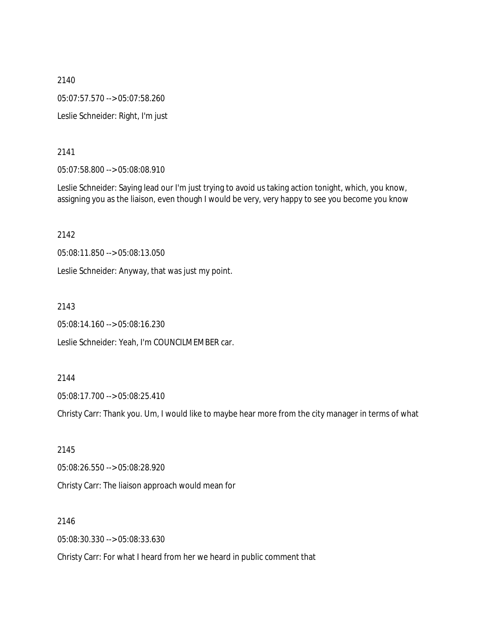2140 05:07:57.570 --> 05:07:58.260 Leslie Schneider: Right, I'm just

2141

05:07:58.800 --> 05:08:08.910

Leslie Schneider: Saying lead our I'm just trying to avoid us taking action tonight, which, you know, assigning you as the liaison, even though I would be very, very happy to see you become you know

2142

05:08:11.850 --> 05:08:13.050

Leslie Schneider: Anyway, that was just my point.

2143

05:08:14.160 --> 05:08:16.230

Leslie Schneider: Yeah, I'm COUNCILMEMBER car.

#### 2144

05:08:17.700 --> 05:08:25.410

Christy Carr: Thank you. Um, I would like to maybe hear more from the city manager in terms of what

2145 05:08:26.550 --> 05:08:28.920 Christy Carr: The liaison approach would mean for

2146

05:08:30.330 --> 05:08:33.630

Christy Carr: For what I heard from her we heard in public comment that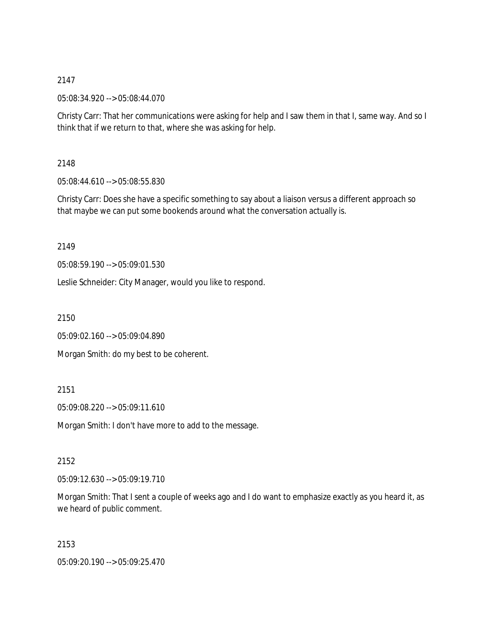05:08:34.920 --> 05:08:44.070

Christy Carr: That her communications were asking for help and I saw them in that I, same way. And so I think that if we return to that, where she was asking for help.

# 2148

05:08:44.610 --> 05:08:55.830

Christy Carr: Does she have a specific something to say about a liaison versus a different approach so that maybe we can put some bookends around what the conversation actually is.

# 2149

05:08:59.190 --> 05:09:01.530

Leslie Schneider: City Manager, would you like to respond.

2150

05:09:02.160 --> 05:09:04.890

Morgan Smith: do my best to be coherent.

# 2151

05:09:08.220 --> 05:09:11.610

Morgan Smith: I don't have more to add to the message.

## 2152

05:09:12.630 --> 05:09:19.710

Morgan Smith: That I sent a couple of weeks ago and I do want to emphasize exactly as you heard it, as we heard of public comment.

2153

05:09:20.190 --> 05:09:25.470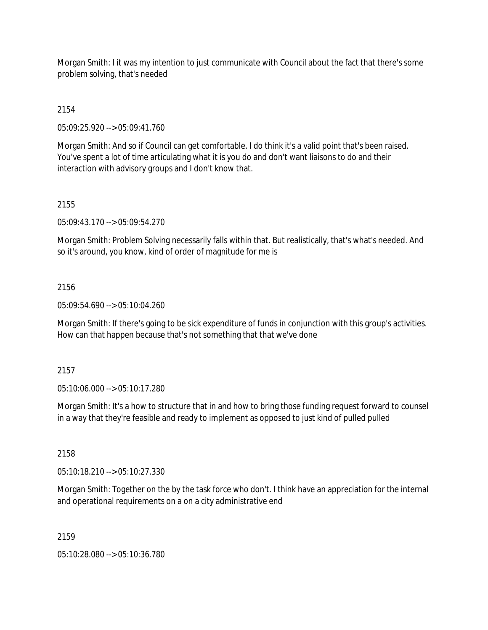Morgan Smith: I it was my intention to just communicate with Council about the fact that there's some problem solving, that's needed

2154

05:09:25.920 --> 05:09:41.760

Morgan Smith: And so if Council can get comfortable. I do think it's a valid point that's been raised. You've spent a lot of time articulating what it is you do and don't want liaisons to do and their interaction with advisory groups and I don't know that.

#### 2155

05:09:43.170 --> 05:09:54.270

Morgan Smith: Problem Solving necessarily falls within that. But realistically, that's what's needed. And so it's around, you know, kind of order of magnitude for me is

#### 2156

05:09:54.690 --> 05:10:04.260

Morgan Smith: If there's going to be sick expenditure of funds in conjunction with this group's activities. How can that happen because that's not something that that we've done

### 2157

05:10:06.000 --> 05:10:17.280

Morgan Smith: It's a how to structure that in and how to bring those funding request forward to counsel in a way that they're feasible and ready to implement as opposed to just kind of pulled pulled

### 2158

05:10:18.210 --> 05:10:27.330

Morgan Smith: Together on the by the task force who don't. I think have an appreciation for the internal and operational requirements on a on a city administrative end

### 2159

05:10:28.080 --> 05:10:36.780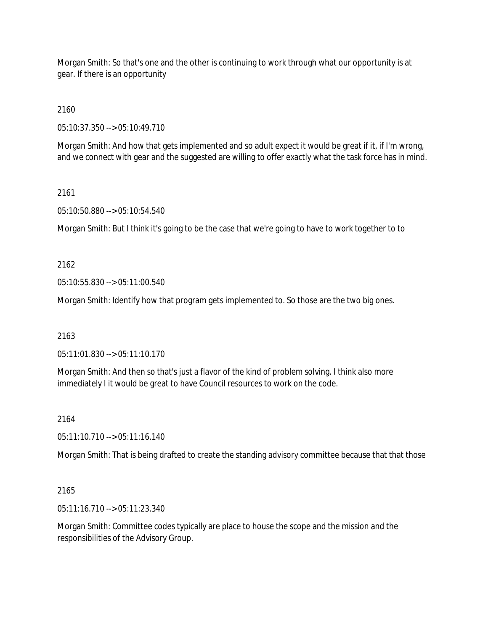Morgan Smith: So that's one and the other is continuing to work through what our opportunity is at gear. If there is an opportunity

2160

05:10:37.350 --> 05:10:49.710

Morgan Smith: And how that gets implemented and so adult expect it would be great if it, if I'm wrong, and we connect with gear and the suggested are willing to offer exactly what the task force has in mind.

### 2161

05:10:50.880 --> 05:10:54.540

Morgan Smith: But I think it's going to be the case that we're going to have to work together to to

## 2162

05:10:55.830 --> 05:11:00.540

Morgan Smith: Identify how that program gets implemented to. So those are the two big ones.

### 2163

05:11:01.830 --> 05:11:10.170

Morgan Smith: And then so that's just a flavor of the kind of problem solving. I think also more immediately I it would be great to have Council resources to work on the code.

### 2164

05:11:10.710 --> 05:11:16.140

Morgan Smith: That is being drafted to create the standing advisory committee because that that those

### 2165

05:11:16.710 --> 05:11:23.340

Morgan Smith: Committee codes typically are place to house the scope and the mission and the responsibilities of the Advisory Group.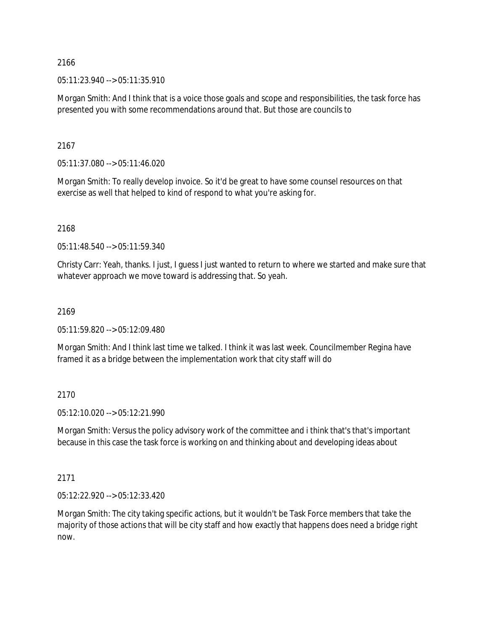05:11:23.940 --> 05:11:35.910

Morgan Smith: And I think that is a voice those goals and scope and responsibilities, the task force has presented you with some recommendations around that. But those are councils to

2167

05:11:37.080 --> 05:11:46.020

Morgan Smith: To really develop invoice. So it'd be great to have some counsel resources on that exercise as well that helped to kind of respond to what you're asking for.

### 2168

05:11:48.540 --> 05:11:59.340

Christy Carr: Yeah, thanks. I just, I guess I just wanted to return to where we started and make sure that whatever approach we move toward is addressing that. So yeah.

# 2169

05:11:59.820 --> 05:12:09.480

Morgan Smith: And I think last time we talked. I think it was last week. Councilmember Regina have framed it as a bridge between the implementation work that city staff will do

### 2170

05:12:10.020 --> 05:12:21.990

Morgan Smith: Versus the policy advisory work of the committee and i think that's that's important because in this case the task force is working on and thinking about and developing ideas about

### 2171

05:12:22.920 --> 05:12:33.420

Morgan Smith: The city taking specific actions, but it wouldn't be Task Force members that take the majority of those actions that will be city staff and how exactly that happens does need a bridge right now.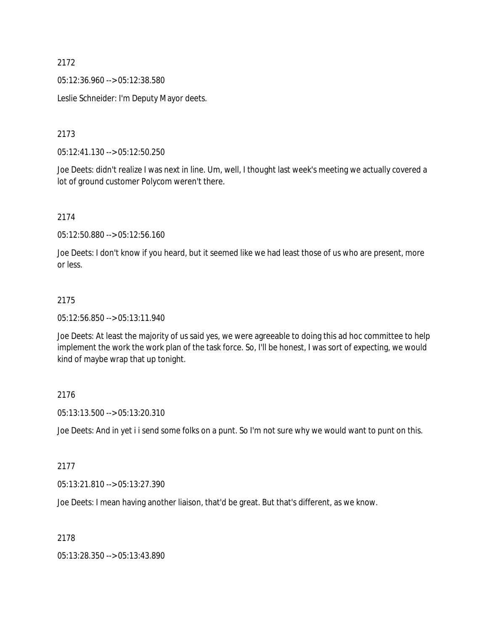05:12:36.960 --> 05:12:38.580

Leslie Schneider: I'm Deputy Mayor deets.

2173

05:12:41.130 --> 05:12:50.250

Joe Deets: didn't realize I was next in line. Um, well, I thought last week's meeting we actually covered a lot of ground customer Polycom weren't there.

2174

05:12:50.880 --> 05:12:56.160

Joe Deets: I don't know if you heard, but it seemed like we had least those of us who are present, more or less.

### 2175

05:12:56.850 --> 05:13:11.940

Joe Deets: At least the majority of us said yes, we were agreeable to doing this ad hoc committee to help implement the work the work plan of the task force. So, I'll be honest, I was sort of expecting, we would kind of maybe wrap that up tonight.

### 2176

05:13:13.500 --> 05:13:20.310

Joe Deets: And in yet i i send some folks on a punt. So I'm not sure why we would want to punt on this.

### 2177

05:13:21.810 --> 05:13:27.390

Joe Deets: I mean having another liaison, that'd be great. But that's different, as we know.

## 2178

05:13:28.350 --> 05:13:43.890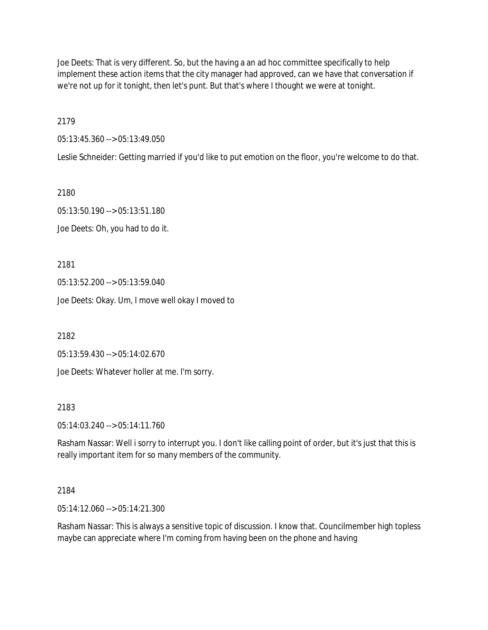Joe Deets: That is very different. So, but the having a an ad hoc committee specifically to help implement these action items that the city manager had approved, can we have that conversation if we're not up for it tonight, then let's punt. But that's where I thought we were at tonight.

2179

05:13:45.360 --> 05:13:49.050

Leslie Schneider: Getting married if you'd like to put emotion on the floor, you're welcome to do that.

2180

05:13:50.190 --> 05:13:51.180 Joe Deets: Oh, you had to do it.

2181

05:13:52.200 --> 05:13:59.040 Joe Deets: Okay. Um, I move well okay I moved to

2182

05:13:59.430 --> 05:14:02.670

Joe Deets: Whatever holler at me. I'm sorry.

2183

05:14:03.240 --> 05:14:11.760

Rasham Nassar: Well i sorry to interrupt you. I don't like calling point of order, but it's just that this is really important item for so many members of the community.

## 2184

05:14:12.060 --> 05:14:21.300

Rasham Nassar: This is always a sensitive topic of discussion. I know that. Councilmember high topless maybe can appreciate where I'm coming from having been on the phone and having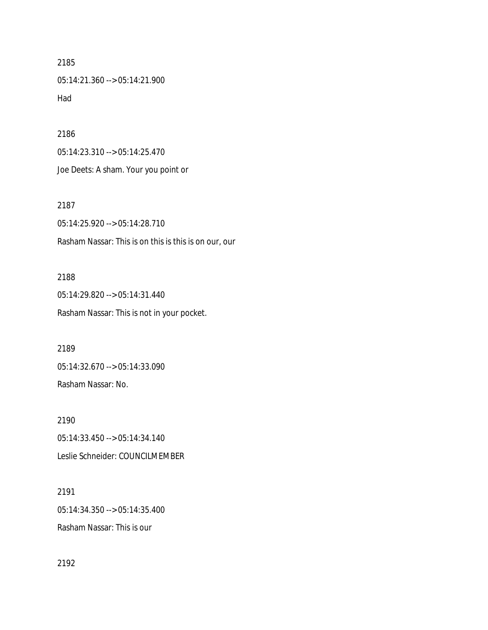05:14:21.360 --> 05:14:21.900 Had

2186

05:14:23.310 --> 05:14:25.470 Joe Deets: A sham. Your you point or

2187 05:14:25.920 --> 05:14:28.710 Rasham Nassar: This is on this is this is on our, our

2188 05:14:29.820 --> 05:14:31.440 Rasham Nassar: This is not in your pocket.

2189 05:14:32.670 --> 05:14:33.090 Rasham Nassar: No.

2190 05:14:33.450 --> 05:14:34.140 Leslie Schneider: COUNCILMEMBER

2191 05:14:34.350 --> 05:14:35.400 Rasham Nassar: This is our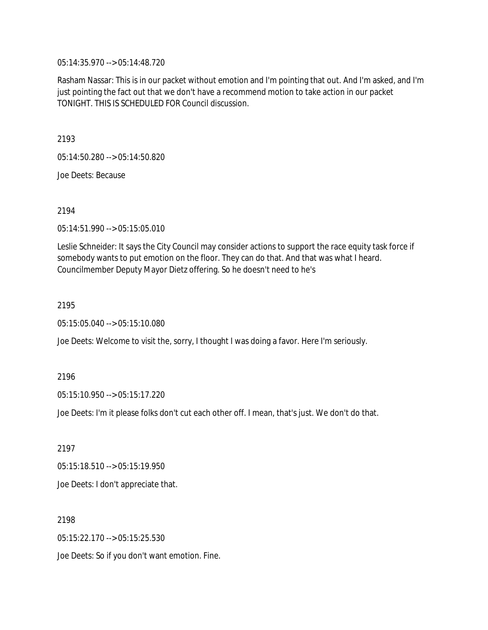05:14:35.970 --> 05:14:48.720

Rasham Nassar: This is in our packet without emotion and I'm pointing that out. And I'm asked, and I'm just pointing the fact out that we don't have a recommend motion to take action in our packet TONIGHT. THIS IS SCHEDULED FOR Council discussion.

2193

05:14:50.280 --> 05:14:50.820

Joe Deets: Because

2194

05:14:51.990 --> 05:15:05.010

Leslie Schneider: It says the City Council may consider actions to support the race equity task force if somebody wants to put emotion on the floor. They can do that. And that was what I heard. Councilmember Deputy Mayor Dietz offering. So he doesn't need to he's

2195

05:15:05.040 --> 05:15:10.080

Joe Deets: Welcome to visit the, sorry, I thought I was doing a favor. Here I'm seriously.

2196

05:15:10.950 --> 05:15:17.220

Joe Deets: I'm it please folks don't cut each other off. I mean, that's just. We don't do that.

2197

05:15:18.510 --> 05:15:19.950

Joe Deets: I don't appreciate that.

2198

05:15:22.170 --> 05:15:25.530

Joe Deets: So if you don't want emotion. Fine.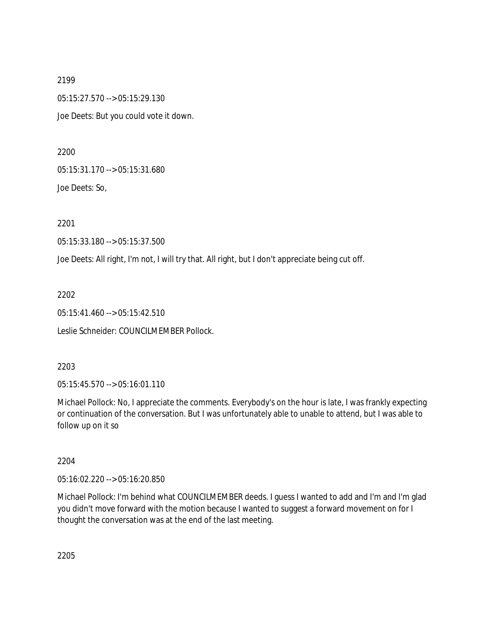2199 05:15:27.570 --> 05:15:29.130 Joe Deets: But you could vote it down.

2200

05:15:31.170 --> 05:15:31.680

Joe Deets: So,

2201

05:15:33.180 --> 05:15:37.500

Joe Deets: All right, I'm not, I will try that. All right, but I don't appreciate being cut off.

2202

05:15:41.460 --> 05:15:42.510

Leslie Schneider: COUNCILMEMBER Pollock.

2203

05:15:45.570 --> 05:16:01.110

Michael Pollock: No, I appreciate the comments. Everybody's on the hour is late, I was frankly expecting or continuation of the conversation. But I was unfortunately able to unable to attend, but I was able to follow up on it so

2204

05:16:02.220 --> 05:16:20.850

Michael Pollock: I'm behind what COUNCILMEMBER deeds. I guess I wanted to add and I'm and I'm glad you didn't move forward with the motion because I wanted to suggest a forward movement on for I thought the conversation was at the end of the last meeting.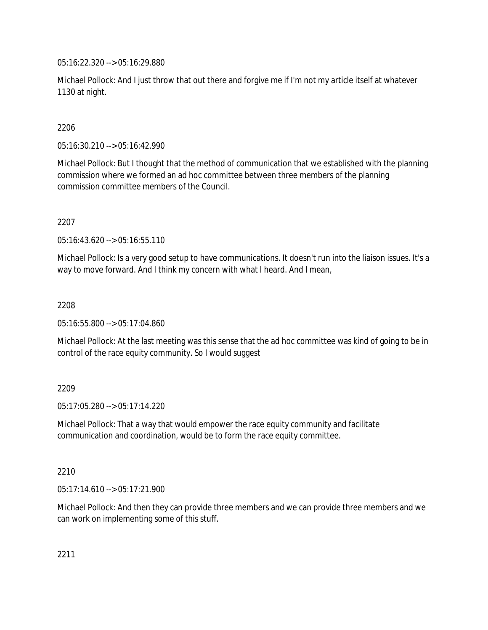05:16:22.320 --> 05:16:29.880

Michael Pollock: And I just throw that out there and forgive me if I'm not my article itself at whatever 1130 at night.

# 2206

05:16:30.210 --> 05:16:42.990

Michael Pollock: But I thought that the method of communication that we established with the planning commission where we formed an ad hoc committee between three members of the planning commission committee members of the Council.

# 2207

05:16:43.620 --> 05:16:55.110

Michael Pollock: Is a very good setup to have communications. It doesn't run into the liaison issues. It's a way to move forward. And I think my concern with what I heard. And I mean,

# 2208

05:16:55.800 --> 05:17:04.860

Michael Pollock: At the last meeting was this sense that the ad hoc committee was kind of going to be in control of the race equity community. So I would suggest

# 2209

05:17:05.280 --> 05:17:14.220

Michael Pollock: That a way that would empower the race equity community and facilitate communication and coordination, would be to form the race equity committee.

# 2210

05:17:14.610 --> 05:17:21.900

Michael Pollock: And then they can provide three members and we can provide three members and we can work on implementing some of this stuff.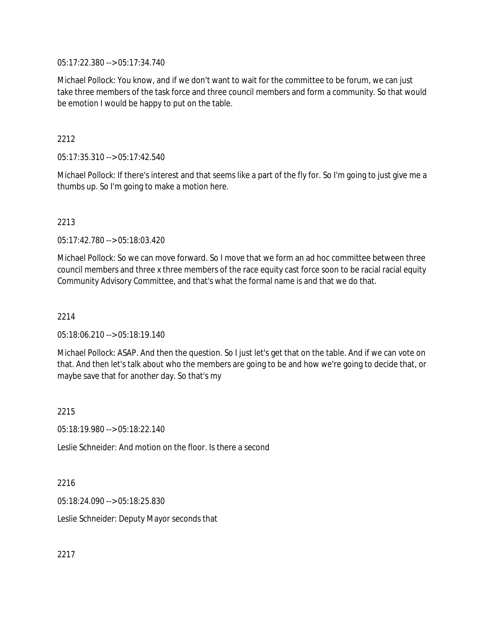05:17:22.380 --> 05:17:34.740

Michael Pollock: You know, and if we don't want to wait for the committee to be forum, we can just take three members of the task force and three council members and form a community. So that would be emotion I would be happy to put on the table.

# 2212

05:17:35.310 --> 05:17:42.540

Michael Pollock: If there's interest and that seems like a part of the fly for. So I'm going to just give me a thumbs up. So I'm going to make a motion here.

# 2213

05:17:42.780 --> 05:18:03.420

Michael Pollock: So we can move forward. So I move that we form an ad hoc committee between three council members and three x three members of the race equity cast force soon to be racial racial equity Community Advisory Committee, and that's what the formal name is and that we do that.

# 2214

05:18:06.210 --> 05:18:19.140

Michael Pollock: ASAP. And then the question. So I just let's get that on the table. And if we can vote on that. And then let's talk about who the members are going to be and how we're going to decide that, or maybe save that for another day. So that's my

2215

05:18:19.980 --> 05:18:22.140

Leslie Schneider: And motion on the floor. Is there a second

### 2216

05:18:24.090 --> 05:18:25.830

Leslie Schneider: Deputy Mayor seconds that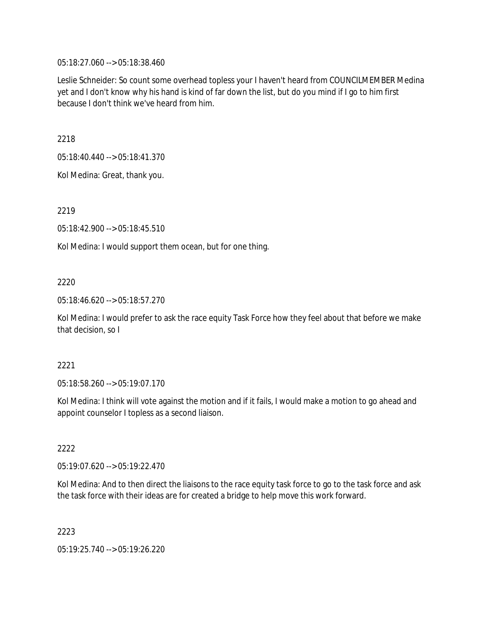05:18:27.060 --> 05:18:38.460

Leslie Schneider: So count some overhead topless your I haven't heard from COUNCILMEMBER Medina yet and I don't know why his hand is kind of far down the list, but do you mind if I go to him first because I don't think we've heard from him.

2218

05:18:40.440 --> 05:18:41.370

Kol Medina: Great, thank you.

2219

05:18:42.900 --> 05:18:45.510

Kol Medina: I would support them ocean, but for one thing.

# 2220

05:18:46.620 --> 05:18:57.270

Kol Medina: I would prefer to ask the race equity Task Force how they feel about that before we make that decision, so I

### 2221

05:18:58.260 --> 05:19:07.170

Kol Medina: I think will vote against the motion and if it fails, I would make a motion to go ahead and appoint counselor I topless as a second liaison.

# 2222

05:19:07.620 --> 05:19:22.470

Kol Medina: And to then direct the liaisons to the race equity task force to go to the task force and ask the task force with their ideas are for created a bridge to help move this work forward.

2223

05:19:25.740 --> 05:19:26.220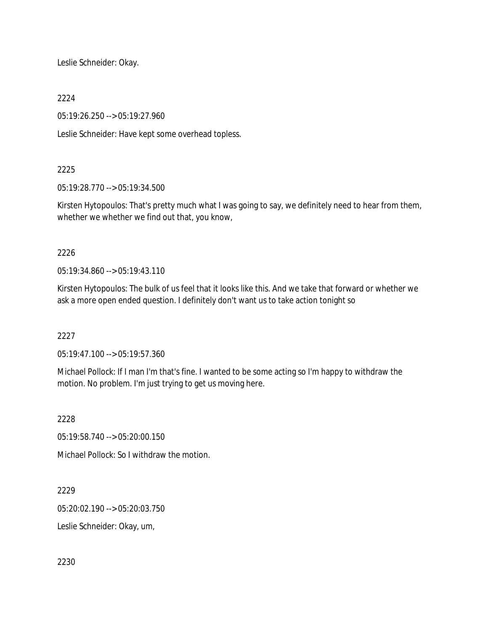Leslie Schneider: Okay.

2224

05:19:26.250 --> 05:19:27.960

Leslie Schneider: Have kept some overhead topless.

# 2225

05:19:28.770 --> 05:19:34.500

Kirsten Hytopoulos: That's pretty much what I was going to say, we definitely need to hear from them, whether we whether we find out that, you know,

# 2226

05:19:34.860 --> 05:19:43.110

Kirsten Hytopoulos: The bulk of us feel that it looks like this. And we take that forward or whether we ask a more open ended question. I definitely don't want us to take action tonight so

# 2227

05:19:47.100 --> 05:19:57.360

Michael Pollock: If I man I'm that's fine. I wanted to be some acting so I'm happy to withdraw the motion. No problem. I'm just trying to get us moving here.

2228

05:19:58.740 --> 05:20:00.150

Michael Pollock: So I withdraw the motion.

2229

05:20:02.190 --> 05:20:03.750

Leslie Schneider: Okay, um,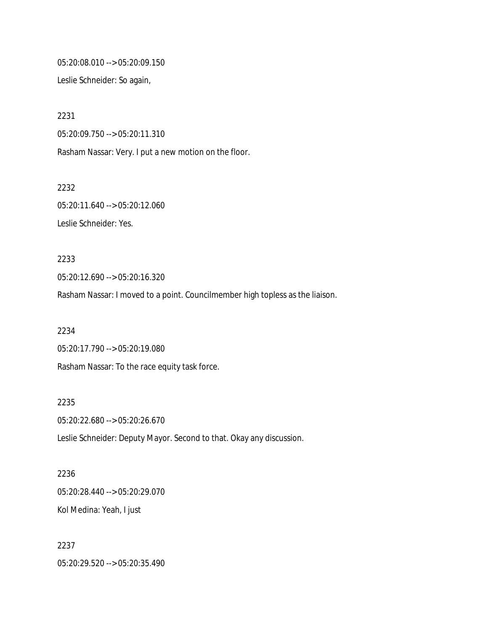05:20:08.010 --> 05:20:09.150

Leslie Schneider: So again,

2231 05:20:09.750 --> 05:20:11.310 Rasham Nassar: Very. I put a new motion on the floor.

05:20:11.640 --> 05:20:12.060 Leslie Schneider: Yes.

2232

2233 05:20:12.690 --> 05:20:16.320

Rasham Nassar: I moved to a point. Councilmember high topless as the liaison.

2234 05:20:17.790 --> 05:20:19.080 Rasham Nassar: To the race equity task force.

2235 05:20:22.680 --> 05:20:26.670 Leslie Schneider: Deputy Mayor. Second to that. Okay any discussion.

2236 05:20:28.440 --> 05:20:29.070 Kol Medina: Yeah, I just

2237 05:20:29.520 --> 05:20:35.490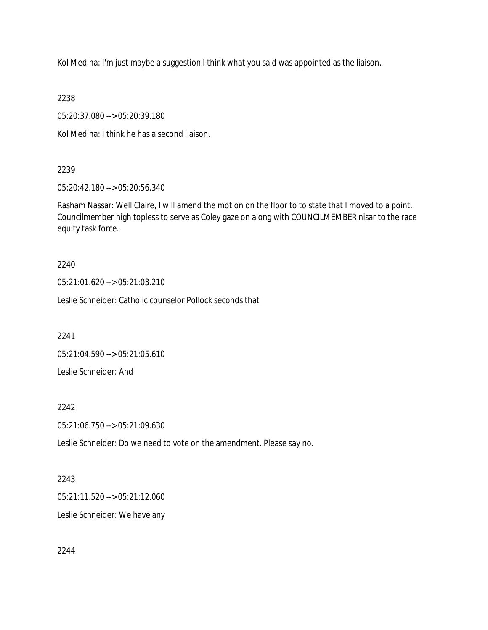Kol Medina: I'm just maybe a suggestion I think what you said was appointed as the liaison.

2238

05:20:37.080 --> 05:20:39.180

Kol Medina: I think he has a second liaison.

# 2239

05:20:42.180 --> 05:20:56.340

Rasham Nassar: Well Claire, I will amend the motion on the floor to to state that I moved to a point. Councilmember high topless to serve as Coley gaze on along with COUNCILMEMBER nisar to the race equity task force.

# 2240

05:21:01.620 --> 05:21:03.210

Leslie Schneider: Catholic counselor Pollock seconds that

2241

05:21:04.590 --> 05:21:05.610

Leslie Schneider: And

# 2242

05:21:06.750 --> 05:21:09.630

Leslie Schneider: Do we need to vote on the amendment. Please say no.

## 2243

05:21:11.520 --> 05:21:12.060

Leslie Schneider: We have any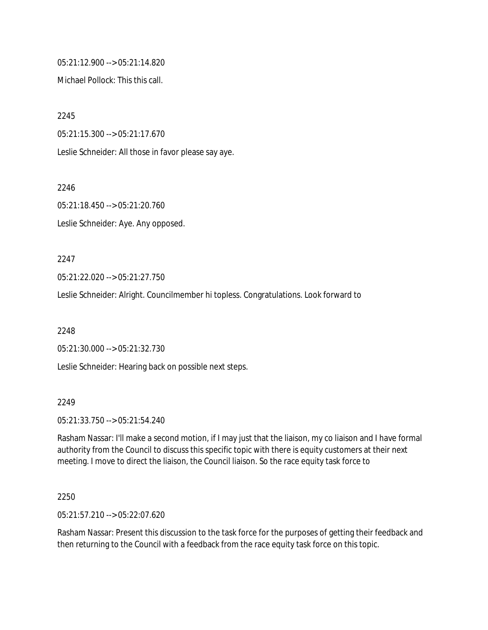05:21:12.900 --> 05:21:14.820

Michael Pollock: This this call.

2245

05:21:15.300 --> 05:21:17.670

Leslie Schneider: All those in favor please say aye.

2246

05:21:18.450 --> 05:21:20.760

Leslie Schneider: Aye. Any opposed.

2247

05:21:22.020 --> 05:21:27.750

Leslie Schneider: Alright. Councilmember hi topless. Congratulations. Look forward to

2248

05:21:30.000 --> 05:21:32.730

Leslie Schneider: Hearing back on possible next steps.

2249

05:21:33.750 --> 05:21:54.240

Rasham Nassar: I'll make a second motion, if I may just that the liaison, my co liaison and I have formal authority from the Council to discuss this specific topic with there is equity customers at their next meeting. I move to direct the liaison, the Council liaison. So the race equity task force to

2250

05:21:57.210 --> 05:22:07.620

Rasham Nassar: Present this discussion to the task force for the purposes of getting their feedback and then returning to the Council with a feedback from the race equity task force on this topic.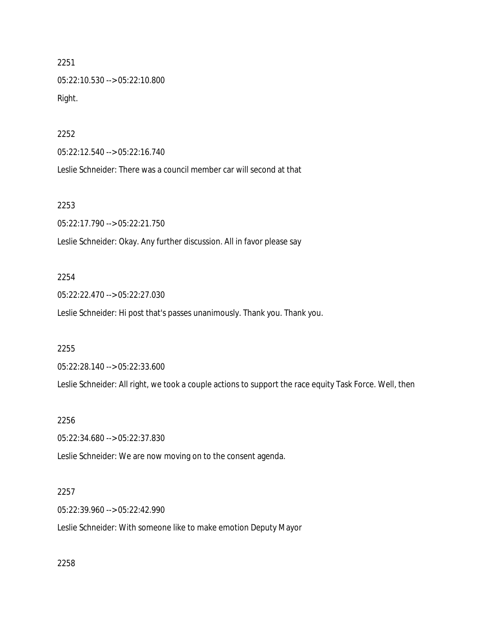2251 05:22:10.530 --> 05:22:10.800 Right.

2252

05:22:12.540 --> 05:22:16.740

Leslie Schneider: There was a council member car will second at that

2253

05:22:17.790 --> 05:22:21.750

Leslie Schneider: Okay. Any further discussion. All in favor please say

## 2254

05:22:22.470 --> 05:22:27.030

Leslie Schneider: Hi post that's passes unanimously. Thank you. Thank you.

#### 2255

05:22:28.140 --> 05:22:33.600

Leslie Schneider: All right, we took a couple actions to support the race equity Task Force. Well, then

## 2256

05:22:34.680 --> 05:22:37.830

Leslie Schneider: We are now moving on to the consent agenda.

#### 2257

05:22:39.960 --> 05:22:42.990

Leslie Schneider: With someone like to make emotion Deputy Mayor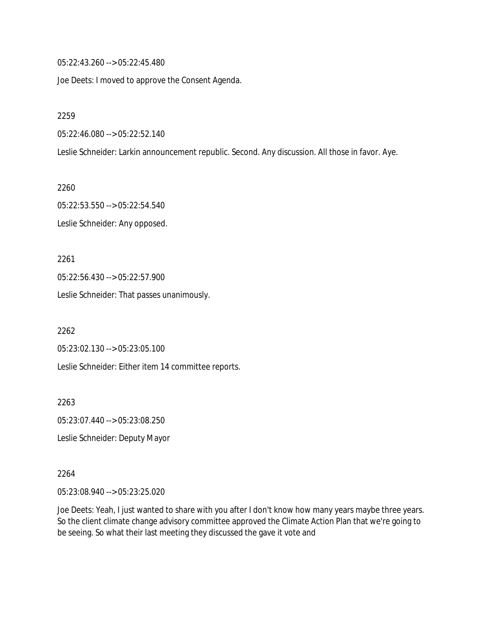05:22:43.260 --> 05:22:45.480

Joe Deets: I moved to approve the Consent Agenda.

2259

05:22:46.080 --> 05:22:52.140

Leslie Schneider: Larkin announcement republic. Second. Any discussion. All those in favor. Aye.

2260 05:22:53.550 --> 05:22:54.540 Leslie Schneider: Any opposed.

2261 05:22:56.430 --> 05:22:57.900 Leslie Schneider: That passes unanimously.

2262 05:23:02.130 --> 05:23:05.100

Leslie Schneider: Either item 14 committee reports.

2263 05:23:07.440 --> 05:23:08.250

Leslie Schneider: Deputy Mayor

2264

05:23:08.940 --> 05:23:25.020

Joe Deets: Yeah, I just wanted to share with you after I don't know how many years maybe three years. So the client climate change advisory committee approved the Climate Action Plan that we're going to be seeing. So what their last meeting they discussed the gave it vote and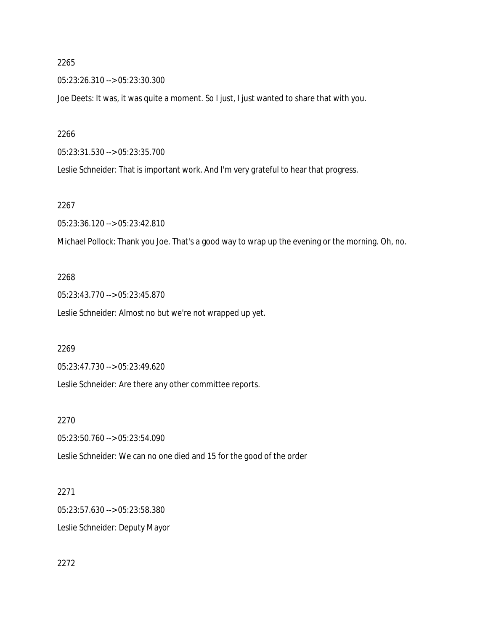05:23:26.310 --> 05:23:30.300

Joe Deets: It was, it was quite a moment. So I just, I just wanted to share that with you.

2266

05:23:31.530 --> 05:23:35.700

Leslie Schneider: That is important work. And I'm very grateful to hear that progress.

#### 2267

05:23:36.120 --> 05:23:42.810

Michael Pollock: Thank you Joe. That's a good way to wrap up the evening or the morning. Oh, no.

# 2268

05:23:43.770 --> 05:23:45.870 Leslie Schneider: Almost no but we're not wrapped up yet.

#### 2269

05:23:47.730 --> 05:23:49.620

Leslie Schneider: Are there any other committee reports.

## 2270

05:23:50.760 --> 05:23:54.090

Leslie Schneider: We can no one died and 15 for the good of the order

## 2271

05:23:57.630 --> 05:23:58.380 Leslie Schneider: Deputy Mayor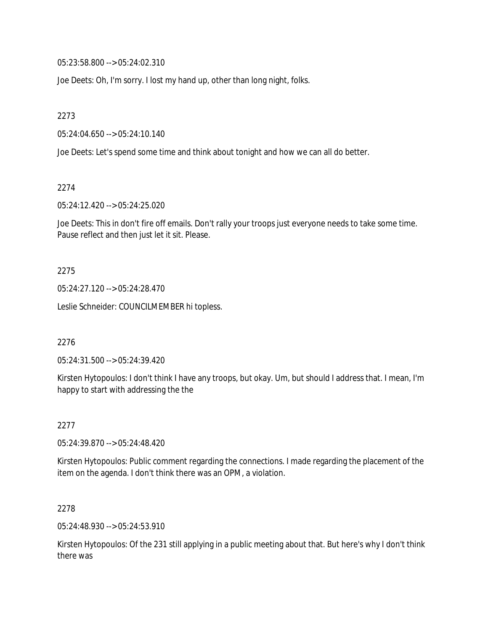05:23:58.800 --> 05:24:02.310

Joe Deets: Oh, I'm sorry. I lost my hand up, other than long night, folks.

2273

05:24:04.650 --> 05:24:10.140

Joe Deets: Let's spend some time and think about tonight and how we can all do better.

2274

05:24:12.420 --> 05:24:25.020

Joe Deets: This in don't fire off emails. Don't rally your troops just everyone needs to take some time. Pause reflect and then just let it sit. Please.

#### 2275

05:24:27.120 --> 05:24:28.470

Leslie Schneider: COUNCILMEMBER hi topless.

2276

05:24:31.500 --> 05:24:39.420

Kirsten Hytopoulos: I don't think I have any troops, but okay. Um, but should I address that. I mean, I'm happy to start with addressing the the

2277

05:24:39.870 --> 05:24:48.420

Kirsten Hytopoulos: Public comment regarding the connections. I made regarding the placement of the item on the agenda. I don't think there was an OPM, a violation.

2278

05:24:48.930 --> 05:24:53.910

Kirsten Hytopoulos: Of the 231 still applying in a public meeting about that. But here's why I don't think there was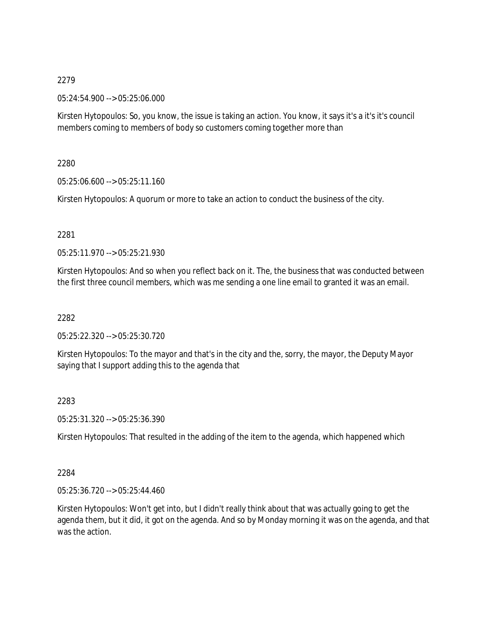05:24:54.900 --> 05:25:06.000

Kirsten Hytopoulos: So, you know, the issue is taking an action. You know, it says it's a it's it's council members coming to members of body so customers coming together more than

2280

05:25:06.600 --> 05:25:11.160

Kirsten Hytopoulos: A quorum or more to take an action to conduct the business of the city.

2281

05:25:11.970 --> 05:25:21.930

Kirsten Hytopoulos: And so when you reflect back on it. The, the business that was conducted between the first three council members, which was me sending a one line email to granted it was an email.

2282

05:25:22.320 --> 05:25:30.720

Kirsten Hytopoulos: To the mayor and that's in the city and the, sorry, the mayor, the Deputy Mayor saying that I support adding this to the agenda that

2283

05:25:31.320 --> 05:25:36.390

Kirsten Hytopoulos: That resulted in the adding of the item to the agenda, which happened which

2284

05:25:36.720 --> 05:25:44.460

Kirsten Hytopoulos: Won't get into, but I didn't really think about that was actually going to get the agenda them, but it did, it got on the agenda. And so by Monday morning it was on the agenda, and that was the action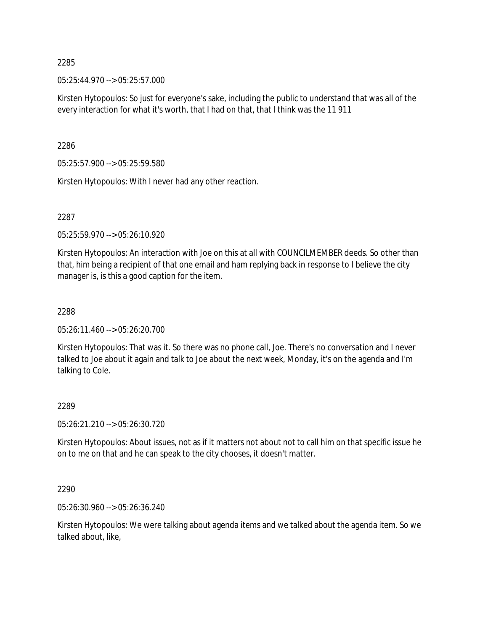05:25:44.970 --> 05:25:57.000

Kirsten Hytopoulos: So just for everyone's sake, including the public to understand that was all of the every interaction for what it's worth, that I had on that, that I think was the 11 911

2286

05:25:57.900 --> 05:25:59.580

Kirsten Hytopoulos: With I never had any other reaction.

2287

05:25:59.970 --> 05:26:10.920

Kirsten Hytopoulos: An interaction with Joe on this at all with COUNCILMEMBER deeds. So other than that, him being a recipient of that one email and ham replying back in response to I believe the city manager is, is this a good caption for the item.

### 2288

05:26:11.460 --> 05:26:20.700

Kirsten Hytopoulos: That was it. So there was no phone call, Joe. There's no conversation and I never talked to Joe about it again and talk to Joe about the next week, Monday, it's on the agenda and I'm talking to Cole.

## 2289

05:26:21.210 --> 05:26:30.720

Kirsten Hytopoulos: About issues, not as if it matters not about not to call him on that specific issue he on to me on that and he can speak to the city chooses, it doesn't matter.

2290

05:26:30.960 --> 05:26:36.240

Kirsten Hytopoulos: We were talking about agenda items and we talked about the agenda item. So we talked about, like,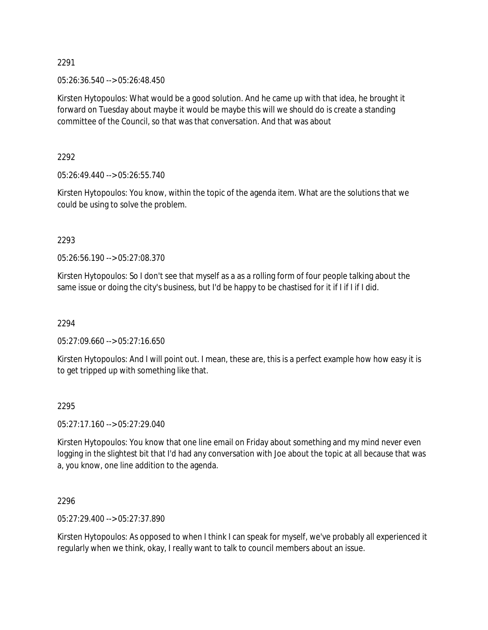05:26:36.540 --> 05:26:48.450

Kirsten Hytopoulos: What would be a good solution. And he came up with that idea, he brought it forward on Tuesday about maybe it would be maybe this will we should do is create a standing committee of the Council, so that was that conversation. And that was about

2292

05:26:49.440 --> 05:26:55.740

Kirsten Hytopoulos: You know, within the topic of the agenda item. What are the solutions that we could be using to solve the problem.

2293

05:26:56.190 --> 05:27:08.370

Kirsten Hytopoulos: So I don't see that myself as a as a rolling form of four people talking about the same issue or doing the city's business, but I'd be happy to be chastised for it if I if I if I did.

2294

05:27:09.660 --> 05:27:16.650

Kirsten Hytopoulos: And I will point out. I mean, these are, this is a perfect example how how easy it is to get tripped up with something like that.

## 2295

05:27:17.160 --> 05:27:29.040

Kirsten Hytopoulos: You know that one line email on Friday about something and my mind never even logging in the slightest bit that I'd had any conversation with Joe about the topic at all because that was a, you know, one line addition to the agenda.

2296

05:27:29.400 --> 05:27:37.890

Kirsten Hytopoulos: As opposed to when I think I can speak for myself, we've probably all experienced it regularly when we think, okay, I really want to talk to council members about an issue.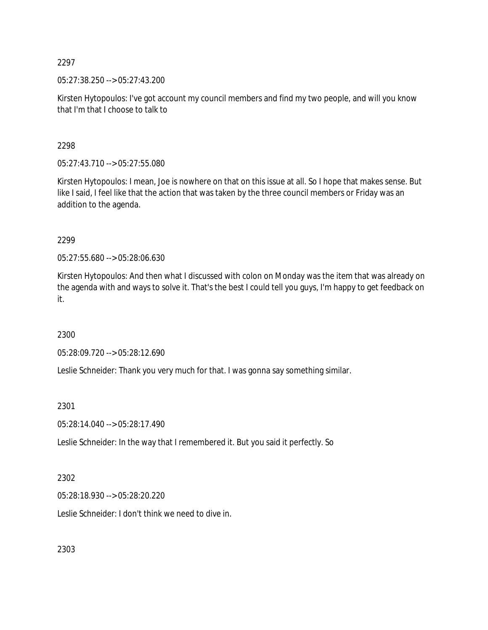05:27:38.250 --> 05:27:43.200

Kirsten Hytopoulos: I've got account my council members and find my two people, and will you know that I'm that I choose to talk to

2298

05:27:43.710 --> 05:27:55.080

Kirsten Hytopoulos: I mean, Joe is nowhere on that on this issue at all. So I hope that makes sense. But like I said, I feel like that the action that was taken by the three council members or Friday was an addition to the agenda.

2299

05:27:55.680 --> 05:28:06.630

Kirsten Hytopoulos: And then what I discussed with colon on Monday was the item that was already on the agenda with and ways to solve it. That's the best I could tell you guys, I'm happy to get feedback on it.

2300

05:28:09.720 --> 05:28:12.690

Leslie Schneider: Thank you very much for that. I was gonna say something similar.

2301

05:28:14.040 --> 05:28:17.490

Leslie Schneider: In the way that I remembered it. But you said it perfectly. So

2302

05:28:18.930 --> 05:28:20.220

Leslie Schneider: I don't think we need to dive in.

2303